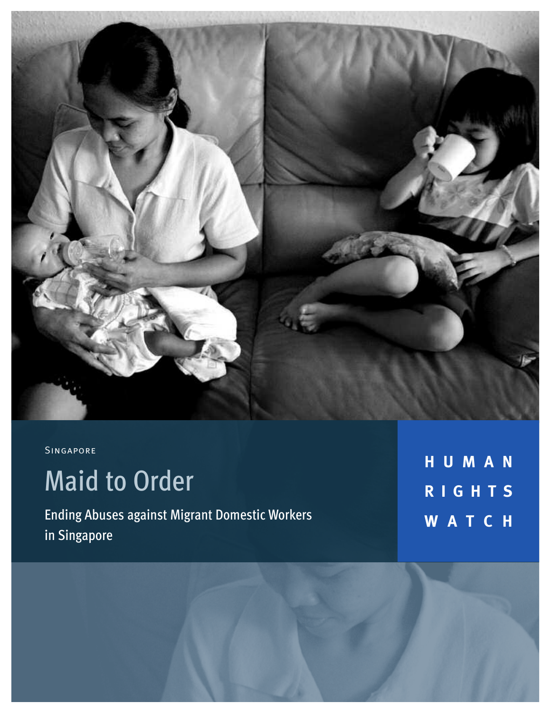

# Singapore

# Maid to Order

Ending Abuses against Migrant Domestic Workers in Singapore

**HUMAN RIGHT S WATCH**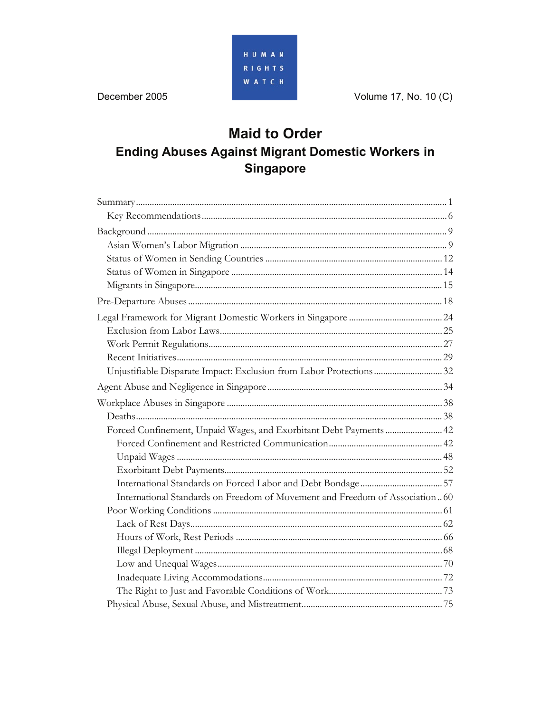

# **Maid to Order Ending Abuses Against Migrant Domestic Workers in Singapore**

| Unjustifiable Disparate Impact: Exclusion from Labor Protections  32        |  |
|-----------------------------------------------------------------------------|--|
|                                                                             |  |
|                                                                             |  |
|                                                                             |  |
| Forced Confinement, Unpaid Wages, and Exorbitant Debt Payments  42          |  |
|                                                                             |  |
|                                                                             |  |
|                                                                             |  |
|                                                                             |  |
| International Standards on Freedom of Movement and Freedom of Association60 |  |
|                                                                             |  |
|                                                                             |  |
|                                                                             |  |
|                                                                             |  |
|                                                                             |  |
|                                                                             |  |
|                                                                             |  |
|                                                                             |  |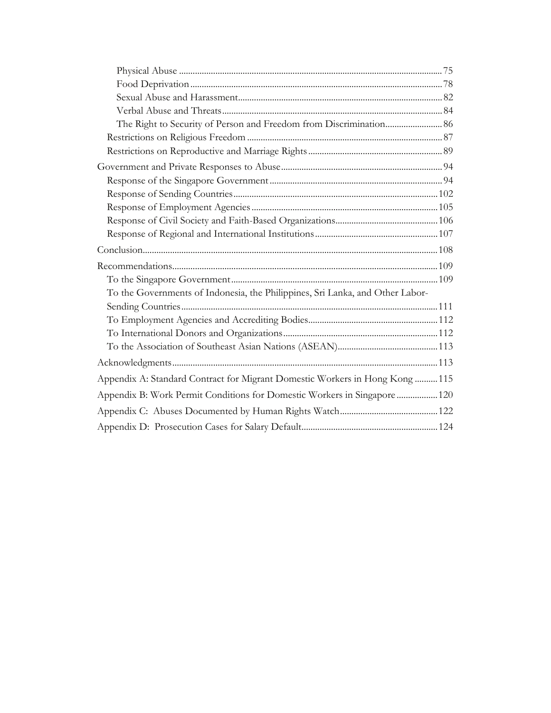| To the Governments of Indonesia, the Philippines, Sri Lanka, and Other Labor- |  |
|-------------------------------------------------------------------------------|--|
|                                                                               |  |
|                                                                               |  |
|                                                                               |  |
|                                                                               |  |
|                                                                               |  |
| Appendix A: Standard Contract for Migrant Domestic Workers in Hong Kong  115  |  |
| Appendix B: Work Permit Conditions for Domestic Workers in Singapore  120     |  |
|                                                                               |  |
|                                                                               |  |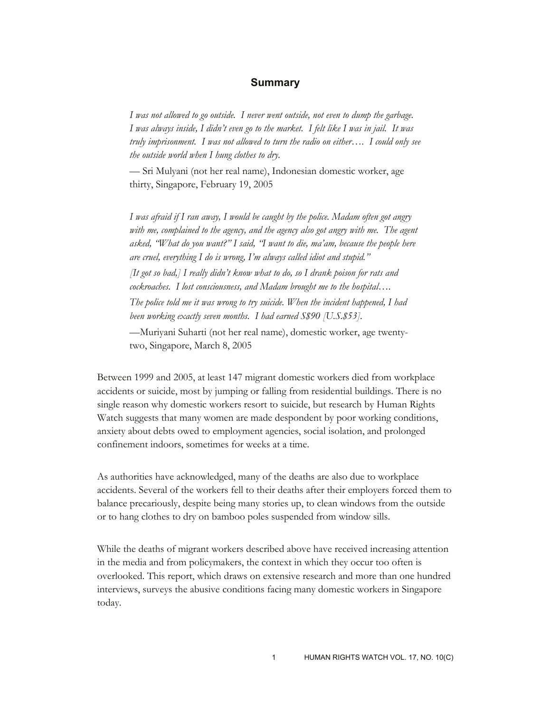#### **Summary**

*I was not allowed to go outside. I never went outside, not even to dump the garbage. I was always inside, I didn't even go to the market. I felt like I was in jail. It was truly imprisonment. I was not allowed to turn the radio on either…. I could only see the outside world when I hung clothes to dry*.

— Sri Mulyani (not her real name), Indonesian domestic worker, age thirty, Singapore, February 19, 2005

*I was afraid if I ran away, I would be caught by the police. Madam often got angry*  with me, complained to the agency, and the agency also got angry with me. The agent *asked, "What do you want?" I said, "I want to die, ma'am, because the people here are cruel, everything I do is wrong, I'm always called idiot and stupid."* 

*[It got so bad,] I really didn't know what to do, so I drank poison for rats and cockroaches. I lost consciousness, and Madam brought me to the hospital….* 

*The police told me it was wrong to try suicide. When the incident happened, I had been working exactly seven months. I had earned S\$90 [U.S.\$53].* 

—Muriyani Suharti (not her real name), domestic worker, age twentytwo, Singapore, March 8, 2005

Between 1999 and 2005, at least 147 migrant domestic workers died from workplace accidents or suicide, most by jumping or falling from residential buildings. There is no single reason why domestic workers resort to suicide, but research by Human Rights Watch suggests that many women are made despondent by poor working conditions, anxiety about debts owed to employment agencies, social isolation, and prolonged confinement indoors, sometimes for weeks at a time.

As authorities have acknowledged, many of the deaths are also due to workplace accidents. Several of the workers fell to their deaths after their employers forced them to balance precariously, despite being many stories up, to clean windows from the outside or to hang clothes to dry on bamboo poles suspended from window sills.

While the deaths of migrant workers described above have received increasing attention in the media and from policymakers, the context in which they occur too often is overlooked. This report, which draws on extensive research and more than one hundred interviews, surveys the abusive conditions facing many domestic workers in Singapore today.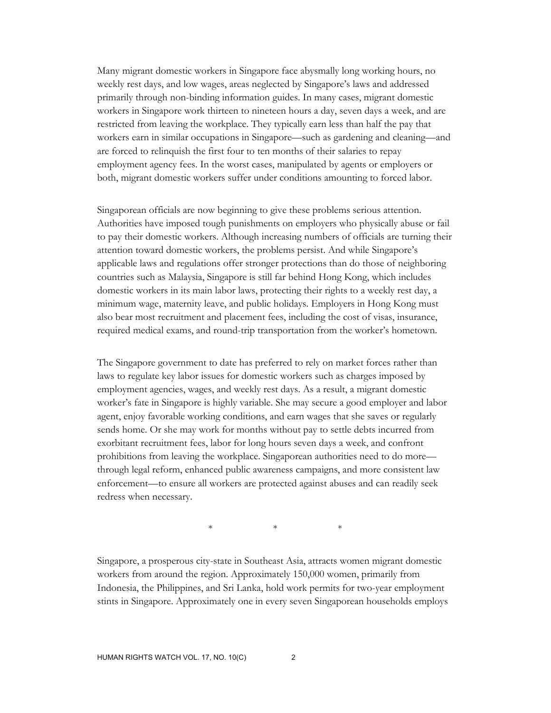Many migrant domestic workers in Singapore face abysmally long working hours, no weekly rest days, and low wages, areas neglected by Singapore's laws and addressed primarily through non-binding information guides. In many cases, migrant domestic workers in Singapore work thirteen to nineteen hours a day, seven days a week, and are restricted from leaving the workplace. They typically earn less than half the pay that workers earn in similar occupations in Singapore—such as gardening and cleaning—and are forced to relinquish the first four to ten months of their salaries to repay employment agency fees. In the worst cases, manipulated by agents or employers or both, migrant domestic workers suffer under conditions amounting to forced labor.

Singaporean officials are now beginning to give these problems serious attention. Authorities have imposed tough punishments on employers who physically abuse or fail to pay their domestic workers. Although increasing numbers of officials are turning their attention toward domestic workers, the problems persist. And while Singapore's applicable laws and regulations offer stronger protections than do those of neighboring countries such as Malaysia, Singapore is still far behind Hong Kong, which includes domestic workers in its main labor laws, protecting their rights to a weekly rest day, a minimum wage, maternity leave, and public holidays. Employers in Hong Kong must also bear most recruitment and placement fees, including the cost of visas, insurance, required medical exams, and round-trip transportation from the worker's hometown.

The Singapore government to date has preferred to rely on market forces rather than laws to regulate key labor issues for domestic workers such as charges imposed by employment agencies, wages, and weekly rest days. As a result, a migrant domestic worker's fate in Singapore is highly variable. She may secure a good employer and labor agent, enjoy favorable working conditions, and earn wages that she saves or regularly sends home. Or she may work for months without pay to settle debts incurred from exorbitant recruitment fees, labor for long hours seven days a week, and confront prohibitions from leaving the workplace. Singaporean authorities need to do more through legal reform, enhanced public awareness campaigns, and more consistent law enforcement—to ensure all workers are protected against abuses and can readily seek redress when necessary.

 $*$  \* \* \*

Singapore, a prosperous city-state in Southeast Asia, attracts women migrant domestic workers from around the region. Approximately 150,000 women, primarily from Indonesia, the Philippines, and Sri Lanka, hold work permits for two-year employment stints in Singapore. Approximately one in every seven Singaporean households employs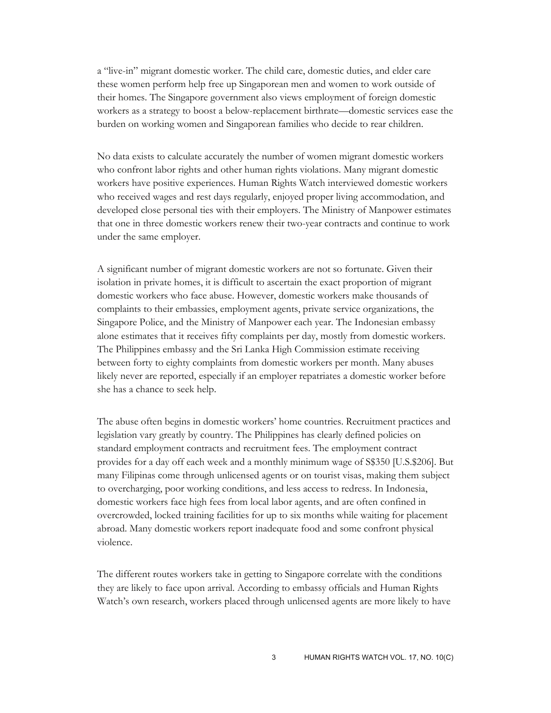a "live-in" migrant domestic worker. The child care, domestic duties, and elder care these women perform help free up Singaporean men and women to work outside of their homes. The Singapore government also views employment of foreign domestic workers as a strategy to boost a below-replacement birthrate—domestic services ease the burden on working women and Singaporean families who decide to rear children.

No data exists to calculate accurately the number of women migrant domestic workers who confront labor rights and other human rights violations. Many migrant domestic workers have positive experiences. Human Rights Watch interviewed domestic workers who received wages and rest days regularly, enjoyed proper living accommodation, and developed close personal ties with their employers. The Ministry of Manpower estimates that one in three domestic workers renew their two-year contracts and continue to work under the same employer.

A significant number of migrant domestic workers are not so fortunate. Given their isolation in private homes, it is difficult to ascertain the exact proportion of migrant domestic workers who face abuse. However, domestic workers make thousands of complaints to their embassies, employment agents, private service organizations, the Singapore Police, and the Ministry of Manpower each year. The Indonesian embassy alone estimates that it receives fifty complaints per day, mostly from domestic workers. The Philippines embassy and the Sri Lanka High Commission estimate receiving between forty to eighty complaints from domestic workers per month. Many abuses likely never are reported, especially if an employer repatriates a domestic worker before she has a chance to seek help.

The abuse often begins in domestic workers' home countries. Recruitment practices and legislation vary greatly by country. The Philippines has clearly defined policies on standard employment contracts and recruitment fees. The employment contract provides for a day off each week and a monthly minimum wage of S\$350 [U.S.\$206]. But many Filipinas come through unlicensed agents or on tourist visas, making them subject to overcharging, poor working conditions, and less access to redress. In Indonesia, domestic workers face high fees from local labor agents, and are often confined in overcrowded, locked training facilities for up to six months while waiting for placement abroad. Many domestic workers report inadequate food and some confront physical violence.

The different routes workers take in getting to Singapore correlate with the conditions they are likely to face upon arrival. According to embassy officials and Human Rights Watch's own research, workers placed through unlicensed agents are more likely to have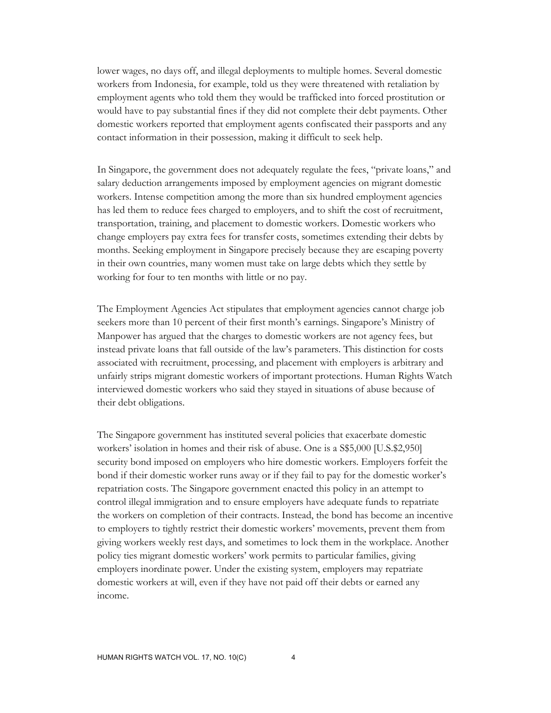lower wages, no days off, and illegal deployments to multiple homes. Several domestic workers from Indonesia, for example, told us they were threatened with retaliation by employment agents who told them they would be trafficked into forced prostitution or would have to pay substantial fines if they did not complete their debt payments. Other domestic workers reported that employment agents confiscated their passports and any contact information in their possession, making it difficult to seek help.

In Singapore, the government does not adequately regulate the fees, "private loans," and salary deduction arrangements imposed by employment agencies on migrant domestic workers. Intense competition among the more than six hundred employment agencies has led them to reduce fees charged to employers, and to shift the cost of recruitment, transportation, training, and placement to domestic workers. Domestic workers who change employers pay extra fees for transfer costs, sometimes extending their debts by months. Seeking employment in Singapore precisely because they are escaping poverty in their own countries, many women must take on large debts which they settle by working for four to ten months with little or no pay.

The Employment Agencies Act stipulates that employment agencies cannot charge job seekers more than 10 percent of their first month's earnings. Singapore's Ministry of Manpower has argued that the charges to domestic workers are not agency fees, but instead private loans that fall outside of the law's parameters. This distinction for costs associated with recruitment, processing, and placement with employers is arbitrary and unfairly strips migrant domestic workers of important protections. Human Rights Watch interviewed domestic workers who said they stayed in situations of abuse because of their debt obligations.

The Singapore government has instituted several policies that exacerbate domestic workers' isolation in homes and their risk of abuse. One is a S\$5,000 [U.S.\$2,950] security bond imposed on employers who hire domestic workers. Employers forfeit the bond if their domestic worker runs away or if they fail to pay for the domestic worker's repatriation costs. The Singapore government enacted this policy in an attempt to control illegal immigration and to ensure employers have adequate funds to repatriate the workers on completion of their contracts. Instead, the bond has become an incentive to employers to tightly restrict their domestic workers' movements, prevent them from giving workers weekly rest days, and sometimes to lock them in the workplace. Another policy ties migrant domestic workers' work permits to particular families, giving employers inordinate power. Under the existing system, employers may repatriate domestic workers at will, even if they have not paid off their debts or earned any income.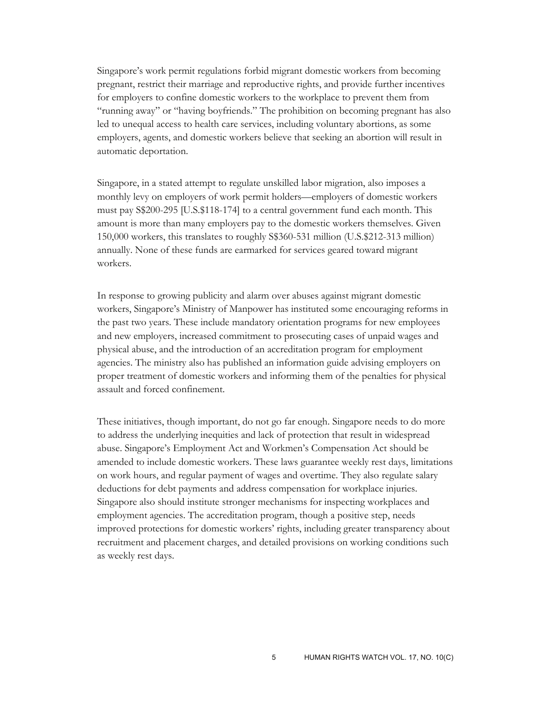Singapore's work permit regulations forbid migrant domestic workers from becoming pregnant, restrict their marriage and reproductive rights, and provide further incentives for employers to confine domestic workers to the workplace to prevent them from "running away" or "having boyfriends." The prohibition on becoming pregnant has also led to unequal access to health care services, including voluntary abortions, as some employers, agents, and domestic workers believe that seeking an abortion will result in automatic deportation.

Singapore, in a stated attempt to regulate unskilled labor migration, also imposes a monthly levy on employers of work permit holders—employers of domestic workers must pay S\$200-295 [U.S.\$118-174] to a central government fund each month. This amount is more than many employers pay to the domestic workers themselves. Given 150,000 workers, this translates to roughly S\$360-531 million (U.S.\$212-313 million) annually. None of these funds are earmarked for services geared toward migrant workers.

In response to growing publicity and alarm over abuses against migrant domestic workers, Singapore's Ministry of Manpower has instituted some encouraging reforms in the past two years. These include mandatory orientation programs for new employees and new employers, increased commitment to prosecuting cases of unpaid wages and physical abuse, and the introduction of an accreditation program for employment agencies. The ministry also has published an information guide advising employers on proper treatment of domestic workers and informing them of the penalties for physical assault and forced confinement.

These initiatives, though important, do not go far enough. Singapore needs to do more to address the underlying inequities and lack of protection that result in widespread abuse. Singapore's Employment Act and Workmen's Compensation Act should be amended to include domestic workers. These laws guarantee weekly rest days, limitations on work hours, and regular payment of wages and overtime. They also regulate salary deductions for debt payments and address compensation for workplace injuries. Singapore also should institute stronger mechanisms for inspecting workplaces and employment agencies. The accreditation program, though a positive step, needs improved protections for domestic workers' rights, including greater transparency about recruitment and placement charges, and detailed provisions on working conditions such as weekly rest days.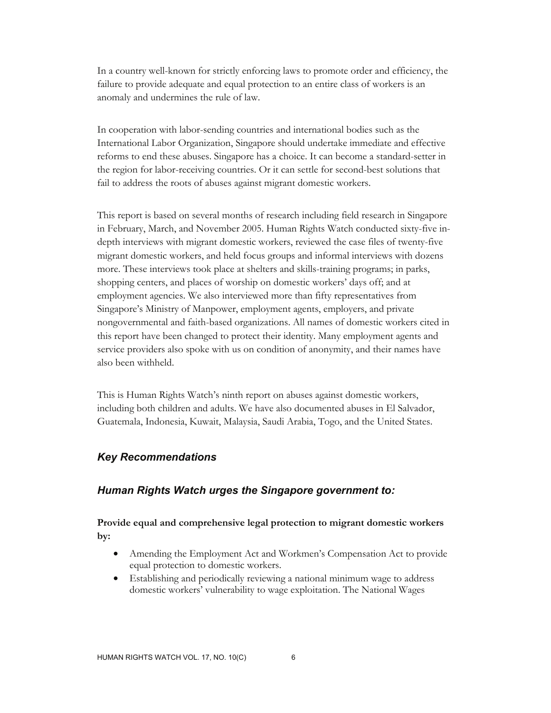In a country well-known for strictly enforcing laws to promote order and efficiency, the failure to provide adequate and equal protection to an entire class of workers is an anomaly and undermines the rule of law.

In cooperation with labor-sending countries and international bodies such as the International Labor Organization, Singapore should undertake immediate and effective reforms to end these abuses. Singapore has a choice. It can become a standard-setter in the region for labor-receiving countries. Or it can settle for second-best solutions that fail to address the roots of abuses against migrant domestic workers.

This report is based on several months of research including field research in Singapore in February, March, and November 2005. Human Rights Watch conducted sixty-five indepth interviews with migrant domestic workers, reviewed the case files of twenty-five migrant domestic workers, and held focus groups and informal interviews with dozens more. These interviews took place at shelters and skills-training programs; in parks, shopping centers, and places of worship on domestic workers' days off; and at employment agencies. We also interviewed more than fifty representatives from Singapore's Ministry of Manpower, employment agents, employers, and private nongovernmental and faith-based organizations. All names of domestic workers cited in this report have been changed to protect their identity. Many employment agents and service providers also spoke with us on condition of anonymity, and their names have also been withheld.

This is Human Rights Watch's ninth report on abuses against domestic workers, including both children and adults. We have also documented abuses in El Salvador, Guatemala, Indonesia, Kuwait, Malaysia, Saudi Arabia, Togo, and the United States.

#### *Key Recommendations*

#### *Human Rights Watch urges the Singapore government to:*

**Provide equal and comprehensive legal protection to migrant domestic workers by:** 

- Amending the Employment Act and Workmen's Compensation Act to provide equal protection to domestic workers.
- Establishing and periodically reviewing a national minimum wage to address domestic workers' vulnerability to wage exploitation. The National Wages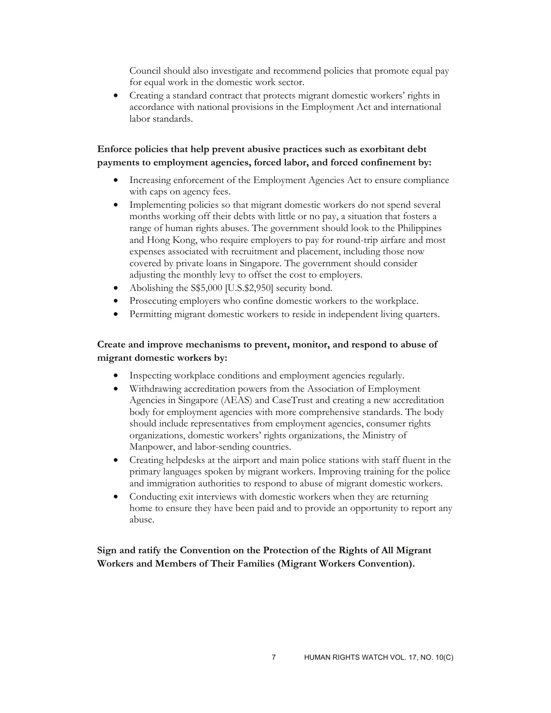Council should also investigate and recommend policies that promote equal pay for equal work in the domestic work sector.

• Creating a standard contract that protects migrant domestic workers' rights in accordance with national provisions in the Employment Act and international labor standards.

## **Enforce policies that help prevent abusive practices such as exorbitant debt payments to employment agencies, forced labor, and forced confinement by:**

- Increasing enforcement of the Employment Agencies Act to ensure compliance with caps on agency fees.
- Implementing policies so that migrant domestic workers do not spend several months working off their debts with little or no pay, a situation that fosters a range of human rights abuses. The government should look to the Philippines and Hong Kong, who require employers to pay for round-trip airfare and most expenses associated with recruitment and placement, including those now covered by private loans in Singapore. The government should consider adjusting the monthly levy to offset the cost to employers.
- Abolishing the S\$5,000 [U.S.\$2,950] security bond.
- Prosecuting employers who confine domestic workers to the workplace.
- Permitting migrant domestic workers to reside in independent living quarters.

## **Create and improve mechanisms to prevent, monitor, and respond to abuse of migrant domestic workers by:**

- Inspecting workplace conditions and employment agencies regularly.
- Withdrawing accreditation powers from the Association of Employment Agencies in Singapore (AEAS) and CaseTrust and creating a new accreditation body for employment agencies with more comprehensive standards. The body should include representatives from employment agencies, consumer rights organizations, domestic workers' rights organizations, the Ministry of Manpower, and labor-sending countries.
- Creating helpdesks at the airport and main police stations with staff fluent in the primary languages spoken by migrant workers. Improving training for the police and immigration authorities to respond to abuse of migrant domestic workers.
- Conducting exit interviews with domestic workers when they are returning home to ensure they have been paid and to provide an opportunity to report any abuse.

**Sign and ratify the Convention on the Protection of the Rights of All Migrant Workers and Members of Their Families (Migrant Workers Convention).**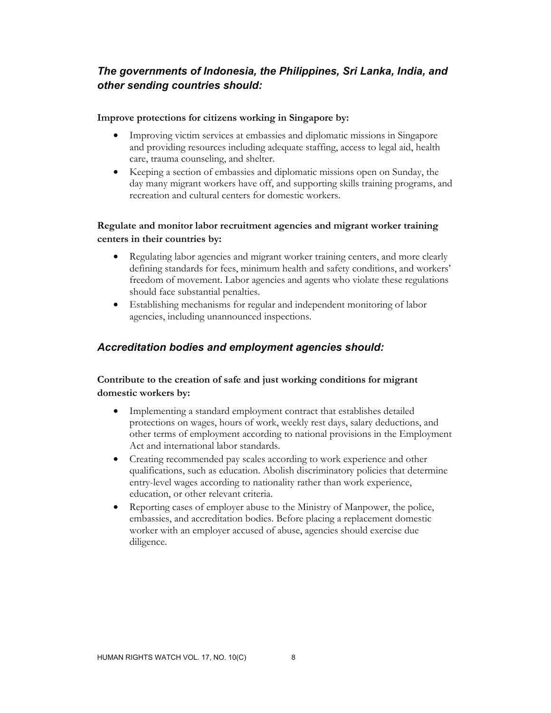# *The governments of Indonesia, the Philippines, Sri Lanka, India, and other sending countries should:*

#### **Improve protections for citizens working in Singapore by:**

- Improving victim services at embassies and diplomatic missions in Singapore and providing resources including adequate staffing, access to legal aid, health care, trauma counseling, and shelter.
- Keeping a section of embassies and diplomatic missions open on Sunday, the day many migrant workers have off, and supporting skills training programs, and recreation and cultural centers for domestic workers.

# **Regulate and monitor labor recruitment agencies and migrant worker training centers in their countries by:**

- Regulating labor agencies and migrant worker training centers, and more clearly defining standards for fees, minimum health and safety conditions, and workers' freedom of movement. Labor agencies and agents who violate these regulations should face substantial penalties.
- Establishing mechanisms for regular and independent monitoring of labor agencies, including unannounced inspections.

# *Accreditation bodies and employment agencies should:*

# **Contribute to the creation of safe and just working conditions for migrant domestic workers by:**

- Implementing a standard employment contract that establishes detailed protections on wages, hours of work, weekly rest days, salary deductions, and other terms of employment according to national provisions in the Employment Act and international labor standards.
- Creating recommended pay scales according to work experience and other qualifications, such as education. Abolish discriminatory policies that determine entry-level wages according to nationality rather than work experience, education, or other relevant criteria.
- Reporting cases of employer abuse to the Ministry of Manpower, the police, embassies, and accreditation bodies. Before placing a replacement domestic worker with an employer accused of abuse, agencies should exercise due diligence.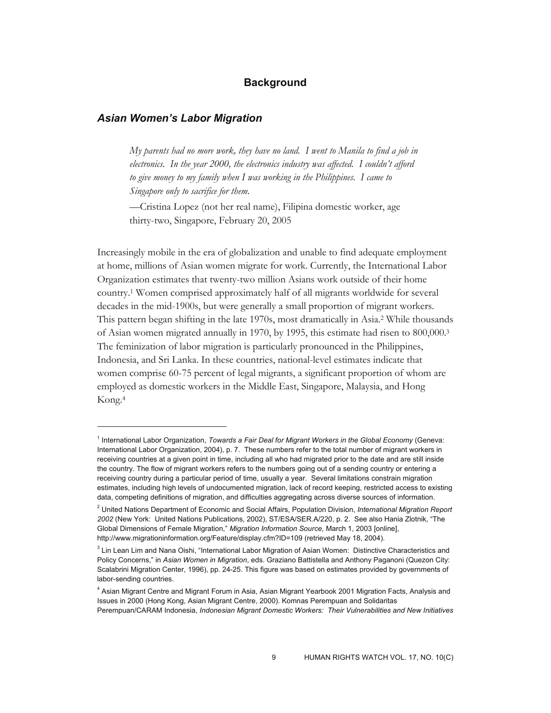#### **Background**

#### *Asian Women's Labor Migration*

-

*My parents had no more work, they have no land. I went to Manila to find a job in electronics. In the year 2000, the electronics industry was affected. I couldn't afford to give money to my family when I was working in the Philippines. I came to Singapore only to sacrifice for them.* 

—Cristina Lopez (not her real name), Filipina domestic worker, age thirty-two, Singapore, February 20, 2005

Increasingly mobile in the era of globalization and unable to find adequate employment at home, millions of Asian women migrate for work. Currently, the International Labor Organization estimates that twenty-two million Asians work outside of their home country.1 Women comprised approximately half of all migrants worldwide for several decades in the mid-1900s, but were generally a small proportion of migrant workers. This pattern began shifting in the late 1970s, most dramatically in Asia.2 While thousands of Asian women migrated annually in 1970, by 1995, this estimate had risen to 800,000.3 The feminization of labor migration is particularly pronounced in the Philippines, Indonesia, and Sri Lanka. In these countries, national-level estimates indicate that women comprise 60-75 percent of legal migrants, a significant proportion of whom are employed as domestic workers in the Middle East, Singapore, Malaysia, and Hong Kong.4

<sup>&</sup>lt;sup>1</sup> International Labor Organization, *Towards a Fair Deal for Migrant Workers in the Global Economy* (Geneva: International Labor Organization, 2004), p. 7. These numbers refer to the total number of migrant workers in receiving countries at a given point in time, including all who had migrated prior to the date and are still inside the country. The flow of migrant workers refers to the numbers going out of a sending country or entering a receiving country during a particular period of time, usually a year. Several limitations constrain migration estimates, including high levels of undocumented migration, lack of record keeping, restricted access to existing data, competing definitions of migration, and difficulties aggregating across diverse sources of information.

<sup>2</sup> United Nations Department of Economic and Social Affairs, Population Division, *International Migration Report 2002* (New York: United Nations Publications, 2002), ST/ESA/SER.A/220, p. 2. See also Hania Zlotnik, "The Global Dimensions of Female Migration," *Migration Information Source,* March 1, 2003 [online], http://www.migrationinformation.org/Feature/display.cfm?ID=109 (retrieved May 18, 2004).

<sup>&</sup>lt;sup>3</sup> Lin Lean Lim and Nana Oishi, "International Labor Migration of Asian Women: Distinctive Characteristics and Policy Concerns," in *Asian Women in Migration*, eds. Graziano Battistella and Anthony Paganoni (Quezon City: Scalabrini Migration Center, 1996), pp. 24-25. This figure was based on estimates provided by governments of labor-sending countries.

<sup>4</sup> Asian Migrant Centre and Migrant Forum in Asia, Asian Migrant Yearbook 2001 Migration Facts, Analysis and Issues in 2000 (Hong Kong, Asian Migrant Centre, 2000). Komnas Perempuan and Solidaritas Perempuan/CARAM Indonesia, *Indonesian Migrant Domestic Workers: Their Vulnerabilities and New Initiatives*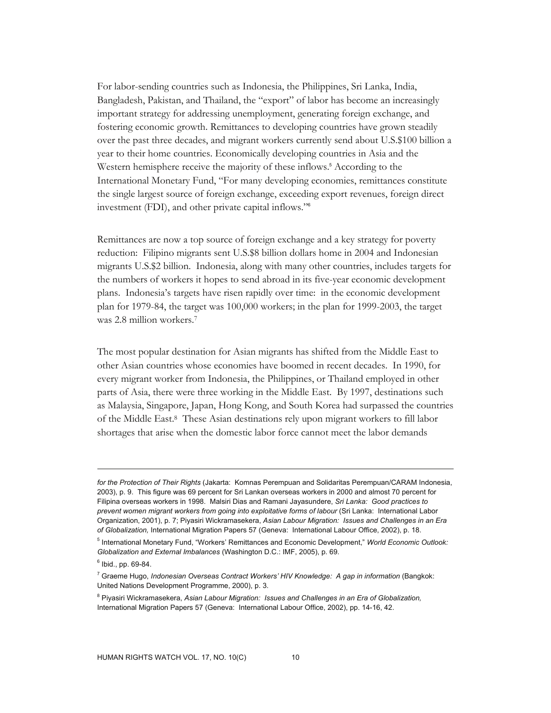For labor-sending countries such as Indonesia, the Philippines, Sri Lanka, India, Bangladesh, Pakistan, and Thailand, the "export" of labor has become an increasingly important strategy for addressing unemployment, generating foreign exchange, and fostering economic growth. Remittances to developing countries have grown steadily over the past three decades, and migrant workers currently send about U.S.\$100 billion a year to their home countries. Economically developing countries in Asia and the Western hemisphere receive the majority of these inflows.<sup>5</sup> According to the International Monetary Fund, "For many developing economies, remittances constitute the single largest source of foreign exchange, exceeding export revenues, foreign direct investment (FDI), and other private capital inflows."<sup>6</sup>

Remittances are now a top source of foreign exchange and a key strategy for poverty reduction: Filipino migrants sent U.S.\$8 billion dollars home in 2004 and Indonesian migrants U.S.\$2 billion. Indonesia, along with many other countries, includes targets for the numbers of workers it hopes to send abroad in its five-year economic development plans. Indonesia's targets have risen rapidly over time: in the economic development plan for 1979-84, the target was 100,000 workers; in the plan for 1999-2003, the target was 2.8 million workers.7

The most popular destination for Asian migrants has shifted from the Middle East to other Asian countries whose economies have boomed in recent decades. In 1990, for every migrant worker from Indonesia, the Philippines, or Thailand employed in other parts of Asia, there were three working in the Middle East. By 1997, destinations such as Malaysia, Singapore, Japan, Hong Kong, and South Korea had surpassed the countries of the Middle East.8 These Asian destinations rely upon migrant workers to fill labor shortages that arise when the domestic labor force cannot meet the labor demands

*for the Protection of Their Rights* (Jakarta: Komnas Perempuan and Solidaritas Perempuan/CARAM Indonesia, 2003), p. 9. This figure was 69 percent for Sri Lankan overseas workers in 2000 and almost 70 percent for Filipina overseas workers in 1998. Malsiri Dias and Ramani Jayasundere, *Sri Lanka: Good practices to prevent women migrant workers from going into exploitative forms of labour* (Sri Lanka: International Labor Organization, 2001), p. 7; Piyasiri Wickramasekera, *Asian Labour Migration: Issues and Challenges in an Era of Globalization,* International Migration Papers 57 (Geneva: International Labour Office, 2002), p. 18.

<sup>5</sup> International Monetary Fund, "Workers' Remittances and Economic Development," *World Economic Outlook: Globalization and External Imbalances* (Washington D.C.: IMF, 2005), p. 69.

 $<sup>6</sup>$  Ibid., pp. 69-84.</sup>

<sup>7</sup> Graeme Hugo, *Indonesian Overseas Contract Workers' HIV Knowledge: A gap in information* (Bangkok: United Nations Development Programme, 2000), p. 3.

<sup>8</sup> Piyasiri Wickramasekera, *Asian Labour Migration: Issues and Challenges in an Era of Globalization,* International Migration Papers 57 (Geneva: International Labour Office, 2002), pp. 14-16, 42.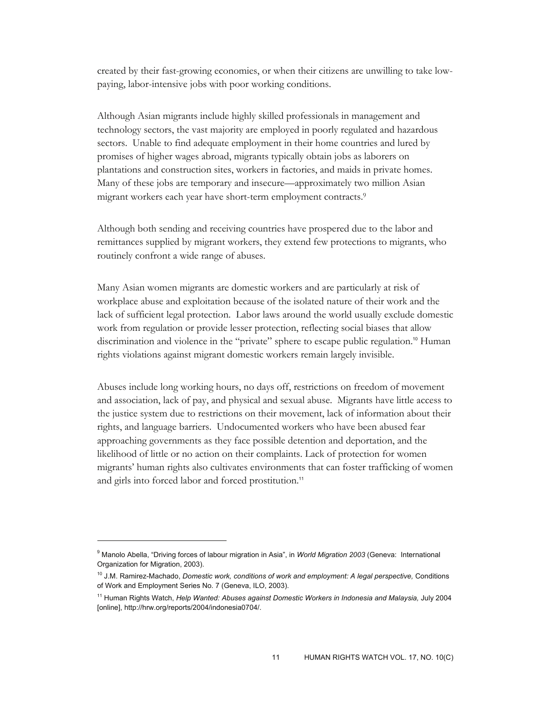created by their fast-growing economies, or when their citizens are unwilling to take lowpaying, labor-intensive jobs with poor working conditions.

Although Asian migrants include highly skilled professionals in management and technology sectors, the vast majority are employed in poorly regulated and hazardous sectors. Unable to find adequate employment in their home countries and lured by promises of higher wages abroad, migrants typically obtain jobs as laborers on plantations and construction sites, workers in factories, and maids in private homes. Many of these jobs are temporary and insecure—approximately two million Asian migrant workers each year have short-term employment contracts.9

Although both sending and receiving countries have prospered due to the labor and remittances supplied by migrant workers, they extend few protections to migrants, who routinely confront a wide range of abuses.

Many Asian women migrants are domestic workers and are particularly at risk of workplace abuse and exploitation because of the isolated nature of their work and the lack of sufficient legal protection. Labor laws around the world usually exclude domestic work from regulation or provide lesser protection, reflecting social biases that allow discrimination and violence in the "private" sphere to escape public regulation.<sup>10</sup> Human rights violations against migrant domestic workers remain largely invisible.

Abuses include long working hours, no days off, restrictions on freedom of movement and association, lack of pay, and physical and sexual abuse. Migrants have little access to the justice system due to restrictions on their movement, lack of information about their rights, and language barriers. Undocumented workers who have been abused fear approaching governments as they face possible detention and deportation, and the likelihood of little or no action on their complaints. Lack of protection for women migrants' human rights also cultivates environments that can foster trafficking of women and girls into forced labor and forced prostitution.<sup>11</sup>

<sup>9</sup> Manolo Abella, "Driving forces of labour migration in Asia", in *World Migration 2003* (Geneva: International Organization for Migration, 2003).

<sup>10</sup> J.M. Ramirez-Machado, *Domestic work, conditions of work and employment: A legal perspective,* Conditions of Work and Employment Series No. 7 (Geneva, ILO, 2003).

<sup>&</sup>lt;sup>11</sup> Human Rights Watch, *Help Wanted: Abuses against Domestic Workers in Indonesia and Malaysia, July 2004* [online], http://hrw.org/reports/2004/indonesia0704/.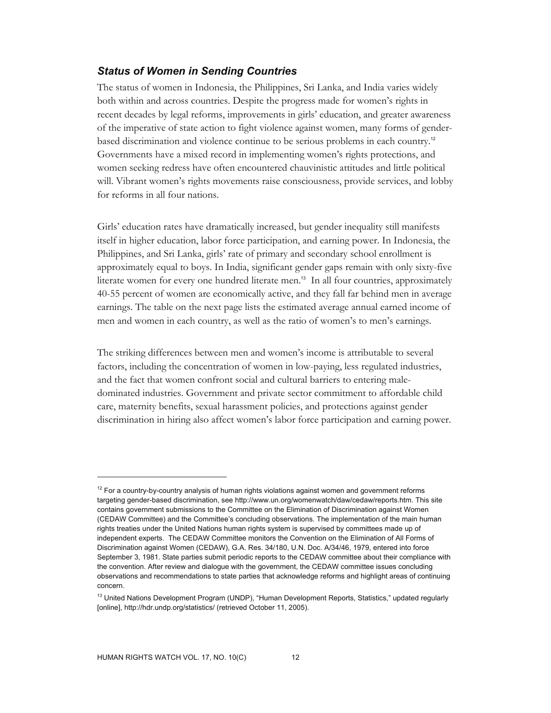#### *Status of Women in Sending Countries*

The status of women in Indonesia, the Philippines, Sri Lanka, and India varies widely both within and across countries. Despite the progress made for women's rights in recent decades by legal reforms, improvements in girls' education, and greater awareness of the imperative of state action to fight violence against women, many forms of genderbased discrimination and violence continue to be serious problems in each country.<sup>12</sup> Governments have a mixed record in implementing women's rights protections, and women seeking redress have often encountered chauvinistic attitudes and little political will. Vibrant women's rights movements raise consciousness, provide services, and lobby for reforms in all four nations.

Girls' education rates have dramatically increased, but gender inequality still manifests itself in higher education, labor force participation, and earning power. In Indonesia, the Philippines, and Sri Lanka, girls' rate of primary and secondary school enrollment is approximately equal to boys. In India, significant gender gaps remain with only sixty-five literate women for every one hundred literate men.<sup>13</sup> In all four countries, approximately 40-55 percent of women are economically active, and they fall far behind men in average earnings. The table on the next page lists the estimated average annual earned income of men and women in each country, as well as the ratio of women's to men's earnings.

The striking differences between men and women's income is attributable to several factors, including the concentration of women in low-paying, less regulated industries, and the fact that women confront social and cultural barriers to entering maledominated industries. Government and private sector commitment to affordable child care, maternity benefits, sexual harassment policies, and protections against gender discrimination in hiring also affect women's labor force participation and earning power.

 $12$  For a country-by-country analysis of human rights violations against women and government reforms targeting gender-based discrimination, see http://www.un.org/womenwatch/daw/cedaw/reports.htm. This site contains government submissions to the Committee on the Elimination of Discrimination against Women (CEDAW Committee) and the Committee's concluding observations. The implementation of the main human rights treaties under the United Nations human rights system is supervised by committees made up of independent experts. The CEDAW Committee monitors the Convention on the Elimination of All Forms of Discrimination against Women (CEDAW), G.A. Res. 34/180, U.N. Doc. A/34/46, 1979, entered into force September 3, 1981. State parties submit periodic reports to the CEDAW committee about their compliance with the convention. After review and dialogue with the government, the CEDAW committee issues concluding observations and recommendations to state parties that acknowledge reforms and highlight areas of continuing concern.

<sup>&</sup>lt;sup>13</sup> United Nations Development Program (UNDP), "Human Development Reports, Statistics," updated regularly [online], http://hdr.undp.org/statistics/ (retrieved October 11, 2005).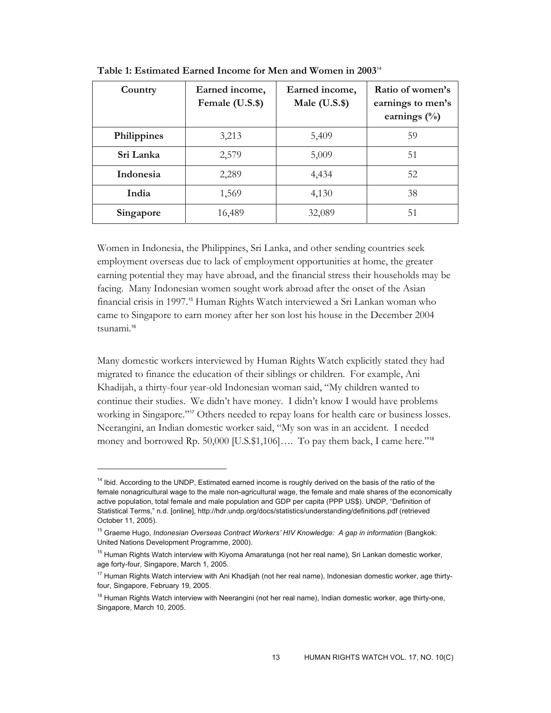| Country     | Earned income,<br>Female (U.S.\$) | Earned income,<br>Male $(U.S.$ \$) | Ratio of women's<br>earnings to men's<br>earnings $(\%)$ |
|-------------|-----------------------------------|------------------------------------|----------------------------------------------------------|
| Philippines | 3,213                             | 5,409                              | 59                                                       |
| Sri Lanka   | 2,579                             | 5,009                              | 51                                                       |
| Indonesia   | 2,289                             | 4,434                              | 52                                                       |
| India       | 1,569                             | 4,130                              | 38                                                       |
| Singapore   | 16,489                            | 32,089                             | 51                                                       |

**Table 1: Estimated Earned Income for Men and Women in 2003**<sup>14</sup>

Women in Indonesia, the Philippines, Sri Lanka, and other sending countries seek employment overseas due to lack of employment opportunities at home, the greater earning potential they may have abroad, and the financial stress their households may be facing. Many Indonesian women sought work abroad after the onset of the Asian financial crisis in 1997.<sup>15</sup> Human Rights Watch interviewed a Sri Lankan woman who came to Singapore to earn money after her son lost his house in the December 2004 tsunami.<sup>16</sup>

Many domestic workers interviewed by Human Rights Watch explicitly stated they had migrated to finance the education of their siblings or children. For example, Ani Khadijah, a thirty-four year-old Indonesian woman said, "My children wanted to continue their studies. We didn't have money. I didn't know I would have problems working in Singapore."<sup>17</sup> Others needed to repay loans for health care or business losses. Neerangini, an Indian domestic worker said, "My son was in an accident. I needed money and borrowed Rp. 50,000 [U.S.\$1,106].... To pay them back, I came here."<sup>18</sup>

<sup>&</sup>lt;sup>14</sup> Ibid. According to the UNDP, Estimated earned income is roughly derived on the basis of the ratio of the female nonagricultural wage to the male non-agricultural wage, the female and male shares of the economically active population, total female and male population and GDP per capita (PPP US\$). UNDP, "Definition of Statistical Terms," n.d. [online], http://hdr.undp.org/docs/statistics/understanding/definitions.pdf (retrieved October 11, 2005).

<sup>15</sup> Graeme Hugo, *Indonesian Overseas Contract Workers' HIV Knowledge: A gap in information* (Bangkok: United Nations Development Programme, 2000).

<sup>&</sup>lt;sup>16</sup> Human Rights Watch interview with Kiyoma Amaratunga (not her real name), Sri Lankan domestic worker, age forty-four, Singapore, March 1, 2005.

<sup>&</sup>lt;sup>17</sup> Human Rights Watch interview with Ani Khadijah (not her real name), Indonesian domestic worker, age thirtyfour, Singapore, February 19, 2005.

<sup>&</sup>lt;sup>18</sup> Human Rights Watch interview with Neerangini (not her real name), Indian domestic worker, age thirty-one, Singapore, March 10, 2005.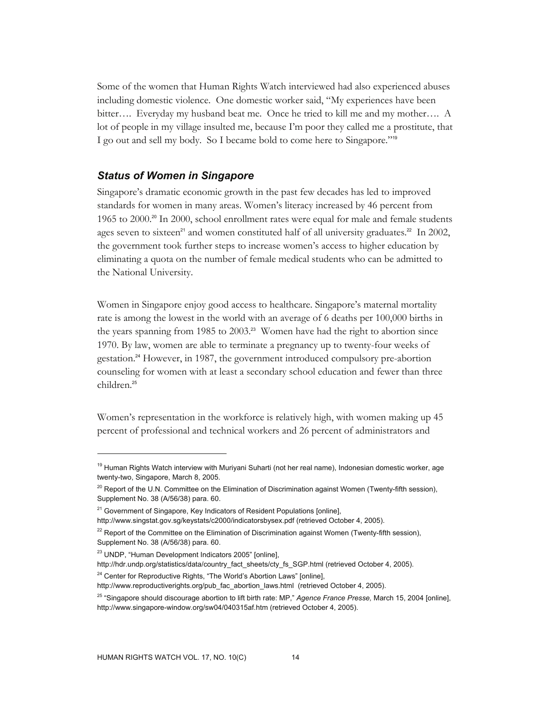Some of the women that Human Rights Watch interviewed had also experienced abuses including domestic violence. One domestic worker said, "My experiences have been bitter…. Everyday my husband beat me. Once he tried to kill me and my mother…. A lot of people in my village insulted me, because I'm poor they called me a prostitute, that I go out and sell my body. So I became bold to come here to Singapore."<sup>19</sup>

#### *Status of Women in Singapore*

Singapore's dramatic economic growth in the past few decades has led to improved standards for women in many areas. Women's literacy increased by 46 percent from 1965 to 2000.<sup>20</sup> In 2000, school enrollment rates were equal for male and female students ages seven to sixteen<sup>21</sup> and women constituted half of all university graduates.<sup>22</sup> In 2002, the government took further steps to increase women's access to higher education by eliminating a quota on the number of female medical students who can be admitted to the National University.

Women in Singapore enjoy good access to healthcare. Singapore's maternal mortality rate is among the lowest in the world with an average of 6 deaths per 100,000 births in the years spanning from 1985 to 2003.<sup>23</sup> Women have had the right to abortion since 1970. By law, women are able to terminate a pregnancy up to twenty-four weeks of gestation.24 However, in 1987, the government introduced compulsory pre-abortion counseling for women with at least a secondary school education and fewer than three children.<sup>25</sup>

Women's representation in the workforce is relatively high, with women making up 45 percent of professional and technical workers and 26 percent of administrators and

<sup>&</sup>lt;sup>19</sup> Human Rights Watch interview with Muriyani Suharti (not her real name), Indonesian domestic worker, age twenty-two, Singapore, March 8, 2005.

<sup>&</sup>lt;sup>20</sup> Report of the U.N. Committee on the Elimination of Discrimination against Women (Twenty-fifth session), Supplement No. 38 (A/56/38) para. 60.

 $21$  Government of Singapore, Key Indicators of Resident Populations [online],

http://www.singstat.gov.sg/keystats/c2000/indicatorsbysex.pdf (retrieved October 4, 2005).

 $22$  Report of the Committee on the Elimination of Discrimination against Women (Twenty-fifth session), Supplement No. 38 (A/56/38) para. 60.

<sup>23</sup> UNDP, "Human Development Indicators 2005" [online],

http://hdr.undp.org/statistics/data/country\_fact\_sheets/cty\_fs\_SGP.html (retrieved October 4, 2005).

 $24$  Center for Reproductive Rights, "The World's Abortion Laws" [online],

http://www.reproductiverights.org/pub\_fac\_abortion\_laws.html (retrieved October 4, 2005).

<sup>25 &</sup>quot;Singapore should discourage abortion to lift birth rate: MP," *Agence France Presse,* March 15, 2004 [online], http://www.singapore-window.org/sw04/040315af.htm (retrieved October 4, 2005).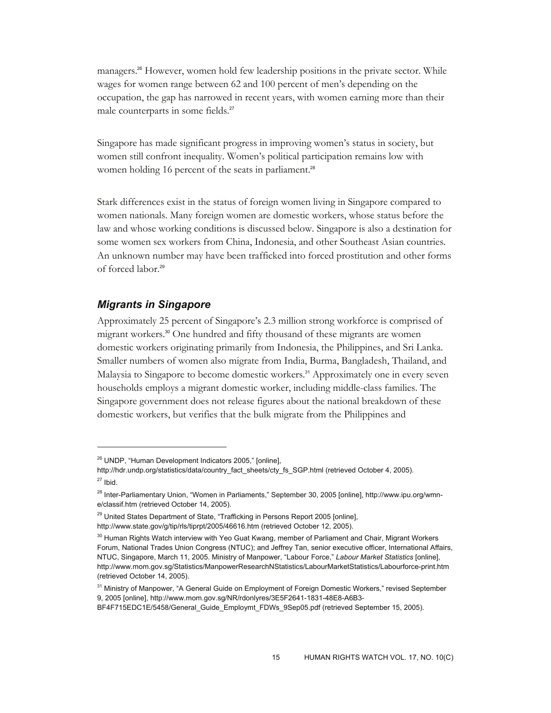managers.26 However, women hold few leadership positions in the private sector. While wages for women range between 62 and 100 percent of men's depending on the occupation, the gap has narrowed in recent years, with women earning more than their male counterparts in some fields.<sup>27</sup>

Singapore has made significant progress in improving women's status in society, but women still confront inequality. Women's political participation remains low with women holding 16 percent of the seats in parliament.<sup>28</sup>

Stark differences exist in the status of foreign women living in Singapore compared to women nationals. Many foreign women are domestic workers, whose status before the law and whose working conditions is discussed below. Singapore is also a destination for some women sex workers from China, Indonesia, and other Southeast Asian countries. An unknown number may have been trafficked into forced prostitution and other forms of forced labor.<sup>29</sup>

#### *Migrants in Singapore*

-

Approximately 25 percent of Singapore's 2.3 million strong workforce is comprised of migrant workers.30 One hundred and fifty thousand of these migrants are women domestic workers originating primarily from Indonesia, the Philippines, and Sri Lanka. Smaller numbers of women also migrate from India, Burma, Bangladesh, Thailand, and Malaysia to Singapore to become domestic workers.<sup>31</sup> Approximately one in every seven households employs a migrant domestic worker, including middle-class families. The Singapore government does not release figures about the national breakdown of these domestic workers, but verifies that the bulk migrate from the Philippines and

<sup>&</sup>lt;sup>26</sup> UNDP, "Human Development Indicators 2005," [online],

http://hdr.undp.org/statistics/data/country\_fact\_sheets/cty\_fs\_SGP.html (retrieved October 4, 2005).  $27$  Ibid.

<sup>&</sup>lt;sup>28</sup> Inter-Parliamentary Union, "Women in Parliaments," September 30, 2005 [online], http://www.ipu.org/wmne/classif.htm (retrieved October 14, 2005).

<sup>&</sup>lt;sup>29</sup> United States Department of State, "Trafficking in Persons Report 2005 [online], http://www.state.gov/g/tip/rls/tiprpt/2005/46616.htm (retrieved October 12, 2005).

<sup>&</sup>lt;sup>30</sup> Human Rights Watch interview with Yeo Guat Kwang, member of Parliament and Chair, Migrant Workers Forum, National Trades Union Congress (NTUC); and Jeffrey Tan, senior executive officer, International Affairs, NTUC, Singapore, March 11, 2005. Ministry of Manpower, "Labour Force," *Labour Market Statistics* [online], http://www.mom.gov.sg/Statistics/ManpowerResearchNStatistics/LabourMarketStatistics/Labourforce-print.htm (retrieved October 14, 2005).

<sup>&</sup>lt;sup>31</sup> Ministry of Manpower, "A General Guide on Employment of Foreign Domestic Workers," revised September 9, 2005 [online], http://www.mom.gov.sg/NR/rdonlyres/3E5F2641-1831-48E8-A6B3-

BF4F715EDC1E/5458/General\_Guide\_Employmt\_FDWs\_9Sep05.pdf (retrieved September 15, 2005).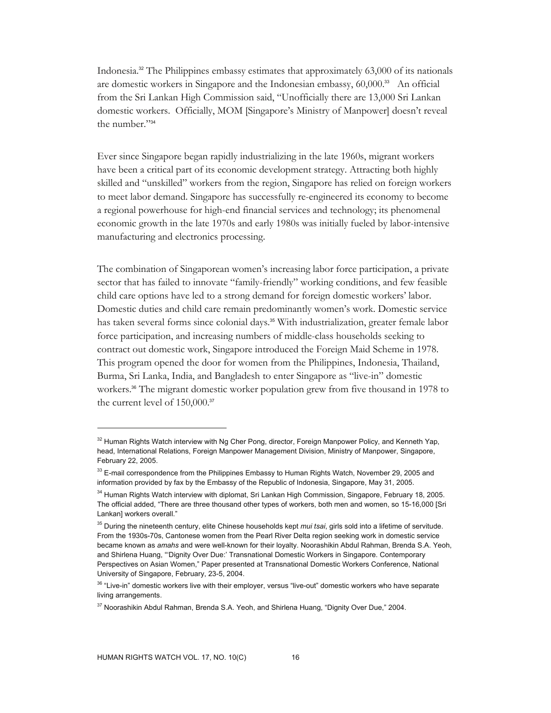Indonesia.<sup>32</sup> The Philippines embassy estimates that approximately  $63,000$  of its nationals are domestic workers in Singapore and the Indonesian embassy, 60,000.<sup>33</sup> An official from the Sri Lankan High Commission said, "Unofficially there are 13,000 Sri Lankan domestic workers. Officially, MOM [Singapore's Ministry of Manpower] doesn't reveal the number."34

Ever since Singapore began rapidly industrializing in the late 1960s, migrant workers have been a critical part of its economic development strategy. Attracting both highly skilled and "unskilled" workers from the region, Singapore has relied on foreign workers to meet labor demand. Singapore has successfully re-engineered its economy to become a regional powerhouse for high-end financial services and technology; its phenomenal economic growth in the late 1970s and early 1980s was initially fueled by labor-intensive manufacturing and electronics processing.

The combination of Singaporean women's increasing labor force participation, a private sector that has failed to innovate "family-friendly" working conditions, and few feasible child care options have led to a strong demand for foreign domestic workers' labor. Domestic duties and child care remain predominantly women's work. Domestic service has taken several forms since colonial days.<sup>35</sup> With industrialization, greater female labor force participation, and increasing numbers of middle-class households seeking to contract out domestic work, Singapore introduced the Foreign Maid Scheme in 1978. This program opened the door for women from the Philippines, Indonesia, Thailand, Burma, Sri Lanka, India, and Bangladesh to enter Singapore as "live-in" domestic workers.<sup>36</sup> The migrant domestic worker population grew from five thousand in 1978 to the current level of 150,000.<sup>37</sup>

<sup>&</sup>lt;sup>32</sup> Human Rights Watch interview with Ng Cher Pong, director, Foreign Manpower Policy, and Kenneth Yap, head, International Relations, Foreign Manpower Management Division, Ministry of Manpower, Singapore, February 22, 2005.

<sup>&</sup>lt;sup>33</sup> E-mail correspondence from the Philippines Embassy to Human Rights Watch, November 29, 2005 and information provided by fax by the Embassy of the Republic of Indonesia, Singapore, May 31, 2005.

<sup>&</sup>lt;sup>34</sup> Human Rights Watch interview with diplomat, Sri Lankan High Commission, Singapore, February 18, 2005. The official added, "There are three thousand other types of workers, both men and women, so 15-16,000 [Sri Lankan] workers overall."

<sup>35</sup> During the nineteenth century, elite Chinese households kept *mui tsai*, girls sold into a lifetime of servitude. From the 1930s-70s, Cantonese women from the Pearl River Delta region seeking work in domestic service became known as *amahs* and were well-known for their loyalty. Noorashikin Abdul Rahman, Brenda S.A. Yeoh, and Shirlena Huang, "'Dignity Over Due:' Transnational Domestic Workers in Singapore. Contemporary Perspectives on Asian Women," Paper presented at Transnational Domestic Workers Conference, National University of Singapore, February, 23-5, 2004.

<sup>&</sup>lt;sup>36</sup> "Live-in" domestic workers live with their employer, versus "live-out" domestic workers who have separate living arrangements.

<sup>&</sup>lt;sup>37</sup> Noorashikin Abdul Rahman, Brenda S.A. Yeoh, and Shirlena Huang, "Dignity Over Due," 2004.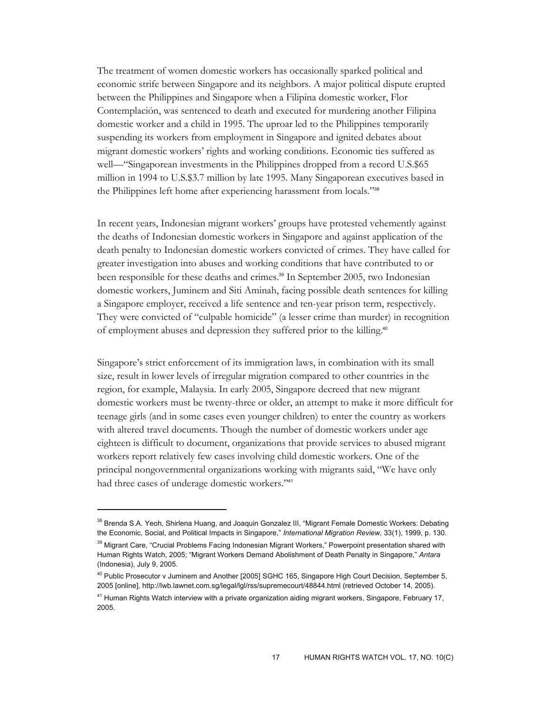The treatment of women domestic workers has occasionally sparked political and economic strife between Singapore and its neighbors. A major political dispute erupted between the Philippines and Singapore when a Filipina domestic worker, Flor Contemplación, was sentenced to death and executed for murdering another Filipina domestic worker and a child in 1995. The uproar led to the Philippines temporarily suspending its workers from employment in Singapore and ignited debates about migrant domestic workers' rights and working conditions. Economic ties suffered as well—"Singaporean investments in the Philippines dropped from a record U.S.\$65 million in 1994 to U.S.\$3.7 million by late 1995. Many Singaporean executives based in the Philippines left home after experiencing harassment from locals."<sup>38</sup>

In recent years, Indonesian migrant workers' groups have protested vehemently against the deaths of Indonesian domestic workers in Singapore and against application of the death penalty to Indonesian domestic workers convicted of crimes. They have called for greater investigation into abuses and working conditions that have contributed to or been responsible for these deaths and crimes.<sup>39</sup> In September 2005, two Indonesian domestic workers, Juminem and Siti Aminah, facing possible death sentences for killing a Singapore employer, received a life sentence and ten-year prison term, respectively. They were convicted of "culpable homicide" (a lesser crime than murder) in recognition of employment abuses and depression they suffered prior to the killing.<sup>40</sup>

Singapore's strict enforcement of its immigration laws, in combination with its small size, result in lower levels of irregular migration compared to other countries in the region, for example, Malaysia. In early 2005, Singapore decreed that new migrant domestic workers must be twenty-three or older, an attempt to make it more difficult for teenage girls (and in some cases even younger children) to enter the country as workers with altered travel documents. Though the number of domestic workers under age eighteen is difficult to document, organizations that provide services to abused migrant workers report relatively few cases involving child domestic workers. One of the principal nongovernmental organizations working with migrants said, "We have only had three cases of underage domestic workers."<sup>41</sup>

<sup>&</sup>lt;sup>38</sup> Brenda S.A. Yeoh, Shirlena Huang, and Joaquin Gonzalez III, "Migrant Female Domestic Workers: Debating the Economic, Social, and Political Impacts in Singapore," *International Migration Review,* 33(1), 1999, p. 130.

<sup>&</sup>lt;sup>39</sup> Migrant Care, "Crucial Problems Facing Indonesian Migrant Workers," Powerpoint presentation shared with Human Rights Watch, 2005; "Migrant Workers Demand Abolishment of Death Penalty in Singapore," *Antara*  (Indonesia), July 9, 2005.

<sup>&</sup>lt;sup>40</sup> Public Prosecutor v Juminem and Another [2005] SGHC 165, Singapore High Court Decision, September 5, 2005 [online], http://lwb.lawnet.com.sg/legal/lgl/rss/supremecourt/48844.html (retrieved October 14, 2005).

<sup>&</sup>lt;sup>41</sup> Human Rights Watch interview with a private organization aiding migrant workers, Singapore, February 17, 2005.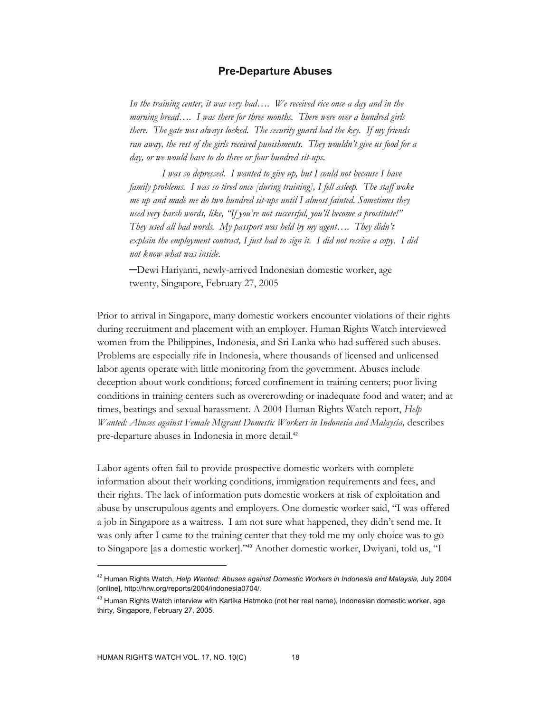#### **Pre-Departure Abuses**

*In the training center, it was very bad…. We received rice once a day and in the morning bread…. I was there for three months. There were over a hundred girls there. The gate was always locked. The security guard had the key. If my friends ran away, the rest of the girls received punishments. They wouldn't give us food for a day, or we would have to do three or four hundred sit-ups.* 

 *I was so depressed. I wanted to give up, but I could not because I have family problems. I was so tired once [during training], I fell asleep. The staff woke me up and made me do two hundred sit-ups until I almost fainted. Sometimes they used very harsh words, like, "If you're not successful, you'll become a prostitute!" They used all bad words. My passport was held by my agent…. They didn't explain the employment contract, I just had to sign it. I did not receive a copy. I did not know what was inside.* 

─Dewi Hariyanti, newly-arrived Indonesian domestic worker, age twenty, Singapore, February 27, 2005

Prior to arrival in Singapore, many domestic workers encounter violations of their rights during recruitment and placement with an employer. Human Rights Watch interviewed women from the Philippines, Indonesia, and Sri Lanka who had suffered such abuses. Problems are especially rife in Indonesia, where thousands of licensed and unlicensed labor agents operate with little monitoring from the government. Abuses include deception about work conditions; forced confinement in training centers; poor living conditions in training centers such as overcrowding or inadequate food and water; and at times, beatings and sexual harassment. A 2004 Human Rights Watch report, *Help Wanted: Abuses against Female Migrant Domestic Workers in Indonesia and Malaysia, describes* pre-departure abuses in Indonesia in more detail.<sup>42</sup>

Labor agents often fail to provide prospective domestic workers with complete information about their working conditions, immigration requirements and fees, and their rights. The lack of information puts domestic workers at risk of exploitation and abuse by unscrupulous agents and employers. One domestic worker said, "I was offered a job in Singapore as a waitress. I am not sure what happened, they didn't send me. It was only after I came to the training center that they told me my only choice was to go to Singapore [as a domestic worker]."43 Another domestic worker, Dwiyani, told us, "I

<sup>42</sup> Human Rights Watch, *Help Wanted: Abuses against Domestic Workers in Indonesia and Malaysia,* July 2004 [online], http://hrw.org/reports/2004/indonesia0704/.

<sup>&</sup>lt;sup>43</sup> Human Rights Watch interview with Kartika Hatmoko (not her real name), Indonesian domestic worker, age thirty, Singapore, February 27, 2005.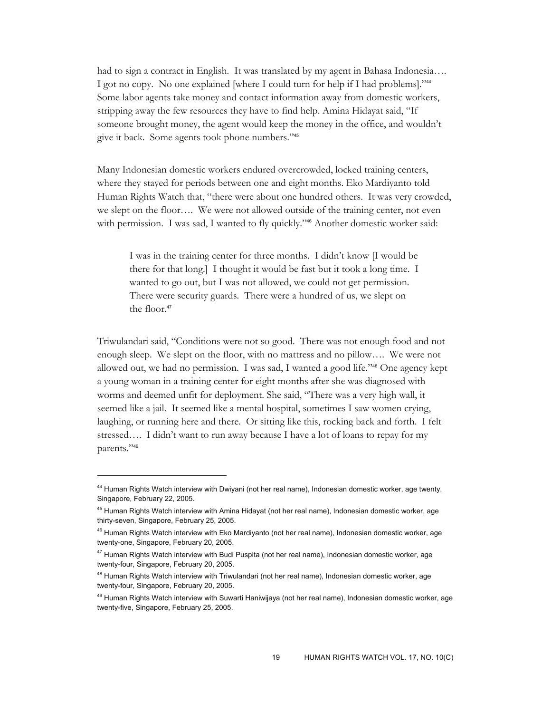had to sign a contract in English. It was translated by my agent in Bahasa Indonesia…. I got no copy. No one explained [where I could turn for help if I had problems]."<sup>44</sup> Some labor agents take money and contact information away from domestic workers, stripping away the few resources they have to find help. Amina Hidayat said, "If someone brought money, the agent would keep the money in the office, and wouldn't give it back. Some agents took phone numbers."<sup>45</sup>

Many Indonesian domestic workers endured overcrowded, locked training centers, where they stayed for periods between one and eight months. Eko Mardiyanto told Human Rights Watch that, "there were about one hundred others. It was very crowded, we slept on the floor…. We were not allowed outside of the training center, not even with permission. I was sad, I wanted to fly quickly."<sup>46</sup> Another domestic worker said:

I was in the training center for three months. I didn't know [I would be there for that long.] I thought it would be fast but it took a long time. I wanted to go out, but I was not allowed, we could not get permission. There were security guards. There were a hundred of us, we slept on the floor.<sup>47</sup>

Triwulandari said, "Conditions were not so good. There was not enough food and not enough sleep. We slept on the floor, with no mattress and no pillow…. We were not allowed out, we had no permission. I was sad, I wanted a good life."48 One agency kept a young woman in a training center for eight months after she was diagnosed with worms and deemed unfit for deployment. She said, "There was a very high wall, it seemed like a jail. It seemed like a mental hospital, sometimes I saw women crying, laughing, or running here and there. Or sitting like this, rocking back and forth. I felt stressed…. I didn't want to run away because I have a lot of loans to repay for my parents."<sup>49</sup>

<sup>&</sup>lt;sup>44</sup> Human Rights Watch interview with Dwiyani (not her real name), Indonesian domestic worker, age twenty, Singapore, February 22, 2005.

<sup>&</sup>lt;sup>45</sup> Human Rights Watch interview with Amina Hidayat (not her real name), Indonesian domestic worker, age thirty-seven, Singapore, February 25, 2005.

<sup>&</sup>lt;sup>46</sup> Human Rights Watch interview with Eko Mardiyanto (not her real name), Indonesian domestic worker, age twenty-one, Singapore, February 20, 2005.

<sup>&</sup>lt;sup>47</sup> Human Rights Watch interview with Budi Puspita (not her real name), Indonesian domestic worker, age twenty-four, Singapore, February 20, 2005.

<sup>&</sup>lt;sup>48</sup> Human Rights Watch interview with Triwulandari (not her real name), Indonesian domestic worker, age twenty-four, Singapore, February 20, 2005.

<sup>&</sup>lt;sup>49</sup> Human Rights Watch interview with Suwarti Haniwijaya (not her real name), Indonesian domestic worker, age twenty-five, Singapore, February 25, 2005.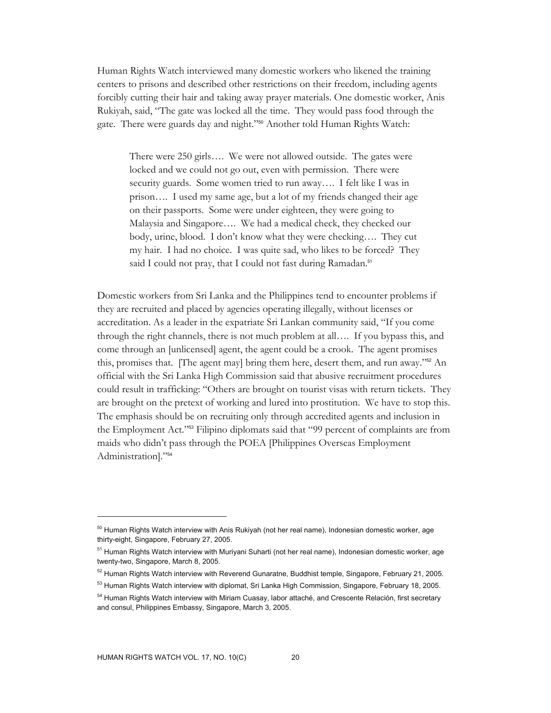Human Rights Watch interviewed many domestic workers who likened the training centers to prisons and described other restrictions on their freedom, including agents forcibly cutting their hair and taking away prayer materials. One domestic worker, Anis Rukiyah, said, "The gate was locked all the time. They would pass food through the gate. There were guards day and night."50 Another told Human Rights Watch:

There were 250 girls…. We were not allowed outside. The gates were locked and we could not go out, even with permission. There were security guards. Some women tried to run away…. I felt like I was in prison…. I used my same age, but a lot of my friends changed their age on their passports. Some were under eighteen, they were going to Malaysia and Singapore…. We had a medical check, they checked our body, urine, blood. I don't know what they were checking…. They cut my hair. I had no choice. I was quite sad, who likes to be forced? They said I could not pray, that I could not fast during Ramadan.<sup>51</sup>

Domestic workers from Sri Lanka and the Philippines tend to encounter problems if they are recruited and placed by agencies operating illegally, without licenses or accreditation. As a leader in the expatriate Sri Lankan community said, "If you come through the right channels, there is not much problem at all…. If you bypass this, and come through an [unlicensed] agent, the agent could be a crook. The agent promises this, promises that. [The agent may] bring them here, desert them, and run away."52 An official with the Sri Lanka High Commission said that abusive recruitment procedures could result in trafficking: "Others are brought on tourist visas with return tickets. They are brought on the pretext of working and lured into prostitution. We have to stop this. The emphasis should be on recruiting only through accredited agents and inclusion in the Employment Act."53 Filipino diplomats said that "99 percent of complaints are from maids who didn't pass through the POEA [Philippines Overseas Employment Administration]."<sup>54</sup>

<sup>&</sup>lt;sup>50</sup> Human Rights Watch interview with Anis Rukiyah (not her real name), Indonesian domestic worker, age thirty-eight, Singapore, February 27, 2005.

<sup>&</sup>lt;sup>51</sup> Human Rights Watch interview with Muriyani Suharti (not her real name), Indonesian domestic worker, age twenty-two, Singapore, March 8, 2005.

<sup>52</sup> Human Rights Watch interview with Reverend Gunaratne, Buddhist temple, Singapore, February 21, 2005.

<sup>&</sup>lt;sup>53</sup> Human Rights Watch interview with diplomat, Sri Lanka High Commission, Singapore, February 18, 2005.

<sup>&</sup>lt;sup>54</sup> Human Rights Watch interview with Miriam Cuasay, labor attaché, and Crescente Relación, first secretary and consul, Philippines Embassy, Singapore, March 3, 2005.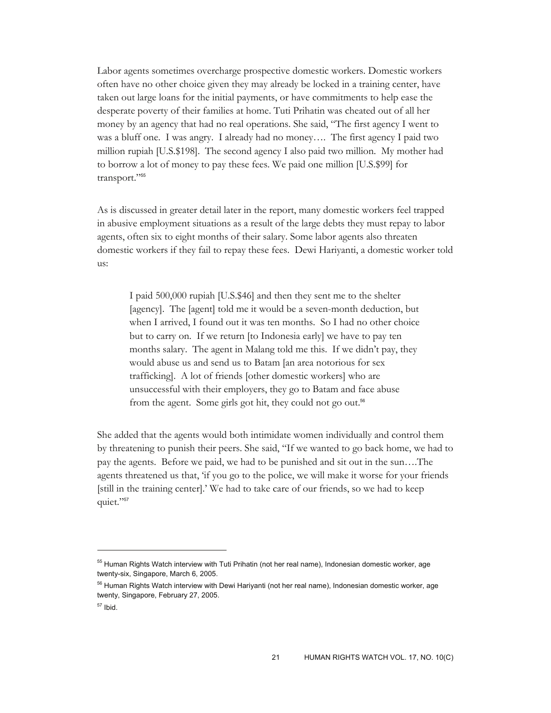Labor agents sometimes overcharge prospective domestic workers. Domestic workers often have no other choice given they may already be locked in a training center, have taken out large loans for the initial payments, or have commitments to help ease the desperate poverty of their families at home. Tuti Prihatin was cheated out of all her money by an agency that had no real operations. She said, "The first agency I went to was a bluff one. I was angry. I already had no money…. The first agency I paid two million rupiah [U.S.\$198]. The second agency I also paid two million. My mother had to borrow a lot of money to pay these fees. We paid one million [U.S.\$99] for transport."<sup>55</sup>

As is discussed in greater detail later in the report, many domestic workers feel trapped in abusive employment situations as a result of the large debts they must repay to labor agents, often six to eight months of their salary. Some labor agents also threaten domestic workers if they fail to repay these fees. Dewi Hariyanti, a domestic worker told us:

I paid 500,000 rupiah [U.S.\$46] and then they sent me to the shelter [agency]. The [agent] told me it would be a seven-month deduction, but when I arrived, I found out it was ten months. So I had no other choice but to carry on. If we return [to Indonesia early] we have to pay ten months salary. The agent in Malang told me this. If we didn't pay, they would abuse us and send us to Batam [an area notorious for sex trafficking]. A lot of friends [other domestic workers] who are unsuccessful with their employers, they go to Batam and face abuse from the agent. Some girls got hit, they could not go out.<sup>56</sup>

She added that the agents would both intimidate women individually and control them by threatening to punish their peers. She said, "If we wanted to go back home, we had to pay the agents. Before we paid, we had to be punished and sit out in the sun….The agents threatened us that, 'if you go to the police, we will make it worse for your friends [still in the training center].' We had to take care of our friends, so we had to keep quiet."<sup>57</sup>

<sup>&</sup>lt;sup>55</sup> Human Rights Watch interview with Tuti Prihatin (not her real name), Indonesian domestic worker, age twenty-six, Singapore, March 6, 2005.

<sup>&</sup>lt;sup>56</sup> Human Rights Watch interview with Dewi Hariyanti (not her real name), Indonesian domestic worker, age twenty, Singapore, February 27, 2005.

 $57$  Ibid.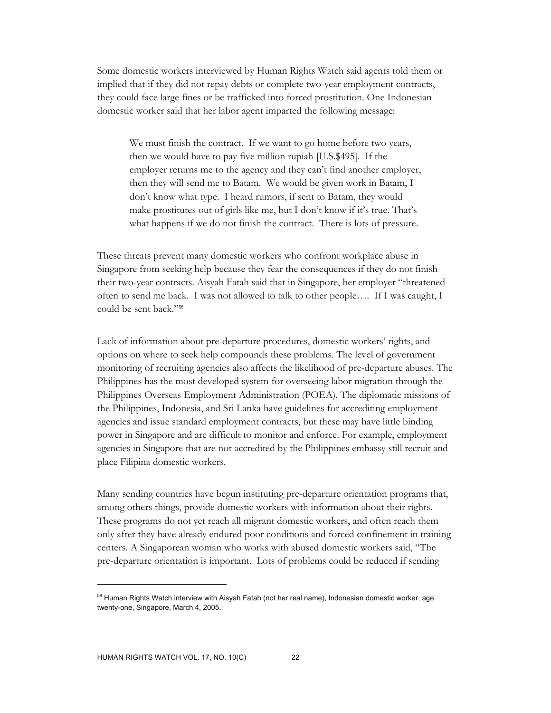Some domestic workers interviewed by Human Rights Watch said agents told them or implied that if they did not repay debts or complete two-year employment contracts, they could face large fines or be trafficked into forced prostitution. One Indonesian domestic worker said that her labor agent imparted the following message:

We must finish the contract. If we want to go home before two years, then we would have to pay five million rupiah [U.S.\$495]. If the employer returns me to the agency and they can't find another employer, then they will send me to Batam. We would be given work in Batam, I don't know what type. I heard rumors, if sent to Batam, they would make prostitutes out of girls like me, but I don't know if it's true. That's what happens if we do not finish the contract. There is lots of pressure.

These threats prevent many domestic workers who confront workplace abuse in Singapore from seeking help because they fear the consequences if they do not finish their two-year contracts. Aisyah Fatah said that in Singapore, her employer "threatened often to send me back. I was not allowed to talk to other people…. If I was caught, I could be sent back."<sup>58</sup>

Lack of information about pre-departure procedures, domestic workers' rights, and options on where to seek help compounds these problems. The level of government monitoring of recruiting agencies also affects the likelihood of pre-departure abuses. The Philippines has the most developed system for overseeing labor migration through the Philippines Overseas Employment Administration (POEA). The diplomatic missions of the Philippines, Indonesia, and Sri Lanka have guidelines for accrediting employment agencies and issue standard employment contracts, but these may have little binding power in Singapore and are difficult to monitor and enforce. For example, employment agencies in Singapore that are not accredited by the Philippines embassy still recruit and place Filipina domestic workers.

Many sending countries have begun instituting pre-departure orientation programs that, among others things, provide domestic workers with information about their rights. These programs do not yet reach all migrant domestic workers, and often reach them only after they have already endured poor conditions and forced confinement in training centers. A Singaporean woman who works with abused domestic workers said, "The pre-departure orientation is important. Lots of problems could be reduced if sending

<sup>&</sup>lt;sup>58</sup> Human Rights Watch interview with Aisyah Fatah (not her real name), Indonesian domestic worker, age twenty-one, Singapore, March 4, 2005.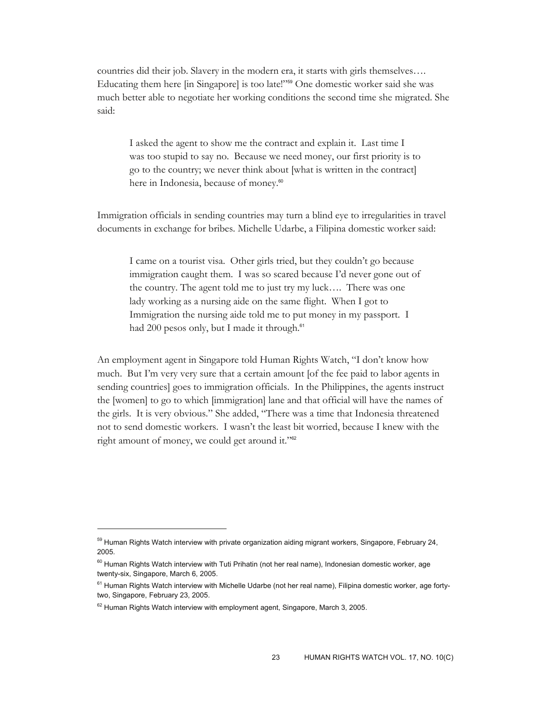countries did their job. Slavery in the modern era, it starts with girls themselves…. Educating them here [in Singapore] is too late!"59 One domestic worker said she was much better able to negotiate her working conditions the second time she migrated. She said:

I asked the agent to show me the contract and explain it. Last time I was too stupid to say no. Because we need money, our first priority is to go to the country; we never think about [what is written in the contract] here in Indonesia, because of money.<sup>60</sup>

Immigration officials in sending countries may turn a blind eye to irregularities in travel documents in exchange for bribes. Michelle Udarbe, a Filipina domestic worker said:

I came on a tourist visa. Other girls tried, but they couldn't go because immigration caught them. I was so scared because I'd never gone out of the country. The agent told me to just try my luck…. There was one lady working as a nursing aide on the same flight. When I got to Immigration the nursing aide told me to put money in my passport. I had 200 pesos only, but I made it through.<sup>61</sup>

An employment agent in Singapore told Human Rights Watch, "I don't know how much. But I'm very very sure that a certain amount [of the fee paid to labor agents in sending countries] goes to immigration officials. In the Philippines, the agents instruct the [women] to go to which [immigration] lane and that official will have the names of the girls. It is very obvious." She added, "There was a time that Indonesia threatened not to send domestic workers. I wasn't the least bit worried, because I knew with the right amount of money, we could get around it."<sup>62</sup>

<sup>&</sup>lt;sup>59</sup> Human Rights Watch interview with private organization aiding migrant workers, Singapore, February 24, 2005.

 $60$  Human Rights Watch interview with Tuti Prihatin (not her real name), Indonesian domestic worker, age twenty-six, Singapore, March 6, 2005.

<sup>&</sup>lt;sup>61</sup> Human Rights Watch interview with Michelle Udarbe (not her real name), Filipina domestic worker, age fortytwo, Singapore, February 23, 2005.

 $62$  Human Rights Watch interview with employment agent, Singapore, March 3, 2005.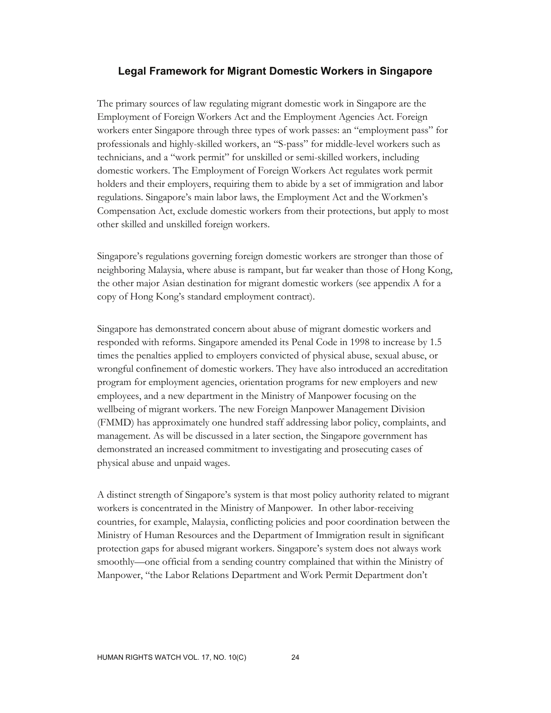#### **Legal Framework for Migrant Domestic Workers in Singapore**

The primary sources of law regulating migrant domestic work in Singapore are the Employment of Foreign Workers Act and the Employment Agencies Act. Foreign workers enter Singapore through three types of work passes: an "employment pass" for professionals and highly-skilled workers, an "S-pass" for middle-level workers such as technicians, and a "work permit" for unskilled or semi-skilled workers, including domestic workers. The Employment of Foreign Workers Act regulates work permit holders and their employers, requiring them to abide by a set of immigration and labor regulations. Singapore's main labor laws, the Employment Act and the Workmen's Compensation Act, exclude domestic workers from their protections, but apply to most other skilled and unskilled foreign workers.

Singapore's regulations governing foreign domestic workers are stronger than those of neighboring Malaysia, where abuse is rampant, but far weaker than those of Hong Kong, the other major Asian destination for migrant domestic workers (see appendix A for a copy of Hong Kong's standard employment contract).

Singapore has demonstrated concern about abuse of migrant domestic workers and responded with reforms. Singapore amended its Penal Code in 1998 to increase by 1.5 times the penalties applied to employers convicted of physical abuse, sexual abuse, or wrongful confinement of domestic workers. They have also introduced an accreditation program for employment agencies, orientation programs for new employers and new employees, and a new department in the Ministry of Manpower focusing on the wellbeing of migrant workers. The new Foreign Manpower Management Division (FMMD) has approximately one hundred staff addressing labor policy, complaints, and management. As will be discussed in a later section, the Singapore government has demonstrated an increased commitment to investigating and prosecuting cases of physical abuse and unpaid wages.

A distinct strength of Singapore's system is that most policy authority related to migrant workers is concentrated in the Ministry of Manpower. In other labor-receiving countries, for example, Malaysia, conflicting policies and poor coordination between the Ministry of Human Resources and the Department of Immigration result in significant protection gaps for abused migrant workers. Singapore's system does not always work smoothly—one official from a sending country complained that within the Ministry of Manpower, "the Labor Relations Department and Work Permit Department don't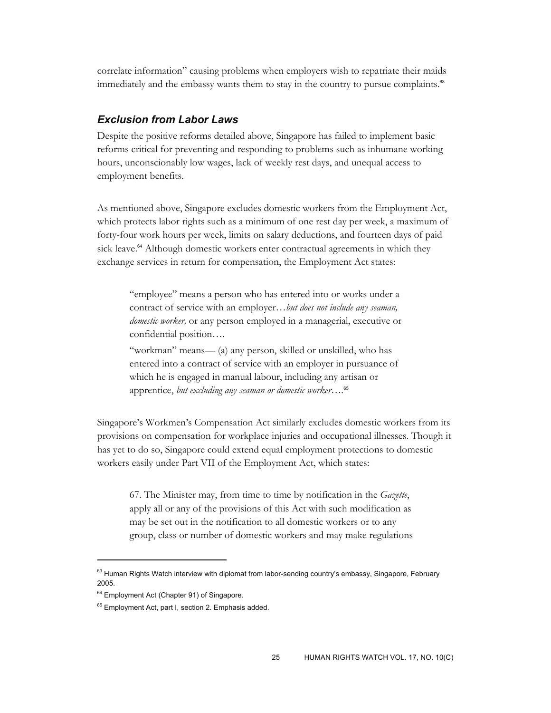correlate information" causing problems when employers wish to repatriate their maids immediately and the embassy wants them to stay in the country to pursue complaints.<sup>63</sup>

#### *Exclusion from Labor Laws*

Despite the positive reforms detailed above, Singapore has failed to implement basic reforms critical for preventing and responding to problems such as inhumane working hours, unconscionably low wages, lack of weekly rest days, and unequal access to employment benefits.

As mentioned above, Singapore excludes domestic workers from the Employment Act, which protects labor rights such as a minimum of one rest day per week, a maximum of forty-four work hours per week, limits on salary deductions, and fourteen days of paid sick leave.<sup>64</sup> Although domestic workers enter contractual agreements in which they exchange services in return for compensation, the Employment Act states:

"employee" means a person who has entered into or works under a contract of service with an employer…*but does not include any seaman, domestic worker,* or any person employed in a managerial, executive or confidential position….

"workman" means— (a) any person, skilled or unskilled, who has entered into a contract of service with an employer in pursuance of which he is engaged in manual labour, including any artisan or apprentice, *but excluding any seaman or domestic worker….*<sup>65</sup>

Singapore's Workmen's Compensation Act similarly excludes domestic workers from its provisions on compensation for workplace injuries and occupational illnesses. Though it has yet to do so, Singapore could extend equal employment protections to domestic workers easily under Part VII of the Employment Act, which states:

67. The Minister may, from time to time by notification in the *Gazette*, apply all or any of the provisions of this Act with such modification as may be set out in the notification to all domestic workers or to any group, class or number of domestic workers and may make regulations

<sup>&</sup>lt;sup>63</sup> Human Rights Watch interview with diplomat from labor-sending country's embassy, Singapore, February 2005.

<sup>&</sup>lt;sup>64</sup> Employment Act (Chapter 91) of Singapore.

<sup>&</sup>lt;sup>65</sup> Employment Act, part I, section 2. Emphasis added.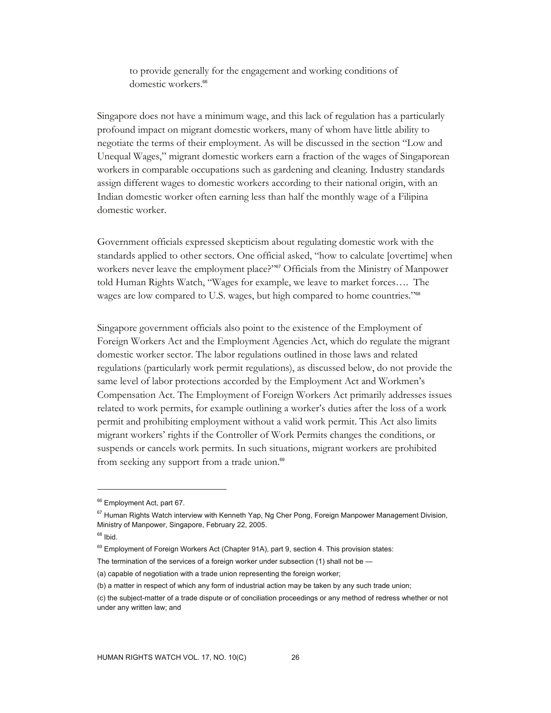to provide generally for the engagement and working conditions of domestic workers.<sup>66</sup>

Singapore does not have a minimum wage, and this lack of regulation has a particularly profound impact on migrant domestic workers, many of whom have little ability to negotiate the terms of their employment. As will be discussed in the section "Low and Unequal Wages," migrant domestic workers earn a fraction of the wages of Singaporean workers in comparable occupations such as gardening and cleaning. Industry standards assign different wages to domestic workers according to their national origin, with an Indian domestic worker often earning less than half the monthly wage of a Filipina domestic worker.

Government officials expressed skepticism about regulating domestic work with the standards applied to other sectors. One official asked, "how to calculate [overtime] when workers never leave the employment place?"<sup>67</sup> Officials from the Ministry of Manpower told Human Rights Watch, "Wages for example, we leave to market forces…. The wages are low compared to U.S. wages, but high compared to home countries."<sup>68</sup>

Singapore government officials also point to the existence of the Employment of Foreign Workers Act and the Employment Agencies Act, which do regulate the migrant domestic worker sector. The labor regulations outlined in those laws and related regulations (particularly work permit regulations), as discussed below, do not provide the same level of labor protections accorded by the Employment Act and Workmen's Compensation Act. The Employment of Foreign Workers Act primarily addresses issues related to work permits, for example outlining a worker's duties after the loss of a work permit and prohibiting employment without a valid work permit. This Act also limits migrant workers' rights if the Controller of Work Permits changes the conditions, or suspends or cancels work permits. In such situations, migrant workers are prohibited from seeking any support from a trade union.<sup>69</sup>

<sup>&</sup>lt;sup>66</sup> Employment Act, part 67.

<sup>&</sup>lt;sup>67</sup> Human Rights Watch interview with Kenneth Yap, Ng Cher Pong, Foreign Manpower Management Division, Ministry of Manpower, Singapore, February 22, 2005.

 $68$  Ibid.

<sup>&</sup>lt;sup>69</sup> Employment of Foreign Workers Act (Chapter 91A), part 9, section 4. This provision states:

The termination of the services of a foreign worker under subsection (1) shall not be —

<sup>(</sup>a) capable of negotiation with a trade union representing the foreign worker;

<sup>(</sup>b) a matter in respect of which any form of industrial action may be taken by any such trade union;

<sup>(</sup>c) the subject-matter of a trade dispute or of conciliation proceedings or any method of redress whether or not under any written law; and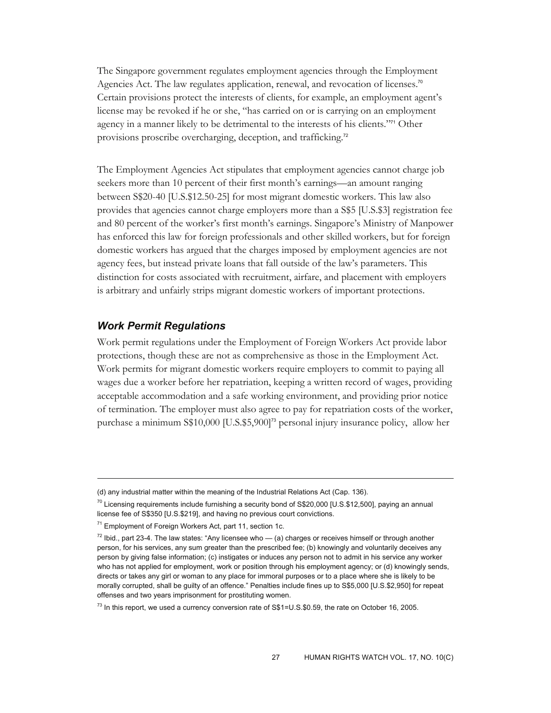The Singapore government regulates employment agencies through the Employment Agencies Act. The law regulates application, renewal, and revocation of licenses.<sup>70</sup> Certain provisions protect the interests of clients, for example, an employment agent's license may be revoked if he or she, "has carried on or is carrying on an employment agency in a manner likely to be detrimental to the interests of his clients."71 Other provisions proscribe overcharging, deception, and trafficking.<sup>72</sup>

The Employment Agencies Act stipulates that employment agencies cannot charge job seekers more than 10 percent of their first month's earnings—an amount ranging between S\$20-40 [U.S.\$12.50-25] for most migrant domestic workers. This law also provides that agencies cannot charge employers more than a S\$5 [U.S.\$3] registration fee and 80 percent of the worker's first month's earnings. Singapore's Ministry of Manpower has enforced this law for foreign professionals and other skilled workers, but for foreign domestic workers has argued that the charges imposed by employment agencies are not agency fees, but instead private loans that fall outside of the law's parameters. This distinction for costs associated with recruitment, airfare, and placement with employers is arbitrary and unfairly strips migrant domestic workers of important protections.

#### *Work Permit Regulations*

 $\overline{a}$ 

Work permit regulations under the Employment of Foreign Workers Act provide labor protections, though these are not as comprehensive as those in the Employment Act. Work permits for migrant domestic workers require employers to commit to paying all wages due a worker before her repatriation, keeping a written record of wages, providing acceptable accommodation and a safe working environment, and providing prior notice of termination. The employer must also agree to pay for repatriation costs of the worker, purchase a minimum S\$10,000 [U.S.\$5,900]73 personal injury insurance policy, allow her

<sup>(</sup>d) any industrial matter within the meaning of the Industrial Relations Act (Cap. 136).

 $70$  Licensing requirements include furnishing a security bond of S\$20,000 [U.S.\$12,500], paying an annual license fee of S\$350 [U.S.\$219], and having no previous court convictions.

<sup>&</sup>lt;sup>71</sup> Employment of Foreign Workers Act, part 11, section 1c.

 $72$  lbid., part 23-4. The law states: "Any licensee who  $-$  (a) charges or receives himself or through another person, for his services, any sum greater than the prescribed fee; (b) knowingly and voluntarily deceives any person by giving false information; (c) instigates or induces any person not to admit in his service any worker who has not applied for employment, work or position through his employment agency; or (d) knowingly sends, directs or takes any girl or woman to any place for immoral purposes or to a place where she is likely to be morally corrupted, shall be guilty of an offence." Penalties include fines up to S\$5,000 [U.S.\$2,950] for repeat offenses and two years imprisonment for prostituting women.

 $^{73}$  In this report, we used a currency conversion rate of S\$1=U.S.\$0.59, the rate on October 16, 2005.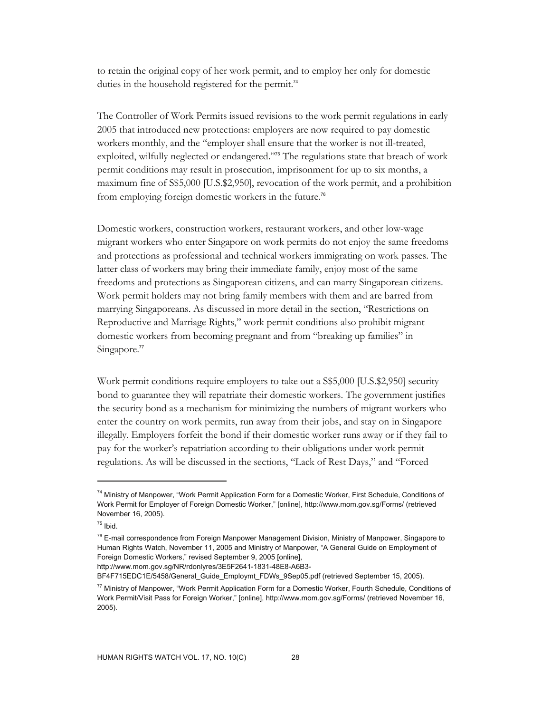to retain the original copy of her work permit, and to employ her only for domestic duties in the household registered for the permit.<sup>74</sup>

The Controller of Work Permits issued revisions to the work permit regulations in early 2005 that introduced new protections: employers are now required to pay domestic workers monthly, and the "employer shall ensure that the worker is not ill-treated, exploited, wilfully neglected or endangered."75 The regulations state that breach of work permit conditions may result in prosecution, imprisonment for up to six months, a maximum fine of S\$5,000 [U.S.\$2,950], revocation of the work permit, and a prohibition from employing foreign domestic workers in the future.<sup>76</sup>

Domestic workers, construction workers, restaurant workers, and other low-wage migrant workers who enter Singapore on work permits do not enjoy the same freedoms and protections as professional and technical workers immigrating on work passes. The latter class of workers may bring their immediate family, enjoy most of the same freedoms and protections as Singaporean citizens, and can marry Singaporean citizens. Work permit holders may not bring family members with them and are barred from marrying Singaporeans. As discussed in more detail in the section, "Restrictions on Reproductive and Marriage Rights," work permit conditions also prohibit migrant domestic workers from becoming pregnant and from "breaking up families" in Singapore.<sup>77</sup>

Work permit conditions require employers to take out a S\$5,000 [U.S.\$2,950] security bond to guarantee they will repatriate their domestic workers. The government justifies the security bond as a mechanism for minimizing the numbers of migrant workers who enter the country on work permits, run away from their jobs, and stay on in Singapore illegally. Employers forfeit the bond if their domestic worker runs away or if they fail to pay for the worker's repatriation according to their obligations under work permit regulations. As will be discussed in the sections, "Lack of Rest Days," and "Forced

-

http://www.mom.gov.sg/NR/rdonlyres/3E5F2641-1831-48E8-A6B3-

BF4F715EDC1E/5458/General\_Guide\_Employmt\_FDWs\_9Sep05.pdf (retrieved September 15, 2005).

<sup>&</sup>lt;sup>74</sup> Ministry of Manpower, "Work Permit Application Form for a Domestic Worker, First Schedule, Conditions of Work Permit for Employer of Foreign Domestic Worker," [online], http://www.mom.gov.sg/Forms/ (retrieved November 16, 2005).

 $75$  Ibid.

<sup>&</sup>lt;sup>76</sup> E-mail correspondence from Foreign Manpower Management Division, Ministry of Manpower, Singapore to Human Rights Watch, November 11, 2005 and Ministry of Manpower, "A General Guide on Employment of Foreign Domestic Workers," revised September 9, 2005 [online],

<sup>&</sup>lt;sup>77</sup> Ministry of Manpower, "Work Permit Application Form for a Domestic Worker, Fourth Schedule, Conditions of Work Permit/Visit Pass for Foreign Worker," [online], http://www.mom.gov.sg/Forms/ (retrieved November 16, 2005).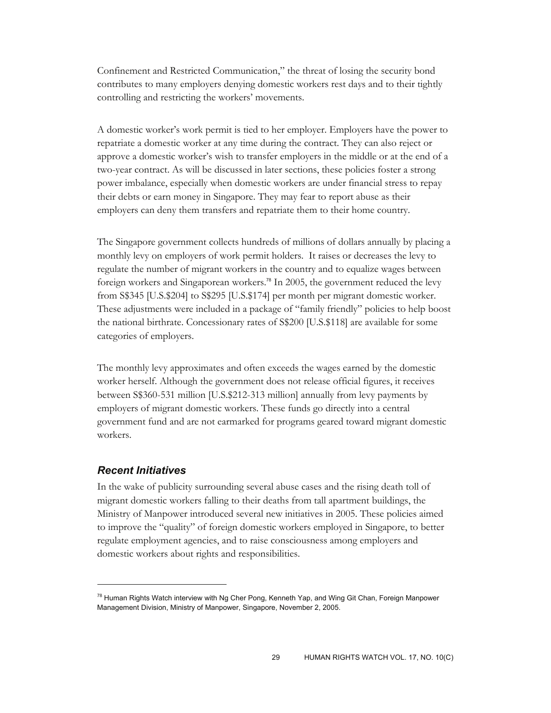Confinement and Restricted Communication," the threat of losing the security bond contributes to many employers denying domestic workers rest days and to their tightly controlling and restricting the workers' movements.

A domestic worker's work permit is tied to her employer. Employers have the power to repatriate a domestic worker at any time during the contract. They can also reject or approve a domestic worker's wish to transfer employers in the middle or at the end of a two-year contract. As will be discussed in later sections, these policies foster a strong power imbalance, especially when domestic workers are under financial stress to repay their debts or earn money in Singapore. They may fear to report abuse as their employers can deny them transfers and repatriate them to their home country.

The Singapore government collects hundreds of millions of dollars annually by placing a monthly levy on employers of work permit holders. It raises or decreases the levy to regulate the number of migrant workers in the country and to equalize wages between foreign workers and Singaporean workers.78 In 2005, the government reduced the levy from S\$345 [U.S.\$204] to S\$295 [U.S.\$174] per month per migrant domestic worker. These adjustments were included in a package of "family friendly" policies to help boost the national birthrate. Concessionary rates of S\$200 [U.S.\$118] are available for some categories of employers.

The monthly levy approximates and often exceeds the wages earned by the domestic worker herself. Although the government does not release official figures, it receives between S\$360-531 million [U.S.\$212-313 million] annually from levy payments by employers of migrant domestic workers. These funds go directly into a central government fund and are not earmarked for programs geared toward migrant domestic workers.

#### *Recent Initiatives*

 $\overline{a}$ 

In the wake of publicity surrounding several abuse cases and the rising death toll of migrant domestic workers falling to their deaths from tall apartment buildings, the Ministry of Manpower introduced several new initiatives in 2005. These policies aimed to improve the "quality" of foreign domestic workers employed in Singapore, to better regulate employment agencies, and to raise consciousness among employers and domestic workers about rights and responsibilities.

<sup>&</sup>lt;sup>78</sup> Human Rights Watch interview with Ng Cher Pong, Kenneth Yap, and Wing Git Chan, Foreign Manpower Management Division, Ministry of Manpower, Singapore, November 2, 2005.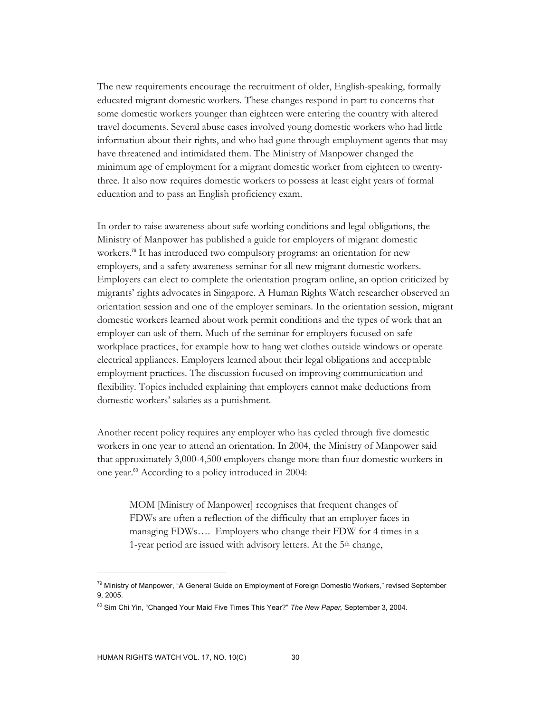The new requirements encourage the recruitment of older, English-speaking, formally educated migrant domestic workers. These changes respond in part to concerns that some domestic workers younger than eighteen were entering the country with altered travel documents. Several abuse cases involved young domestic workers who had little information about their rights, and who had gone through employment agents that may have threatened and intimidated them. The Ministry of Manpower changed the minimum age of employment for a migrant domestic worker from eighteen to twentythree. It also now requires domestic workers to possess at least eight years of formal education and to pass an English proficiency exam.

In order to raise awareness about safe working conditions and legal obligations, the Ministry of Manpower has published a guide for employers of migrant domestic workers.<sup>79</sup> It has introduced two compulsory programs: an orientation for new employers, and a safety awareness seminar for all new migrant domestic workers. Employers can elect to complete the orientation program online, an option criticized by migrants' rights advocates in Singapore. A Human Rights Watch researcher observed an orientation session and one of the employer seminars. In the orientation session, migrant domestic workers learned about work permit conditions and the types of work that an employer can ask of them. Much of the seminar for employers focused on safe workplace practices, for example how to hang wet clothes outside windows or operate electrical appliances. Employers learned about their legal obligations and acceptable employment practices. The discussion focused on improving communication and flexibility. Topics included explaining that employers cannot make deductions from domestic workers' salaries as a punishment.

Another recent policy requires any employer who has cycled through five domestic workers in one year to attend an orientation. In 2004, the Ministry of Manpower said that approximately 3,000-4,500 employers change more than four domestic workers in one year.80 According to a policy introduced in 2004:

MOM [Ministry of Manpower] recognises that frequent changes of FDWs are often a reflection of the difficulty that an employer faces in managing FDWs…. Employers who change their FDW for 4 times in a 1-year period are issued with advisory letters. At the 5<sup>th</sup> change,

<sup>&</sup>lt;sup>79</sup> Ministry of Manpower, "A General Guide on Employment of Foreign Domestic Workers," revised September 9, 2005.

<sup>80</sup> Sim Chi Yin, "Changed Your Maid Five Times This Year?" *The New Paper,* September 3, 2004.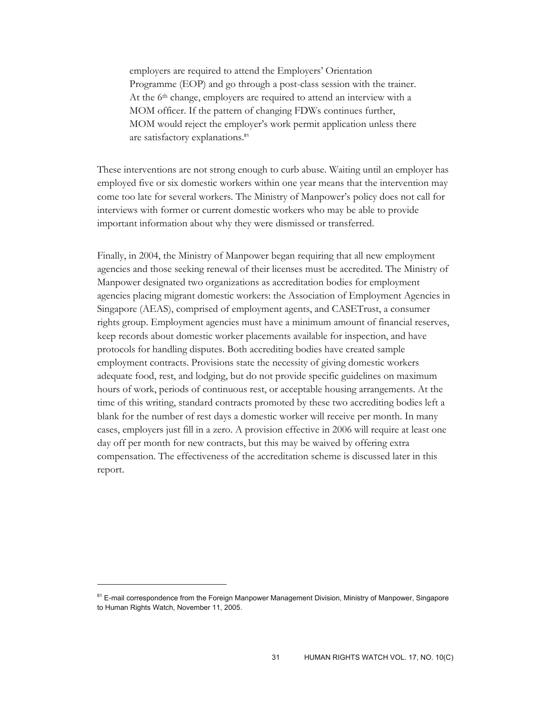employers are required to attend the Employers' Orientation Programme (EOP) and go through a post-class session with the trainer. At the 6th change, employers are required to attend an interview with a MOM officer. If the pattern of changing FDWs continues further, MOM would reject the employer's work permit application unless there are satisfactory explanations.<sup>81</sup>

These interventions are not strong enough to curb abuse. Waiting until an employer has employed five or six domestic workers within one year means that the intervention may come too late for several workers. The Ministry of Manpower's policy does not call for interviews with former or current domestic workers who may be able to provide important information about why they were dismissed or transferred.

Finally, in 2004, the Ministry of Manpower began requiring that all new employment agencies and those seeking renewal of their licenses must be accredited. The Ministry of Manpower designated two organizations as accreditation bodies for employment agencies placing migrant domestic workers: the Association of Employment Agencies in Singapore (AEAS), comprised of employment agents, and CASETrust, a consumer rights group. Employment agencies must have a minimum amount of financial reserves, keep records about domestic worker placements available for inspection, and have protocols for handling disputes. Both accrediting bodies have created sample employment contracts. Provisions state the necessity of giving domestic workers adequate food, rest, and lodging, but do not provide specific guidelines on maximum hours of work, periods of continuous rest, or acceptable housing arrangements. At the time of this writing, standard contracts promoted by these two accrediting bodies left a blank for the number of rest days a domestic worker will receive per month. In many cases, employers just fill in a zero. A provision effective in 2006 will require at least one day off per month for new contracts, but this may be waived by offering extra compensation. The effectiveness of the accreditation scheme is discussed later in this report.

<sup>&</sup>lt;sup>81</sup> E-mail correspondence from the Foreign Manpower Management Division, Ministry of Manpower, Singapore to Human Rights Watch, November 11, 2005.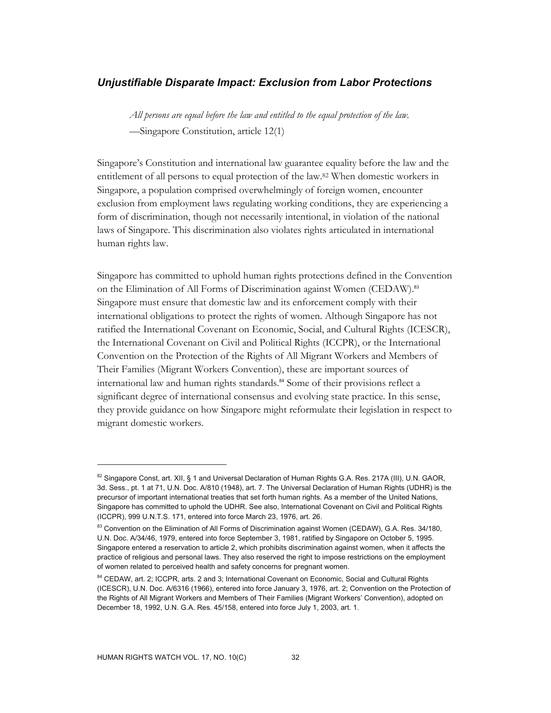#### *Unjustifiable Disparate Impact: Exclusion from Labor Protections*

*All persons are equal before the law and entitled to the equal protection of the law.*  —Singapore Constitution, article 12(1)

Singapore's Constitution and international law guarantee equality before the law and the entitlement of all persons to equal protection of the law.82 When domestic workers in Singapore, a population comprised overwhelmingly of foreign women, encounter exclusion from employment laws regulating working conditions, they are experiencing a form of discrimination, though not necessarily intentional, in violation of the national laws of Singapore. This discrimination also violates rights articulated in international human rights law.

Singapore has committed to uphold human rights protections defined in the Convention on the Elimination of All Forms of Discrimination against Women (CEDAW).<sup>83</sup> Singapore must ensure that domestic law and its enforcement comply with their international obligations to protect the rights of women. Although Singapore has not ratified the International Covenant on Economic, Social, and Cultural Rights (ICESCR), the International Covenant on Civil and Political Rights (ICCPR), or the International Convention on the Protection of the Rights of All Migrant Workers and Members of Their Families (Migrant Workers Convention), these are important sources of international law and human rights standards.<sup>84</sup> Some of their provisions reflect a significant degree of international consensus and evolving state practice. In this sense, they provide guidance on how Singapore might reformulate their legislation in respect to migrant domestic workers.

<sup>82</sup> Singapore Const, art. XII, § 1 and Universal Declaration of Human Rights G.A. Res. 217A (III), U.N. GAOR, 3d. Sess., pt. 1 at 71, U.N. Doc. A/810 (1948), art. 7. The Universal Declaration of Human Rights (UDHR) is the precursor of important international treaties that set forth human rights. As a member of the United Nations, Singapore has committed to uphold the UDHR. See also, International Covenant on Civil and Political Rights (ICCPR), 999 U.N.T.S. 171, entered into force March 23, 1976, art. 26.

<sup>&</sup>lt;sup>83</sup> Convention on the Elimination of All Forms of Discrimination against Women (CEDAW), G.A. Res. 34/180, U.N. Doc. A/34/46, 1979, entered into force September 3, 1981, ratified by Singapore on October 5, 1995. Singapore entered a reservation to article 2, which prohibits discrimination against women, when it affects the practice of religious and personal laws. They also reserved the right to impose restrictions on the employment of women related to perceived health and safety concerns for pregnant women.

<sup>84</sup> CEDAW, art. 2; ICCPR, arts. 2 and 3; International Covenant on Economic, Social and Cultural Rights (ICESCR), U.N. Doc. A/6316 (1966), entered into force January 3, 1976, art. 2; Convention on the Protection of the Rights of All Migrant Workers and Members of Their Families (Migrant Workers' Convention), adopted on December 18, 1992, U.N. G.A. Res. 45/158, entered into force July 1, 2003, art. 1.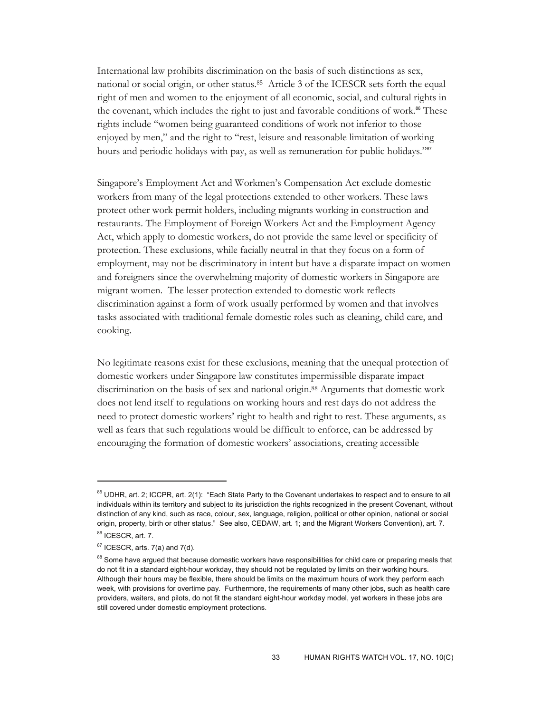International law prohibits discrimination on the basis of such distinctions as sex, national or social origin, or other status.85 Article 3 of the ICESCR sets forth the equal right of men and women to the enjoyment of all economic, social, and cultural rights in the covenant, which includes the right to just and favorable conditions of work. $86$  These rights include "women being guaranteed conditions of work not inferior to those enjoyed by men," and the right to "rest, leisure and reasonable limitation of working hours and periodic holidays with pay, as well as remuneration for public holidays."<sup>87</sup>

Singapore's Employment Act and Workmen's Compensation Act exclude domestic workers from many of the legal protections extended to other workers. These laws protect other work permit holders, including migrants working in construction and restaurants. The Employment of Foreign Workers Act and the Employment Agency Act, which apply to domestic workers, do not provide the same level or specificity of protection. These exclusions, while facially neutral in that they focus on a form of employment, may not be discriminatory in intent but have a disparate impact on women and foreigners since the overwhelming majority of domestic workers in Singapore are migrant women. The lesser protection extended to domestic work reflects discrimination against a form of work usually performed by women and that involves tasks associated with traditional female domestic roles such as cleaning, child care, and cooking.

No legitimate reasons exist for these exclusions, meaning that the unequal protection of domestic workers under Singapore law constitutes impermissible disparate impact discrimination on the basis of sex and national origin.88 Arguments that domestic work does not lend itself to regulations on working hours and rest days do not address the need to protect domestic workers' right to health and right to rest. These arguments, as well as fears that such regulations would be difficult to enforce, can be addressed by encouraging the formation of domestic workers' associations, creating accessible

<sup>85</sup> UDHR, art. 2; ICCPR, art. 2(1): "Each State Party to the Covenant undertakes to respect and to ensure to all individuals within its territory and subject to its jurisdiction the rights recognized in the present Covenant, without distinction of any kind, such as race, colour, sex, language, religion, political or other opinion, national or social origin, property, birth or other status." See also, CEDAW, art. 1; and the Migrant Workers Convention), art. 7. 86 ICESCR, art. 7.

 $87$  ICESCR, arts. 7(a) and 7(d).

<sup>88</sup> Some have argued that because domestic workers have responsibilities for child care or preparing meals that do not fit in a standard eight-hour workday, they should not be regulated by limits on their working hours. Although their hours may be flexible, there should be limits on the maximum hours of work they perform each week, with provisions for overtime pay. Furthermore, the requirements of many other jobs, such as health care providers, waiters, and pilots, do not fit the standard eight-hour workday model, yet workers in these jobs are still covered under domestic employment protections.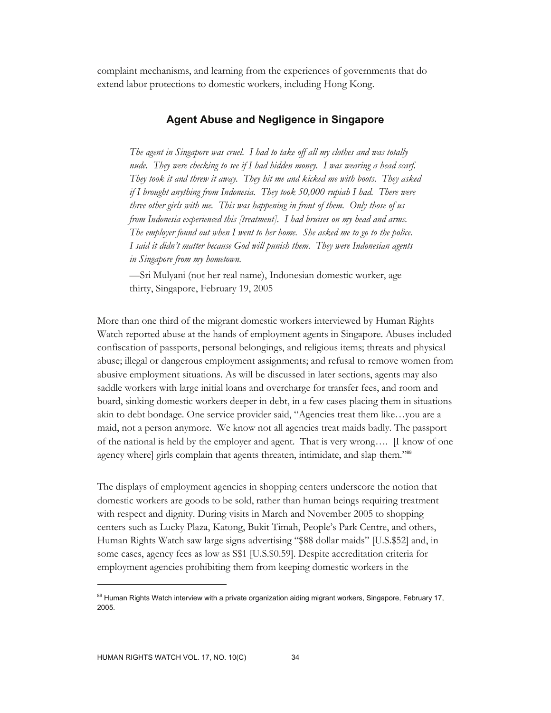complaint mechanisms, and learning from the experiences of governments that do extend labor protections to domestic workers, including Hong Kong.

# **Agent Abuse and Negligence in Singapore**

*The agent in Singapore was cruel. I had to take off all my clothes and was totally nude. They were checking to see if I had hidden money. I was wearing a head scarf. They took it and threw it away. They hit me and kicked me with boots. They asked if I brought anything from Indonesia. They took 50,000 rupiah I had. There were three other girls with me. This was happening in front of them. Only those of us from Indonesia experienced this [treatment]. I had bruises on my head and arms. The employer found out when I went to her home. She asked me to go to the police. I said it didn't matter because God will punish them. They were Indonesian agents in Singapore from my hometown.* 

—Sri Mulyani (not her real name), Indonesian domestic worker, age thirty, Singapore, February 19, 2005

More than one third of the migrant domestic workers interviewed by Human Rights Watch reported abuse at the hands of employment agents in Singapore. Abuses included confiscation of passports, personal belongings, and religious items; threats and physical abuse; illegal or dangerous employment assignments; and refusal to remove women from abusive employment situations. As will be discussed in later sections, agents may also saddle workers with large initial loans and overcharge for transfer fees, and room and board, sinking domestic workers deeper in debt, in a few cases placing them in situations akin to debt bondage. One service provider said, "Agencies treat them like…you are a maid, not a person anymore. We know not all agencies treat maids badly. The passport of the national is held by the employer and agent. That is very wrong…. [I know of one agency where] girls complain that agents threaten, intimidate, and slap them."89

The displays of employment agencies in shopping centers underscore the notion that domestic workers are goods to be sold, rather than human beings requiring treatment with respect and dignity. During visits in March and November 2005 to shopping centers such as Lucky Plaza, Katong, Bukit Timah, People's Park Centre, and others, Human Rights Watch saw large signs advertising "\$88 dollar maids" [U.S.\$52] and, in some cases, agency fees as low as S\$1 [U.S.\$0.59]. Despite accreditation criteria for employment agencies prohibiting them from keeping domestic workers in the

<sup>89</sup> Human Rights Watch interview with a private organization aiding migrant workers, Singapore, February 17, 2005.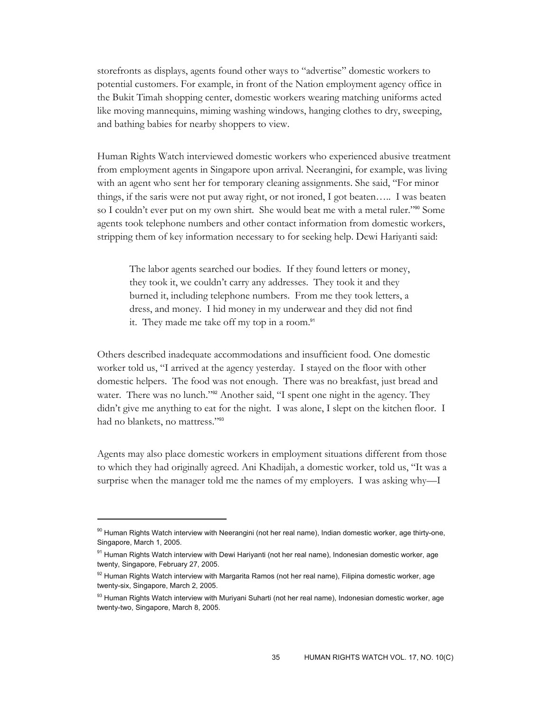storefronts as displays, agents found other ways to "advertise" domestic workers to potential customers. For example, in front of the Nation employment agency office in the Bukit Timah shopping center, domestic workers wearing matching uniforms acted like moving mannequins, miming washing windows, hanging clothes to dry, sweeping, and bathing babies for nearby shoppers to view.

Human Rights Watch interviewed domestic workers who experienced abusive treatment from employment agents in Singapore upon arrival. Neerangini, for example, was living with an agent who sent her for temporary cleaning assignments. She said, "For minor things, if the saris were not put away right, or not ironed, I got beaten….. I was beaten so I couldn't ever put on my own shirt. She would beat me with a metal ruler."90 Some agents took telephone numbers and other contact information from domestic workers, stripping them of key information necessary to for seeking help. Dewi Hariyanti said:

The labor agents searched our bodies. If they found letters or money, they took it, we couldn't carry any addresses. They took it and they burned it, including telephone numbers. From me they took letters, a dress, and money. I hid money in my underwear and they did not find it. They made me take off my top in a room.<sup>91</sup>

Others described inadequate accommodations and insufficient food. One domestic worker told us, "I arrived at the agency yesterday. I stayed on the floor with other domestic helpers. The food was not enough. There was no breakfast, just bread and water. There was no lunch."<sup>92</sup> Another said, "I spent one night in the agency. They didn't give me anything to eat for the night. I was alone, I slept on the kitchen floor. I had no blankets, no mattress."<sup>93</sup>

Agents may also place domestic workers in employment situations different from those to which they had originally agreed. Ani Khadijah, a domestic worker, told us, "It was a surprise when the manager told me the names of my employers. I was asking why—I

 $90$  Human Rights Watch interview with Neerangini (not her real name), Indian domestic worker, age thirty-one, Singapore, March 1, 2005.

<sup>91</sup> Human Rights Watch interview with Dewi Hariyanti (not her real name), Indonesian domestic worker, age twenty, Singapore, February 27, 2005.

 $92$  Human Rights Watch interview with Margarita Ramos (not her real name), Filipina domestic worker, age twenty-six, Singapore, March 2, 2005.

<sup>&</sup>lt;sup>93</sup> Human Rights Watch interview with Muriyani Suharti (not her real name), Indonesian domestic worker, age twenty-two, Singapore, March 8, 2005.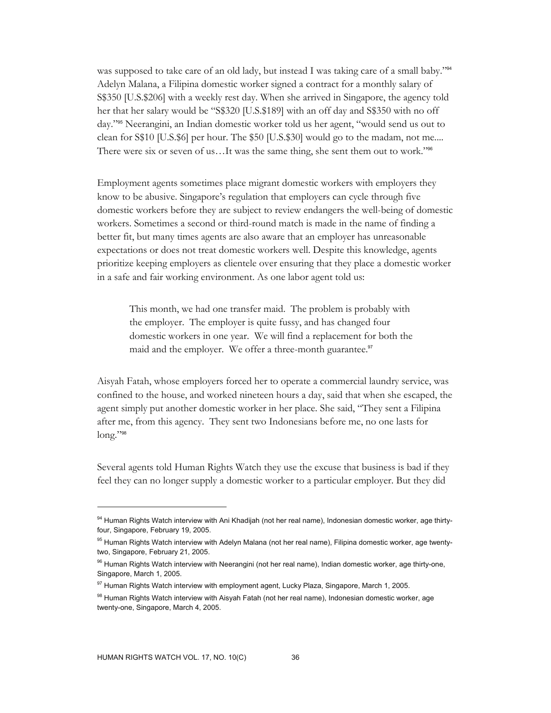was supposed to take care of an old lady, but instead I was taking care of a small baby."<sup>94</sup> Adelyn Malana, a Filipina domestic worker signed a contract for a monthly salary of S\$350 [U.S.\$206] with a weekly rest day. When she arrived in Singapore, the agency told her that her salary would be "S\$320 [U.S.\$189] with an off day and S\$350 with no off day."95 Neerangini, an Indian domestic worker told us her agent, "would send us out to clean for S\$10 [U.S.\$6] per hour. The \$50 [U.S.\$30] would go to the madam, not me.... There were six or seven of us…It was the same thing, she sent them out to work."<sup>96</sup>

Employment agents sometimes place migrant domestic workers with employers they know to be abusive. Singapore's regulation that employers can cycle through five domestic workers before they are subject to review endangers the well-being of domestic workers. Sometimes a second or third-round match is made in the name of finding a better fit, but many times agents are also aware that an employer has unreasonable expectations or does not treat domestic workers well. Despite this knowledge, agents prioritize keeping employers as clientele over ensuring that they place a domestic worker in a safe and fair working environment. As one labor agent told us:

This month, we had one transfer maid. The problem is probably with the employer. The employer is quite fussy, and has changed four domestic workers in one year. We will find a replacement for both the maid and the employer. We offer a three-month guarantee.<sup>97</sup>

Aisyah Fatah, whose employers forced her to operate a commercial laundry service, was confined to the house, and worked nineteen hours a day, said that when she escaped, the agent simply put another domestic worker in her place. She said, "They sent a Filipina after me, from this agency. They sent two Indonesians before me, no one lasts for long."98

Several agents told Human Rights Watch they use the excuse that business is bad if they feel they can no longer supply a domestic worker to a particular employer. But they did

<sup>94</sup> Human Rights Watch interview with Ani Khadijah (not her real name), Indonesian domestic worker, age thirtyfour, Singapore, February 19, 2005.

<sup>&</sup>lt;sup>95</sup> Human Rights Watch interview with Adelyn Malana (not her real name), Filipina domestic worker, age twentytwo, Singapore, February 21, 2005.

<sup>96</sup> Human Rights Watch interview with Neerangini (not her real name), Indian domestic worker, age thirty-one, Singapore, March 1, 2005.

 $97$  Human Rights Watch interview with employment agent, Lucky Plaza, Singapore, March 1, 2005.

<sup>98</sup> Human Rights Watch interview with Aisyah Fatah (not her real name), Indonesian domestic worker, age twenty-one, Singapore, March 4, 2005.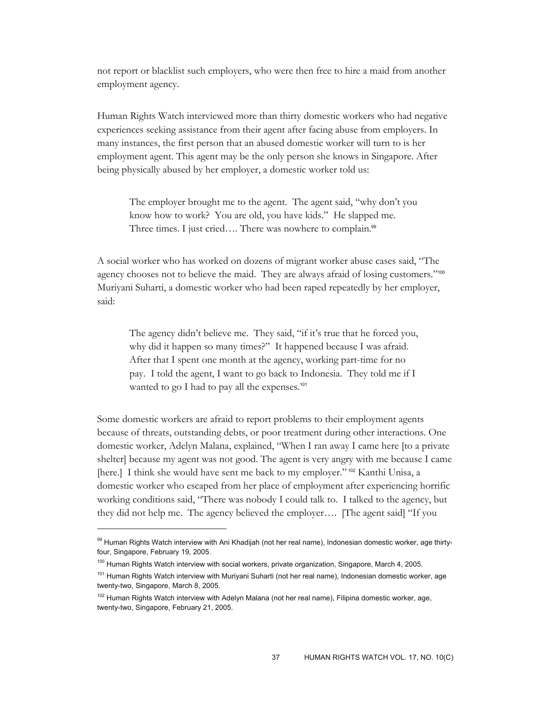not report or blacklist such employers, who were then free to hire a maid from another employment agency.

Human Rights Watch interviewed more than thirty domestic workers who had negative experiences seeking assistance from their agent after facing abuse from employers. In many instances, the first person that an abused domestic worker will turn to is her employment agent. This agent may be the only person she knows in Singapore. After being physically abused by her employer, a domestic worker told us:

The employer brought me to the agent. The agent said, "why don't you know how to work? You are old, you have kids." He slapped me. Three times. I just cried.... There was nowhere to complain.<sup>99</sup>

A social worker who has worked on dozens of migrant worker abuse cases said, "The agency chooses not to believe the maid. They are always afraid of losing customers."<sup>100</sup> Muriyani Suharti, a domestic worker who had been raped repeatedly by her employer, said:

The agency didn't believe me. They said, "if it's true that he forced you, why did it happen so many times?" It happened because I was afraid. After that I spent one month at the agency, working part-time for no pay. I told the agent, I want to go back to Indonesia. They told me if I wanted to go I had to pay all the expenses.<sup>101</sup>

Some domestic workers are afraid to report problems to their employment agents because of threats, outstanding debts, or poor treatment during other interactions. One domestic worker, Adelyn Malana, explained, "When I ran away I came here [to a private shelter] because my agent was not good. The agent is very angry with me because I came [here.] I think she would have sent me back to my employer."<sup>102</sup> Kanthi Unisa, a domestic worker who escaped from her place of employment after experiencing horrific working conditions said, "There was nobody I could talk to. I talked to the agency, but they did not help me. The agency believed the employer…. [The agent said] "If you

<sup>99</sup> Human Rights Watch interview with Ani Khadijah (not her real name), Indonesian domestic worker, age thirtyfour, Singapore, February 19, 2005.

<sup>&</sup>lt;sup>100</sup> Human Rights Watch interview with social workers, private organization, Singapore, March 4, 2005.

<sup>&</sup>lt;sup>101</sup> Human Rights Watch interview with Muriyani Suharti (not her real name), Indonesian domestic worker, age twenty-two, Singapore, March 8, 2005.

<sup>&</sup>lt;sup>102</sup> Human Rights Watch interview with Adelyn Malana (not her real name), Filipina domestic worker, age, twenty-two, Singapore, February 21, 2005.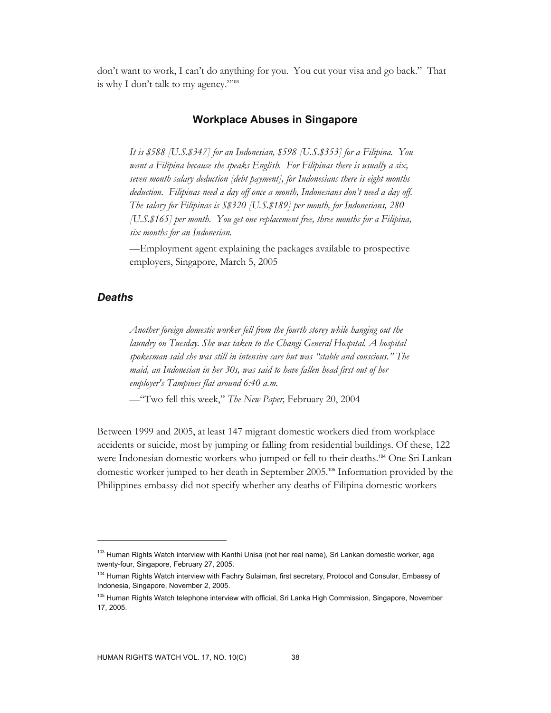don't want to work, I can't do anything for you. You cut your visa and go back." That is why I don't talk to my agency."<sup>103</sup>

# **Workplace Abuses in Singapore**

*It is \$588 [U.S.\$347] for an Indonesian, \$598 [U.S.\$353] for a Filipina. You want a Filipina because she speaks English. For Filipinas there is usually a six, seven month salary deduction [debt payment], for Indonesians there is eight months deduction. Filipinas need a day off once a month, Indonesians don't need a day off. The salary for Filipinas is S\$320 [U.S.\$189] per month, for Indonesians, 280 [U.S.\$165] per month. You get one replacement free, three months for a Filipina, six months for an Indonesian.* 

—Employment agent explaining the packages available to prospective employers, Singapore, March 5, 2005

# *Deaths*

-

*Another foreign domestic worker fell from the fourth storey while hanging out the laundry on Tuesday. She was taken to the Changi General Hospital. A hospital spokesman said she was still in intensive care but was "stable and conscious." The maid, an Indonesian in her 30s, was said to have fallen head first out of her employer's Tampines flat around 6:40 a.m.* 

—"Two fell this week," *The New Paper,* February 20, 2004

Between 1999 and 2005, at least 147 migrant domestic workers died from workplace accidents or suicide, most by jumping or falling from residential buildings. Of these, 122 were Indonesian domestic workers who jumped or fell to their deaths.<sup>104</sup> One Sri Lankan domestic worker jumped to her death in September 2005.105 Information provided by the Philippines embassy did not specify whether any deaths of Filipina domestic workers

<sup>&</sup>lt;sup>103</sup> Human Rights Watch interview with Kanthi Unisa (not her real name), Sri Lankan domestic worker, age twenty-four, Singapore, February 27, 2005.

<sup>&</sup>lt;sup>104</sup> Human Rights Watch interview with Fachry Sulaiman, first secretary, Protocol and Consular, Embassy of Indonesia, Singapore, November 2, 2005.

<sup>&</sup>lt;sup>105</sup> Human Rights Watch telephone interview with official, Sri Lanka High Commission, Singapore, November 17, 2005.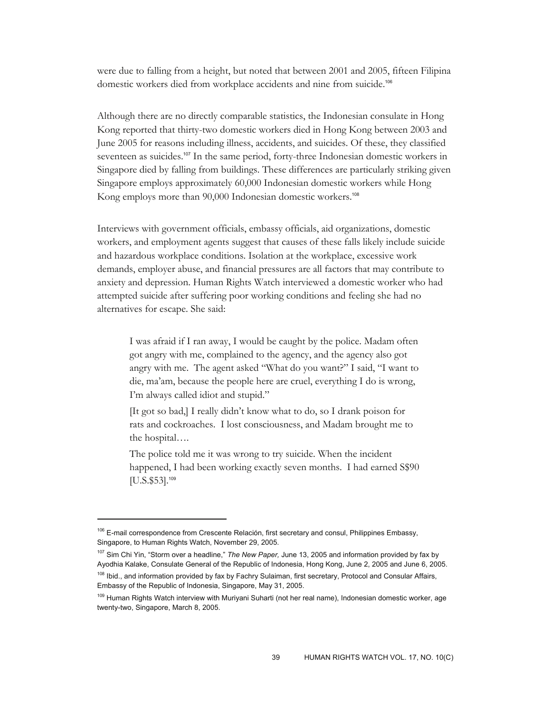were due to falling from a height, but noted that between 2001 and 2005, fifteen Filipina domestic workers died from workplace accidents and nine from suicide.<sup>106</sup>

Although there are no directly comparable statistics, the Indonesian consulate in Hong Kong reported that thirty-two domestic workers died in Hong Kong between 2003 and June 2005 for reasons including illness, accidents, and suicides. Of these, they classified seventeen as suicides.<sup>107</sup> In the same period, forty-three Indonesian domestic workers in Singapore died by falling from buildings. These differences are particularly striking given Singapore employs approximately 60,000 Indonesian domestic workers while Hong Kong employs more than 90,000 Indonesian domestic workers.<sup>108</sup>

Interviews with government officials, embassy officials, aid organizations, domestic workers, and employment agents suggest that causes of these falls likely include suicide and hazardous workplace conditions. Isolation at the workplace, excessive work demands, employer abuse, and financial pressures are all factors that may contribute to anxiety and depression. Human Rights Watch interviewed a domestic worker who had attempted suicide after suffering poor working conditions and feeling she had no alternatives for escape. She said:

I was afraid if I ran away, I would be caught by the police. Madam often got angry with me, complained to the agency, and the agency also got angry with me. The agent asked "What do you want?" I said, "I want to die, ma'am, because the people here are cruel, everything I do is wrong, I'm always called idiot and stupid."

[It got so bad,] I really didn't know what to do, so I drank poison for rats and cockroaches. I lost consciousness, and Madam brought me to the hospital….

The police told me it was wrong to try suicide. When the incident happened, I had been working exactly seven months. I had earned  $\$ \$90  $[U.S. $53]$ .<sup>109</sup>

-

107 Sim Chi Yin, "Storm over a headline," *The New Paper,* June 13, 2005 and information provided by fax by Ayodhia Kalake, Consulate General of the Republic of Indonesia, Hong Kong, June 2, 2005 and June 6, 2005. <sup>108</sup> Ibid., and information provided by fax by Fachry Sulaiman, first secretary, Protocol and Consular Affairs, Embassy of the Republic of Indonesia, Singapore, May 31, 2005.

<sup>&</sup>lt;sup>106</sup> E-mail correspondence from Crescente Relación, first secretary and consul, Philippines Embassy, Singapore, to Human Rights Watch, November 29, 2005.

<sup>&</sup>lt;sup>109</sup> Human Rights Watch interview with Muriyani Suharti (not her real name), Indonesian domestic worker, age twenty-two, Singapore, March 8, 2005.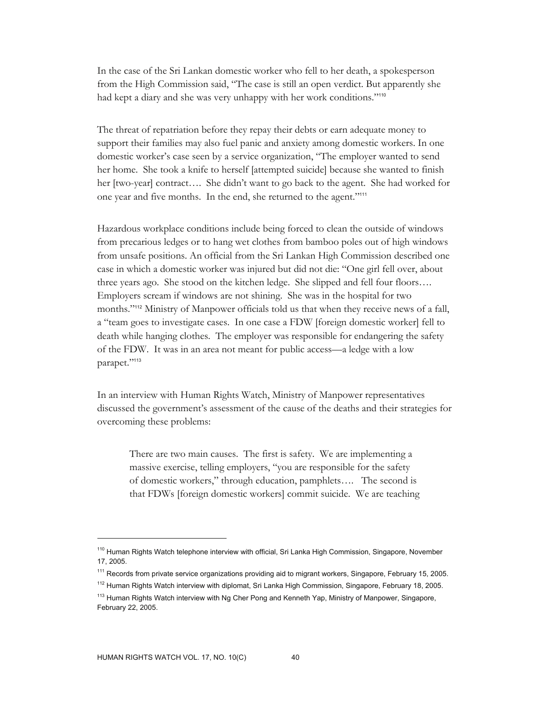In the case of the Sri Lankan domestic worker who fell to her death, a spokesperson from the High Commission said, "The case is still an open verdict. But apparently she had kept a diary and she was very unhappy with her work conditions."<sup>110</sup>

The threat of repatriation before they repay their debts or earn adequate money to support their families may also fuel panic and anxiety among domestic workers. In one domestic worker's case seen by a service organization, "The employer wanted to send her home. She took a knife to herself [attempted suicide] because she wanted to finish her [two-year] contract…. She didn't want to go back to the agent. She had worked for one year and five months. In the end, she returned to the agent."<sup>111</sup>

Hazardous workplace conditions include being forced to clean the outside of windows from precarious ledges or to hang wet clothes from bamboo poles out of high windows from unsafe positions. An official from the Sri Lankan High Commission described one case in which a domestic worker was injured but did not die: "One girl fell over, about three years ago. She stood on the kitchen ledge. She slipped and fell four floors…. Employers scream if windows are not shining. She was in the hospital for two months."<sup>112</sup> Ministry of Manpower officials told us that when they receive news of a fall, a "team goes to investigate cases. In one case a FDW [foreign domestic worker] fell to death while hanging clothes. The employer was responsible for endangering the safety of the FDW. It was in an area not meant for public access—a ledge with a low parapet."113

In an interview with Human Rights Watch, Ministry of Manpower representatives discussed the government's assessment of the cause of the deaths and their strategies for overcoming these problems:

There are two main causes. The first is safety. We are implementing a massive exercise, telling employers, "you are responsible for the safety of domestic workers," through education, pamphlets…. The second is that FDWs [foreign domestic workers] commit suicide. We are teaching

<sup>&</sup>lt;sup>110</sup> Human Rights Watch telephone interview with official, Sri Lanka High Commission, Singapore, November 17, 2005.

<sup>&</sup>lt;sup>111</sup> Records from private service organizations providing aid to migrant workers, Singapore, February 15, 2005.

<sup>&</sup>lt;sup>112</sup> Human Rights Watch interview with diplomat, Sri Lanka High Commission, Singapore, February 18, 2005.

<sup>&</sup>lt;sup>113</sup> Human Rights Watch interview with Ng Cher Pong and Kenneth Yap, Ministry of Manpower, Singapore, February 22, 2005.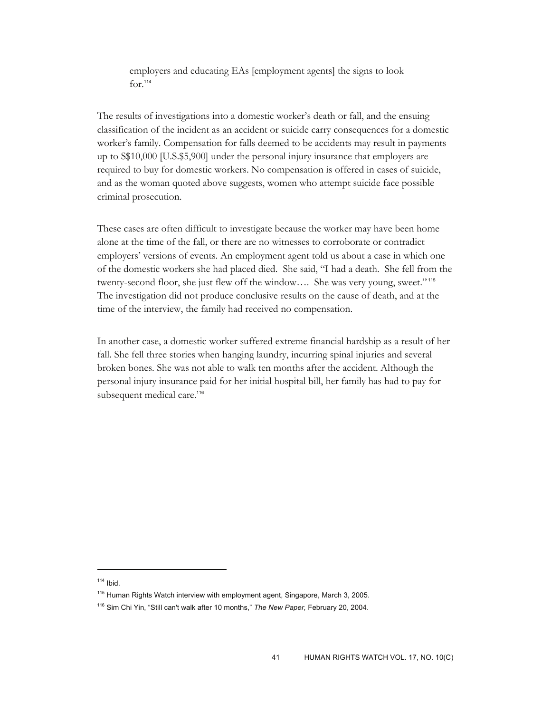employers and educating EAs [employment agents] the signs to look  $for.114$ 

The results of investigations into a domestic worker's death or fall, and the ensuing classification of the incident as an accident or suicide carry consequences for a domestic worker's family. Compensation for falls deemed to be accidents may result in payments up to S\$10,000 [U.S.\$5,900] under the personal injury insurance that employers are required to buy for domestic workers. No compensation is offered in cases of suicide, and as the woman quoted above suggests, women who attempt suicide face possible criminal prosecution.

These cases are often difficult to investigate because the worker may have been home alone at the time of the fall, or there are no witnesses to corroborate or contradict employers' versions of events. An employment agent told us about a case in which one of the domestic workers she had placed died. She said, "I had a death. She fell from the twenty-second floor, she just flew off the window…. She was very young, sweet."<sup>115</sup> The investigation did not produce conclusive results on the cause of death, and at the time of the interview, the family had received no compensation.

In another case, a domestic worker suffered extreme financial hardship as a result of her fall. She fell three stories when hanging laundry, incurring spinal injuries and several broken bones. She was not able to walk ten months after the accident. Although the personal injury insurance paid for her initial hospital bill, her family has had to pay for subsequent medical care.<sup>116</sup>

 $114$  Ibid.

<sup>&</sup>lt;sup>115</sup> Human Rights Watch interview with employment agent, Singapore, March 3, 2005.

<sup>116</sup> Sim Chi Yin, "Still can't walk after 10 months," *The New Paper,* February 20, 2004.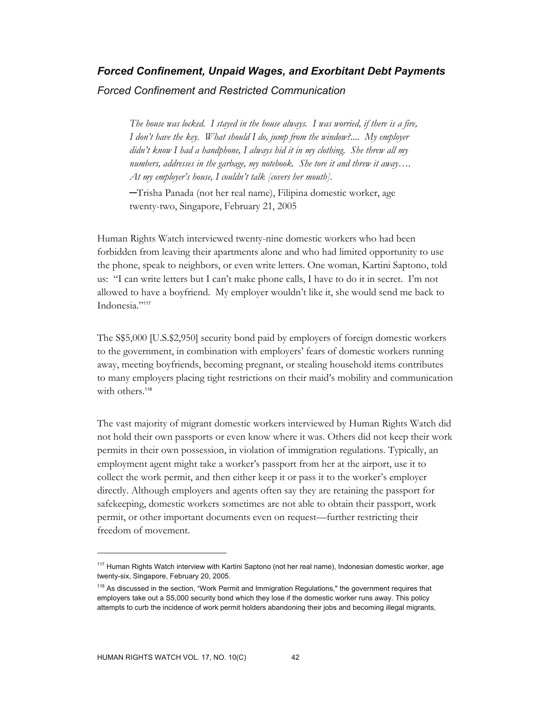# *Forced Confinement, Unpaid Wages, and Exorbitant Debt Payments Forced Confinement and Restricted Communication*

*The house was locked. I stayed in the house always. I was worried, if there is a fire, I don't have the key. What should I do, jump from the window?.... My employer didn't know I had a handphone, I always hid it in my clothing. She threw all my numbers, addresses in the garbage, my notebook. She tore it and threw it away…. At my employer's house, I couldn't talk [covers her mouth].* 

─Trisha Panada (not her real name), Filipina domestic worker, age twenty-two, Singapore, February 21, 2005

Human Rights Watch interviewed twenty-nine domestic workers who had been forbidden from leaving their apartments alone and who had limited opportunity to use the phone, speak to neighbors, or even write letters. One woman, Kartini Saptono, told us: "I can write letters but I can't make phone calls, I have to do it in secret. I'm not allowed to have a boyfriend. My employer wouldn't like it, she would send me back to Indonesia."117

The S\$5,000 [U.S.\$2,950] security bond paid by employers of foreign domestic workers to the government, in combination with employers' fears of domestic workers running away, meeting boyfriends, becoming pregnant, or stealing household items contributes to many employers placing tight restrictions on their maid's mobility and communication with others.<sup>118</sup>

The vast majority of migrant domestic workers interviewed by Human Rights Watch did not hold their own passports or even know where it was. Others did not keep their work permits in their own possession, in violation of immigration regulations. Typically, an employment agent might take a worker's passport from her at the airport, use it to collect the work permit, and then either keep it or pass it to the worker's employer directly. Although employers and agents often say they are retaining the passport for safekeeping, domestic workers sometimes are not able to obtain their passport, work permit, or other important documents even on request—further restricting their freedom of movement.

<sup>&</sup>lt;sup>117</sup> Human Rights Watch interview with Kartini Saptono (not her real name), Indonesian domestic worker, age twenty-six, Singapore, February 20, 2005.

<sup>&</sup>lt;sup>118</sup> As discussed in the section, "Work Permit and Immigration Regulations," the government requires that employers take out a S5,000 security bond which they lose if the domestic worker runs away. This policy attempts to curb the incidence of work permit holders abandoning their jobs and becoming illegal migrants,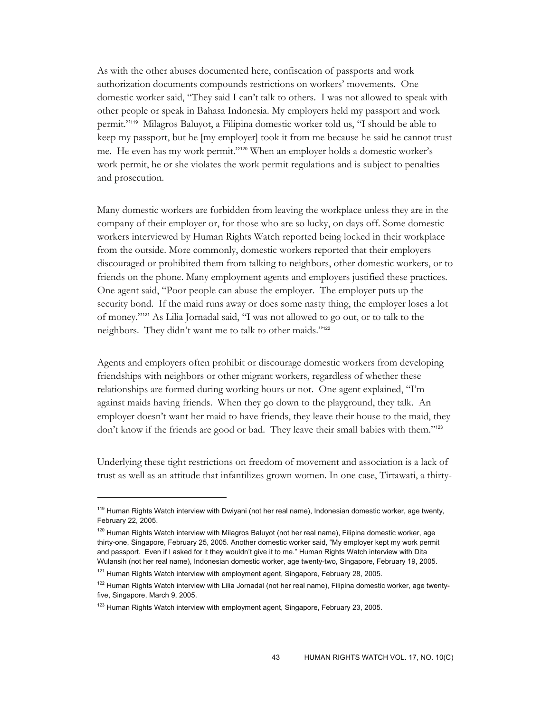As with the other abuses documented here, confiscation of passports and work authorization documents compounds restrictions on workers' movements. One domestic worker said, "They said I can't talk to others. I was not allowed to speak with other people or speak in Bahasa Indonesia. My employers held my passport and work permit."119 Milagros Baluyot, a Filipina domestic worker told us, "I should be able to keep my passport, but he [my employer] took it from me because he said he cannot trust me. He even has my work permit."120 When an employer holds a domestic worker's work permit, he or she violates the work permit regulations and is subject to penalties and prosecution.

Many domestic workers are forbidden from leaving the workplace unless they are in the company of their employer or, for those who are so lucky, on days off. Some domestic workers interviewed by Human Rights Watch reported being locked in their workplace from the outside. More commonly, domestic workers reported that their employers discouraged or prohibited them from talking to neighbors, other domestic workers, or to friends on the phone. Many employment agents and employers justified these practices. One agent said, "Poor people can abuse the employer. The employer puts up the security bond. If the maid runs away or does some nasty thing, the employer loses a lot of money."121 As Lilia Jornadal said, "I was not allowed to go out, or to talk to the neighbors. They didn't want me to talk to other maids."<sup>122</sup>

Agents and employers often prohibit or discourage domestic workers from developing friendships with neighbors or other migrant workers, regardless of whether these relationships are formed during working hours or not. One agent explained, "I'm against maids having friends. When they go down to the playground, they talk. An employer doesn't want her maid to have friends, they leave their house to the maid, they don't know if the friends are good or bad. They leave their small babies with them."<sup>123</sup>

Underlying these tight restrictions on freedom of movement and association is a lack of trust as well as an attitude that infantilizes grown women. In one case, Tirtawati, a thirty-

<sup>&</sup>lt;sup>119</sup> Human Rights Watch interview with Dwiyani (not her real name), Indonesian domestic worker, age twenty, February 22, 2005.

<sup>&</sup>lt;sup>120</sup> Human Rights Watch interview with Milagros Baluyot (not her real name), Filipina domestic worker, age thirty-one, Singapore, February 25, 2005. Another domestic worker said, "My employer kept my work permit and passport. Even if I asked for it they wouldn't give it to me." Human Rights Watch interview with Dita Wulansih (not her real name), Indonesian domestic worker, age twenty-two, Singapore, February 19, 2005.

 $121$  Human Rights Watch interview with employment agent, Singapore, February 28, 2005.

<sup>&</sup>lt;sup>122</sup> Human Rights Watch interview with Lilia Jornadal (not her real name), Filipina domestic worker, age twentyfive, Singapore, March 9, 2005.

<sup>&</sup>lt;sup>123</sup> Human Rights Watch interview with employment agent, Singapore, February 23, 2005.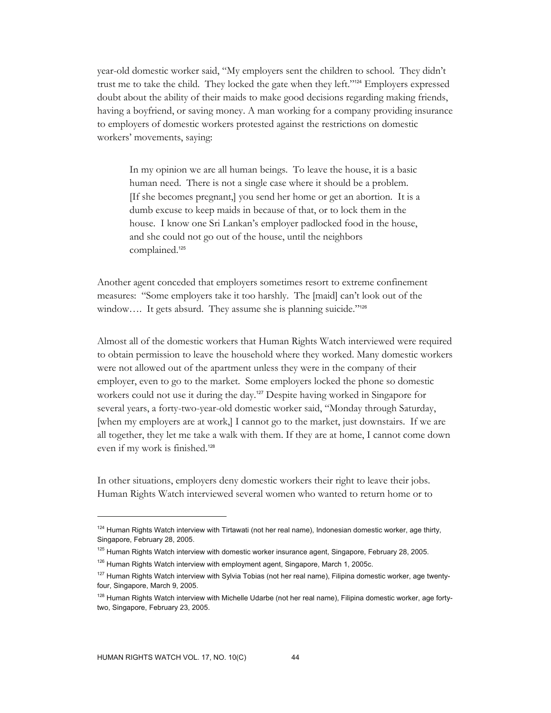year-old domestic worker said, "My employers sent the children to school. They didn't trust me to take the child. They locked the gate when they left."124 Employers expressed doubt about the ability of their maids to make good decisions regarding making friends, having a boyfriend, or saving money. A man working for a company providing insurance to employers of domestic workers protested against the restrictions on domestic workers' movements, saying:

In my opinion we are all human beings. To leave the house, it is a basic human need. There is not a single case where it should be a problem. [If she becomes pregnant,] you send her home or get an abortion. It is a dumb excuse to keep maids in because of that, or to lock them in the house. I know one Sri Lankan's employer padlocked food in the house, and she could not go out of the house, until the neighbors complained.<sup>125</sup>

Another agent conceded that employers sometimes resort to extreme confinement measures: "Some employers take it too harshly. The [maid] can't look out of the window.... It gets absurd. They assume she is planning suicide."<sup>126</sup>

Almost all of the domestic workers that Human Rights Watch interviewed were required to obtain permission to leave the household where they worked. Many domestic workers were not allowed out of the apartment unless they were in the company of their employer, even to go to the market. Some employers locked the phone so domestic workers could not use it during the day.<sup>127</sup> Despite having worked in Singapore for several years, a forty-two-year-old domestic worker said, "Monday through Saturday, [when my employers are at work,] I cannot go to the market, just downstairs. If we are all together, they let me take a walk with them. If they are at home, I cannot come down even if my work is finished.<sup>128</sup>

In other situations, employers deny domestic workers their right to leave their jobs. Human Rights Watch interviewed several women who wanted to return home or to

<sup>&</sup>lt;sup>124</sup> Human Rights Watch interview with Tirtawati (not her real name), Indonesian domestic worker, age thirty, Singapore, February 28, 2005.

<sup>&</sup>lt;sup>125</sup> Human Rights Watch interview with domestic worker insurance agent, Singapore, February 28, 2005.

<sup>&</sup>lt;sup>126</sup> Human Rights Watch interview with employment agent, Singapore, March 1, 2005c.

<sup>&</sup>lt;sup>127</sup> Human Rights Watch interview with Sylvia Tobias (not her real name), Filipina domestic worker, age twentyfour, Singapore, March 9, 2005.

<sup>&</sup>lt;sup>128</sup> Human Rights Watch interview with Michelle Udarbe (not her real name), Filipina domestic worker, age fortytwo, Singapore, February 23, 2005.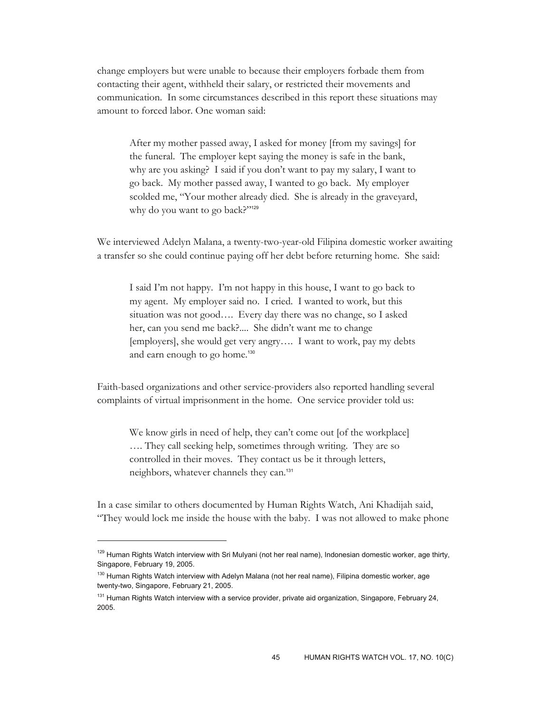change employers but were unable to because their employers forbade them from contacting their agent, withheld their salary, or restricted their movements and communication. In some circumstances described in this report these situations may amount to forced labor. One woman said:

After my mother passed away, I asked for money [from my savings] for the funeral. The employer kept saying the money is safe in the bank, why are you asking? I said if you don't want to pay my salary, I want to go back. My mother passed away, I wanted to go back. My employer scolded me, "Your mother already died. She is already in the graveyard, why do you want to go back?"129

We interviewed Adelyn Malana, a twenty-two-year-old Filipina domestic worker awaiting a transfer so she could continue paying off her debt before returning home. She said:

I said I'm not happy. I'm not happy in this house, I want to go back to my agent. My employer said no. I cried. I wanted to work, but this situation was not good…. Every day there was no change, so I asked her, can you send me back?.... She didn't want me to change [employers], she would get very angry…. I want to work, pay my debts and earn enough to go home.<sup>130</sup>

Faith-based organizations and other service-providers also reported handling several complaints of virtual imprisonment in the home. One service provider told us:

We know girls in need of help, they can't come out [of the workplace] …. They call seeking help, sometimes through writing. They are so controlled in their moves. They contact us be it through letters, neighbors, whatever channels they can.<sup>131</sup>

In a case similar to others documented by Human Rights Watch, Ani Khadijah said, "They would lock me inside the house with the baby. I was not allowed to make phone

<sup>&</sup>lt;sup>129</sup> Human Rights Watch interview with Sri Mulyani (not her real name), Indonesian domestic worker, age thirty, Singapore, February 19, 2005.

<sup>&</sup>lt;sup>130</sup> Human Rights Watch interview with Adelyn Malana (not her real name), Filipina domestic worker, age twenty-two, Singapore, February 21, 2005.

<sup>&</sup>lt;sup>131</sup> Human Rights Watch interview with a service provider, private aid organization, Singapore, February 24, 2005.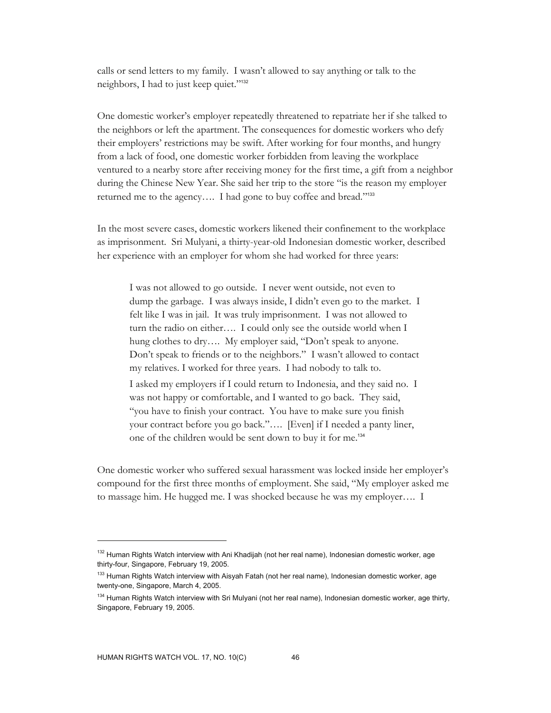calls or send letters to my family. I wasn't allowed to say anything or talk to the neighbors, I had to just keep quiet."<sup>132</sup>

One domestic worker's employer repeatedly threatened to repatriate her if she talked to the neighbors or left the apartment. The consequences for domestic workers who defy their employers' restrictions may be swift. After working for four months, and hungry from a lack of food, one domestic worker forbidden from leaving the workplace ventured to a nearby store after receiving money for the first time, a gift from a neighbor during the Chinese New Year. She said her trip to the store "is the reason my employer returned me to the agency.... I had gone to buy coffee and bread."<sup>133</sup>

In the most severe cases, domestic workers likened their confinement to the workplace as imprisonment. Sri Mulyani, a thirty-year-old Indonesian domestic worker, described her experience with an employer for whom she had worked for three years:

I was not allowed to go outside. I never went outside, not even to dump the garbage. I was always inside, I didn't even go to the market. I felt like I was in jail. It was truly imprisonment. I was not allowed to turn the radio on either…. I could only see the outside world when I hung clothes to dry.... My employer said, "Don't speak to anyone. Don't speak to friends or to the neighbors." I wasn't allowed to contact my relatives. I worked for three years. I had nobody to talk to. I asked my employers if I could return to Indonesia, and they said no. I

was not happy or comfortable, and I wanted to go back. They said, "you have to finish your contract. You have to make sure you finish your contract before you go back."…. [Even] if I needed a panty liner, one of the children would be sent down to buy it for me.<sup>134</sup>

One domestic worker who suffered sexual harassment was locked inside her employer's compound for the first three months of employment. She said, "My employer asked me to massage him. He hugged me. I was shocked because he was my employer…. I

<sup>&</sup>lt;sup>132</sup> Human Rights Watch interview with Ani Khadijah (not her real name), Indonesian domestic worker, age thirty-four, Singapore, February 19, 2005.

<sup>&</sup>lt;sup>133</sup> Human Rights Watch interview with Aisyah Fatah (not her real name), Indonesian domestic worker, age twenty-one, Singapore, March 4, 2005.

<sup>&</sup>lt;sup>134</sup> Human Rights Watch interview with Sri Mulyani (not her real name), Indonesian domestic worker, age thirty, Singapore, February 19, 2005.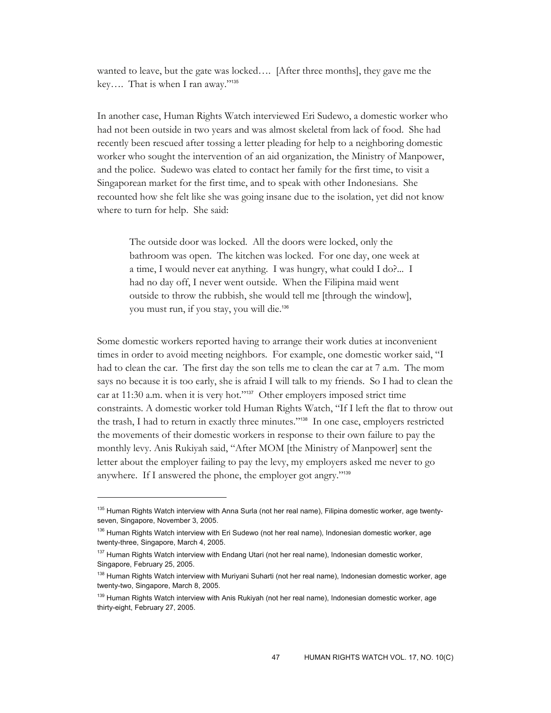wanted to leave, but the gate was locked…. [After three months], they gave me the key…. That is when I ran away."<sup>135</sup>

In another case, Human Rights Watch interviewed Eri Sudewo, a domestic worker who had not been outside in two years and was almost skeletal from lack of food. She had recently been rescued after tossing a letter pleading for help to a neighboring domestic worker who sought the intervention of an aid organization, the Ministry of Manpower, and the police. Sudewo was elated to contact her family for the first time, to visit a Singaporean market for the first time, and to speak with other Indonesians. She recounted how she felt like she was going insane due to the isolation, yet did not know where to turn for help. She said:

The outside door was locked. All the doors were locked, only the bathroom was open. The kitchen was locked. For one day, one week at a time, I would never eat anything. I was hungry, what could I do?... I had no day off, I never went outside. When the Filipina maid went outside to throw the rubbish, she would tell me [through the window], you must run, if you stay, you will die.<sup>136</sup>

Some domestic workers reported having to arrange their work duties at inconvenient times in order to avoid meeting neighbors. For example, one domestic worker said, "I had to clean the car. The first day the son tells me to clean the car at 7 a.m. The mom says no because it is too early, she is afraid I will talk to my friends. So I had to clean the car at 11:30 a.m. when it is very hot."<sup>137</sup> Other employers imposed strict time constraints. A domestic worker told Human Rights Watch, "If I left the flat to throw out the trash, I had to return in exactly three minutes."138 In one case, employers restricted the movements of their domestic workers in response to their own failure to pay the monthly levy. Anis Rukiyah said, "After MOM [the Ministry of Manpower] sent the letter about the employer failing to pay the levy, my employers asked me never to go anywhere. If I answered the phone, the employer got angry."<sup>139</sup>

<sup>&</sup>lt;sup>135</sup> Human Rights Watch interview with Anna Surla (not her real name), Filipina domestic worker, age twentyseven, Singapore, November 3, 2005.

<sup>&</sup>lt;sup>136</sup> Human Rights Watch interview with Eri Sudewo (not her real name), Indonesian domestic worker, age twenty-three, Singapore, March 4, 2005.

<sup>137</sup> Human Rights Watch interview with Endang Utari (not her real name), Indonesian domestic worker, Singapore, February 25, 2005.

<sup>&</sup>lt;sup>138</sup> Human Rights Watch interview with Muriyani Suharti (not her real name), Indonesian domestic worker, age twenty-two, Singapore, March 8, 2005.

<sup>&</sup>lt;sup>139</sup> Human Rights Watch interview with Anis Rukiyah (not her real name), Indonesian domestic worker, age thirty-eight, February 27, 2005.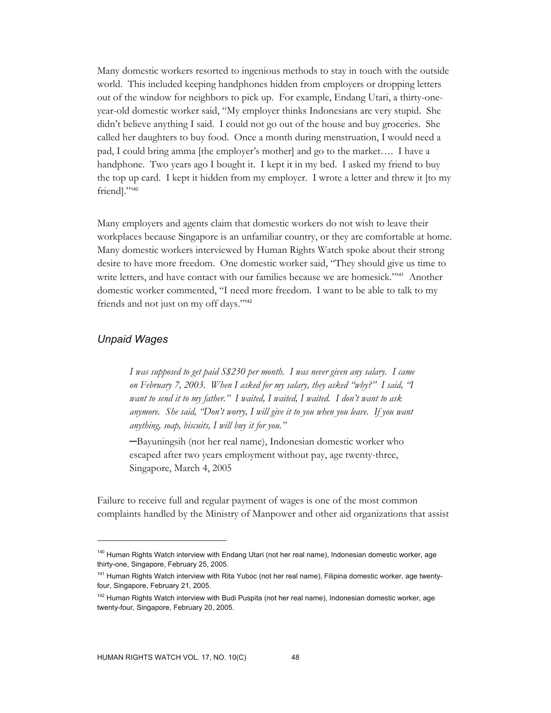Many domestic workers resorted to ingenious methods to stay in touch with the outside world. This included keeping handphones hidden from employers or dropping letters out of the window for neighbors to pick up. For example, Endang Utari, a thirty-oneyear-old domestic worker said, "My employer thinks Indonesians are very stupid. She didn't believe anything I said. I could not go out of the house and buy groceries. She called her daughters to buy food. Once a month during menstruation, I would need a pad, I could bring amma [the employer's mother] and go to the market…. I have a handphone. Two years ago I bought it. I kept it in my bed. I asked my friend to buy the top up card. I kept it hidden from my employer. I wrote a letter and threw it [to my friend]."<sup>140</sup>

Many employers and agents claim that domestic workers do not wish to leave their workplaces because Singapore is an unfamiliar country, or they are comfortable at home. Many domestic workers interviewed by Human Rights Watch spoke about their strong desire to have more freedom. One domestic worker said, "They should give us time to write letters, and have contact with our families because we are homesick."<sup>141</sup> Another domestic worker commented, "I need more freedom. I want to be able to talk to my friends and not just on my off days."<sup>142</sup>

# *Unpaid Wages*

 $\overline{a}$ 

*I was supposed to get paid S\$230 per month. I was never given any salary. I came on February 7, 2003. When I asked for my salary, they asked "why?" I said, "I want to send it to my father." I waited, I waited, I waited. I don't want to ask anymore. She said, "Don't worry, I will give it to you when you leave. If you want anything, soap, biscuits, I will buy it for you."* 

─Bayuningsih (not her real name), Indonesian domestic worker who escaped after two years employment without pay, age twenty-three, Singapore, March 4, 2005

Failure to receive full and regular payment of wages is one of the most common complaints handled by the Ministry of Manpower and other aid organizations that assist

<sup>&</sup>lt;sup>140</sup> Human Rights Watch interview with Endang Utari (not her real name), Indonesian domestic worker, age thirty-one, Singapore, February 25, 2005.

<sup>&</sup>lt;sup>141</sup> Human Rights Watch interview with Rita Yuboc (not her real name), Filipina domestic worker, age twentyfour, Singapore, February 21, 2005.

<sup>&</sup>lt;sup>142</sup> Human Rights Watch interview with Budi Puspita (not her real name), Indonesian domestic worker, age twenty-four, Singapore, February 20, 2005.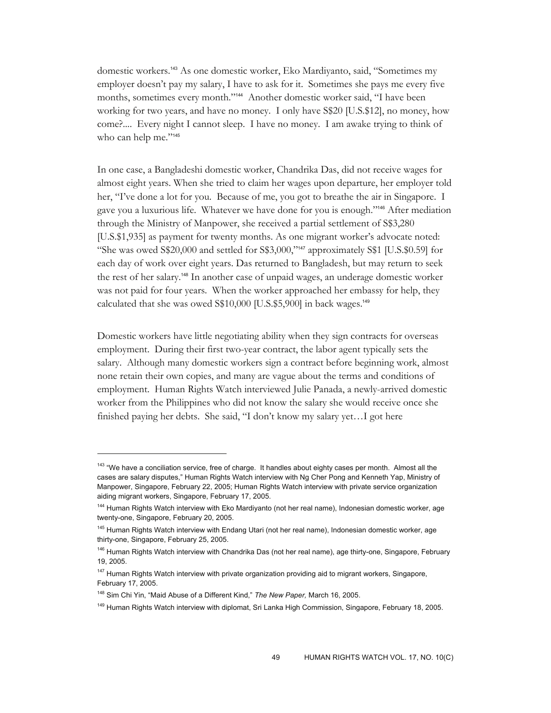domestic workers.143 As one domestic worker, Eko Mardiyanto, said, "Sometimes my employer doesn't pay my salary, I have to ask for it. Sometimes she pays me every five months, sometimes every month."144 Another domestic worker said, "I have been working for two years, and have no money. I only have S\$20 [U.S.\$12], no money, how come?.... Every night I cannot sleep. I have no money. I am awake trying to think of who can help me."145

In one case, a Bangladeshi domestic worker, Chandrika Das, did not receive wages for almost eight years. When she tried to claim her wages upon departure, her employer told her, "I've done a lot for you. Because of me, you got to breathe the air in Singapore. I gave you a luxurious life. Whatever we have done for you is enough."146 After mediation through the Ministry of Manpower, she received a partial settlement of S\$3,280 [U.S.\$1,935] as payment for twenty months. As one migrant worker's advocate noted: "She was owed  $\frac{$20,000}{4}$  and settled for  $\frac{$3,000}{4}$  approximately  $\frac{$100}{4}$  [U.S. $\frac{$0.59}{4}$ ] for each day of work over eight years. Das returned to Bangladesh, but may return to seek the rest of her salary.148 In another case of unpaid wages, an underage domestic worker was not paid for four years. When the worker approached her embassy for help, they calculated that she was owed S\$10,000 [U.S.\$5,900] in back wages.<sup>149</sup>

Domestic workers have little negotiating ability when they sign contracts for overseas employment. During their first two-year contract, the labor agent typically sets the salary. Although many domestic workers sign a contract before beginning work, almost none retain their own copies, and many are vague about the terms and conditions of employment. Human Rights Watch interviewed Julie Panada, a newly-arrived domestic worker from the Philippines who did not know the salary she would receive once she finished paying her debts. She said, "I don't know my salary yet…I got here

<sup>&</sup>lt;sup>143</sup> "We have a conciliation service, free of charge. It handles about eighty cases per month. Almost all the cases are salary disputes," Human Rights Watch interview with Ng Cher Pong and Kenneth Yap, Ministry of Manpower, Singapore, February 22, 2005; Human Rights Watch interview with private service organization aiding migrant workers, Singapore, February 17, 2005.

<sup>&</sup>lt;sup>144</sup> Human Rights Watch interview with Eko Mardiyanto (not her real name), Indonesian domestic worker, age twenty-one, Singapore, February 20, 2005.

<sup>&</sup>lt;sup>145</sup> Human Rights Watch interview with Endang Utari (not her real name), Indonesian domestic worker, age thirty-one, Singapore, February 25, 2005.

<sup>&</sup>lt;sup>146</sup> Human Rights Watch interview with Chandrika Das (not her real name), age thirty-one, Singapore, February 19, 2005.

<sup>&</sup>lt;sup>147</sup> Human Rights Watch interview with private organization providing aid to migrant workers, Singapore, February 17, 2005.

<sup>148</sup> Sim Chi Yin, "Maid Abuse of a Different Kind," *The New Paper,* March 16, 2005.

<sup>&</sup>lt;sup>149</sup> Human Rights Watch interview with diplomat, Sri Lanka High Commission, Singapore, February 18, 2005.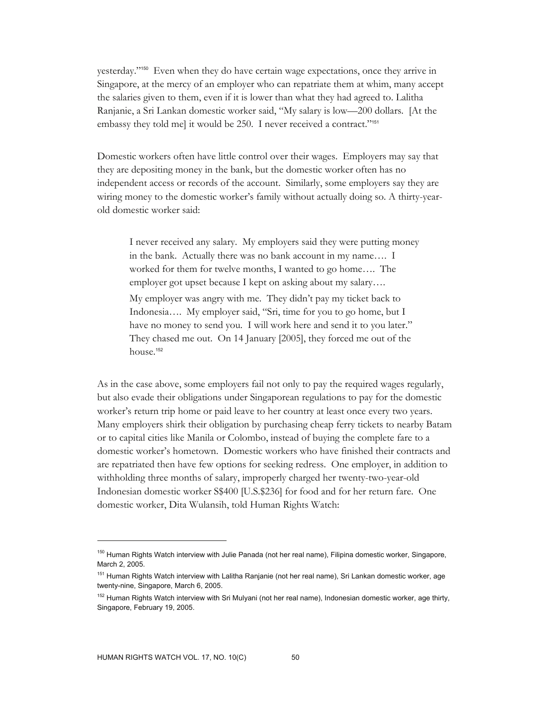yesterday."150 Even when they do have certain wage expectations, once they arrive in Singapore, at the mercy of an employer who can repatriate them at whim, many accept the salaries given to them, even if it is lower than what they had agreed to. Lalitha Ranjanie, a Sri Lankan domestic worker said, "My salary is low—200 dollars. [At the embassy they told me] it would be 250. I never received a contract."<sup>151</sup>

Domestic workers often have little control over their wages. Employers may say that they are depositing money in the bank, but the domestic worker often has no independent access or records of the account. Similarly, some employers say they are wiring money to the domestic worker's family without actually doing so. A thirty-yearold domestic worker said:

I never received any salary. My employers said they were putting money in the bank. Actually there was no bank account in my name…. I worked for them for twelve months, I wanted to go home…. The employer got upset because I kept on asking about my salary…. My employer was angry with me. They didn't pay my ticket back to Indonesia…. My employer said, "Sri, time for you to go home, but I have no money to send you. I will work here and send it to you later." They chased me out. On 14 January [2005], they forced me out of the house.<sup>152</sup>

As in the case above, some employers fail not only to pay the required wages regularly, but also evade their obligations under Singaporean regulations to pay for the domestic worker's return trip home or paid leave to her country at least once every two years. Many employers shirk their obligation by purchasing cheap ferry tickets to nearby Batam or to capital cities like Manila or Colombo, instead of buying the complete fare to a domestic worker's hometown. Domestic workers who have finished their contracts and are repatriated then have few options for seeking redress. One employer, in addition to withholding three months of salary, improperly charged her twenty-two-year-old Indonesian domestic worker S\$400 [U.S.\$236] for food and for her return fare. One domestic worker, Dita Wulansih, told Human Rights Watch:

<sup>&</sup>lt;sup>150</sup> Human Rights Watch interview with Julie Panada (not her real name), Filipina domestic worker, Singapore, March 2, 2005.

<sup>&</sup>lt;sup>151</sup> Human Rights Watch interview with Lalitha Ranjanie (not her real name), Sri Lankan domestic worker, age twenty-nine, Singapore, March 6, 2005.

<sup>&</sup>lt;sup>152</sup> Human Rights Watch interview with Sri Mulyani (not her real name), Indonesian domestic worker, age thirty, Singapore, February 19, 2005.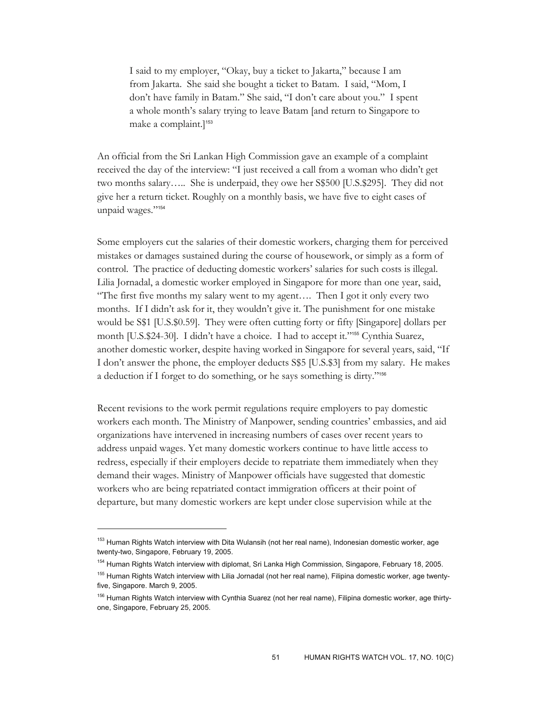I said to my employer, "Okay, buy a ticket to Jakarta," because I am from Jakarta. She said she bought a ticket to Batam. I said, "Mom, I don't have family in Batam." She said, "I don't care about you." I spent a whole month's salary trying to leave Batam [and return to Singapore to make a complaint.]<sup>153</sup>

An official from the Sri Lankan High Commission gave an example of a complaint received the day of the interview: "I just received a call from a woman who didn't get two months salary….. She is underpaid, they owe her S\$500 [U.S.\$295]. They did not give her a return ticket. Roughly on a monthly basis, we have five to eight cases of unpaid wages."154

Some employers cut the salaries of their domestic workers, charging them for perceived mistakes or damages sustained during the course of housework, or simply as a form of control. The practice of deducting domestic workers' salaries for such costs is illegal. Lilia Jornadal, a domestic worker employed in Singapore for more than one year, said, "The first five months my salary went to my agent…. Then I got it only every two months. If I didn't ask for it, they wouldn't give it. The punishment for one mistake would be S\$1 [U.S.\$0.59]. They were often cutting forty or fifty [Singapore] dollars per month [U.S.\$24-30]. I didn't have a choice. I had to accept it."<sup>155</sup> Cynthia Suarez, another domestic worker, despite having worked in Singapore for several years, said, "If I don't answer the phone, the employer deducts S\$5 [U.S.\$3] from my salary. He makes a deduction if I forget to do something, or he says something is dirty."<sup>156</sup>

Recent revisions to the work permit regulations require employers to pay domestic workers each month. The Ministry of Manpower, sending countries' embassies, and aid organizations have intervened in increasing numbers of cases over recent years to address unpaid wages. Yet many domestic workers continue to have little access to redress, especially if their employers decide to repatriate them immediately when they demand their wages. Ministry of Manpower officials have suggested that domestic workers who are being repatriated contact immigration officers at their point of departure, but many domestic workers are kept under close supervision while at the

<sup>&</sup>lt;sup>153</sup> Human Rights Watch interview with Dita Wulansih (not her real name), Indonesian domestic worker, age twenty-two, Singapore, February 19, 2005.

<sup>&</sup>lt;sup>154</sup> Human Rights Watch interview with diplomat, Sri Lanka High Commission, Singapore, February 18, 2005.

<sup>&</sup>lt;sup>155</sup> Human Rights Watch interview with Lilia Jornadal (not her real name), Filipina domestic worker, age twentyfive, Singapore. March 9, 2005.

<sup>&</sup>lt;sup>156</sup> Human Rights Watch interview with Cynthia Suarez (not her real name), Filipina domestic worker, age thirtyone, Singapore, February 25, 2005.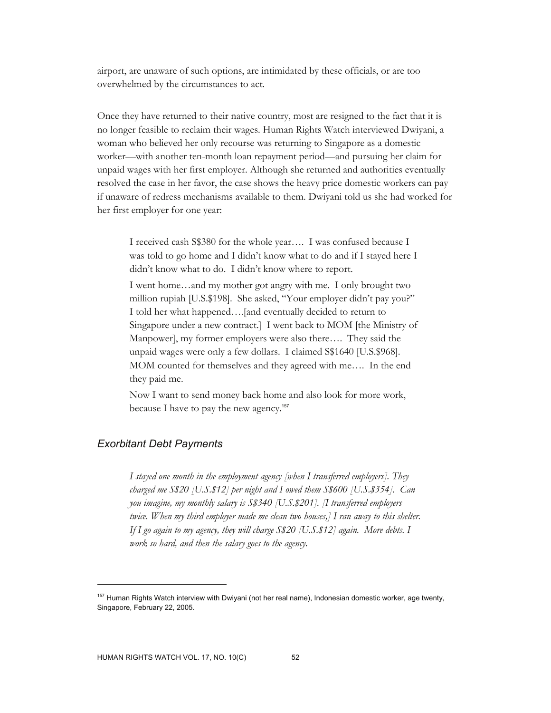airport, are unaware of such options, are intimidated by these officials, or are too overwhelmed by the circumstances to act.

Once they have returned to their native country, most are resigned to the fact that it is no longer feasible to reclaim their wages. Human Rights Watch interviewed Dwiyani, a woman who believed her only recourse was returning to Singapore as a domestic worker—with another ten-month loan repayment period—and pursuing her claim for unpaid wages with her first employer. Although she returned and authorities eventually resolved the case in her favor, the case shows the heavy price domestic workers can pay if unaware of redress mechanisms available to them. Dwiyani told us she had worked for her first employer for one year:

I received cash S\$380 for the whole year…. I was confused because I was told to go home and I didn't know what to do and if I stayed here I didn't know what to do. I didn't know where to report.

I went home…and my mother got angry with me. I only brought two million rupiah [U.S.\$198]. She asked, "Your employer didn't pay you?" I told her what happened….[and eventually decided to return to Singapore under a new contract.] I went back to MOM [the Ministry of Manpower], my former employers were also there…. They said the unpaid wages were only a few dollars. I claimed S\$1640 [U.S.\$968]. MOM counted for themselves and they agreed with me…. In the end they paid me.

Now I want to send money back home and also look for more work, because I have to pay the new agency.<sup>157</sup>

# *Exorbitant Debt Payments*

 $\overline{a}$ 

*I stayed one month in the employment agency [when I transferred employers]. They charged me S\$20 [U.S.\$12] per night and I owed them S\$600 [U.S.\$354]. Can you imagine, my monthly salary is S\$340 [U.S.\$201]. [I transferred employers twice. When my third employer made me clean two houses,] I ran away to this shelter. If I go again to my agency, they will charge S\$20 [U.S.\$12] again. More debts. I work so hard, and then the salary goes to the agency.* 

<sup>&</sup>lt;sup>157</sup> Human Rights Watch interview with Dwiyani (not her real name), Indonesian domestic worker, age twenty, Singapore, February 22, 2005.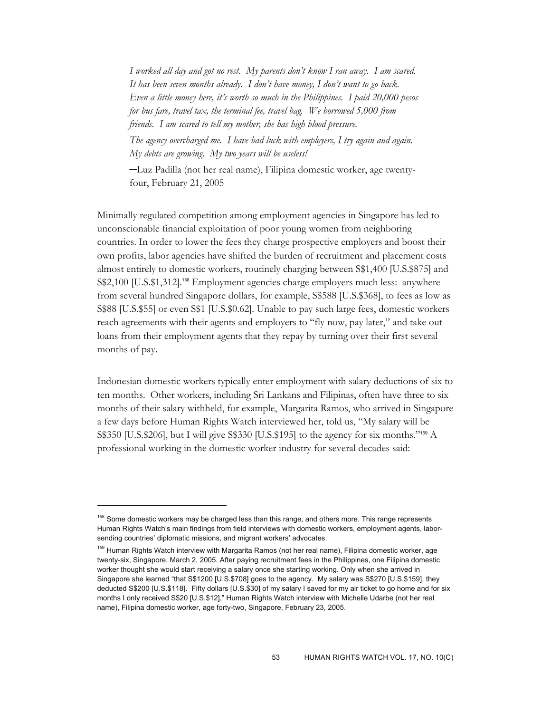*I worked all day and got no rest. My parents don't know I ran away. I am scared. It has been seven months already. I don't have money, I don't want to go back. Even a little money here, it's worth so much in the Philippines. I paid 20,000 pesos for bus fare, travel tax, the terminal fee, travel bag. We borrowed 5,000 from friends. I am scared to tell my mother, she has high blood pressure.* 

*The agency overcharged me. I have bad luck with employers, I try again and again. My debts are growing. My two years will be useless!* 

─Luz Padilla (not her real name), Filipina domestic worker, age twentyfour, February 21, 2005

Minimally regulated competition among employment agencies in Singapore has led to unconscionable financial exploitation of poor young women from neighboring countries. In order to lower the fees they charge prospective employers and boost their own profits, labor agencies have shifted the burden of recruitment and placement costs almost entirely to domestic workers, routinely charging between S\$1,400 [U.S.\$875] and S\$2,100 [U.S.\$1,312].<sup>158</sup> Employment agencies charge employers much less: anywhere from several hundred Singapore dollars, for example, S\$588 [U.S.\$368], to fees as low as S\$88 [U.S.\$55] or even S\$1 [U.S.\$0.62]. Unable to pay such large fees, domestic workers reach agreements with their agents and employers to "fly now, pay later," and take out loans from their employment agents that they repay by turning over their first several months of pay.

Indonesian domestic workers typically enter employment with salary deductions of six to ten months. Other workers, including Sri Lankans and Filipinas, often have three to six months of their salary withheld, for example, Margarita Ramos, who arrived in Singapore a few days before Human Rights Watch interviewed her, told us, "My salary will be S\$350 [U.S.\$206], but I will give S\$330 [U.S.\$195] to the agency for six months."<sup>159</sup> A professional working in the domestic worker industry for several decades said:

<sup>&</sup>lt;sup>158</sup> Some domestic workers may be charged less than this range, and others more. This range represents Human Rights Watch's main findings from field interviews with domestic workers, employment agents, laborsending countries' diplomatic missions, and migrant workers' advocates.

<sup>&</sup>lt;sup>159</sup> Human Rights Watch interview with Margarita Ramos (not her real name), Filipina domestic worker, age twenty-six, Singapore, March 2, 2005. After paying recruitment fees in the Philippines, one Filipina domestic worker thought she would start receiving a salary once she starting working. Only when she arrived in Singapore she learned "that S\$1200 [U.S.\$708] goes to the agency. My salary was S\$270 [U.S.\$159], they deducted S\$200 [U.S.\$118]. Fifty dollars [U.S.\$30] of my salary I saved for my air ticket to go home and for six months I only received S\$20 [U.S.\$12]," Human Rights Watch interview with Michelle Udarbe (not her real name), Filipina domestic worker, age forty-two, Singapore, February 23, 2005.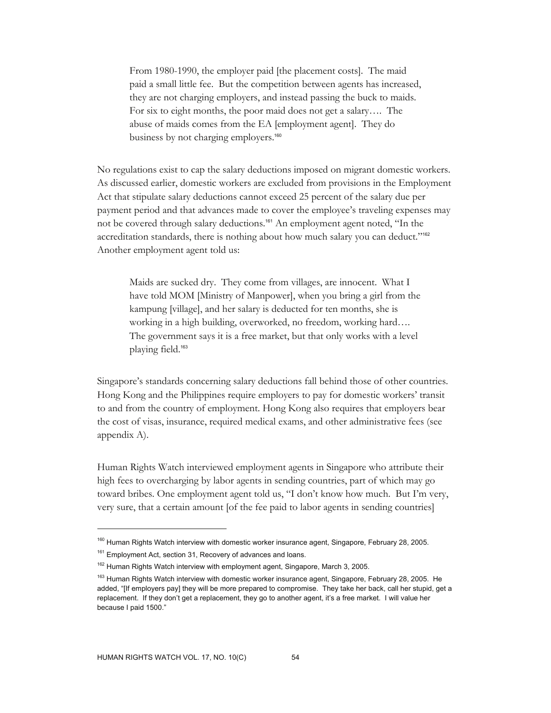From 1980-1990, the employer paid [the placement costs]. The maid paid a small little fee. But the competition between agents has increased, they are not charging employers, and instead passing the buck to maids. For six to eight months, the poor maid does not get a salary…. The abuse of maids comes from the EA [employment agent]. They do business by not charging employers.<sup>160</sup>

No regulations exist to cap the salary deductions imposed on migrant domestic workers. As discussed earlier, domestic workers are excluded from provisions in the Employment Act that stipulate salary deductions cannot exceed 25 percent of the salary due per payment period and that advances made to cover the employee's traveling expenses may not be covered through salary deductions.161 An employment agent noted, "In the accreditation standards, there is nothing about how much salary you can deduct."<sup>162</sup> Another employment agent told us:

Maids are sucked dry. They come from villages, are innocent. What I have told MOM [Ministry of Manpower], when you bring a girl from the kampung [village], and her salary is deducted for ten months, she is working in a high building, overworked, no freedom, working hard…. The government says it is a free market, but that only works with a level playing field.<sup>163</sup>

Singapore's standards concerning salary deductions fall behind those of other countries. Hong Kong and the Philippines require employers to pay for domestic workers' transit to and from the country of employment. Hong Kong also requires that employers bear the cost of visas, insurance, required medical exams, and other administrative fees (see appendix A).

Human Rights Watch interviewed employment agents in Singapore who attribute their high fees to overcharging by labor agents in sending countries, part of which may go toward bribes. One employment agent told us, "I don't know how much. But I'm very, very sure, that a certain amount [of the fee paid to labor agents in sending countries]

<sup>&</sup>lt;sup>160</sup> Human Rights Watch interview with domestic worker insurance agent, Singapore, February 28, 2005.

<sup>&</sup>lt;sup>161</sup> Employment Act, section 31, Recovery of advances and loans.

<sup>&</sup>lt;sup>162</sup> Human Rights Watch interview with employment agent, Singapore, March 3, 2005.

<sup>&</sup>lt;sup>163</sup> Human Rights Watch interview with domestic worker insurance agent, Singapore, February 28, 2005. He added, "[If employers pay] they will be more prepared to compromise. They take her back, call her stupid, get a replacement. If they don't get a replacement, they go to another agent, it's a free market. I will value her because I paid 1500."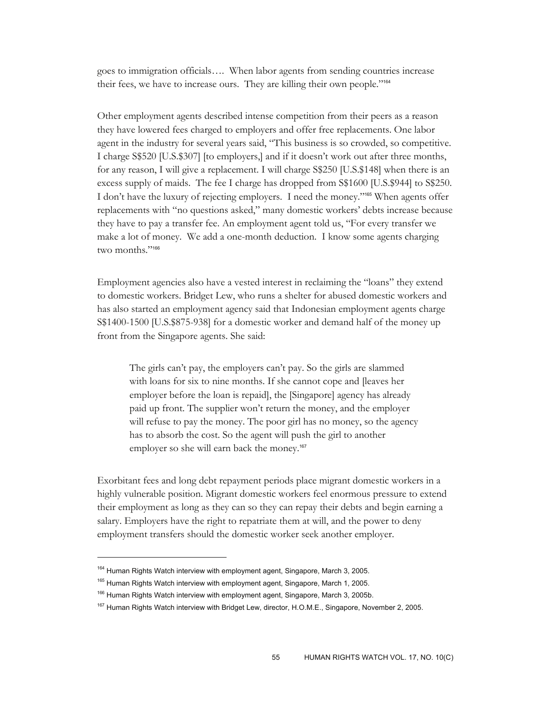goes to immigration officials…. When labor agents from sending countries increase their fees, we have to increase ours. They are killing their own people."<sup>164</sup>

Other employment agents described intense competition from their peers as a reason they have lowered fees charged to employers and offer free replacements. One labor agent in the industry for several years said, "This business is so crowded, so competitive. I charge S\$520 [U.S.\$307] [to employers,] and if it doesn't work out after three months, for any reason, I will give a replacement. I will charge S\$250 [U.S.\$148] when there is an excess supply of maids. The fee I charge has dropped from S\$1600 [U.S.\$944] to S\$250. I don't have the luxury of rejecting employers. I need the money."165 When agents offer replacements with "no questions asked," many domestic workers' debts increase because they have to pay a transfer fee. An employment agent told us, "For every transfer we make a lot of money. We add a one-month deduction. I know some agents charging two months."<sup>166</sup>

Employment agencies also have a vested interest in reclaiming the "loans" they extend to domestic workers. Bridget Lew, who runs a shelter for abused domestic workers and has also started an employment agency said that Indonesian employment agents charge S\$1400-1500 [U.S.\$875-938] for a domestic worker and demand half of the money up front from the Singapore agents. She said:

The girls can't pay, the employers can't pay. So the girls are slammed with loans for six to nine months. If she cannot cope and [leaves her employer before the loan is repaid], the [Singapore] agency has already paid up front. The supplier won't return the money, and the employer will refuse to pay the money. The poor girl has no money, so the agency has to absorb the cost. So the agent will push the girl to another employer so she will earn back the money.<sup>167</sup>

Exorbitant fees and long debt repayment periods place migrant domestic workers in a highly vulnerable position. Migrant domestic workers feel enormous pressure to extend their employment as long as they can so they can repay their debts and begin earning a salary. Employers have the right to repatriate them at will, and the power to deny employment transfers should the domestic worker seek another employer.

<sup>&</sup>lt;sup>164</sup> Human Rights Watch interview with employment agent, Singapore, March 3, 2005.

<sup>&</sup>lt;sup>165</sup> Human Rights Watch interview with employment agent, Singapore, March 1, 2005.

<sup>&</sup>lt;sup>166</sup> Human Rights Watch interview with employment agent, Singapore, March 3, 2005b.

<sup>&</sup>lt;sup>167</sup> Human Rights Watch interview with Bridget Lew, director, H.O.M.E., Singapore, November 2, 2005.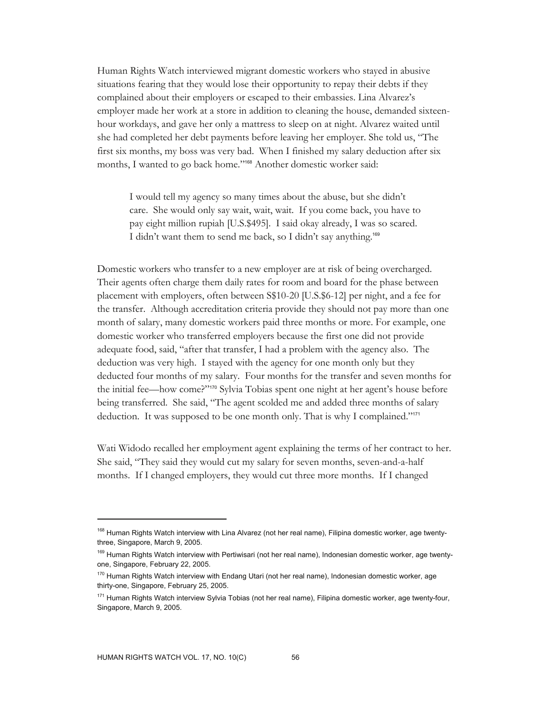Human Rights Watch interviewed migrant domestic workers who stayed in abusive situations fearing that they would lose their opportunity to repay their debts if they complained about their employers or escaped to their embassies. Lina Alvarez's employer made her work at a store in addition to cleaning the house, demanded sixteenhour workdays, and gave her only a mattress to sleep on at night. Alvarez waited until she had completed her debt payments before leaving her employer. She told us, "The first six months, my boss was very bad. When I finished my salary deduction after six months, I wanted to go back home."168 Another domestic worker said:

I would tell my agency so many times about the abuse, but she didn't care. She would only say wait, wait, wait. If you come back, you have to pay eight million rupiah [U.S.\$495]. I said okay already, I was so scared. I didn't want them to send me back, so I didn't say anything.<sup>169</sup>

Domestic workers who transfer to a new employer are at risk of being overcharged. Their agents often charge them daily rates for room and board for the phase between placement with employers, often between S\$10-20 [U.S.\$6-12] per night, and a fee for the transfer. Although accreditation criteria provide they should not pay more than one month of salary, many domestic workers paid three months or more. For example, one domestic worker who transferred employers because the first one did not provide adequate food, said, "after that transfer, I had a problem with the agency also. The deduction was very high. I stayed with the agency for one month only but they deducted four months of my salary. Four months for the transfer and seven months for the initial fee—how come?"170 Sylvia Tobias spent one night at her agent's house before being transferred. She said, "The agent scolded me and added three months of salary deduction. It was supposed to be one month only. That is why I complained."<sup>171</sup>

Wati Widodo recalled her employment agent explaining the terms of her contract to her. She said, "They said they would cut my salary for seven months, seven-and-a-half months. If I changed employers, they would cut three more months. If I changed

<sup>&</sup>lt;sup>168</sup> Human Rights Watch interview with Lina Alvarez (not her real name), Filipina domestic worker, age twentythree, Singapore, March 9, 2005.

<sup>&</sup>lt;sup>169</sup> Human Rights Watch interview with Pertiwisari (not her real name), Indonesian domestic worker, age twentyone, Singapore, February 22, 2005.

<sup>&</sup>lt;sup>170</sup> Human Rights Watch interview with Endang Utari (not her real name), Indonesian domestic worker, age thirty-one, Singapore, February 25, 2005.

 $171$  Human Rights Watch interview Sylvia Tobias (not her real name), Filipina domestic worker, age twenty-four, Singapore, March 9, 2005.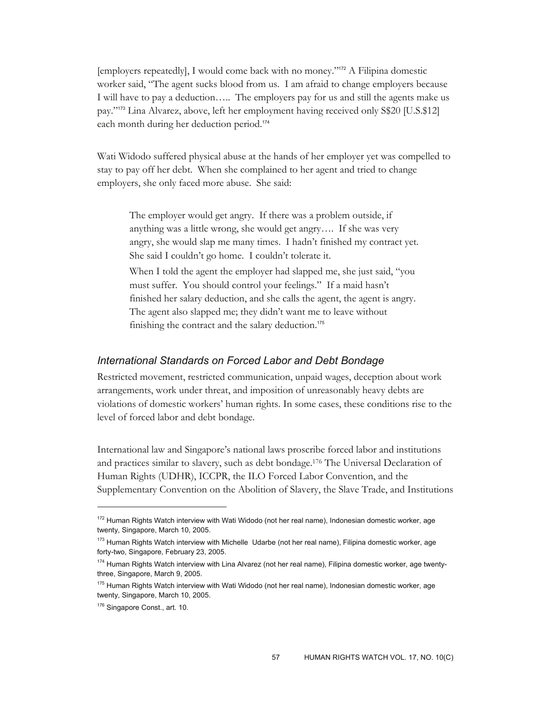[employers repeatedly], I would come back with no money."172 A Filipina domestic worker said, "The agent sucks blood from us. I am afraid to change employers because I will have to pay a deduction….. The employers pay for us and still the agents make us pay."173 Lina Alvarez, above, left her employment having received only S\$20 [U.S.\$12] each month during her deduction period.<sup>174</sup>

Wati Widodo suffered physical abuse at the hands of her employer yet was compelled to stay to pay off her debt. When she complained to her agent and tried to change employers, she only faced more abuse. She said:

The employer would get angry. If there was a problem outside, if anything was a little wrong, she would get angry…. If she was very angry, she would slap me many times. I hadn't finished my contract yet. She said I couldn't go home. I couldn't tolerate it.

When I told the agent the employer had slapped me, she just said, "you must suffer. You should control your feelings." If a maid hasn't finished her salary deduction, and she calls the agent, the agent is angry. The agent also slapped me; they didn't want me to leave without finishing the contract and the salary deduction.<sup>175</sup>

#### *International Standards on Forced Labor and Debt Bondage*

Restricted movement, restricted communication, unpaid wages, deception about work arrangements, work under threat, and imposition of unreasonably heavy debts are violations of domestic workers' human rights. In some cases, these conditions rise to the level of forced labor and debt bondage.

International law and Singapore's national laws proscribe forced labor and institutions and practices similar to slavery, such as debt bondage.176 The Universal Declaration of Human Rights (UDHR), ICCPR, the ILO Forced Labor Convention, and the Supplementary Convention on the Abolition of Slavery, the Slave Trade, and Institutions

<sup>&</sup>lt;sup>172</sup> Human Rights Watch interview with Wati Widodo (not her real name), Indonesian domestic worker, age twenty, Singapore, March 10, 2005.

<sup>&</sup>lt;sup>173</sup> Human Rights Watch interview with Michelle Udarbe (not her real name), Filipina domestic worker, age forty-two, Singapore, February 23, 2005.

<sup>&</sup>lt;sup>174</sup> Human Rights Watch interview with Lina Alvarez (not her real name), Filipina domestic worker, age twentythree, Singapore, March 9, 2005.

<sup>&</sup>lt;sup>175</sup> Human Rights Watch interview with Wati Widodo (not her real name), Indonesian domestic worker, age twenty, Singapore, March 10, 2005.

<sup>176</sup> Singapore Const., art. 10.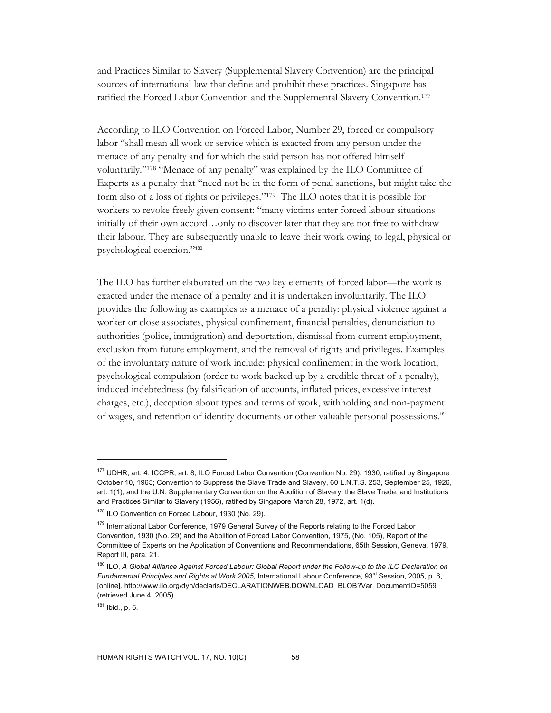and Practices Similar to Slavery (Supplemental Slavery Convention) are the principal sources of international law that define and prohibit these practices. Singapore has ratified the Forced Labor Convention and the Supplemental Slavery Convention.177

According to ILO Convention on Forced Labor, Number 29, forced or compulsory labor "shall mean all work or service which is exacted from any person under the menace of any penalty and for which the said person has not offered himself voluntarily."178 "Menace of any penalty" was explained by the ILO Committee of Experts as a penalty that "need not be in the form of penal sanctions, but might take the form also of a loss of rights or privileges."179 The ILO notes that it is possible for workers to revoke freely given consent: "many victims enter forced labour situations initially of their own accord…only to discover later that they are not free to withdraw their labour. They are subsequently unable to leave their work owing to legal, physical or psychological coercion."<sup>180</sup>

The ILO has further elaborated on the two key elements of forced labor—the work is exacted under the menace of a penalty and it is undertaken involuntarily. The ILO provides the following as examples as a menace of a penalty: physical violence against a worker or close associates, physical confinement, financial penalties, denunciation to authorities (police, immigration) and deportation, dismissal from current employment, exclusion from future employment, and the removal of rights and privileges. Examples of the involuntary nature of work include: physical confinement in the work location, psychological compulsion (order to work backed up by a credible threat of a penalty), induced indebtedness (by falsification of accounts, inflated prices, excessive interest charges, etc.), deception about types and terms of work, withholding and non-payment of wages, and retention of identity documents or other valuable personal possessions.<sup>181</sup>

<sup>177</sup> UDHR, art. 4; ICCPR, art. 8; ILO Forced Labor Convention (Convention No. 29), 1930, ratified by Singapore October 10, 1965; Convention to Suppress the Slave Trade and Slavery, 60 L.N.T.S. 253, September 25, 1926, art. 1(1); and the U.N. Supplementary Convention on the Abolition of Slavery, the Slave Trade, and Institutions and Practices Similar to Slavery (1956), ratified by Singapore March 28, 1972, art. 1(d).

<sup>178</sup> ILO Convention on Forced Labour, 1930 (No. 29).

<sup>&</sup>lt;sup>179</sup> International Labor Conference, 1979 General Survey of the Reports relating to the Forced Labor Convention, 1930 (No. 29) and the Abolition of Forced Labor Convention, 1975, (No. 105), Report of the Committee of Experts on the Application of Conventions and Recommendations, 65th Session, Geneva, 1979, Report III, para. 21.

<sup>180</sup> ILO, *A Global Alliance Against Forced Labour: Global Report under the Follow-up to the ILO Declaration on Fundamental Principles and Rights at Work 2005, International Labour Conference, 93<sup>rd</sup> Session, 2005, p. 6,* [online]*,* http://www.ilo.org/dyn/declaris/DECLARATIONWEB.DOWNLOAD\_BLOB?Var\_DocumentID=5059 (retrieved June 4, 2005).

<sup>181</sup> Ibid., p. 6.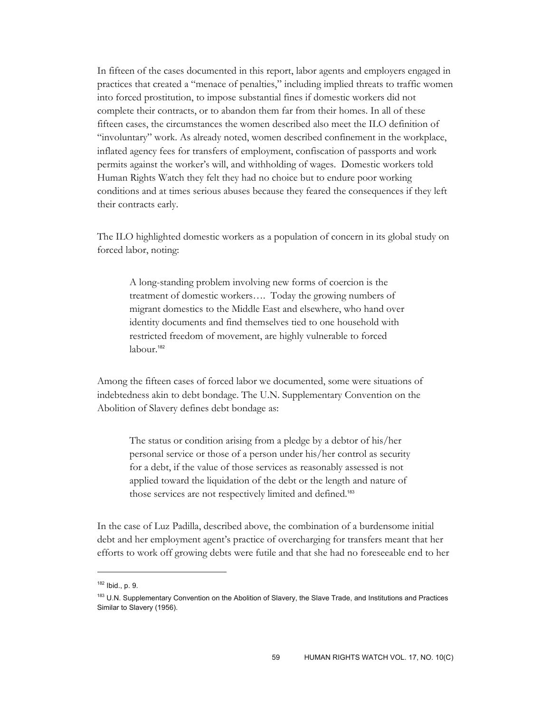In fifteen of the cases documented in this report, labor agents and employers engaged in practices that created a "menace of penalties," including implied threats to traffic women into forced prostitution, to impose substantial fines if domestic workers did not complete their contracts, or to abandon them far from their homes. In all of these fifteen cases, the circumstances the women described also meet the ILO definition of "involuntary" work. As already noted, women described confinement in the workplace, inflated agency fees for transfers of employment, confiscation of passports and work permits against the worker's will, and withholding of wages. Domestic workers told Human Rights Watch they felt they had no choice but to endure poor working conditions and at times serious abuses because they feared the consequences if they left their contracts early.

The ILO highlighted domestic workers as a population of concern in its global study on forced labor, noting:

A long-standing problem involving new forms of coercion is the treatment of domestic workers…. Today the growing numbers of migrant domestics to the Middle East and elsewhere, who hand over identity documents and find themselves tied to one household with restricted freedom of movement, are highly vulnerable to forced labour.<sup>182</sup>

Among the fifteen cases of forced labor we documented, some were situations of indebtedness akin to debt bondage. The U.N. Supplementary Convention on the Abolition of Slavery defines debt bondage as:

The status or condition arising from a pledge by a debtor of his/her personal service or those of a person under his/her control as security for a debt, if the value of those services as reasonably assessed is not applied toward the liquidation of the debt or the length and nature of those services are not respectively limited and defined.<sup>183</sup>

In the case of Luz Padilla, described above, the combination of a burdensome initial debt and her employment agent's practice of overcharging for transfers meant that her efforts to work off growing debts were futile and that she had no foreseeable end to her

<sup>182</sup> Ibid., p. 9.

<sup>183</sup> U.N. Supplementary Convention on the Abolition of Slavery, the Slave Trade, and Institutions and Practices Similar to Slavery (1956).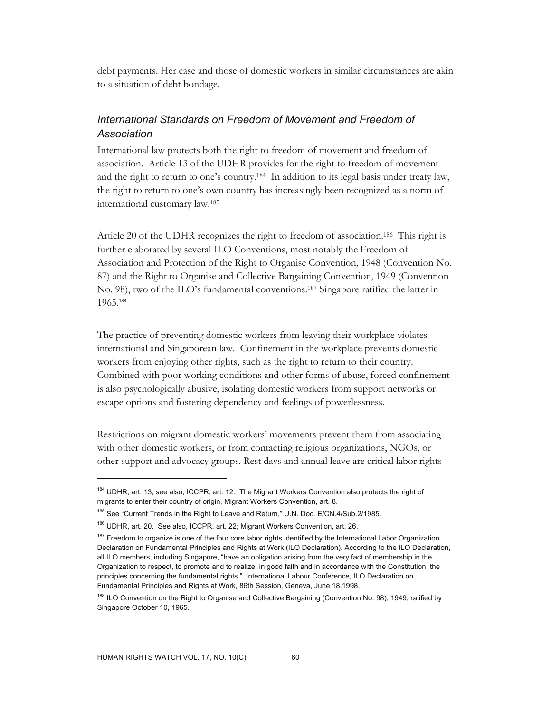debt payments. Her case and those of domestic workers in similar circumstances are akin to a situation of debt bondage.

# *International Standards on Freedom of Movement and Freedom of Association*

International law protects both the right to freedom of movement and freedom of association. Article 13 of the UDHR provides for the right to freedom of movement and the right to return to one's country.184 In addition to its legal basis under treaty law, the right to return to one's own country has increasingly been recognized as a norm of international customary law.185

Article 20 of the UDHR recognizes the right to freedom of association.186 This right is further elaborated by several ILO Conventions, most notably the Freedom of Association and Protection of the Right to Organise Convention, 1948 (Convention No. 87) and the Right to Organise and Collective Bargaining Convention, 1949 (Convention No. 98), two of the ILO's fundamental conventions.187 Singapore ratified the latter in 1965.<sup>188</sup>

The practice of preventing domestic workers from leaving their workplace violates international and Singaporean law. Confinement in the workplace prevents domestic workers from enjoying other rights, such as the right to return to their country. Combined with poor working conditions and other forms of abuse, forced confinement is also psychologically abusive, isolating domestic workers from support networks or escape options and fostering dependency and feelings of powerlessness.

Restrictions on migrant domestic workers' movements prevent them from associating with other domestic workers, or from contacting religious organizations, NGOs, or other support and advocacy groups. Rest days and annual leave are critical labor rights

<sup>184</sup> UDHR, art. 13; see also, ICCPR, art. 12. The Migrant Workers Convention also protects the right of migrants to enter their country of origin, Migrant Workers Convention, art. 8.

<sup>185</sup> See "Current Trends in the Right to Leave and Return," U.N. Doc. E/CN.4/Sub.2/1985.

<sup>186</sup> UDHR, art. 20. See also, ICCPR, art. 22; Migrant Workers Convention, art. 26.

<sup>&</sup>lt;sup>187</sup> Freedom to organize is one of the four core labor rights identified by the International Labor Organization Declaration on Fundamental Principles and Rights at Work (ILO Declaration). According to the ILO Declaration, all ILO members, including Singapore, "have an obligation arising from the very fact of membership in the Organization to respect, to promote and to realize, in good faith and in accordance with the Constitution, the principles concerning the fundamental rights." International Labour Conference, ILO Declaration on Fundamental Principles and Rights at Work, 86th Session, Geneva, June 18,1998.

<sup>&</sup>lt;sup>188</sup> ILO Convention on the Right to Organise and Collective Bargaining (Convention No. 98), 1949, ratified by Singapore October 10, 1965.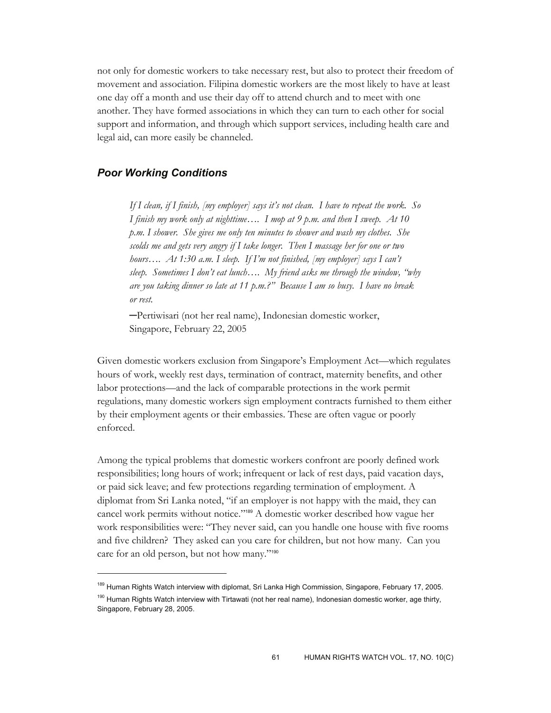not only for domestic workers to take necessary rest, but also to protect their freedom of movement and association. Filipina domestic workers are the most likely to have at least one day off a month and use their day off to attend church and to meet with one another. They have formed associations in which they can turn to each other for social support and information, and through which support services, including health care and legal aid, can more easily be channeled.

# *Poor Working Conditions*

 $\overline{a}$ 

*If I clean, if I finish, [my employer] says it's not clean. I have to repeat the work. So I finish my work only at nighttime…. I mop at 9 p.m. and then I sweep. At 10 p.m. I shower. She gives me only ten minutes to shower and wash my clothes. She scolds me and gets very angry if I take longer. Then I massage her for one or two hours…. At 1:30 a.m. I sleep. If I'm not finished, [my employer] says I can't sleep. Sometimes I don't eat lunch…. My friend asks me through the window, "why are you taking dinner so late at 11 p.m.?" Because I am so busy. I have no break or rest.* 

─Pertiwisari (not her real name), Indonesian domestic worker, Singapore, February 22, 2005

Given domestic workers exclusion from Singapore's Employment Act—which regulates hours of work, weekly rest days, termination of contract, maternity benefits, and other labor protections—and the lack of comparable protections in the work permit regulations, many domestic workers sign employment contracts furnished to them either by their employment agents or their embassies. These are often vague or poorly enforced.

Among the typical problems that domestic workers confront are poorly defined work responsibilities; long hours of work; infrequent or lack of rest days, paid vacation days, or paid sick leave; and few protections regarding termination of employment. A diplomat from Sri Lanka noted, "if an employer is not happy with the maid, they can cancel work permits without notice."189 A domestic worker described how vague her work responsibilities were: "They never said, can you handle one house with five rooms and five children? They asked can you care for children, but not how many. Can you care for an old person, but not how many."<sup>190</sup>

<sup>&</sup>lt;sup>189</sup> Human Rights Watch interview with diplomat, Sri Lanka High Commission, Singapore, February 17, 2005. <sup>190</sup> Human Rights Watch interview with Tirtawati (not her real name), Indonesian domestic worker, age thirty, Singapore, February 28, 2005.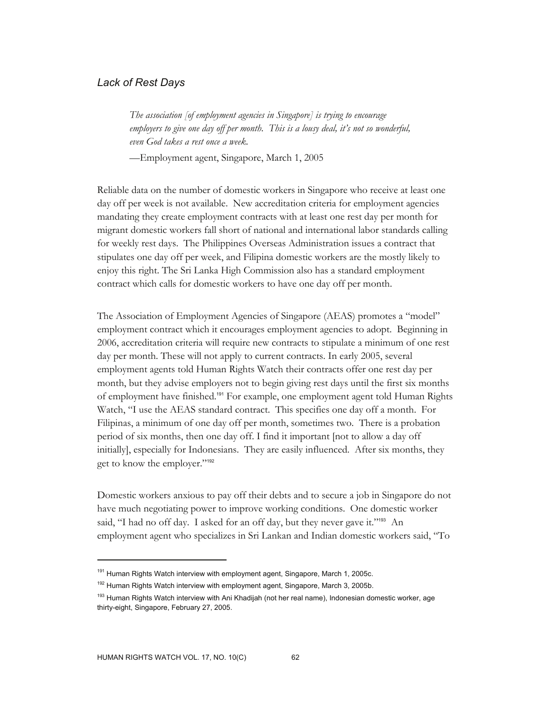# *Lack of Rest Days*

*The association [of employment agencies in Singapore] is trying to encourage employers to give one day off per month. This is a lousy deal, it's not so wonderful, even God takes a rest once a week.* 

—Employment agent, Singapore, March 1, 2005

Reliable data on the number of domestic workers in Singapore who receive at least one day off per week is not available. New accreditation criteria for employment agencies mandating they create employment contracts with at least one rest day per month for migrant domestic workers fall short of national and international labor standards calling for weekly rest days. The Philippines Overseas Administration issues a contract that stipulates one day off per week, and Filipina domestic workers are the mostly likely to enjoy this right. The Sri Lanka High Commission also has a standard employment contract which calls for domestic workers to have one day off per month.

The Association of Employment Agencies of Singapore (AEAS) promotes a "model" employment contract which it encourages employment agencies to adopt. Beginning in 2006, accreditation criteria will require new contracts to stipulate a minimum of one rest day per month. These will not apply to current contracts. In early 2005, several employment agents told Human Rights Watch their contracts offer one rest day per month, but they advise employers not to begin giving rest days until the first six months of employment have finished.191 For example, one employment agent told Human Rights Watch, "I use the AEAS standard contract. This specifies one day off a month. For Filipinas, a minimum of one day off per month, sometimes two. There is a probation period of six months, then one day off. I find it important [not to allow a day off initially], especially for Indonesians. They are easily influenced. After six months, they get to know the employer."<sup>192</sup>

Domestic workers anxious to pay off their debts and to secure a job in Singapore do not have much negotiating power to improve working conditions. One domestic worker said, "I had no off day. I asked for an off day, but they never gave it."<sup>193</sup> An employment agent who specializes in Sri Lankan and Indian domestic workers said, "To

<sup>&</sup>lt;sup>191</sup> Human Rights Watch interview with employment agent, Singapore, March 1, 2005c.

<sup>&</sup>lt;sup>192</sup> Human Rights Watch interview with employment agent, Singapore, March 3, 2005b.

<sup>&</sup>lt;sup>193</sup> Human Rights Watch interview with Ani Khadijah (not her real name), Indonesian domestic worker, age thirty-eight, Singapore, February 27, 2005.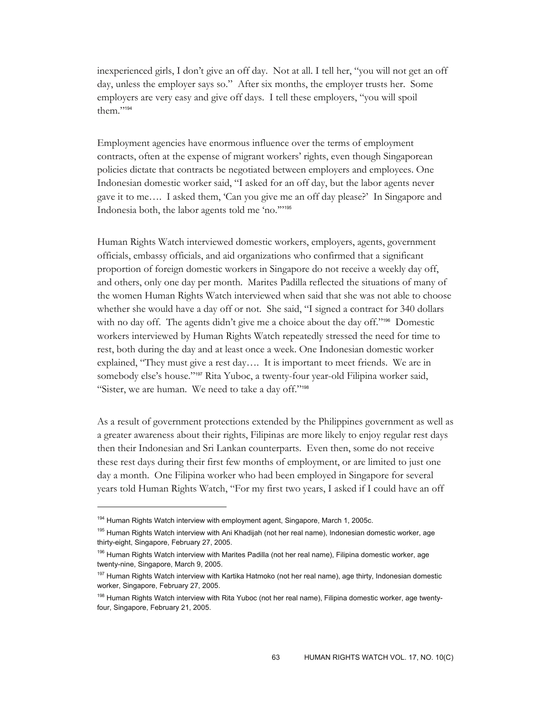inexperienced girls, I don't give an off day. Not at all. I tell her, "you will not get an off day, unless the employer says so." After six months, the employer trusts her. Some employers are very easy and give off days. I tell these employers, "you will spoil them."<sup>194</sup>

Employment agencies have enormous influence over the terms of employment contracts, often at the expense of migrant workers' rights, even though Singaporean policies dictate that contracts be negotiated between employers and employees. One Indonesian domestic worker said, "I asked for an off day, but the labor agents never gave it to me…. I asked them, 'Can you give me an off day please?' In Singapore and Indonesia both, the labor agents told me 'no.'"<sup>195</sup>

Human Rights Watch interviewed domestic workers, employers, agents, government officials, embassy officials, and aid organizations who confirmed that a significant proportion of foreign domestic workers in Singapore do not receive a weekly day off, and others, only one day per month. Marites Padilla reflected the situations of many of the women Human Rights Watch interviewed when said that she was not able to choose whether she would have a day off or not. She said, "I signed a contract for 340 dollars with no day off. The agents didn't give me a choice about the day off."<sup>196</sup> Domestic workers interviewed by Human Rights Watch repeatedly stressed the need for time to rest, both during the day and at least once a week. One Indonesian domestic worker explained, "They must give a rest day…. It is important to meet friends. We are in somebody else's house."<sup>197</sup> Rita Yuboc, a twenty-four year-old Filipina worker said, "Sister, we are human. We need to take a day off."<sup>198</sup>

As a result of government protections extended by the Philippines government as well as a greater awareness about their rights, Filipinas are more likely to enjoy regular rest days then their Indonesian and Sri Lankan counterparts. Even then, some do not receive these rest days during their first few months of employment, or are limited to just one day a month. One Filipina worker who had been employed in Singapore for several years told Human Rights Watch, "For my first two years, I asked if I could have an off

<sup>&</sup>lt;sup>194</sup> Human Rights Watch interview with employment agent, Singapore, March 1, 2005c.

<sup>&</sup>lt;sup>195</sup> Human Rights Watch interview with Ani Khadijah (not her real name), Indonesian domestic worker, age thirty-eight, Singapore, February 27, 2005.

<sup>&</sup>lt;sup>196</sup> Human Rights Watch interview with Marites Padilla (not her real name), Filipina domestic worker, age twenty-nine, Singapore, March 9, 2005.

<sup>&</sup>lt;sup>197</sup> Human Rights Watch interview with Kartika Hatmoko (not her real name), age thirty, Indonesian domestic worker, Singapore, February 27, 2005.

<sup>&</sup>lt;sup>198</sup> Human Rights Watch interview with Rita Yuboc (not her real name), Filipina domestic worker, age twentyfour, Singapore, February 21, 2005.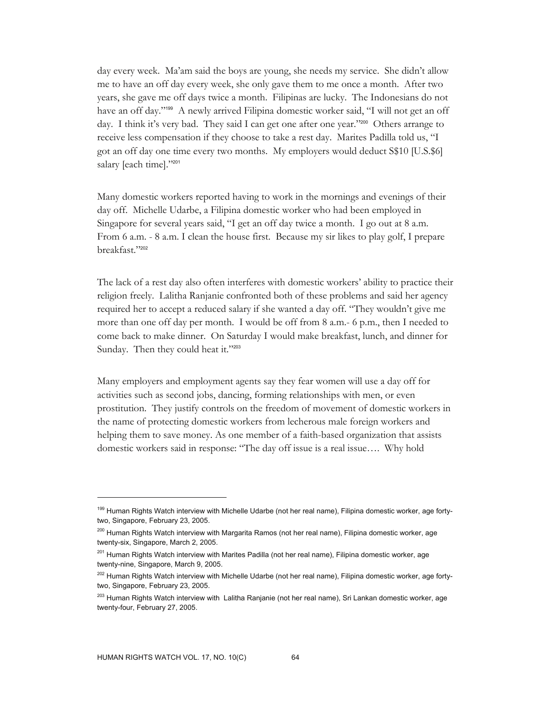day every week. Ma'am said the boys are young, she needs my service. She didn't allow me to have an off day every week, she only gave them to me once a month. After two years, she gave me off days twice a month. Filipinas are lucky. The Indonesians do not have an off day."199 A newly arrived Filipina domestic worker said, "I will not get an off day. I think it's very bad. They said I can get one after one year."200 Others arrange to receive less compensation if they choose to take a rest day. Marites Padilla told us, "I got an off day one time every two months. My employers would deduct S\$10 [U.S.\$6] salary [each time]."201

Many domestic workers reported having to work in the mornings and evenings of their day off. Michelle Udarbe, a Filipina domestic worker who had been employed in Singapore for several years said, "I get an off day twice a month. I go out at 8 a.m. From 6 a.m. - 8 a.m. I clean the house first. Because my sir likes to play golf, I prepare breakfast."202

The lack of a rest day also often interferes with domestic workers' ability to practice their religion freely. Lalitha Ranjanie confronted both of these problems and said her agency required her to accept a reduced salary if she wanted a day off. "They wouldn't give me more than one off day per month. I would be off from 8 a.m.- 6 p.m., then I needed to come back to make dinner. On Saturday I would make breakfast, lunch, and dinner for Sunday. Then they could heat it."203

Many employers and employment agents say they fear women will use a day off for activities such as second jobs, dancing, forming relationships with men, or even prostitution. They justify controls on the freedom of movement of domestic workers in the name of protecting domestic workers from lecherous male foreign workers and helping them to save money. As one member of a faith-based organization that assists domestic workers said in response: "The day off issue is a real issue…. Why hold

<sup>199</sup> Human Rights Watch interview with Michelle Udarbe (not her real name), Filipina domestic worker, age fortytwo, Singapore, February 23, 2005.

<sup>&</sup>lt;sup>200</sup> Human Rights Watch interview with Margarita Ramos (not her real name), Filipina domestic worker, age twenty-six, Singapore, March 2, 2005.

<sup>&</sup>lt;sup>201</sup> Human Rights Watch interview with Marites Padilla (not her real name), Filipina domestic worker, age twenty-nine, Singapore, March 9, 2005.

<sup>&</sup>lt;sup>202</sup> Human Rights Watch interview with Michelle Udarbe (not her real name), Filipina domestic worker, age fortytwo, Singapore, February 23, 2005.

<sup>&</sup>lt;sup>203</sup> Human Rights Watch interview with Lalitha Ranjanie (not her real name), Sri Lankan domestic worker, age twenty-four, February 27, 2005.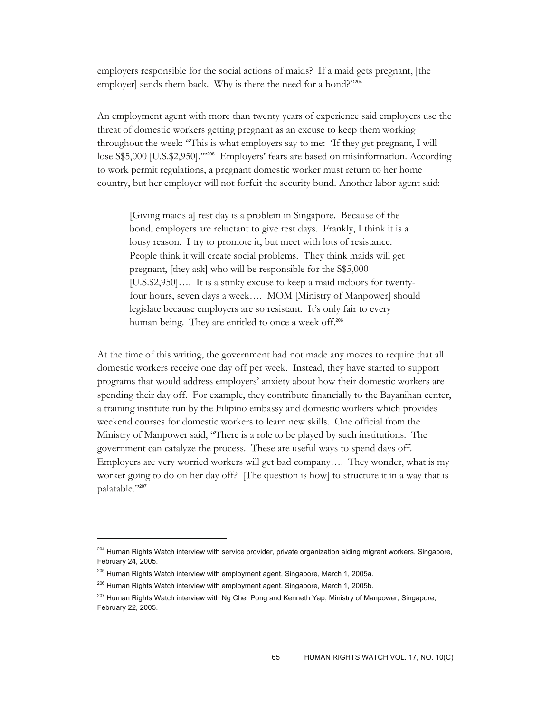employers responsible for the social actions of maids? If a maid gets pregnant, [the employer] sends them back. Why is there the need for a bond?"204

An employment agent with more than twenty years of experience said employers use the threat of domestic workers getting pregnant as an excuse to keep them working throughout the week: "This is what employers say to me: 'If they get pregnant, I will lose S\$5,000 [U.S.\$2,950]."<sup>205</sup> Employers' fears are based on misinformation. According to work permit regulations, a pregnant domestic worker must return to her home country, but her employer will not forfeit the security bond. Another labor agent said:

[Giving maids a] rest day is a problem in Singapore. Because of the bond, employers are reluctant to give rest days. Frankly, I think it is a lousy reason. I try to promote it, but meet with lots of resistance. People think it will create social problems. They think maids will get pregnant, [they ask] who will be responsible for the S\$5,000 [U.S.\$2,950]…. It is a stinky excuse to keep a maid indoors for twentyfour hours, seven days a week…. MOM [Ministry of Manpower] should legislate because employers are so resistant. It's only fair to every human being. They are entitled to once a week off.<sup>206</sup>

At the time of this writing, the government had not made any moves to require that all domestic workers receive one day off per week. Instead, they have started to support programs that would address employers' anxiety about how their domestic workers are spending their day off. For example, they contribute financially to the Bayanihan center, a training institute run by the Filipino embassy and domestic workers which provides weekend courses for domestic workers to learn new skills. One official from the Ministry of Manpower said, "There is a role to be played by such institutions. The government can catalyze the process. These are useful ways to spend days off. Employers are very worried workers will get bad company…. They wonder, what is my worker going to do on her day off? [The question is how] to structure it in a way that is palatable."<sup>207</sup>

<sup>&</sup>lt;sup>204</sup> Human Rights Watch interview with service provider, private organization aiding migrant workers, Singapore, February 24, 2005.

<sup>&</sup>lt;sup>205</sup> Human Rights Watch interview with employment agent, Singapore, March 1, 2005a.

<sup>&</sup>lt;sup>206</sup> Human Rights Watch interview with employment agent. Singapore, March 1, 2005b.

<sup>&</sup>lt;sup>207</sup> Human Rights Watch interview with Ng Cher Pong and Kenneth Yap, Ministry of Manpower, Singapore, February 22, 2005.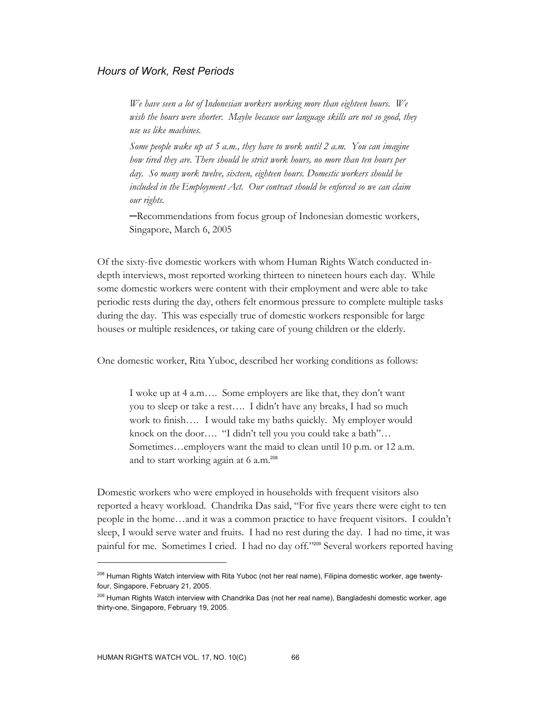# *Hours of Work, Rest Periods*

*We have seen a lot of Indonesian workers working more than eighteen hours. We wish the hours were shorter. Maybe because our language skills are not so good, they use us like machines.* 

*Some people wake up at 5 a.m., they have to work until 2 a.m. You can imagine how tired they are. There should be strict work hours, no more than ten hours per day. So many work twelve, sixteen, eighteen hours. Domestic workers should be included in the Employment Act. Our contract should be enforced so we can claim our rights.* 

─Recommendations from focus group of Indonesian domestic workers, Singapore, March 6, 2005

Of the sixty-five domestic workers with whom Human Rights Watch conducted indepth interviews, most reported working thirteen to nineteen hours each day. While some domestic workers were content with their employment and were able to take periodic rests during the day, others felt enormous pressure to complete multiple tasks during the day. This was especially true of domestic workers responsible for large houses or multiple residences, or taking care of young children or the elderly.

One domestic worker, Rita Yuboc, described her working conditions as follows:

I woke up at 4 a.m…. Some employers are like that, they don't want you to sleep or take a rest…. I didn't have any breaks, I had so much work to finish…. I would take my baths quickly. My employer would knock on the door…. "I didn't tell you you could take a bath"… Sometimes…employers want the maid to clean until 10 p.m. or 12 a.m. and to start working again at 6 a.m.<sup>208</sup>

Domestic workers who were employed in households with frequent visitors also reported a heavy workload. Chandrika Das said, "For five years there were eight to ten people in the home…and it was a common practice to have frequent visitors. I couldn't sleep, I would serve water and fruits. I had no rest during the day. I had no time, it was painful for me. Sometimes I cried. I had no day off."209 Several workers reported having

<sup>&</sup>lt;sup>208</sup> Human Rights Watch interview with Rita Yuboc (not her real name), Filipina domestic worker, age twentyfour, Singapore, February 21, 2005.

<sup>&</sup>lt;sup>209</sup> Human Rights Watch interview with Chandrika Das (not her real name), Bangladeshi domestic worker, age thirty-one, Singapore, February 19, 2005.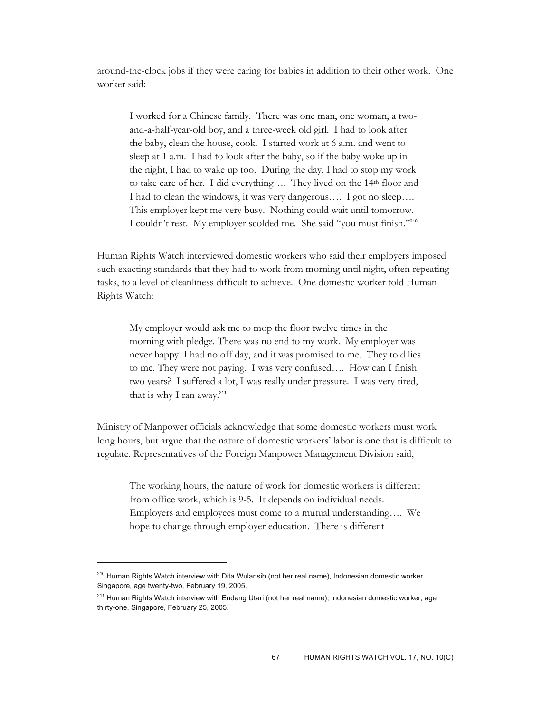around-the-clock jobs if they were caring for babies in addition to their other work. One worker said:

I worked for a Chinese family. There was one man, one woman, a twoand-a-half-year-old boy, and a three-week old girl. I had to look after the baby, clean the house, cook. I started work at 6 a.m. and went to sleep at 1 a.m. I had to look after the baby, so if the baby woke up in the night, I had to wake up too. During the day, I had to stop my work to take care of her. I did everything…. They lived on the 14th floor and I had to clean the windows, it was very dangerous…. I got no sleep…. This employer kept me very busy. Nothing could wait until tomorrow. I couldn't rest. My employer scolded me. She said "you must finish."<sup>210</sup>

Human Rights Watch interviewed domestic workers who said their employers imposed such exacting standards that they had to work from morning until night, often repeating tasks, to a level of cleanliness difficult to achieve. One domestic worker told Human Rights Watch:

My employer would ask me to mop the floor twelve times in the morning with pledge. There was no end to my work. My employer was never happy. I had no off day, and it was promised to me. They told lies to me. They were not paying. I was very confused…. How can I finish two years? I suffered a lot, I was really under pressure. I was very tired, that is why I ran away. $211$ 

Ministry of Manpower officials acknowledge that some domestic workers must work long hours, but argue that the nature of domestic workers' labor is one that is difficult to regulate. Representatives of the Foreign Manpower Management Division said,

The working hours, the nature of work for domestic workers is different from office work, which is 9-5. It depends on individual needs. Employers and employees must come to a mutual understanding…. We hope to change through employer education. There is different

<sup>&</sup>lt;sup>210</sup> Human Rights Watch interview with Dita Wulansih (not her real name), Indonesian domestic worker, Singapore, age twenty-two, February 19, 2005.

<sup>&</sup>lt;sup>211</sup> Human Rights Watch interview with Endang Utari (not her real name), Indonesian domestic worker, age thirty-one, Singapore, February 25, 2005.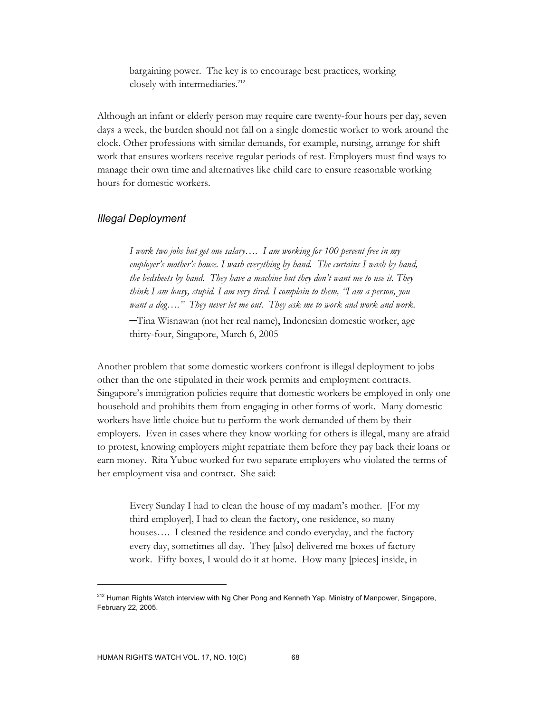bargaining power. The key is to encourage best practices, working closely with intermediaries.<sup>212</sup>

Although an infant or elderly person may require care twenty-four hours per day, seven days a week, the burden should not fall on a single domestic worker to work around the clock. Other professions with similar demands, for example, nursing, arrange for shift work that ensures workers receive regular periods of rest. Employers must find ways to manage their own time and alternatives like child care to ensure reasonable working hours for domestic workers.

# *Illegal Deployment*

*I work two jobs but get one salary…. I am working for 100 percent free in my employer's mother's house. I wash everything by hand. The curtains I wash by hand, the bedsheets by hand. They have a machine but they don't want me to use it. They think I am lousy, stupid. I am very tired. I complain to them, "I am a person, you want a dog…." They never let me out. They ask me to work and work and work.*  ─Tina Wisnawan (not her real name), Indonesian domestic worker, age thirty-four, Singapore, March 6, 2005

Another problem that some domestic workers confront is illegal deployment to jobs other than the one stipulated in their work permits and employment contracts. Singapore's immigration policies require that domestic workers be employed in only one household and prohibits them from engaging in other forms of work. Many domestic workers have little choice but to perform the work demanded of them by their employers. Even in cases where they know working for others is illegal, many are afraid to protest, knowing employers might repatriate them before they pay back their loans or earn money. Rita Yuboc worked for two separate employers who violated the terms of her employment visa and contract. She said:

Every Sunday I had to clean the house of my madam's mother. [For my third employer], I had to clean the factory, one residence, so many houses.... I cleaned the residence and condo everyday, and the factory every day, sometimes all day. They [also] delivered me boxes of factory work. Fifty boxes, I would do it at home. How many [pieces] inside, in

<sup>&</sup>lt;sup>212</sup> Human Rights Watch interview with Ng Cher Pong and Kenneth Yap, Ministry of Manpower, Singapore, February 22, 2005.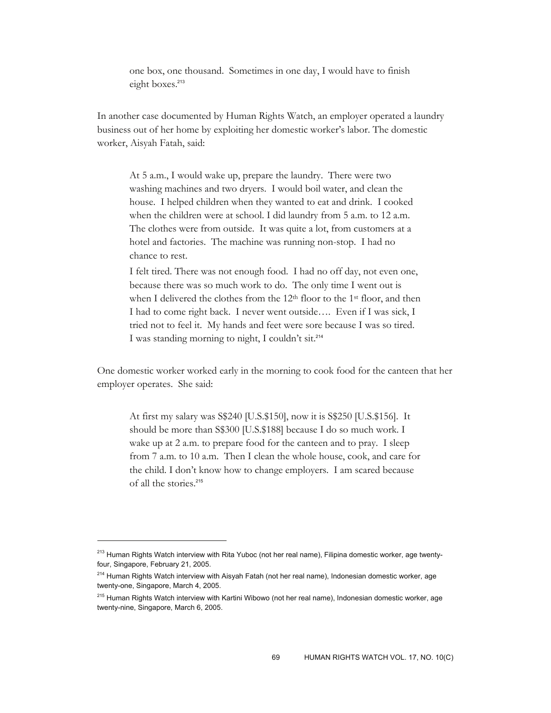one box, one thousand. Sometimes in one day, I would have to finish eight boxes.<sup>213</sup>

In another case documented by Human Rights Watch, an employer operated a laundry business out of her home by exploiting her domestic worker's labor. The domestic worker, Aisyah Fatah, said:

At 5 a.m., I would wake up, prepare the laundry. There were two washing machines and two dryers. I would boil water, and clean the house. I helped children when they wanted to eat and drink. I cooked when the children were at school. I did laundry from 5 a.m. to 12 a.m. The clothes were from outside. It was quite a lot, from customers at a hotel and factories. The machine was running non-stop. I had no chance to rest.

I felt tired. There was not enough food. I had no off day, not even one, because there was so much work to do. The only time I went out is when I delivered the clothes from the 12<sup>th</sup> floor to the 1<sup>st</sup> floor, and then I had to come right back. I never went outside…. Even if I was sick, I tried not to feel it. My hands and feet were sore because I was so tired. I was standing morning to night, I couldn't sit.<sup>214</sup>

One domestic worker worked early in the morning to cook food for the canteen that her employer operates. She said:

At first my salary was S\$240 [U.S.\$150], now it is S\$250 [U.S.\$156]. It should be more than S\$300 [U.S.\$188] because I do so much work. I wake up at 2 a.m. to prepare food for the canteen and to pray. I sleep from 7 a.m. to 10 a.m. Then I clean the whole house, cook, and care for the child. I don't know how to change employers. I am scared because of all the stories.<sup>215</sup>

<sup>&</sup>lt;sup>213</sup> Human Rights Watch interview with Rita Yuboc (not her real name), Filipina domestic worker, age twentyfour, Singapore, February 21, 2005.

<sup>&</sup>lt;sup>214</sup> Human Rights Watch interview with Aisyah Fatah (not her real name), Indonesian domestic worker, age twenty-one, Singapore, March 4, 2005.

<sup>&</sup>lt;sup>215</sup> Human Rights Watch interview with Kartini Wibowo (not her real name), Indonesian domestic worker, age twenty-nine, Singapore, March 6, 2005.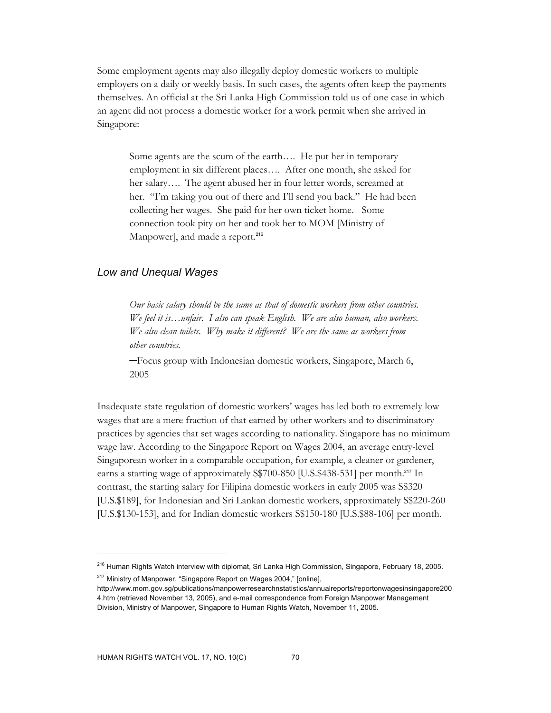Some employment agents may also illegally deploy domestic workers to multiple employers on a daily or weekly basis. In such cases, the agents often keep the payments themselves. An official at the Sri Lanka High Commission told us of one case in which an agent did not process a domestic worker for a work permit when she arrived in Singapore:

Some agents are the scum of the earth…. He put her in temporary employment in six different places…. After one month, she asked for her salary…. The agent abused her in four letter words, screamed at her. "I'm taking you out of there and I'll send you back." He had been collecting her wages. She paid for her own ticket home. Some connection took pity on her and took her to MOM [Ministry of Manpower], and made a report.<sup>216</sup>

### *Low and Unequal Wages*

*Our basic salary should be the same as that of domestic workers from other countries. We feel it is…unfair. I also can speak English. We are also human, also workers. We also clean toilets. Why make it different? We are the same as workers from other countries.* 

─Focus group with Indonesian domestic workers, Singapore, March 6, 2005

Inadequate state regulation of domestic workers' wages has led both to extremely low wages that are a mere fraction of that earned by other workers and to discriminatory practices by agencies that set wages according to nationality. Singapore has no minimum wage law. According to the Singapore Report on Wages 2004, an average entry-level Singaporean worker in a comparable occupation, for example, a cleaner or gardener, earns a starting wage of approximately S\$700-850 [U.S.\$438-531] per month.<sup>217</sup> In contrast, the starting salary for Filipina domestic workers in early 2005 was S\$320 [U.S.\$189], for Indonesian and Sri Lankan domestic workers, approximately S\$220-260 [U.S.\$130-153], and for Indian domestic workers S\$150-180 [U.S.\$88-106] per month.

<sup>217</sup> Ministry of Manpower, "Singapore Report on Wages 2004," [online],

<sup>&</sup>lt;sup>216</sup> Human Rights Watch interview with diplomat, Sri Lanka High Commission, Singapore, February 18, 2005.

http://www.mom.gov.sg/publications/manpowerresearchnstatistics/annualreports/reportonwagesinsingapore200 4.htm (retrieved November 13, 2005), and e-mail correspondence from Foreign Manpower Management Division, Ministry of Manpower, Singapore to Human Rights Watch, November 11, 2005.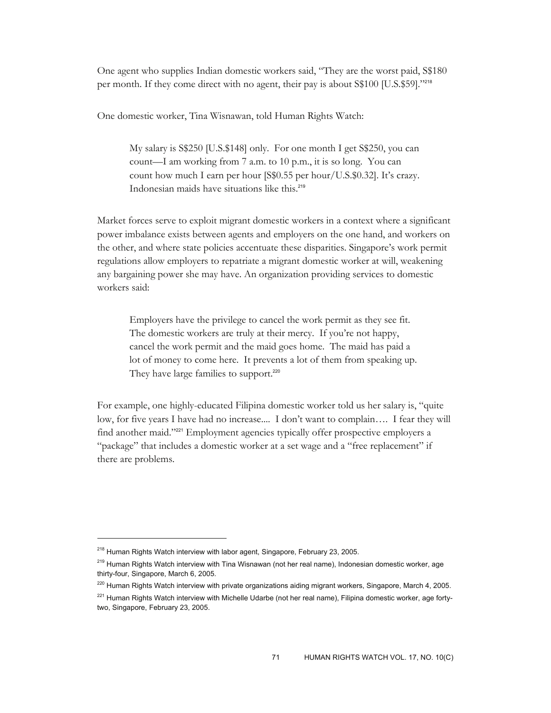One agent who supplies Indian domestic workers said, "They are the worst paid, S\$180 per month. If they come direct with no agent, their pay is about S\$100 [U.S.\$59]."<sup>218</sup>

One domestic worker, Tina Wisnawan, told Human Rights Watch:

My salary is S\$250 [U.S.\$148] only. For one month I get S\$250, you can count—I am working from 7 a.m. to 10 p.m., it is so long. You can count how much I earn per hour [S\$0.55 per hour/U.S.\$0.32]. It's crazy. Indonesian maids have situations like this.<sup>219</sup>

Market forces serve to exploit migrant domestic workers in a context where a significant power imbalance exists between agents and employers on the one hand, and workers on the other, and where state policies accentuate these disparities. Singapore's work permit regulations allow employers to repatriate a migrant domestic worker at will, weakening any bargaining power she may have. An organization providing services to domestic workers said:

Employers have the privilege to cancel the work permit as they see fit. The domestic workers are truly at their mercy. If you're not happy, cancel the work permit and the maid goes home. The maid has paid a lot of money to come here. It prevents a lot of them from speaking up. They have large families to support.<sup>220</sup>

For example, one highly-educated Filipina domestic worker told us her salary is, "quite low, for five years I have had no increase.... I don't want to complain…. I fear they will find another maid."<sup>221</sup> Employment agencies typically offer prospective employers a "package" that includes a domestic worker at a set wage and a "free replacement" if there are problems.

<sup>&</sup>lt;sup>218</sup> Human Rights Watch interview with labor agent, Singapore, February 23, 2005.

<sup>&</sup>lt;sup>219</sup> Human Rights Watch interview with Tina Wisnawan (not her real name), Indonesian domestic worker, age thirty-four, Singapore, March 6, 2005.

<sup>&</sup>lt;sup>220</sup> Human Rights Watch interview with private organizations aiding migrant workers, Singapore, March 4, 2005.

<sup>&</sup>lt;sup>221</sup> Human Rights Watch interview with Michelle Udarbe (not her real name), Filipina domestic worker, age fortytwo, Singapore, February 23, 2005.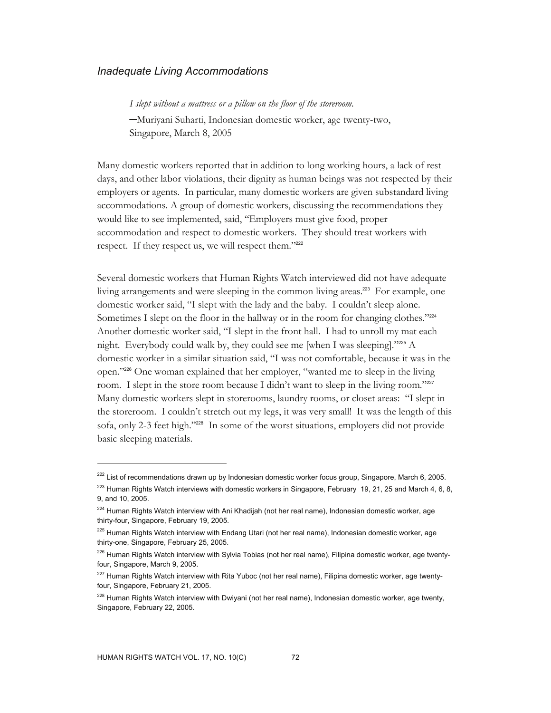#### *Inadequate Living Accommodations*

*I slept without a mattress or a pillow on the floor of the storeroom.*  ─Muriyani Suharti, Indonesian domestic worker, age twenty-two, Singapore, March 8, 2005

Many domestic workers reported that in addition to long working hours, a lack of rest days, and other labor violations, their dignity as human beings was not respected by their employers or agents. In particular, many domestic workers are given substandard living accommodations. A group of domestic workers, discussing the recommendations they would like to see implemented, said, "Employers must give food, proper accommodation and respect to domestic workers. They should treat workers with respect. If they respect us, we will respect them."222

Several domestic workers that Human Rights Watch interviewed did not have adequate living arrangements and were sleeping in the common living areas.<sup>223</sup> For example, one domestic worker said, "I slept with the lady and the baby. I couldn't sleep alone. Sometimes I slept on the floor in the hallway or in the room for changing clothes."224 Another domestic worker said, "I slept in the front hall. I had to unroll my mat each night. Everybody could walk by, they could see me [when I was sleeping]."225 A domestic worker in a similar situation said, "I was not comfortable, because it was in the open."226 One woman explained that her employer, "wanted me to sleep in the living room. I slept in the store room because I didn't want to sleep in the living room."227 Many domestic workers slept in storerooms, laundry rooms, or closet areas: "I slept in the storeroom. I couldn't stretch out my legs, it was very small! It was the length of this sofa, only 2-3 feet high."228 In some of the worst situations, employers did not provide basic sleeping materials.

 $222$  List of recommendations drawn up by Indonesian domestic worker focus group, Singapore, March 6, 2005.

<sup>&</sup>lt;sup>223</sup> Human Rights Watch interviews with domestic workers in Singapore, February 19, 21, 25 and March 4, 6, 8, 9, and 10, 2005.

<sup>&</sup>lt;sup>224</sup> Human Rights Watch interview with Ani Khadijah (not her real name), Indonesian domestic worker, age thirty-four, Singapore, February 19, 2005.

<sup>&</sup>lt;sup>225</sup> Human Rights Watch interview with Endang Utari (not her real name), Indonesian domestic worker, age thirty-one, Singapore, February 25, 2005.

<sup>&</sup>lt;sup>226</sup> Human Rights Watch interview with Sylvia Tobias (not her real name), Filipina domestic worker, age twentyfour, Singapore, March 9, 2005.

<sup>&</sup>lt;sup>227</sup> Human Rights Watch interview with Rita Yuboc (not her real name), Filipina domestic worker, age twentyfour, Singapore, February 21, 2005.

<sup>&</sup>lt;sup>228</sup> Human Rights Watch interview with Dwiyani (not her real name), Indonesian domestic worker, age twenty, Singapore, February 22, 2005.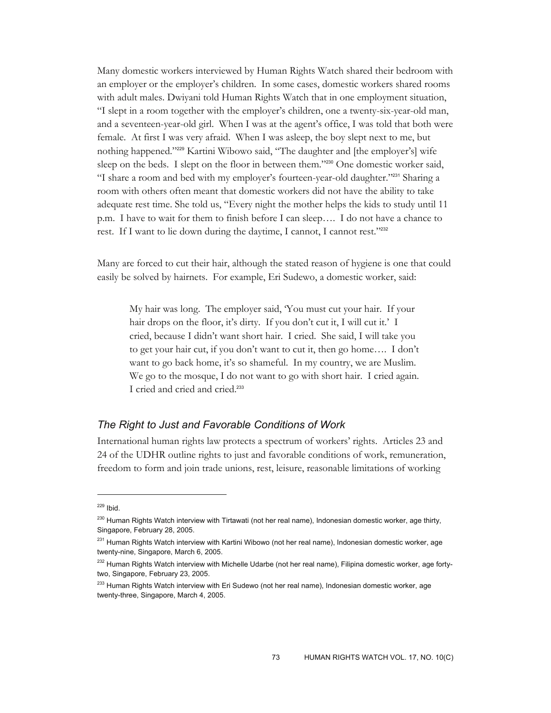Many domestic workers interviewed by Human Rights Watch shared their bedroom with an employer or the employer's children. In some cases, domestic workers shared rooms with adult males. Dwiyani told Human Rights Watch that in one employment situation, "I slept in a room together with the employer's children, one a twenty-six-year-old man, and a seventeen-year-old girl. When I was at the agent's office, I was told that both were female. At first I was very afraid. When I was asleep, the boy slept next to me, but nothing happened."229 Kartini Wibowo said, "The daughter and [the employer's] wife sleep on the beds. I slept on the floor in between them."230 One domestic worker said, "I share a room and bed with my employer's fourteen-year-old daughter."231 Sharing a room with others often meant that domestic workers did not have the ability to take adequate rest time. She told us, "Every night the mother helps the kids to study until 11 p.m. I have to wait for them to finish before I can sleep…. I do not have a chance to rest. If I want to lie down during the daytime, I cannot, I cannot rest."232

Many are forced to cut their hair, although the stated reason of hygiene is one that could easily be solved by hairnets. For example, Eri Sudewo, a domestic worker, said:

My hair was long. The employer said, 'You must cut your hair. If your hair drops on the floor, it's dirty. If you don't cut it, I will cut it.' I cried, because I didn't want short hair. I cried. She said, I will take you to get your hair cut, if you don't want to cut it, then go home…. I don't want to go back home, it's so shameful. In my country, we are Muslim. We go to the mosque, I do not want to go with short hair. I cried again. I cried and cried and cried.<sup>233</sup>

# *The Right to Just and Favorable Conditions of Work*

International human rights law protects a spectrum of workers' rights. Articles 23 and 24 of the UDHR outline rights to just and favorable conditions of work, remuneration, freedom to form and join trade unions, rest, leisure, reasonable limitations of working

 $229$  Ibid.

<sup>&</sup>lt;sup>230</sup> Human Rights Watch interview with Tirtawati (not her real name), Indonesian domestic worker, age thirty, Singapore, February 28, 2005.

<sup>&</sup>lt;sup>231</sup> Human Rights Watch interview with Kartini Wibowo (not her real name), Indonesian domestic worker, age twenty-nine, Singapore, March 6, 2005.

<sup>&</sup>lt;sup>232</sup> Human Rights Watch interview with Michelle Udarbe (not her real name), Filipina domestic worker, age fortytwo, Singapore, February 23, 2005.

<sup>&</sup>lt;sup>233</sup> Human Rights Watch interview with Eri Sudewo (not her real name), Indonesian domestic worker, age twenty-three, Singapore, March 4, 2005.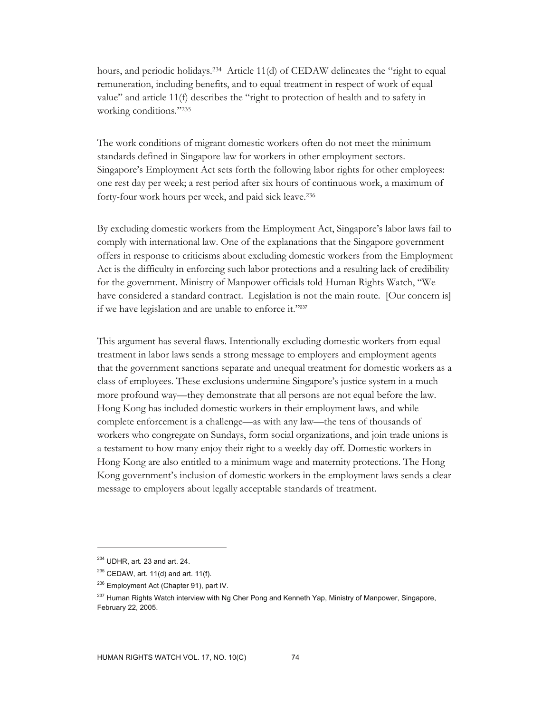hours, and periodic holidays.234 Article 11(d) of CEDAW delineates the "right to equal remuneration, including benefits, and to equal treatment in respect of work of equal value" and article 11(f) describes the "right to protection of health and to safety in working conditions."235

The work conditions of migrant domestic workers often do not meet the minimum standards defined in Singapore law for workers in other employment sectors. Singapore's Employment Act sets forth the following labor rights for other employees: one rest day per week; a rest period after six hours of continuous work, a maximum of forty-four work hours per week, and paid sick leave.236

By excluding domestic workers from the Employment Act, Singapore's labor laws fail to comply with international law. One of the explanations that the Singapore government offers in response to criticisms about excluding domestic workers from the Employment Act is the difficulty in enforcing such labor protections and a resulting lack of credibility for the government. Ministry of Manpower officials told Human Rights Watch, "We have considered a standard contract. Legislation is not the main route. [Our concern is] if we have legislation and are unable to enforce it."237

This argument has several flaws. Intentionally excluding domestic workers from equal treatment in labor laws sends a strong message to employers and employment agents that the government sanctions separate and unequal treatment for domestic workers as a class of employees. These exclusions undermine Singapore's justice system in a much more profound way—they demonstrate that all persons are not equal before the law. Hong Kong has included domestic workers in their employment laws, and while complete enforcement is a challenge—as with any law—the tens of thousands of workers who congregate on Sundays, form social organizations, and join trade unions is a testament to how many enjoy their right to a weekly day off. Domestic workers in Hong Kong are also entitled to a minimum wage and maternity protections. The Hong Kong government's inclusion of domestic workers in the employment laws sends a clear message to employers about legally acceptable standards of treatment.

<sup>234</sup> UDHR, art. 23 and art. 24.

 $235$  CEDAW, art. 11(d) and art. 11(f).

<sup>&</sup>lt;sup>236</sup> Employment Act (Chapter 91), part IV.

<sup>&</sup>lt;sup>237</sup> Human Rights Watch interview with Ng Cher Pong and Kenneth Yap, Ministry of Manpower, Singapore, February 22, 2005.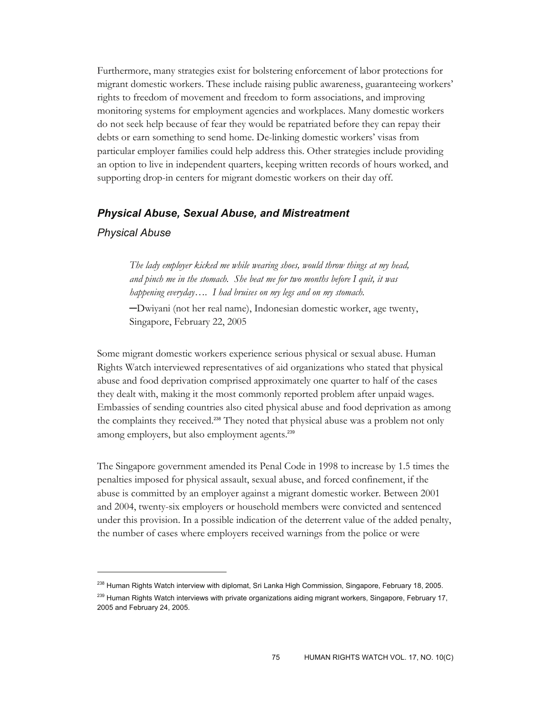Furthermore, many strategies exist for bolstering enforcement of labor protections for migrant domestic workers. These include raising public awareness, guaranteeing workers' rights to freedom of movement and freedom to form associations, and improving monitoring systems for employment agencies and workplaces. Many domestic workers do not seek help because of fear they would be repatriated before they can repay their debts or earn something to send home. De-linking domestic workers' visas from particular employer families could help address this. Other strategies include providing an option to live in independent quarters, keeping written records of hours worked, and supporting drop-in centers for migrant domestic workers on their day off.

## *Physical Abuse, Sexual Abuse, and Mistreatment*

### *Physical Abuse*

 $\overline{a}$ 

*The lady employer kicked me while wearing shoes, would throw things at my head, and pinch me in the stomach. She beat me for two months before I quit, it was happening everyday…. I had bruises on my legs and on my stomach.* 

─Dwiyani (not her real name), Indonesian domestic worker, age twenty, Singapore, February 22, 2005

Some migrant domestic workers experience serious physical or sexual abuse. Human Rights Watch interviewed representatives of aid organizations who stated that physical abuse and food deprivation comprised approximately one quarter to half of the cases they dealt with, making it the most commonly reported problem after unpaid wages. Embassies of sending countries also cited physical abuse and food deprivation as among the complaints they received.<sup>238</sup> They noted that physical abuse was a problem not only among employers, but also employment agents.<sup>239</sup>

The Singapore government amended its Penal Code in 1998 to increase by 1.5 times the penalties imposed for physical assault, sexual abuse, and forced confinement, if the abuse is committed by an employer against a migrant domestic worker. Between 2001 and 2004, twenty-six employers or household members were convicted and sentenced under this provision. In a possible indication of the deterrent value of the added penalty, the number of cases where employers received warnings from the police or were

<sup>&</sup>lt;sup>238</sup> Human Rights Watch interview with diplomat, Sri Lanka High Commission, Singapore, February 18, 2005. <sup>239</sup> Human Rights Watch interviews with private organizations aiding migrant workers, Singapore, February 17, 2005 and February 24, 2005.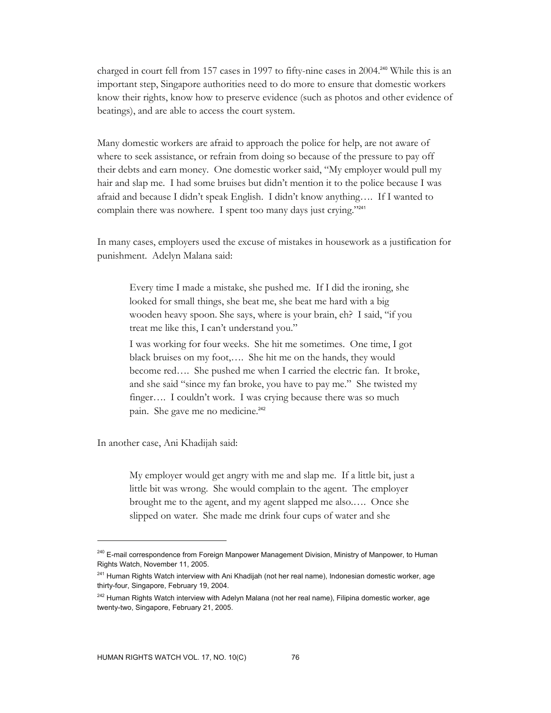charged in court fell from 157 cases in 1997 to fifty-nine cases in 2004.240 While this is an important step, Singapore authorities need to do more to ensure that domestic workers know their rights, know how to preserve evidence (such as photos and other evidence of beatings), and are able to access the court system.

Many domestic workers are afraid to approach the police for help, are not aware of where to seek assistance, or refrain from doing so because of the pressure to pay off their debts and earn money. One domestic worker said, "My employer would pull my hair and slap me. I had some bruises but didn't mention it to the police because I was afraid and because I didn't speak English. I didn't know anything…. If I wanted to complain there was nowhere. I spent too many days just crying."<sup>241</sup>

In many cases, employers used the excuse of mistakes in housework as a justification for punishment. Adelyn Malana said:

Every time I made a mistake, she pushed me. If I did the ironing, she looked for small things, she beat me, she beat me hard with a big wooden heavy spoon. She says, where is your brain, eh? I said, "if you treat me like this, I can't understand you."

I was working for four weeks. She hit me sometimes. One time, I got black bruises on my foot,…. She hit me on the hands, they would become red…. She pushed me when I carried the electric fan. It broke, and she said "since my fan broke, you have to pay me." She twisted my finger…. I couldn't work. I was crying because there was so much pain. She gave me no medicine.<sup>242</sup>

In another case, Ani Khadijah said:

 $\overline{a}$ 

My employer would get angry with me and slap me. If a little bit, just a little bit was wrong. She would complain to the agent. The employer brought me to the agent, and my agent slapped me also.…. Once she slipped on water. She made me drink four cups of water and she

<sup>&</sup>lt;sup>240</sup> E-mail correspondence from Foreign Manpower Management Division, Ministry of Manpower, to Human Rights Watch, November 11, 2005.

<sup>&</sup>lt;sup>241</sup> Human Rights Watch interview with Ani Khadijah (not her real name), Indonesian domestic worker, age thirty-four, Singapore, February 19, 2004.

<sup>&</sup>lt;sup>242</sup> Human Rights Watch interview with Adelyn Malana (not her real name), Filipina domestic worker, age twenty-two, Singapore, February 21, 2005.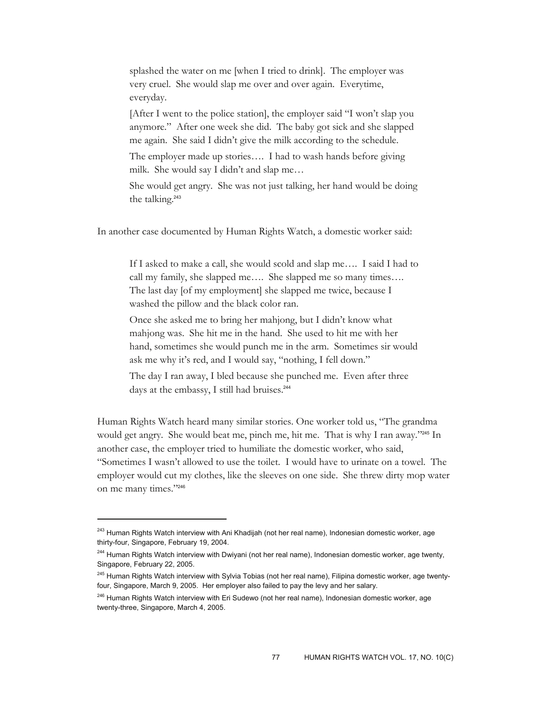splashed the water on me [when I tried to drink]. The employer was very cruel. She would slap me over and over again. Everytime, everyday.

[After I went to the police station], the employer said "I won't slap you anymore." After one week she did. The baby got sick and she slapped me again. She said I didn't give the milk according to the schedule.

The employer made up stories…. I had to wash hands before giving milk. She would say I didn't and slap me…

She would get angry. She was not just talking, her hand would be doing the talking.<sup>243</sup>

In another case documented by Human Rights Watch, a domestic worker said:

If I asked to make a call, she would scold and slap me…. I said I had to call my family, she slapped me…. She slapped me so many times…. The last day [of my employment] she slapped me twice, because I washed the pillow and the black color ran.

Once she asked me to bring her mahjong, but I didn't know what mahjong was. She hit me in the hand. She used to hit me with her hand, sometimes she would punch me in the arm. Sometimes sir would ask me why it's red, and I would say, "nothing, I fell down."

The day I ran away, I bled because she punched me. Even after three days at the embassy, I still had bruises.<sup>244</sup>

Human Rights Watch heard many similar stories. One worker told us, "The grandma would get angry. She would beat me, pinch me, hit me. That is why I ran away."245 In another case, the employer tried to humiliate the domestic worker, who said, "Sometimes I wasn't allowed to use the toilet. I would have to urinate on a towel. The employer would cut my clothes, like the sleeves on one side. She threw dirty mop water on me many times."<sup>246</sup>

<sup>&</sup>lt;sup>243</sup> Human Rights Watch interview with Ani Khadijah (not her real name), Indonesian domestic worker, age thirty-four, Singapore, February 19, 2004.

<sup>&</sup>lt;sup>244</sup> Human Rights Watch interview with Dwiyani (not her real name), Indonesian domestic worker, age twenty, Singapore, February 22, 2005.

<sup>&</sup>lt;sup>245</sup> Human Rights Watch interview with Sylvia Tobias (not her real name), Filipina domestic worker, age twentyfour, Singapore, March 9, 2005. Her employer also failed to pay the levy and her salary.

<sup>&</sup>lt;sup>246</sup> Human Rights Watch interview with Eri Sudewo (not her real name), Indonesian domestic worker, age twenty-three, Singapore, March 4, 2005.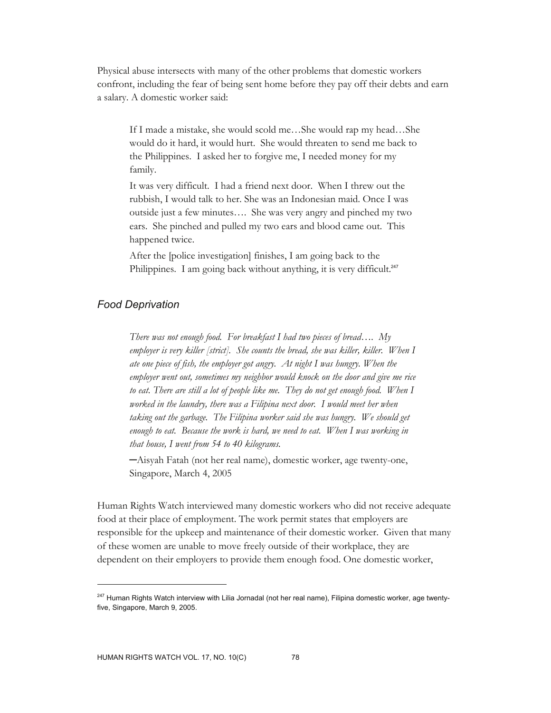Physical abuse intersects with many of the other problems that domestic workers confront, including the fear of being sent home before they pay off their debts and earn a salary. A domestic worker said:

If I made a mistake, she would scold me…She would rap my head…She would do it hard, it would hurt. She would threaten to send me back to the Philippines. I asked her to forgive me, I needed money for my family.

It was very difficult. I had a friend next door. When I threw out the rubbish, I would talk to her. She was an Indonesian maid. Once I was outside just a few minutes…. She was very angry and pinched my two ears. She pinched and pulled my two ears and blood came out. This happened twice.

After the [police investigation] finishes, I am going back to the Philippines. I am going back without anything, it is very difficult.<sup>247</sup>

### *Food Deprivation*

*There was not enough food. For breakfast I had two pieces of bread…. My employer is very killer [strict]. She counts the bread, she was killer, killer. When I ate one piece of fish, the employer got angry. At night I was hungry. When the employer went out, sometimes my neighbor would knock on the door and give me rice to eat. There are still a lot of people like me. They do not get enough food. When I worked in the laundry, there was a Filipina next door. I would meet her when taking out the garbage. The Filipina worker said she was hungry. We should get*  enough to eat. Because the work is hard, we need to eat. When I was working in *that house, I went from 54 to 40 kilograms.* 

─Aisyah Fatah (not her real name), domestic worker, age twenty-one, Singapore, March 4, 2005

Human Rights Watch interviewed many domestic workers who did not receive adequate food at their place of employment. The work permit states that employers are responsible for the upkeep and maintenance of their domestic worker. Given that many of these women are unable to move freely outside of their workplace, they are dependent on their employers to provide them enough food. One domestic worker,

<sup>&</sup>lt;sup>247</sup> Human Rights Watch interview with Lilia Jornadal (not her real name), Filipina domestic worker, age twentyfive, Singapore, March 9, 2005.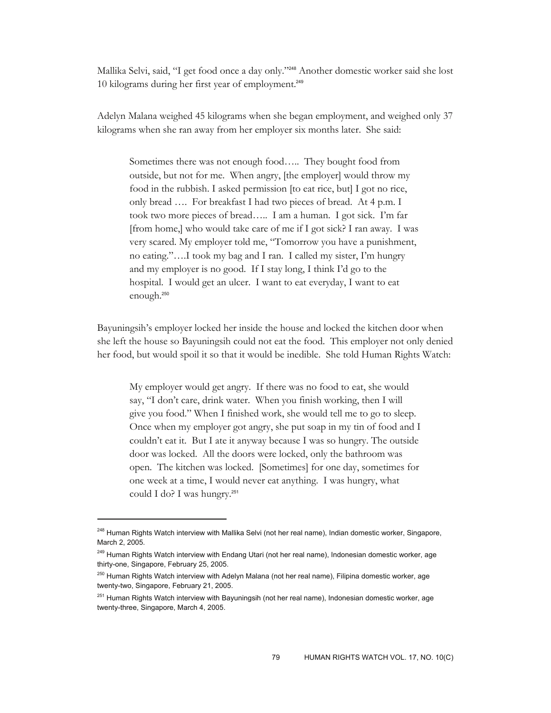Mallika Selvi, said, "I get food once a day only."248 Another domestic worker said she lost 10 kilograms during her first year of employment.<sup>249</sup>

Adelyn Malana weighed 45 kilograms when she began employment, and weighed only 37 kilograms when she ran away from her employer six months later. She said:

Sometimes there was not enough food….. They bought food from outside, but not for me. When angry, [the employer] would throw my food in the rubbish. I asked permission [to eat rice, but] I got no rice, only bread …. For breakfast I had two pieces of bread. At 4 p.m. I took two more pieces of bread….. I am a human. I got sick. I'm far [from home,] who would take care of me if I got sick? I ran away. I was very scared. My employer told me, "Tomorrow you have a punishment, no eating."….I took my bag and I ran. I called my sister, I'm hungry and my employer is no good. If I stay long, I think I'd go to the hospital. I would get an ulcer. I want to eat everyday, I want to eat enough.<sup>250</sup>

Bayuningsih's employer locked her inside the house and locked the kitchen door when she left the house so Bayuningsih could not eat the food. This employer not only denied her food, but would spoil it so that it would be inedible. She told Human Rights Watch:

My employer would get angry. If there was no food to eat, she would say, "I don't care, drink water. When you finish working, then I will give you food." When I finished work, she would tell me to go to sleep. Once when my employer got angry, she put soap in my tin of food and I couldn't eat it. But I ate it anyway because I was so hungry. The outside door was locked. All the doors were locked, only the bathroom was open. The kitchen was locked. [Sometimes] for one day, sometimes for one week at a time, I would never eat anything. I was hungry, what could I do? I was hungry.<sup>251</sup>

<sup>&</sup>lt;sup>248</sup> Human Rights Watch interview with Mallika Selvi (not her real name), Indian domestic worker, Singapore, March 2, 2005.

<sup>&</sup>lt;sup>249</sup> Human Rights Watch interview with Endang Utari (not her real name), Indonesian domestic worker, age thirty-one, Singapore, February 25, 2005.

<sup>&</sup>lt;sup>250</sup> Human Rights Watch interview with Adelyn Malana (not her real name), Filipina domestic worker, age twenty-two, Singapore, February 21, 2005.

<sup>&</sup>lt;sup>251</sup> Human Rights Watch interview with Bayuningsih (not her real name), Indonesian domestic worker, age twenty-three, Singapore, March 4, 2005.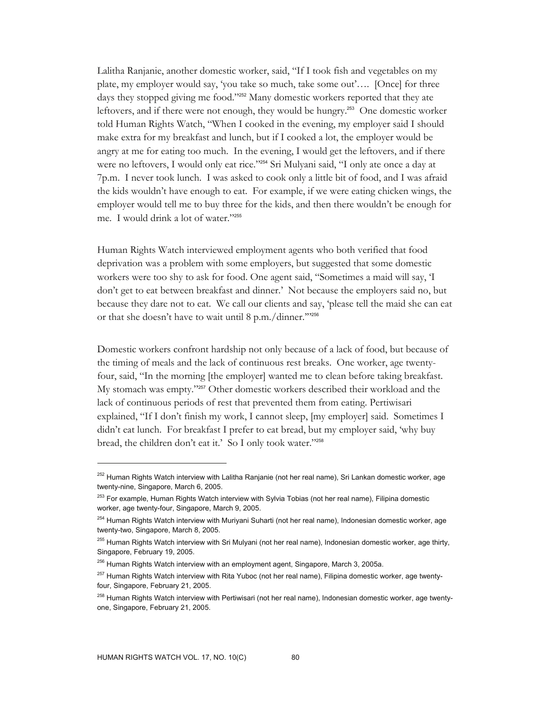Lalitha Ranjanie, another domestic worker, said, "If I took fish and vegetables on my plate, my employer would say, 'you take so much, take some out'…. [Once] for three days they stopped giving me food."<sup>252</sup> Many domestic workers reported that they ate leftovers, and if there were not enough, they would be hungry.253 One domestic worker told Human Rights Watch, "When I cooked in the evening, my employer said I should make extra for my breakfast and lunch, but if I cooked a lot, the employer would be angry at me for eating too much. In the evening, I would get the leftovers, and if there were no leftovers, I would only eat rice."254 Sri Mulyani said, "I only ate once a day at 7p.m. I never took lunch. I was asked to cook only a little bit of food, and I was afraid the kids wouldn't have enough to eat. For example, if we were eating chicken wings, the employer would tell me to buy three for the kids, and then there wouldn't be enough for me. I would drink a lot of water."<sup>255</sup>

Human Rights Watch interviewed employment agents who both verified that food deprivation was a problem with some employers, but suggested that some domestic workers were too shy to ask for food. One agent said, "Sometimes a maid will say, 'I don't get to eat between breakfast and dinner.' Not because the employers said no, but because they dare not to eat. We call our clients and say, 'please tell the maid she can eat or that she doesn't have to wait until 8 p.m./dinner.'"<sup>256</sup>

Domestic workers confront hardship not only because of a lack of food, but because of the timing of meals and the lack of continuous rest breaks. One worker, age twentyfour, said, "In the morning [the employer] wanted me to clean before taking breakfast. My stomach was empty."257 Other domestic workers described their workload and the lack of continuous periods of rest that prevented them from eating. Pertiwisari explained, "If I don't finish my work, I cannot sleep, [my employer] said. Sometimes I didn't eat lunch. For breakfast I prefer to eat bread, but my employer said, 'why buy bread, the children don't eat it.' So I only took water."<sup>258</sup>

<sup>&</sup>lt;sup>252</sup> Human Rights Watch interview with Lalitha Ranjanie (not her real name), Sri Lankan domestic worker, age twenty-nine, Singapore, March 6, 2005.

<sup>&</sup>lt;sup>253</sup> For example, Human Rights Watch interview with Sylvia Tobias (not her real name), Filipina domestic worker, age twenty-four, Singapore, March 9, 2005.

<sup>&</sup>lt;sup>254</sup> Human Rights Watch interview with Muriyani Suharti (not her real name), Indonesian domestic worker, age twenty-two, Singapore, March 8, 2005.

<sup>&</sup>lt;sup>255</sup> Human Rights Watch interview with Sri Mulyani (not her real name), Indonesian domestic worker, age thirty, Singapore, February 19, 2005.

<sup>&</sup>lt;sup>256</sup> Human Rights Watch interview with an employment agent, Singapore, March 3, 2005a.

<sup>&</sup>lt;sup>257</sup> Human Rights Watch interview with Rita Yuboc (not her real name), Filipina domestic worker, age twentyfour, Singapore, February 21, 2005.

<sup>&</sup>lt;sup>258</sup> Human Rights Watch interview with Pertiwisari (not her real name), Indonesian domestic worker, age twentyone, Singapore, February 21, 2005.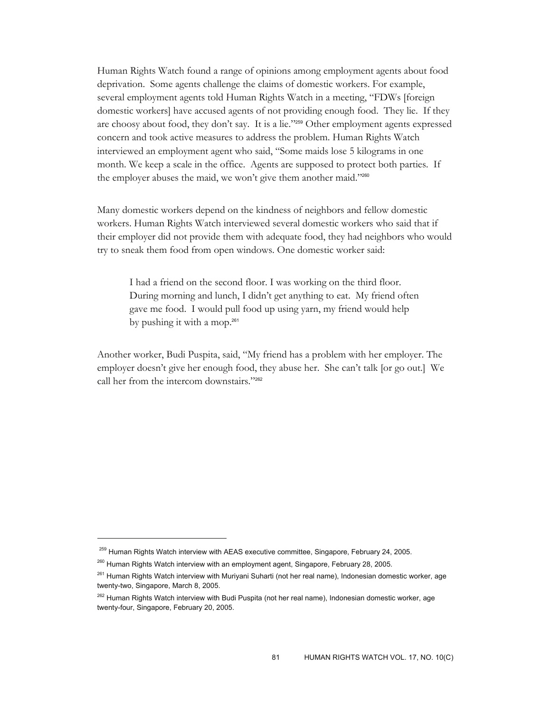Human Rights Watch found a range of opinions among employment agents about food deprivation. Some agents challenge the claims of domestic workers. For example, several employment agents told Human Rights Watch in a meeting, "FDWs [foreign domestic workers] have accused agents of not providing enough food. They lie. If they are choosy about food, they don't say. It is a lie."259 Other employment agents expressed concern and took active measures to address the problem. Human Rights Watch interviewed an employment agent who said, "Some maids lose 5 kilograms in one month. We keep a scale in the office. Agents are supposed to protect both parties. If the employer abuses the maid, we won't give them another maid."260

Many domestic workers depend on the kindness of neighbors and fellow domestic workers. Human Rights Watch interviewed several domestic workers who said that if their employer did not provide them with adequate food, they had neighbors who would try to sneak them food from open windows. One domestic worker said:

I had a friend on the second floor. I was working on the third floor. During morning and lunch, I didn't get anything to eat. My friend often gave me food. I would pull food up using yarn, my friend would help by pushing it with a mop.<sup>261</sup>

Another worker, Budi Puspita, said, "My friend has a problem with her employer. The employer doesn't give her enough food, they abuse her. She can't talk [or go out.] We call her from the intercom downstairs."262

<sup>&</sup>lt;sup>259</sup> Human Rights Watch interview with AEAS executive committee, Singapore, February 24, 2005.

<sup>&</sup>lt;sup>260</sup> Human Rights Watch interview with an employment agent, Singapore, February 28, 2005.

<sup>&</sup>lt;sup>261</sup> Human Rights Watch interview with Muriyani Suharti (not her real name), Indonesian domestic worker, age twenty-two, Singapore, March 8, 2005.

<sup>&</sup>lt;sup>262</sup> Human Rights Watch interview with Budi Puspita (not her real name), Indonesian domestic worker, age twenty-four, Singapore, February 20, 2005.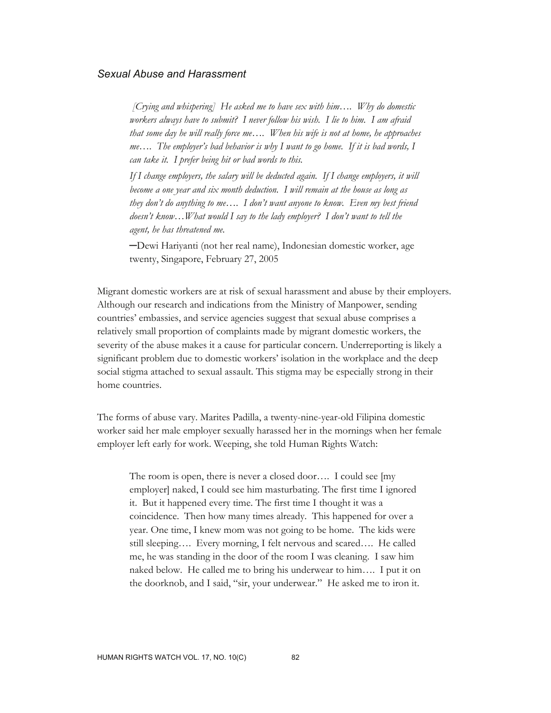### *Sexual Abuse and Harassment*

 *[Crying and whispering] He asked me to have sex with him…. Why do domestic workers always have to submit? I never follow his wish. I lie to him. I am afraid that some day he will really force me…. When his wife is not at home, he approaches me…. The employer's bad behavior is why I want to go home. If it is bad words, I can take it. I prefer being hit or bad words to this.* 

*If I change employers, the salary will be deducted again. If I change employers, it will become a one year and six month deduction. I will remain at the house as long as they don't do anything to me…. I don't want anyone to know. Even my best friend doesn't know…What would I say to the lady employer? I don't want to tell the agent, he has threatened me.* 

─Dewi Hariyanti (not her real name), Indonesian domestic worker, age twenty, Singapore, February 27, 2005

Migrant domestic workers are at risk of sexual harassment and abuse by their employers. Although our research and indications from the Ministry of Manpower, sending countries' embassies, and service agencies suggest that sexual abuse comprises a relatively small proportion of complaints made by migrant domestic workers, the severity of the abuse makes it a cause for particular concern. Underreporting is likely a significant problem due to domestic workers' isolation in the workplace and the deep social stigma attached to sexual assault. This stigma may be especially strong in their home countries.

The forms of abuse vary. Marites Padilla, a twenty-nine-year-old Filipina domestic worker said her male employer sexually harassed her in the mornings when her female employer left early for work. Weeping, she told Human Rights Watch:

The room is open, there is never a closed door…. I could see [my employer] naked, I could see him masturbating. The first time I ignored it. But it happened every time. The first time I thought it was a coincidence. Then how many times already. This happened for over a year. One time, I knew mom was not going to be home. The kids were still sleeping…. Every morning, I felt nervous and scared…. He called me, he was standing in the door of the room I was cleaning. I saw him naked below. He called me to bring his underwear to him…. I put it on the doorknob, and I said, "sir, your underwear." He asked me to iron it.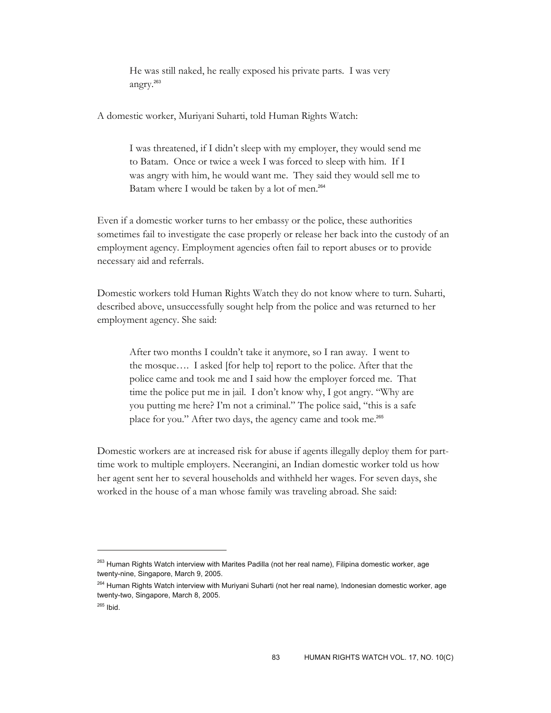He was still naked, he really exposed his private parts. I was very angry.<sup>263</sup>

A domestic worker, Muriyani Suharti, told Human Rights Watch:

I was threatened, if I didn't sleep with my employer, they would send me to Batam. Once or twice a week I was forced to sleep with him. If I was angry with him, he would want me. They said they would sell me to Batam where I would be taken by a lot of men.<sup>264</sup>

Even if a domestic worker turns to her embassy or the police, these authorities sometimes fail to investigate the case properly or release her back into the custody of an employment agency. Employment agencies often fail to report abuses or to provide necessary aid and referrals.

Domestic workers told Human Rights Watch they do not know where to turn. Suharti, described above, unsuccessfully sought help from the police and was returned to her employment agency. She said:

After two months I couldn't take it anymore, so I ran away. I went to the mosque…. I asked [for help to] report to the police. After that the police came and took me and I said how the employer forced me. That time the police put me in jail. I don't know why, I got angry. "Why are you putting me here? I'm not a criminal." The police said, "this is a safe place for you." After two days, the agency came and took me.<sup>265</sup>

Domestic workers are at increased risk for abuse if agents illegally deploy them for parttime work to multiple employers. Neerangini, an Indian domestic worker told us how her agent sent her to several households and withheld her wages. For seven days, she worked in the house of a man whose family was traveling abroad. She said:

<sup>&</sup>lt;sup>263</sup> Human Rights Watch interview with Marites Padilla (not her real name), Filipina domestic worker, age twenty-nine, Singapore, March 9, 2005.

<sup>&</sup>lt;sup>264</sup> Human Rights Watch interview with Muriyani Suharti (not her real name), Indonesian domestic worker, age twenty-two, Singapore, March 8, 2005.

<sup>265</sup> Ibid.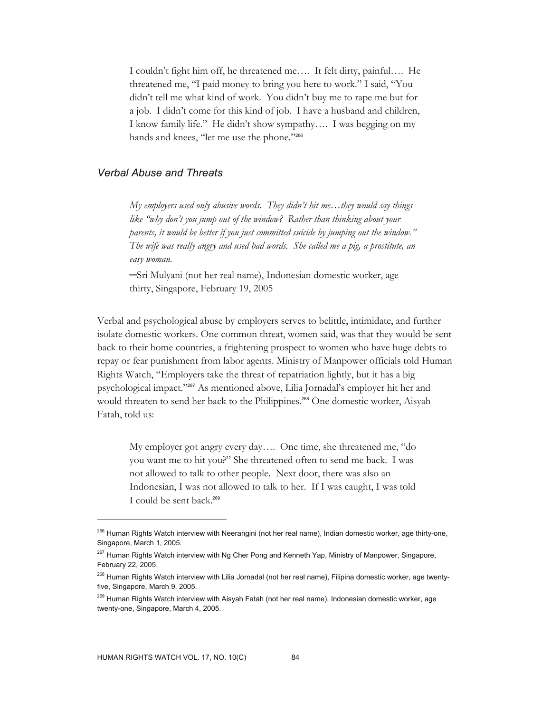I couldn't fight him off, he threatened me…. It felt dirty, painful…. He threatened me, "I paid money to bring you here to work." I said, "You didn't tell me what kind of work. You didn't buy me to rape me but for a job. I didn't come for this kind of job. I have a husband and children, I know family life." He didn't show sympathy…. I was begging on my hands and knees, "let me use the phone."<sup>266</sup>

# *Verbal Abuse and Threats*

*My employers used only abusive words. They didn't hit me…they would say things like "why don't you jump out of the window? Rather than thinking about your parents, it would be better if you just committed suicide by jumping out the window." The wife was really angry and used bad words. She called me a pig, a prostitute, an easy woman.* 

─Sri Mulyani (not her real name), Indonesian domestic worker, age thirty, Singapore, February 19, 2005

Verbal and psychological abuse by employers serves to belittle, intimidate, and further isolate domestic workers. One common threat, women said, was that they would be sent back to their home countries, a frightening prospect to women who have huge debts to repay or fear punishment from labor agents. Ministry of Manpower officials told Human Rights Watch, "Employers take the threat of repatriation lightly, but it has a big psychological impact."267 As mentioned above, Lilia Jornadal's employer hit her and would threaten to send her back to the Philippines.<sup>268</sup> One domestic worker, Aisyah Fatah, told us:

My employer got angry every day…. One time, she threatened me, "do you want me to hit you?" She threatened often to send me back. I was not allowed to talk to other people. Next door, there was also an Indonesian, I was not allowed to talk to her. If I was caught, I was told I could be sent back.<sup>269</sup>

<sup>&</sup>lt;sup>266</sup> Human Rights Watch interview with Neerangini (not her real name), Indian domestic worker, age thirty-one, Singapore, March 1, 2005.

<sup>&</sup>lt;sup>267</sup> Human Rights Watch interview with Ng Cher Pong and Kenneth Yap, Ministry of Manpower, Singapore, February 22, 2005.

<sup>&</sup>lt;sup>268</sup> Human Rights Watch interview with Lilia Jornadal (not her real name), Filipina domestic worker, age twentyfive, Singapore, March 9, 2005.

<sup>&</sup>lt;sup>269</sup> Human Rights Watch interview with Aisyah Fatah (not her real name), Indonesian domestic worker, age twenty-one, Singapore, March 4, 2005.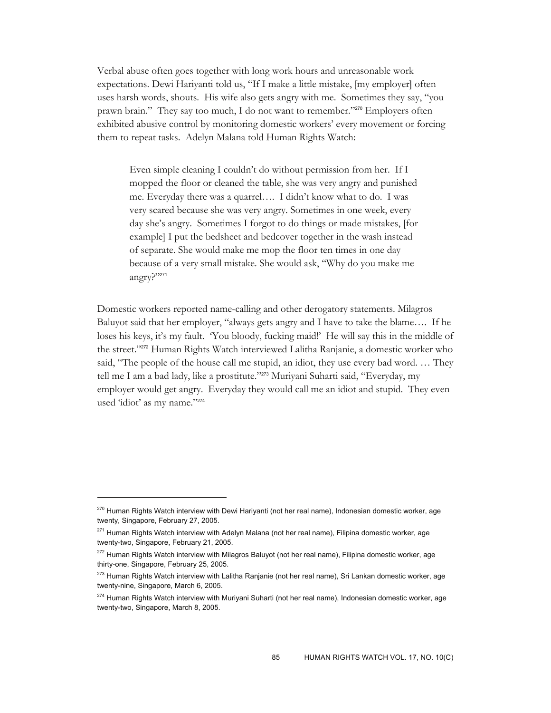Verbal abuse often goes together with long work hours and unreasonable work expectations. Dewi Hariyanti told us, "If I make a little mistake, [my employer] often uses harsh words, shouts. His wife also gets angry with me. Sometimes they say, "you prawn brain." They say too much, I do not want to remember."270 Employers often exhibited abusive control by monitoring domestic workers' every movement or forcing them to repeat tasks. Adelyn Malana told Human Rights Watch:

Even simple cleaning I couldn't do without permission from her. If I mopped the floor or cleaned the table, she was very angry and punished me. Everyday there was a quarrel…. I didn't know what to do. I was very scared because she was very angry. Sometimes in one week, every day she's angry. Sometimes I forgot to do things or made mistakes, [for example] I put the bedsheet and bedcover together in the wash instead of separate. She would make me mop the floor ten times in one day because of a very small mistake. She would ask, "Why do you make me angry?"<sup>271</sup>

Domestic workers reported name-calling and other derogatory statements. Milagros Baluyot said that her employer, "always gets angry and I have to take the blame…. If he loses his keys, it's my fault. 'You bloody, fucking maid!' He will say this in the middle of the street."272 Human Rights Watch interviewed Lalitha Ranjanie, a domestic worker who said, "The people of the house call me stupid, an idiot, they use every bad word. … They tell me I am a bad lady, like a prostitute."273 Muriyani Suharti said, "Everyday, my employer would get angry. Everyday they would call me an idiot and stupid. They even used 'idiot' as my name."274

<sup>&</sup>lt;sup>270</sup> Human Rights Watch interview with Dewi Hariyanti (not her real name), Indonesian domestic worker, age twenty, Singapore, February 27, 2005.

<sup>&</sup>lt;sup>271</sup> Human Rights Watch interview with Adelyn Malana (not her real name), Filipina domestic worker, age twenty-two, Singapore, February 21, 2005.

<sup>&</sup>lt;sup>272</sup> Human Rights Watch interview with Milagros Baluyot (not her real name), Filipina domestic worker, age thirty-one, Singapore, February 25, 2005.

<sup>&</sup>lt;sup>273</sup> Human Rights Watch interview with Lalitha Ranjanie (not her real name), Sri Lankan domestic worker, age twenty-nine, Singapore, March 6, 2005.

<sup>&</sup>lt;sup>274</sup> Human Rights Watch interview with Muriyani Suharti (not her real name), Indonesian domestic worker, age twenty-two, Singapore, March 8, 2005.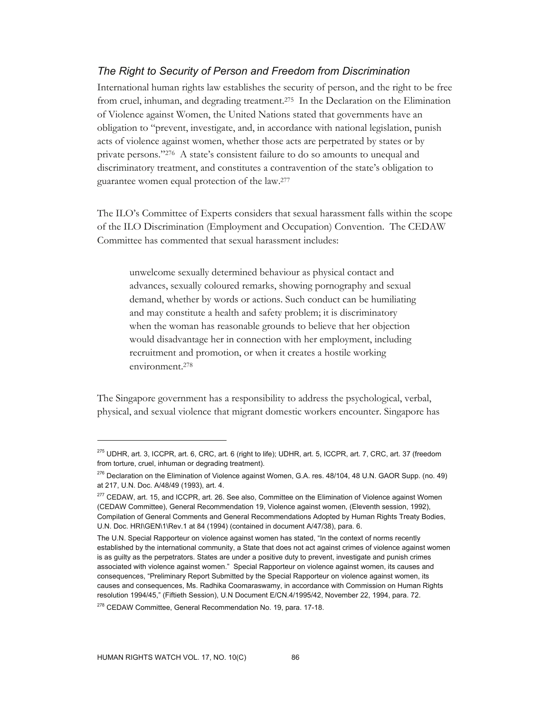# *The Right to Security of Person and Freedom from Discrimination*

International human rights law establishes the security of person, and the right to be free from cruel, inhuman, and degrading treatment.275 In the Declaration on the Elimination of Violence against Women, the United Nations stated that governments have an obligation to "prevent, investigate, and, in accordance with national legislation, punish acts of violence against women, whether those acts are perpetrated by states or by private persons."276 A state's consistent failure to do so amounts to unequal and discriminatory treatment, and constitutes a contravention of the state's obligation to guarantee women equal protection of the law.277

The ILO's Committee of Experts considers that sexual harassment falls within the scope of the ILO Discrimination (Employment and Occupation) Convention. The CEDAW Committee has commented that sexual harassment includes:

unwelcome sexually determined behaviour as physical contact and advances, sexually coloured remarks, showing pornography and sexual demand, whether by words or actions. Such conduct can be humiliating and may constitute a health and safety problem; it is discriminatory when the woman has reasonable grounds to believe that her objection would disadvantage her in connection with her employment, including recruitment and promotion, or when it creates a hostile working environment.278

The Singapore government has a responsibility to address the psychological, verbal, physical, and sexual violence that migrant domestic workers encounter. Singapore has

<sup>275</sup> UDHR, art. 3, ICCPR, art. 6, CRC, art. 6 (right to life); UDHR, art. 5, ICCPR, art. 7, CRC, art. 37 (freedom from torture, cruel, inhuman or degrading treatment).

<sup>&</sup>lt;sup>276</sup> Declaration on the Elimination of Violence against Women, G.A. res. 48/104, 48 U.N. GAOR Supp. (no. 49) at 217, U.N. Doc. A/48/49 (1993), art. 4.

<sup>&</sup>lt;sup>277</sup> CEDAW, art. 15, and ICCPR, art. 26. See also, Committee on the Elimination of Violence against Women (CEDAW Committee), General Recommendation 19, Violence against women, (Eleventh session, 1992), Compilation of General Comments and General Recommendations Adopted by Human Rights Treaty Bodies, U.N. Doc. HRI\GEN\1\Rev.1 at 84 (1994) (contained in document A/47/38), para. 6.

The U.N. Special Rapporteur on violence against women has stated, "In the context of norms recently established by the international community, a State that does not act against crimes of violence against women is as guilty as the perpetrators. States are under a positive duty to prevent, investigate and punish crimes associated with violence against women." Special Rapporteur on violence against women, its causes and consequences, "Preliminary Report Submitted by the Special Rapporteur on violence against women, its causes and consequences, Ms. Radhika Coomaraswamy, in accordance with Commission on Human Rights resolution 1994/45," (Fiftieth Session), U.N Document E/CN.4/1995/42, November 22, 1994, para. 72.

<sup>&</sup>lt;sup>278</sup> CEDAW Committee, General Recommendation No. 19, para. 17-18.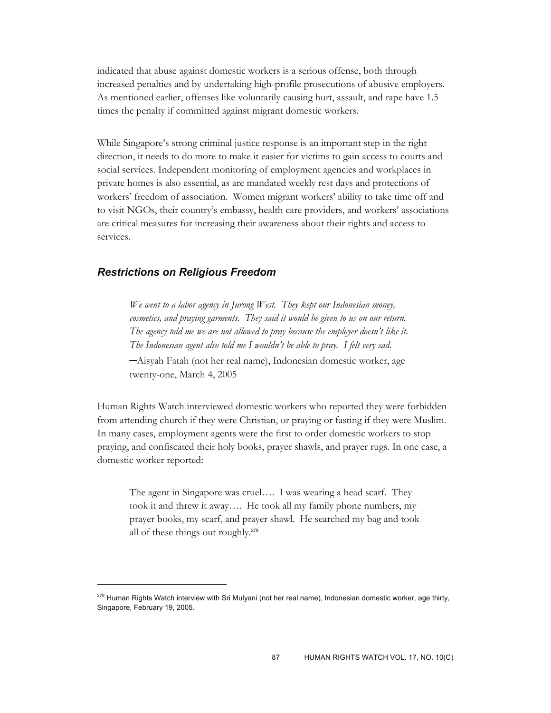indicated that abuse against domestic workers is a serious offense, both through increased penalties and by undertaking high-profile prosecutions of abusive employers. As mentioned earlier, offenses like voluntarily causing hurt, assault, and rape have 1.5 times the penalty if committed against migrant domestic workers.

While Singapore's strong criminal justice response is an important step in the right direction, it needs to do more to make it easier for victims to gain access to courts and social services. Independent monitoring of employment agencies and workplaces in private homes is also essential, as are mandated weekly rest days and protections of workers' freedom of association. Women migrant workers' ability to take time off and to visit NGOs, their country's embassy, health care providers, and workers' associations are critical measures for increasing their awareness about their rights and access to services.

### *Restrictions on Religious Freedom*

 $\overline{a}$ 

*We went to a labor agency in Jurong West. They kept our Indonesian money,*  cosmetics, and praying garments. They said it would be given to us on our return. *The agency told me we are not allowed to pray because the employer doesn't like it. The Indonesian agent also told me I wouldn't be able to pray. I felt very sad.* 

─Aisyah Fatah (not her real name), Indonesian domestic worker, age twenty-one, March 4, 2005

Human Rights Watch interviewed domestic workers who reported they were forbidden from attending church if they were Christian, or praying or fasting if they were Muslim. In many cases, employment agents were the first to order domestic workers to stop praying, and confiscated their holy books, prayer shawls, and prayer rugs. In one case, a domestic worker reported:

The agent in Singapore was cruel…. I was wearing a head scarf. They took it and threw it away…. He took all my family phone numbers, my prayer books, my scarf, and prayer shawl. He searched my bag and took all of these things out roughly.<sup>279</sup>

<sup>&</sup>lt;sup>279</sup> Human Rights Watch interview with Sri Mulyani (not her real name), Indonesian domestic worker, age thirty, Singapore, February 19, 2005.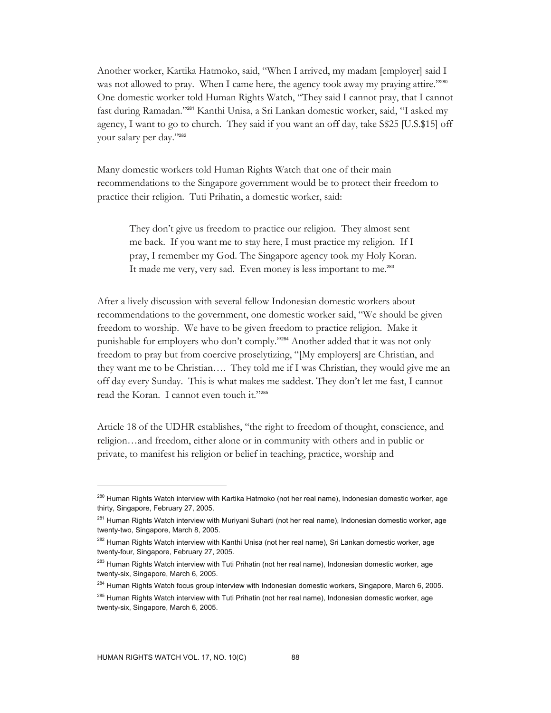Another worker, Kartika Hatmoko, said, "When I arrived, my madam [employer] said I was not allowed to pray. When I came here, the agency took away my praying attire."280 One domestic worker told Human Rights Watch, "They said I cannot pray, that I cannot fast during Ramadan."281 Kanthi Unisa, a Sri Lankan domestic worker, said, "I asked my agency, I want to go to church. They said if you want an off day, take S\$25 [U.S.\$15] off your salary per day."<sup>282</sup>

Many domestic workers told Human Rights Watch that one of their main recommendations to the Singapore government would be to protect their freedom to practice their religion. Tuti Prihatin, a domestic worker, said:

They don't give us freedom to practice our religion. They almost sent me back. If you want me to stay here, I must practice my religion. If I pray, I remember my God. The Singapore agency took my Holy Koran. It made me very, very sad. Even money is less important to me.<sup>283</sup>

After a lively discussion with several fellow Indonesian domestic workers about recommendations to the government, one domestic worker said, "We should be given freedom to worship. We have to be given freedom to practice religion. Make it punishable for employers who don't comply."284 Another added that it was not only freedom to pray but from coercive proselytizing, "[My employers] are Christian, and they want me to be Christian…. They told me if I was Christian, they would give me an off day every Sunday. This is what makes me saddest. They don't let me fast, I cannot read the Koran. I cannot even touch it."<sup>285</sup>

Article 18 of the UDHR establishes, "the right to freedom of thought, conscience, and religion…and freedom, either alone or in community with others and in public or private, to manifest his religion or belief in teaching, practice, worship and

<sup>&</sup>lt;sup>280</sup> Human Rights Watch interview with Kartika Hatmoko (not her real name), Indonesian domestic worker, age thirty, Singapore, February 27, 2005.

<sup>&</sup>lt;sup>281</sup> Human Rights Watch interview with Muriyani Suharti (not her real name), Indonesian domestic worker, age twenty-two, Singapore, March 8, 2005.

<sup>&</sup>lt;sup>282</sup> Human Rights Watch interview with Kanthi Unisa (not her real name), Sri Lankan domestic worker, age twenty-four, Singapore, February 27, 2005.

<sup>&</sup>lt;sup>283</sup> Human Rights Watch interview with Tuti Prihatin (not her real name), Indonesian domestic worker, age twenty-six, Singapore, March 6, 2005.

<sup>&</sup>lt;sup>284</sup> Human Rights Watch focus group interview with Indonesian domestic workers, Singapore, March 6, 2005.

<sup>&</sup>lt;sup>285</sup> Human Rights Watch interview with Tuti Prihatin (not her real name), Indonesian domestic worker, age twenty-six, Singapore, March 6, 2005.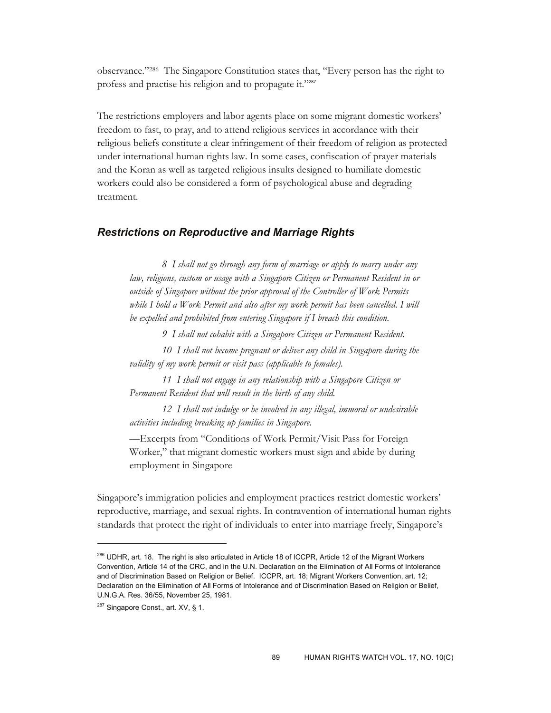observance."286 The Singapore Constitution states that, "Every person has the right to profess and practise his religion and to propagate it."<sup>287</sup>

The restrictions employers and labor agents place on some migrant domestic workers' freedom to fast, to pray, and to attend religious services in accordance with their religious beliefs constitute a clear infringement of their freedom of religion as protected under international human rights law. In some cases, confiscation of prayer materials and the Koran as well as targeted religious insults designed to humiliate domestic workers could also be considered a form of psychological abuse and degrading treatment.

### *Restrictions on Reproductive and Marriage Rights*

*8 I shall not go through any form of marriage or apply to marry under any law, religions, custom or usage with a Singapore Citizen or Permanent Resident in or outside of Singapore without the prior approval of the Controller of Work Permits while I hold a Work Permit and also after my work permit has been cancelled. I will be expelled and prohibited from entering Singapore if I breach this condition.* 

*9 I shall not cohabit with a Singapore Citizen or Permanent Resident.* 

*10 I shall not become pregnant or deliver any child in Singapore during the validity of my work permit or visit pass (applicable to females).* 

*11 I shall not engage in any relationship with a Singapore Citizen or Permanent Resident that will result in the birth of any child.* 

*12 I shall not indulge or be involved in any illegal, immoral or undesirable activities including breaking up families in Singapore.* 

*—*Excerpts from "Conditions of Work Permit/Visit Pass for Foreign Worker," that migrant domestic workers must sign and abide by during employment in Singapore

Singapore's immigration policies and employment practices restrict domestic workers' reproductive, marriage, and sexual rights. In contravention of international human rights standards that protect the right of individuals to enter into marriage freely, Singapore's

<sup>286</sup> UDHR, art. 18. The right is also articulated in Article 18 of ICCPR, Article 12 of the Migrant Workers Convention, Article 14 of the CRC, and in the U.N. Declaration on the Elimination of All Forms of Intolerance and of Discrimination Based on Religion or Belief. ICCPR, art. 18; Migrant Workers Convention, art. 12; Declaration on the Elimination of All Forms of Intolerance and of Discrimination Based on Religion or Belief, U.N.G.A. Res. 36/55, November 25, 1981.

<sup>&</sup>lt;sup>287</sup> Singapore Const., art. XV, § 1.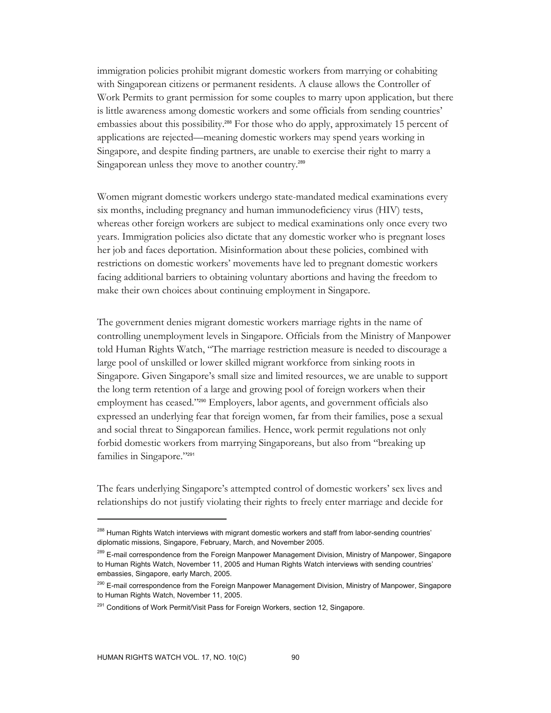immigration policies prohibit migrant domestic workers from marrying or cohabiting with Singaporean citizens or permanent residents. A clause allows the Controller of Work Permits to grant permission for some couples to marry upon application, but there is little awareness among domestic workers and some officials from sending countries' embassies about this possibility.<sup>288</sup> For those who do apply, approximately 15 percent of applications are rejected—meaning domestic workers may spend years working in Singapore, and despite finding partners, are unable to exercise their right to marry a Singaporean unless they move to another country.<sup>289</sup>

Women migrant domestic workers undergo state-mandated medical examinations every six months, including pregnancy and human immunodeficiency virus (HIV) tests, whereas other foreign workers are subject to medical examinations only once every two years. Immigration policies also dictate that any domestic worker who is pregnant loses her job and faces deportation. Misinformation about these policies, combined with restrictions on domestic workers' movements have led to pregnant domestic workers facing additional barriers to obtaining voluntary abortions and having the freedom to make their own choices about continuing employment in Singapore.

The government denies migrant domestic workers marriage rights in the name of controlling unemployment levels in Singapore. Officials from the Ministry of Manpower told Human Rights Watch, "The marriage restriction measure is needed to discourage a large pool of unskilled or lower skilled migrant workforce from sinking roots in Singapore. Given Singapore's small size and limited resources, we are unable to support the long term retention of a large and growing pool of foreign workers when their employment has ceased."<sup>290</sup> Employers, labor agents, and government officials also expressed an underlying fear that foreign women, far from their families, pose a sexual and social threat to Singaporean families. Hence, work permit regulations not only forbid domestic workers from marrying Singaporeans, but also from "breaking up families in Singapore."<sup>291</sup>

The fears underlying Singapore's attempted control of domestic workers' sex lives and relationships do not justify violating their rights to freely enter marriage and decide for

<sup>&</sup>lt;sup>288</sup> Human Rights Watch interviews with migrant domestic workers and staff from labor-sending countries' diplomatic missions, Singapore, February, March, and November 2005.

<sup>&</sup>lt;sup>289</sup> E-mail correspondence from the Foreign Manpower Management Division, Ministry of Manpower, Singapore to Human Rights Watch, November 11, 2005 and Human Rights Watch interviews with sending countries' embassies, Singapore, early March, 2005.

<sup>&</sup>lt;sup>290</sup> E-mail correspondence from the Foreign Manpower Management Division, Ministry of Manpower, Singapore to Human Rights Watch, November 11, 2005.

<sup>&</sup>lt;sup>291</sup> Conditions of Work Permit/Visit Pass for Foreign Workers, section 12, Singapore.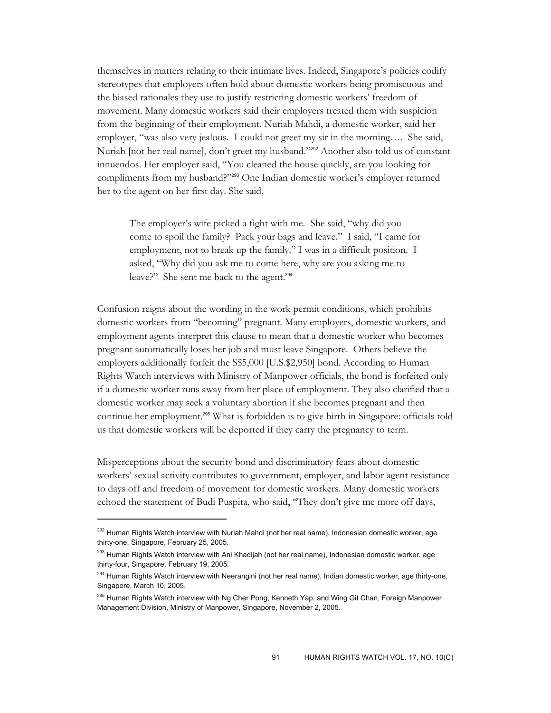themselves in matters relating to their intimate lives. Indeed, Singapore's policies codify stereotypes that employers often hold about domestic workers being promiscuous and the biased rationales they use to justify restricting domestic workers' freedom of movement. Many domestic workers said their employers treated them with suspicion from the beginning of their employment. Nuriah Mahdi, a domestic worker, said her employer, "was also very jealous. I could not greet my sir in the morning…. She said, Nuriah [not her real name], don't greet my husband."<sup>292</sup> Another also told us of constant innuendos. Her employer said, "You cleaned the house quickly, are you looking for compliments from my husband?"293 One Indian domestic worker's employer returned her to the agent on her first day. She said,

The employer's wife picked a fight with me. She said, "why did you come to spoil the family? Pack your bags and leave." I said, "I came for employment, not to break up the family." I was in a difficult position. I asked, "Why did you ask me to come here, why are you asking me to leave?" She sent me back to the agent.<sup>294</sup>

Confusion reigns about the wording in the work permit conditions, which prohibits domestic workers from "becoming" pregnant. Many employers, domestic workers, and employment agents interpret this clause to mean that a domestic worker who becomes pregnant automatically loses her job and must leave Singapore. Others believe the employers additionally forfeit the S\$5,000 [U.S.\$2,950] bond. According to Human Rights Watch interviews with Ministry of Manpower officials, the bond is forfeited only if a domestic worker runs away from her place of employment. They also clarified that a domestic worker may seek a voluntary abortion if she becomes pregnant and then continue her employment.295 What is forbidden is to give birth in Singapore: officials told us that domestic workers will be deported if they carry the pregnancy to term.

Misperceptions about the security bond and discriminatory fears about domestic workers' sexual activity contributes to government, employer, and labor agent resistance to days off and freedom of movement for domestic workers. Many domestic workers echoed the statement of Budi Puspita, who said, "They don't give me more off days,

<sup>&</sup>lt;sup>292</sup> Human Rights Watch interview with Nuriah Mahdi (not her real name), Indonesian domestic worker, age thirty-one, Singapore, February 25, 2005.

<sup>&</sup>lt;sup>293</sup> Human Rights Watch interview with Ani Khadijah (not her real name), Indonesian domestic worker, age thirty-four, Singapore, February 19, 2005.

<sup>&</sup>lt;sup>294</sup> Human Rights Watch interview with Neerangini (not her real name), Indian domestic worker, age thirty-one, Singapore, March 10, 2005.

<sup>&</sup>lt;sup>295</sup> Human Rights Watch interview with Ng Cher Pong, Kenneth Yap, and Wing Git Chan, Foreign Manpower Management Division, Ministry of Manpower, Singapore, November 2, 2005.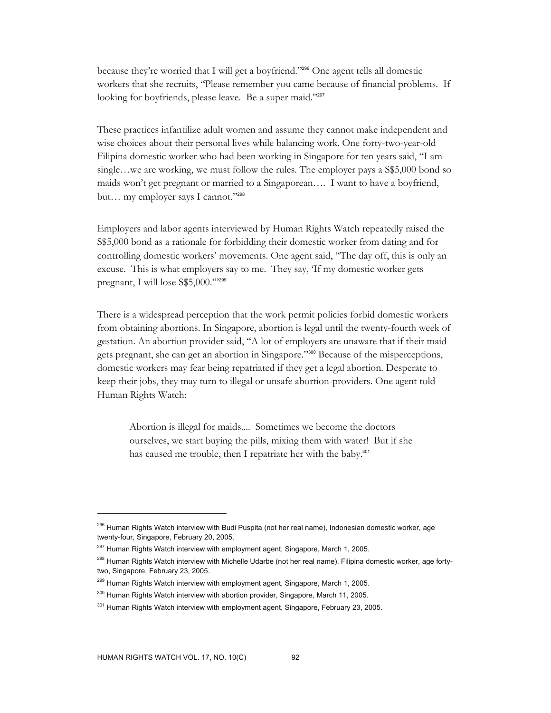because they're worried that I will get a boyfriend."296 One agent tells all domestic workers that she recruits, "Please remember you came because of financial problems. If looking for boyfriends, please leave. Be a super maid."297

These practices infantilize adult women and assume they cannot make independent and wise choices about their personal lives while balancing work. One forty-two-year-old Filipina domestic worker who had been working in Singapore for ten years said, "I am single…we are working, we must follow the rules. The employer pays a S\$5,000 bond so maids won't get pregnant or married to a Singaporean…. I want to have a boyfriend, but… my employer says I cannot."<sup>298</sup>

Employers and labor agents interviewed by Human Rights Watch repeatedly raised the S\$5,000 bond as a rationale for forbidding their domestic worker from dating and for controlling domestic workers' movements. One agent said, "The day off, this is only an excuse. This is what employers say to me. They say, 'If my domestic worker gets pregnant, I will lose S\$5,000."'299

There is a widespread perception that the work permit policies forbid domestic workers from obtaining abortions. In Singapore, abortion is legal until the twenty-fourth week of gestation. An abortion provider said, "A lot of employers are unaware that if their maid gets pregnant, she can get an abortion in Singapore."300 Because of the misperceptions, domestic workers may fear being repatriated if they get a legal abortion. Desperate to keep their jobs, they may turn to illegal or unsafe abortion-providers. One agent told Human Rights Watch:

Abortion is illegal for maids.... Sometimes we become the doctors ourselves, we start buying the pills, mixing them with water! But if she has caused me trouble, then I repatriate her with the baby.<sup>301</sup>

<sup>&</sup>lt;sup>296</sup> Human Rights Watch interview with Budi Puspita (not her real name), Indonesian domestic worker, age twenty-four, Singapore, February 20, 2005.

 $297$  Human Rights Watch interview with employment agent, Singapore, March 1, 2005.

<sup>&</sup>lt;sup>298</sup> Human Rights Watch interview with Michelle Udarbe (not her real name), Filipina domestic worker, age fortytwo, Singapore, February 23, 2005.

<sup>&</sup>lt;sup>299</sup> Human Rights Watch interview with employment agent, Singapore, March 1, 2005.

<sup>&</sup>lt;sup>300</sup> Human Rights Watch interview with abortion provider, Singapore, March 11, 2005.

<sup>&</sup>lt;sup>301</sup> Human Rights Watch interview with employment agent, Singapore, February 23, 2005.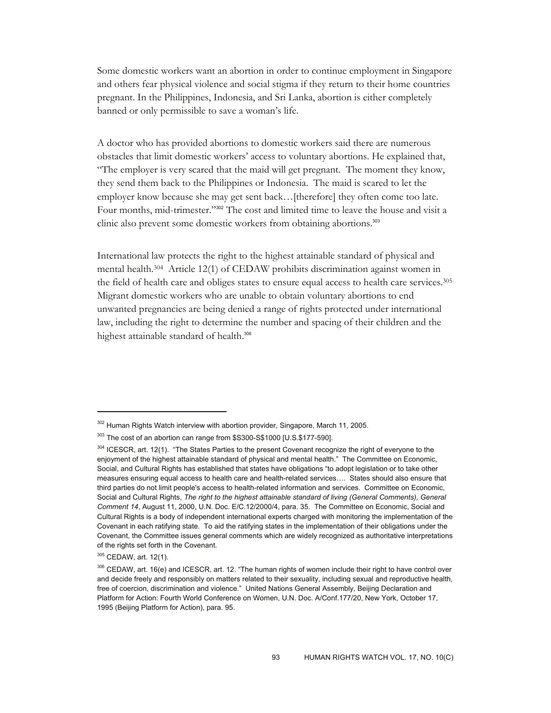Some domestic workers want an abortion in order to continue employment in Singapore and others fear physical violence and social stigma if they return to their home countries pregnant. In the Philippines, Indonesia, and Sri Lanka, abortion is either completely banned or only permissible to save a woman's life.

A doctor who has provided abortions to domestic workers said there are numerous obstacles that limit domestic workers' access to voluntary abortions. He explained that, "The employer is very scared that the maid will get pregnant. The moment they know, they send them back to the Philippines or Indonesia. The maid is scared to let the employer know because she may get sent back…[therefore] they often come too late. Four months, mid-trimester."302 The cost and limited time to leave the house and visit a clinic also prevent some domestic workers from obtaining abortions.<sup>303</sup>

International law protects the right to the highest attainable standard of physical and mental health.304 Article 12(1) of CEDAW prohibits discrimination against women in the field of health care and obliges states to ensure equal access to health care services.305 Migrant domestic workers who are unable to obtain voluntary abortions to end unwanted pregnancies are being denied a range of rights protected under international law, including the right to determine the number and spacing of their children and the highest attainable standard of health.<sup>306</sup>

<sup>&</sup>lt;sup>302</sup> Human Rights Watch interview with abortion provider, Singapore, March 11, 2005.

<sup>&</sup>lt;sup>303</sup> The cost of an abortion can range from \$S300-S\$1000 [U.S.\$177-590].

<sup>&</sup>lt;sup>304</sup> ICESCR, art. 12(1). "The States Parties to the present Covenant recognize the right of everyone to the enjoyment of the highest attainable standard of physical and mental health." The Committee on Economic, Social, and Cultural Rights has established that states have obligations "to adopt legislation or to take other measures ensuring equal access to health care and health-related services…. States should also ensure that third parties do not limit people's access to health-related information and services. Committee on Economic, Social and Cultural Rights, *The right to the highest attainable standard of living (General Comments), General Comment 14*, August 11, 2000, U.N. Doc. E/C.12/2000/4, para. 35. The Committee on Economic, Social and Cultural Rights is a body of independent international experts charged with monitoring the implementation of the Covenant in each ratifying state. To aid the ratifying states in the implementation of their obligations under the Covenant, the Committee issues general comments which are widely recognized as authoritative interpretations of the rights set forth in the Covenant.

<sup>305</sup> CEDAW, art. 12(1).

<sup>306</sup> CEDAW, art. 16(e) and ICESCR, art. 12. "The human rights of women include their right to have control over and decide freely and responsibly on matters related to their sexuality, including sexual and reproductive health, free of coercion, discrimination and violence." United Nations General Assembly, Beijing Declaration and Platform for Action: Fourth World Conference on Women, U.N. Doc. A/Conf.177/20, New York, October 17, 1995 (Beijing Platform for Action), para. 95.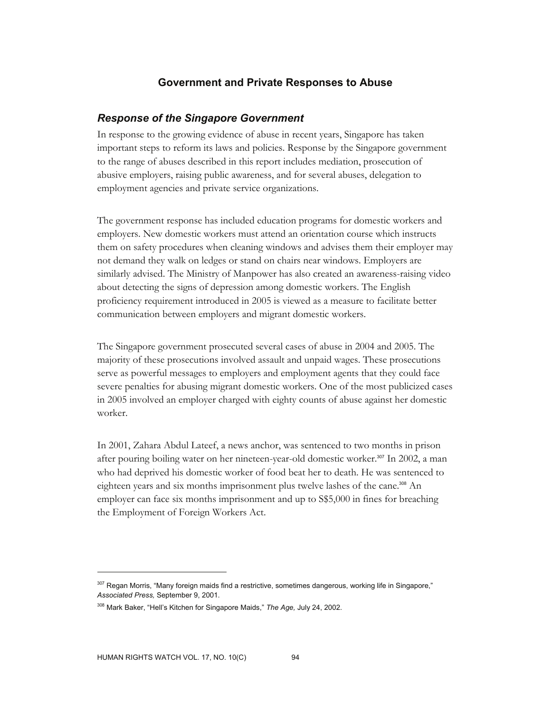# **Government and Private Responses to Abuse**

# *Response of the Singapore Government*

In response to the growing evidence of abuse in recent years, Singapore has taken important steps to reform its laws and policies. Response by the Singapore government to the range of abuses described in this report includes mediation, prosecution of abusive employers, raising public awareness, and for several abuses, delegation to employment agencies and private service organizations.

The government response has included education programs for domestic workers and employers. New domestic workers must attend an orientation course which instructs them on safety procedures when cleaning windows and advises them their employer may not demand they walk on ledges or stand on chairs near windows. Employers are similarly advised. The Ministry of Manpower has also created an awareness-raising video about detecting the signs of depression among domestic workers. The English proficiency requirement introduced in 2005 is viewed as a measure to facilitate better communication between employers and migrant domestic workers.

The Singapore government prosecuted several cases of abuse in 2004 and 2005. The majority of these prosecutions involved assault and unpaid wages. These prosecutions serve as powerful messages to employers and employment agents that they could face severe penalties for abusing migrant domestic workers. One of the most publicized cases in 2005 involved an employer charged with eighty counts of abuse against her domestic worker.

In 2001, Zahara Abdul Lateef, a news anchor, was sentenced to two months in prison after pouring boiling water on her nineteen-year-old domestic worker.307 In 2002, a man who had deprived his domestic worker of food beat her to death. He was sentenced to eighteen years and six months imprisonment plus twelve lashes of the cane.<sup>308</sup> An employer can face six months imprisonment and up to S\$5,000 in fines for breaching the Employment of Foreign Workers Act.

<sup>&</sup>lt;sup>307</sup> Regan Morris, "Many foreign maids find a restrictive, sometimes dangerous, working life in Singapore," *Associated Press,* September 9, 2001.

<sup>308</sup> Mark Baker, "Hell's Kitchen for Singapore Maids," *The Age,* July 24, 2002.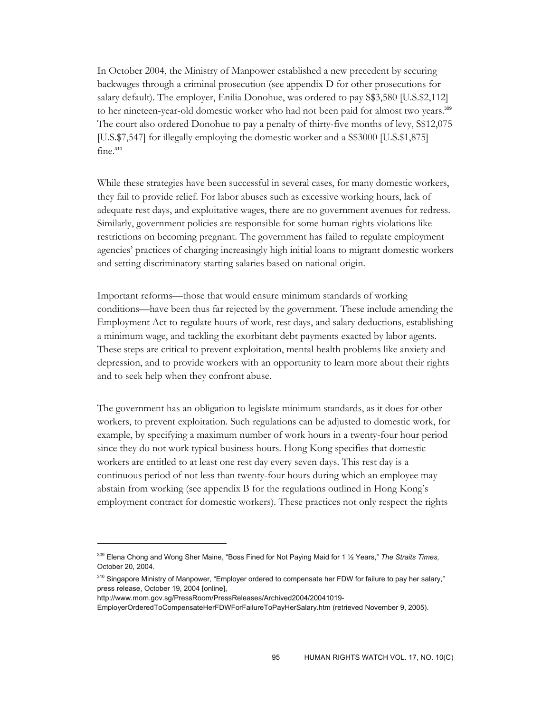In October 2004, the Ministry of Manpower established a new precedent by securing backwages through a criminal prosecution (see appendix D for other prosecutions for salary default). The employer, Enilia Donohue, was ordered to pay S\$3,580 [U.S.\$2,112] to her nineteen-year-old domestic worker who had not been paid for almost two years.<sup>309</sup> The court also ordered Donohue to pay a penalty of thirty-five months of levy, S\$12,075 [U.S.\$7,547] for illegally employing the domestic worker and a S\$3000 [U.S.\$1,875] fine.<sup>310</sup>

While these strategies have been successful in several cases, for many domestic workers, they fail to provide relief. For labor abuses such as excessive working hours, lack of adequate rest days, and exploitative wages, there are no government avenues for redress. Similarly, government policies are responsible for some human rights violations like restrictions on becoming pregnant. The government has failed to regulate employment agencies' practices of charging increasingly high initial loans to migrant domestic workers and setting discriminatory starting salaries based on national origin.

Important reforms—those that would ensure minimum standards of working conditions—have been thus far rejected by the government. These include amending the Employment Act to regulate hours of work, rest days, and salary deductions, establishing a minimum wage, and tackling the exorbitant debt payments exacted by labor agents. These steps are critical to prevent exploitation, mental health problems like anxiety and depression, and to provide workers with an opportunity to learn more about their rights and to seek help when they confront abuse.

The government has an obligation to legislate minimum standards, as it does for other workers, to prevent exploitation. Such regulations can be adjusted to domestic work, for example, by specifying a maximum number of work hours in a twenty-four hour period since they do not work typical business hours. Hong Kong specifies that domestic workers are entitled to at least one rest day every seven days. This rest day is a continuous period of not less than twenty-four hours during which an employee may abstain from working (see appendix B for the regulations outlined in Hong Kong's employment contract for domestic workers). These practices not only respect the rights

<sup>309</sup> Elena Chong and Wong Sher Maine, "Boss Fined for Not Paying Maid for 1 ½ Years," *The Straits Times,* October 20, 2004.

<sup>&</sup>lt;sup>310</sup> Singapore Ministry of Manpower, "Employer ordered to compensate her FDW for failure to pay her salary," press release, October 19, 2004 [online],

http://www.mom.gov.sg/PressRoom/PressReleases/Archived2004/20041019-

EmployerOrderedToCompensateHerFDWForFailureToPayHerSalary.htm (retrieved November 9, 2005).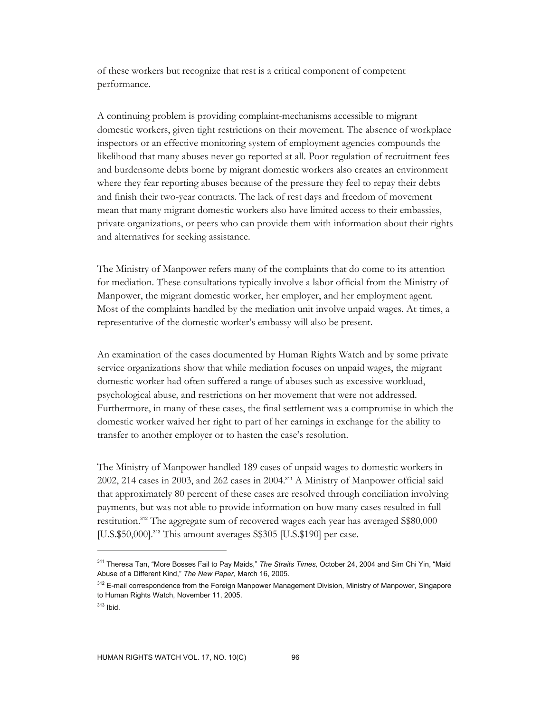of these workers but recognize that rest is a critical component of competent performance.

A continuing problem is providing complaint-mechanisms accessible to migrant domestic workers, given tight restrictions on their movement. The absence of workplace inspectors or an effective monitoring system of employment agencies compounds the likelihood that many abuses never go reported at all. Poor regulation of recruitment fees and burdensome debts borne by migrant domestic workers also creates an environment where they fear reporting abuses because of the pressure they feel to repay their debts and finish their two-year contracts. The lack of rest days and freedom of movement mean that many migrant domestic workers also have limited access to their embassies, private organizations, or peers who can provide them with information about their rights and alternatives for seeking assistance.

The Ministry of Manpower refers many of the complaints that do come to its attention for mediation. These consultations typically involve a labor official from the Ministry of Manpower, the migrant domestic worker, her employer, and her employment agent. Most of the complaints handled by the mediation unit involve unpaid wages. At times, a representative of the domestic worker's embassy will also be present.

An examination of the cases documented by Human Rights Watch and by some private service organizations show that while mediation focuses on unpaid wages, the migrant domestic worker had often suffered a range of abuses such as excessive workload, psychological abuse, and restrictions on her movement that were not addressed. Furthermore, in many of these cases, the final settlement was a compromise in which the domestic worker waived her right to part of her earnings in exchange for the ability to transfer to another employer or to hasten the case's resolution.

The Ministry of Manpower handled 189 cases of unpaid wages to domestic workers in 2002, 214 cases in 2003, and 262 cases in 2004.311 A Ministry of Manpower official said that approximately 80 percent of these cases are resolved through conciliation involving payments, but was not able to provide information on how many cases resulted in full restitution.312 The aggregate sum of recovered wages each year has averaged S\$80,000 [U.S.\$50,000].<sup>313</sup> This amount averages S\$305 [U.S.\$190] per case.

<sup>311</sup> Theresa Tan, "More Bosses Fail to Pay Maids," *The Straits Times,* October 24, 2004 and Sim Chi Yin, "Maid Abuse of a Different Kind," *The New Paper,* March 16, 2005.

<sup>&</sup>lt;sup>312</sup> E-mail correspondence from the Foreign Manpower Management Division, Ministry of Manpower, Singapore to Human Rights Watch, November 11, 2005.

 $313$  Ibid.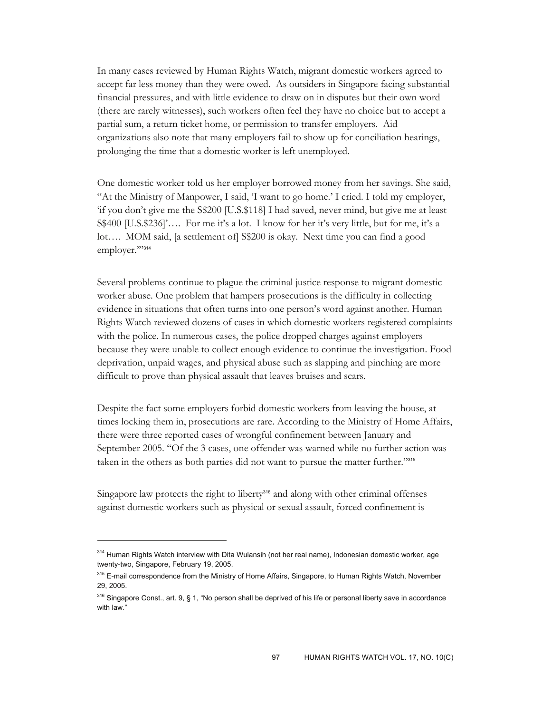In many cases reviewed by Human Rights Watch, migrant domestic workers agreed to accept far less money than they were owed. As outsiders in Singapore facing substantial financial pressures, and with little evidence to draw on in disputes but their own word (there are rarely witnesses), such workers often feel they have no choice but to accept a partial sum, a return ticket home, or permission to transfer employers. Aid organizations also note that many employers fail to show up for conciliation hearings, prolonging the time that a domestic worker is left unemployed.

One domestic worker told us her employer borrowed money from her savings. She said, "At the Ministry of Manpower, I said, 'I want to go home.' I cried. I told my employer, 'if you don't give me the S\$200 [U.S.\$118] I had saved, never mind, but give me at least S\$400 [U.S.\$236]'…. For me it's a lot. I know for her it's very little, but for me, it's a lot…. MOM said, [a settlement of] S\$200 is okay. Next time you can find a good employer."314

Several problems continue to plague the criminal justice response to migrant domestic worker abuse. One problem that hampers prosecutions is the difficulty in collecting evidence in situations that often turns into one person's word against another. Human Rights Watch reviewed dozens of cases in which domestic workers registered complaints with the police. In numerous cases, the police dropped charges against employers because they were unable to collect enough evidence to continue the investigation. Food deprivation, unpaid wages, and physical abuse such as slapping and pinching are more difficult to prove than physical assault that leaves bruises and scars.

Despite the fact some employers forbid domestic workers from leaving the house, at times locking them in, prosecutions are rare. According to the Ministry of Home Affairs, there were three reported cases of wrongful confinement between January and September 2005. "Of the 3 cases, one offender was warned while no further action was taken in the others as both parties did not want to pursue the matter further."<sup>315</sup>

Singapore law protects the right to liberty<sup>316</sup> and along with other criminal offenses against domestic workers such as physical or sexual assault, forced confinement is

<sup>314</sup> Human Rights Watch interview with Dita Wulansih (not her real name), Indonesian domestic worker, age twenty-two, Singapore, February 19, 2005.

<sup>&</sup>lt;sup>315</sup> E-mail correspondence from the Ministry of Home Affairs, Singapore, to Human Rights Watch, November 29, 2005.

 $316$  Singapore Const., art. 9, § 1, "No person shall be deprived of his life or personal liberty save in accordance with law."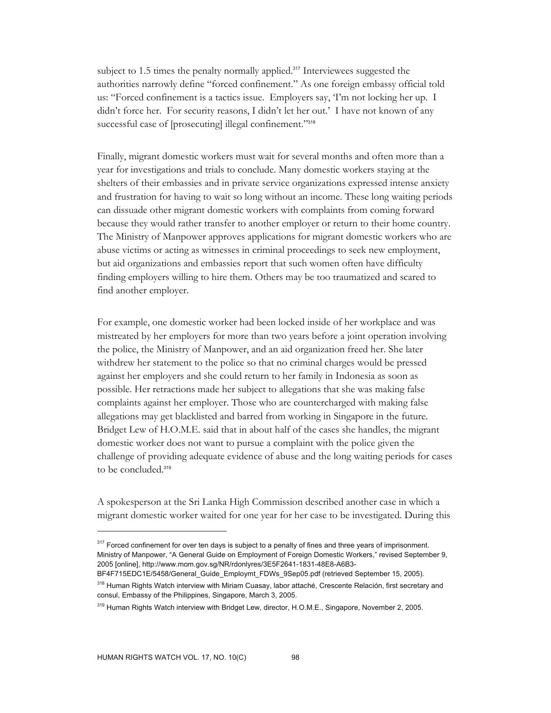subject to 1.5 times the penalty normally applied.<sup>317</sup> Interviewees suggested the authorities narrowly define "forced confinement." As one foreign embassy official told us: "Forced confinement is a tactics issue. Employers say, 'I'm not locking her up. I didn't force her. For security reasons, I didn't let her out.' I have not known of any successful case of [prosecuting] illegal confinement."<sup>318</sup>

Finally, migrant domestic workers must wait for several months and often more than a year for investigations and trials to conclude. Many domestic workers staying at the shelters of their embassies and in private service organizations expressed intense anxiety and frustration for having to wait so long without an income. These long waiting periods can dissuade other migrant domestic workers with complaints from coming forward because they would rather transfer to another employer or return to their home country. The Ministry of Manpower approves applications for migrant domestic workers who are abuse victims or acting as witnesses in criminal proceedings to seek new employment, but aid organizations and embassies report that such women often have difficulty finding employers willing to hire them. Others may be too traumatized and scared to find another employer.

For example, one domestic worker had been locked inside of her workplace and was mistreated by her employers for more than two years before a joint operation involving the police, the Ministry of Manpower, and an aid organization freed her. She later withdrew her statement to the police so that no criminal charges would be pressed against her employers and she could return to her family in Indonesia as soon as possible. Her retractions made her subject to allegations that she was making false complaints against her employer. Those who are countercharged with making false allegations may get blacklisted and barred from working in Singapore in the future. Bridget Lew of H.O.M.E. said that in about half of the cases she handles, the migrant domestic worker does not want to pursue a complaint with the police given the challenge of providing adequate evidence of abuse and the long waiting periods for cases to be concluded.<sup>319</sup>

A spokesperson at the Sri Lanka High Commission described another case in which a migrant domestic worker waited for one year for her case to be investigated. During this

<sup>&</sup>lt;sup>317</sup> Forced confinement for over ten days is subject to a penalty of fines and three years of imprisonment. Ministry of Manpower, "A General Guide on Employment of Foreign Domestic Workers," revised September 9, 2005 [online], http://www.mom.gov.sg/NR/rdonlyres/3E5F2641-1831-48E8-A6B3- BF4F715EDC1E/5458/General\_Guide\_Employmt\_FDWs\_9Sep05.pdf (retrieved September 15, 2005).

<sup>&</sup>lt;sup>318</sup> Human Rights Watch interview with Miriam Cuasay, labor attaché, Crescente Relación, first secretary and consul, Embassy of the Philippines, Singapore, March 3, 2005.

<sup>&</sup>lt;sup>319</sup> Human Rights Watch interview with Bridget Lew, director, H.O.M.E., Singapore, November 2, 2005.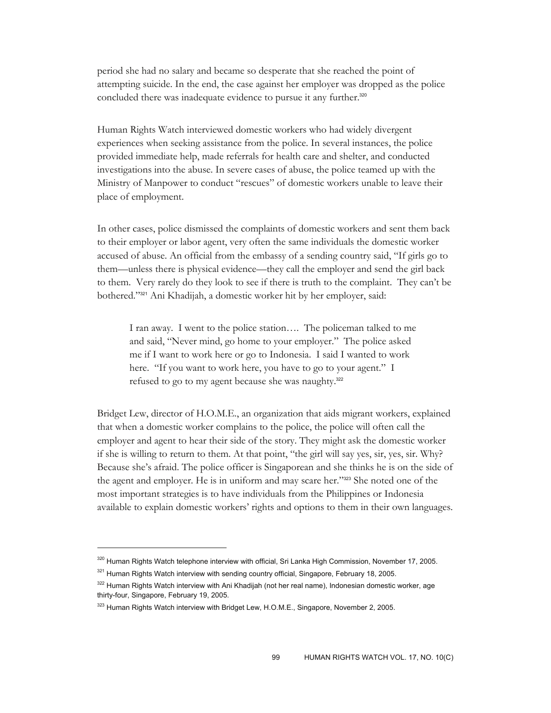period she had no salary and became so desperate that she reached the point of attempting suicide. In the end, the case against her employer was dropped as the police concluded there was inadequate evidence to pursue it any further.<sup>320</sup>

Human Rights Watch interviewed domestic workers who had widely divergent experiences when seeking assistance from the police. In several instances, the police provided immediate help, made referrals for health care and shelter, and conducted investigations into the abuse. In severe cases of abuse, the police teamed up with the Ministry of Manpower to conduct "rescues" of domestic workers unable to leave their place of employment.

In other cases, police dismissed the complaints of domestic workers and sent them back to their employer or labor agent, very often the same individuals the domestic worker accused of abuse. An official from the embassy of a sending country said, "If girls go to them—unless there is physical evidence—they call the employer and send the girl back to them. Very rarely do they look to see if there is truth to the complaint. They can't be bothered."321 Ani Khadijah, a domestic worker hit by her employer, said:

I ran away. I went to the police station…. The policeman talked to me and said, "Never mind, go home to your employer." The police asked me if I want to work here or go to Indonesia. I said I wanted to work here. "If you want to work here, you have to go to your agent." I refused to go to my agent because she was naughty.<sup>322</sup>

Bridget Lew, director of H.O.M.E., an organization that aids migrant workers, explained that when a domestic worker complains to the police, the police will often call the employer and agent to hear their side of the story. They might ask the domestic worker if she is willing to return to them. At that point, "the girl will say yes, sir, yes, sir. Why? Because she's afraid. The police officer is Singaporean and she thinks he is on the side of the agent and employer. He is in uniform and may scare her."323 She noted one of the most important strategies is to have individuals from the Philippines or Indonesia available to explain domestic workers' rights and options to them in their own languages.

<sup>320</sup> Human Rights Watch telephone interview with official, Sri Lanka High Commission, November 17, 2005.

<sup>&</sup>lt;sup>321</sup> Human Rights Watch interview with sending country official, Singapore, February 18, 2005.

<sup>&</sup>lt;sup>322</sup> Human Rights Watch interview with Ani Khadijah (not her real name), Indonesian domestic worker, age thirty-four, Singapore, February 19, 2005.

<sup>&</sup>lt;sup>323</sup> Human Rights Watch interview with Bridget Lew, H.O.M.E., Singapore, November 2, 2005.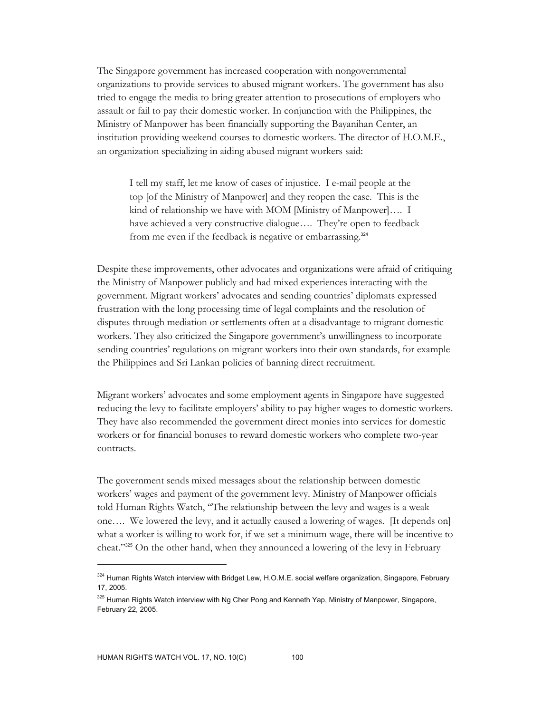The Singapore government has increased cooperation with nongovernmental organizations to provide services to abused migrant workers. The government has also tried to engage the media to bring greater attention to prosecutions of employers who assault or fail to pay their domestic worker. In conjunction with the Philippines, the Ministry of Manpower has been financially supporting the Bayanihan Center, an institution providing weekend courses to domestic workers. The director of H.O.M.E., an organization specializing in aiding abused migrant workers said:

I tell my staff, let me know of cases of injustice. I e-mail people at the top [of the Ministry of Manpower] and they reopen the case. This is the kind of relationship we have with MOM [Ministry of Manpower]…. I have achieved a very constructive dialogue…. They're open to feedback from me even if the feedback is negative or embarrassing.<sup>324</sup>

Despite these improvements, other advocates and organizations were afraid of critiquing the Ministry of Manpower publicly and had mixed experiences interacting with the government. Migrant workers' advocates and sending countries' diplomats expressed frustration with the long processing time of legal complaints and the resolution of disputes through mediation or settlements often at a disadvantage to migrant domestic workers. They also criticized the Singapore government's unwillingness to incorporate sending countries' regulations on migrant workers into their own standards, for example the Philippines and Sri Lankan policies of banning direct recruitment.

Migrant workers' advocates and some employment agents in Singapore have suggested reducing the levy to facilitate employers' ability to pay higher wages to domestic workers. They have also recommended the government direct monies into services for domestic workers or for financial bonuses to reward domestic workers who complete two-year contracts.

The government sends mixed messages about the relationship between domestic workers' wages and payment of the government levy. Ministry of Manpower officials told Human Rights Watch, "The relationship between the levy and wages is a weak one…. We lowered the levy, and it actually caused a lowering of wages. [It depends on] what a worker is willing to work for, if we set a minimum wage, there will be incentive to cheat."325 On the other hand, when they announced a lowering of the levy in February

<sup>324</sup> Human Rights Watch interview with Bridget Lew, H.O.M.E. social welfare organization, Singapore, February 17, 2005.

<sup>325</sup> Human Rights Watch interview with Ng Cher Pong and Kenneth Yap, Ministry of Manpower, Singapore, February 22, 2005.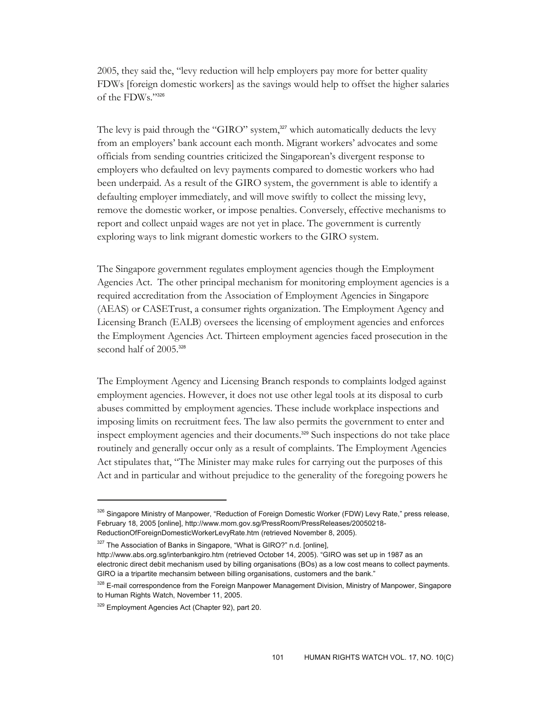2005, they said the, "levy reduction will help employers pay more for better quality FDWs [foreign domestic workers] as the savings would help to offset the higher salaries of the FDWs."<sup>326</sup>

The levy is paid through the "GIRO" system,<sup>327</sup> which automatically deducts the levy from an employers' bank account each month. Migrant workers' advocates and some officials from sending countries criticized the Singaporean's divergent response to employers who defaulted on levy payments compared to domestic workers who had been underpaid. As a result of the GIRO system, the government is able to identify a defaulting employer immediately, and will move swiftly to collect the missing levy, remove the domestic worker, or impose penalties. Conversely, effective mechanisms to report and collect unpaid wages are not yet in place. The government is currently exploring ways to link migrant domestic workers to the GIRO system.

The Singapore government regulates employment agencies though the Employment Agencies Act. The other principal mechanism for monitoring employment agencies is a required accreditation from the Association of Employment Agencies in Singapore (AEAS) or CASETrust, a consumer rights organization. The Employment Agency and Licensing Branch (EALB) oversees the licensing of employment agencies and enforces the Employment Agencies Act. Thirteen employment agencies faced prosecution in the second half of 2005.<sup>328</sup>

The Employment Agency and Licensing Branch responds to complaints lodged against employment agencies. However, it does not use other legal tools at its disposal to curb abuses committed by employment agencies. These include workplace inspections and imposing limits on recruitment fees. The law also permits the government to enter and inspect employment agencies and their documents.329 Such inspections do not take place routinely and generally occur only as a result of complaints. The Employment Agencies Act stipulates that, "The Minister may make rules for carrying out the purposes of this Act and in particular and without prejudice to the generality of the foregoing powers he

<sup>326</sup> Singapore Ministry of Manpower, "Reduction of Foreign Domestic Worker (FDW) Levy Rate," press release, February 18, 2005 [online], http://www.mom.gov.sg/PressRoom/PressReleases/20050218- ReductionOfForeignDomesticWorkerLevyRate.htm (retrieved November 8, 2005).

<sup>&</sup>lt;sup>327</sup> The Association of Banks in Singapore, "What is GIRO?" n.d. [online],

http://www.abs.org.sg/interbankgiro.htm (retrieved October 14, 2005). "GIRO was set up in 1987 as an electronic direct debit mechanism used by billing organisations (BOs) as a low cost means to collect payments. GIRO ia a tripartite mechansim between billing organisations, customers and the bank."

<sup>&</sup>lt;sup>328</sup> E-mail correspondence from the Foreign Manpower Management Division, Ministry of Manpower, Singapore to Human Rights Watch, November 11, 2005.

<sup>&</sup>lt;sup>329</sup> Employment Agencies Act (Chapter 92), part 20.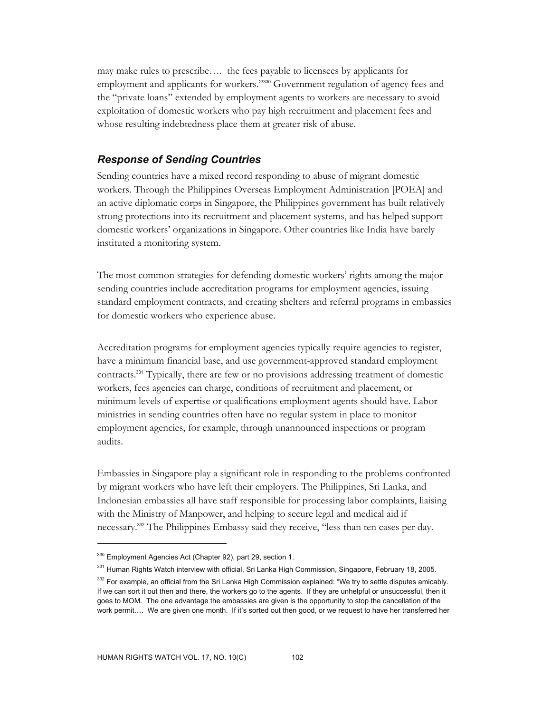may make rules to prescribe…. the fees payable to licensees by applicants for employment and applicants for workers."330 Government regulation of agency fees and the "private loans" extended by employment agents to workers are necessary to avoid exploitation of domestic workers who pay high recruitment and placement fees and whose resulting indebtedness place them at greater risk of abuse.

## *Response of Sending Countries*

Sending countries have a mixed record responding to abuse of migrant domestic workers. Through the Philippines Overseas Employment Administration [POEA] and an active diplomatic corps in Singapore, the Philippines government has built relatively strong protections into its recruitment and placement systems, and has helped support domestic workers' organizations in Singapore. Other countries like India have barely instituted a monitoring system.

The most common strategies for defending domestic workers' rights among the major sending countries include accreditation programs for employment agencies, issuing standard employment contracts, and creating shelters and referral programs in embassies for domestic workers who experience abuse.

Accreditation programs for employment agencies typically require agencies to register, have a minimum financial base, and use government-approved standard employment contracts.331 Typically, there are few or no provisions addressing treatment of domestic workers, fees agencies can charge, conditions of recruitment and placement, or minimum levels of expertise or qualifications employment agents should have. Labor ministries in sending countries often have no regular system in place to monitor employment agencies, for example, through unannounced inspections or program audits.

Embassies in Singapore play a significant role in responding to the problems confronted by migrant workers who have left their employers. The Philippines, Sri Lanka, and Indonesian embassies all have staff responsible for processing labor complaints, liaising with the Ministry of Manpower, and helping to secure legal and medical aid if necessary.332 The Philippines Embassy said they receive, "less than ten cases per day.

<sup>330</sup> Employment Agencies Act (Chapter 92), part 29, section 1.

<sup>&</sup>lt;sup>331</sup> Human Rights Watch interview with official, Sri Lanka High Commission, Singapore, February 18, 2005. <sup>332</sup> For example, an official from the Sri Lanka High Commission explained: "We try to settle disputes amicably. If we can sort it out then and there, the workers go to the agents. If they are unhelpful or unsuccessful, then it goes to MOM. The one advantage the embassies are given is the opportunity to stop the cancellation of the work permit…. We are given one month. If it's sorted out then good, or we request to have her transferred her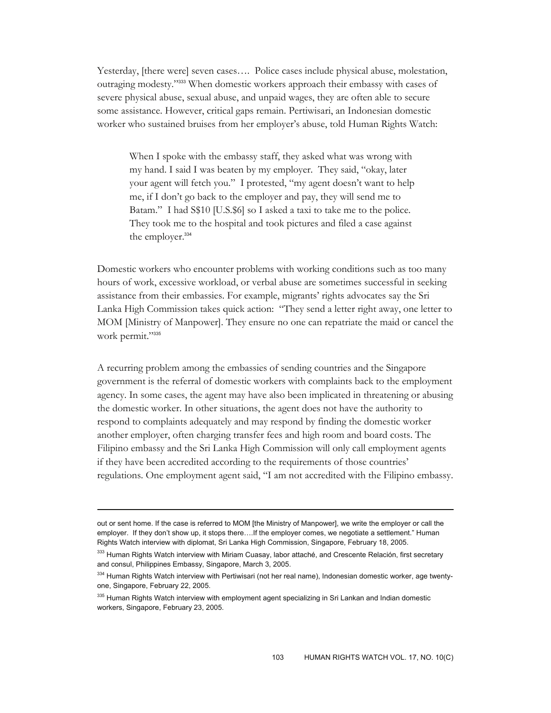Yesterday, [there were] seven cases…. Police cases include physical abuse, molestation, outraging modesty."333 When domestic workers approach their embassy with cases of severe physical abuse, sexual abuse, and unpaid wages, they are often able to secure some assistance. However, critical gaps remain. Pertiwisari, an Indonesian domestic worker who sustained bruises from her employer's abuse, told Human Rights Watch:

When I spoke with the embassy staff, they asked what was wrong with my hand. I said I was beaten by my employer. They said, "okay, later your agent will fetch you." I protested, "my agent doesn't want to help me, if I don't go back to the employer and pay, they will send me to Batam." I had S\$10 [U.S.\$6] so I asked a taxi to take me to the police. They took me to the hospital and took pictures and filed a case against the employer.<sup>334</sup>

Domestic workers who encounter problems with working conditions such as too many hours of work, excessive workload, or verbal abuse are sometimes successful in seeking assistance from their embassies. For example, migrants' rights advocates say the Sri Lanka High Commission takes quick action: "They send a letter right away, one letter to MOM [Ministry of Manpower]. They ensure no one can repatriate the maid or cancel the work permit."335

A recurring problem among the embassies of sending countries and the Singapore government is the referral of domestic workers with complaints back to the employment agency. In some cases, the agent may have also been implicated in threatening or abusing the domestic worker. In other situations, the agent does not have the authority to respond to complaints adequately and may respond by finding the domestic worker another employer, often charging transfer fees and high room and board costs. The Filipino embassy and the Sri Lanka High Commission will only call employment agents if they have been accredited according to the requirements of those countries' regulations. One employment agent said, "I am not accredited with the Filipino embassy.

out or sent home. If the case is referred to MOM [the Ministry of Manpower], we write the employer or call the employer. If they don't show up, it stops there….If the employer comes, we negotiate a settlement." Human Rights Watch interview with diplomat, Sri Lanka High Commission, Singapore, February 18, 2005.

<sup>333</sup> Human Rights Watch interview with Miriam Cuasay, labor attaché, and Crescente Relación, first secretary and consul, Philippines Embassy, Singapore, March 3, 2005.

<sup>334</sup> Human Rights Watch interview with Pertiwisari (not her real name), Indonesian domestic worker, age twentyone, Singapore, February 22, 2005.

<sup>&</sup>lt;sup>335</sup> Human Rights Watch interview with employment agent specializing in Sri Lankan and Indian domestic workers, Singapore, February 23, 2005.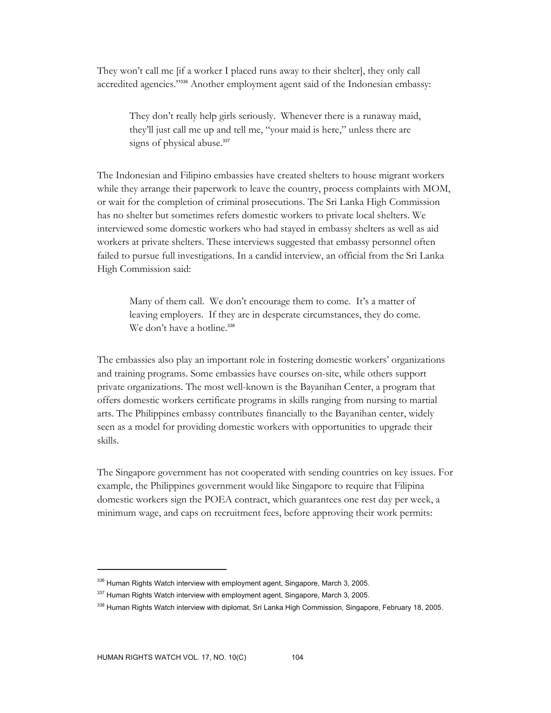They won't call me [if a worker I placed runs away to their shelter], they only call accredited agencies."336 Another employment agent said of the Indonesian embassy:

They don't really help girls seriously. Whenever there is a runaway maid, they'll just call me up and tell me, "your maid is here," unless there are signs of physical abuse.<sup>337</sup>

The Indonesian and Filipino embassies have created shelters to house migrant workers while they arrange their paperwork to leave the country, process complaints with MOM, or wait for the completion of criminal prosecutions. The Sri Lanka High Commission has no shelter but sometimes refers domestic workers to private local shelters. We interviewed some domestic workers who had stayed in embassy shelters as well as aid workers at private shelters. These interviews suggested that embassy personnel often failed to pursue full investigations. In a candid interview, an official from the Sri Lanka High Commission said:

Many of them call. We don't encourage them to come. It's a matter of leaving employers. If they are in desperate circumstances, they do come. We don't have a hotline.<sup>338</sup>

The embassies also play an important role in fostering domestic workers' organizations and training programs. Some embassies have courses on-site, while others support private organizations. The most well-known is the Bayanihan Center, a program that offers domestic workers certificate programs in skills ranging from nursing to martial arts. The Philippines embassy contributes financially to the Bayanihan center, widely seen as a model for providing domestic workers with opportunities to upgrade their skills.

The Singapore government has not cooperated with sending countries on key issues. For example, the Philippines government would like Singapore to require that Filipina domestic workers sign the POEA contract, which guarantees one rest day per week, a minimum wage, and caps on recruitment fees, before approving their work permits:

<sup>&</sup>lt;sup>336</sup> Human Rights Watch interview with employment agent, Singapore, March 3, 2005.

<sup>337</sup> Human Rights Watch interview with employment agent, Singapore, March 3, 2005.

<sup>&</sup>lt;sup>338</sup> Human Rights Watch interview with diplomat, Sri Lanka High Commission, Singapore, February 18, 2005.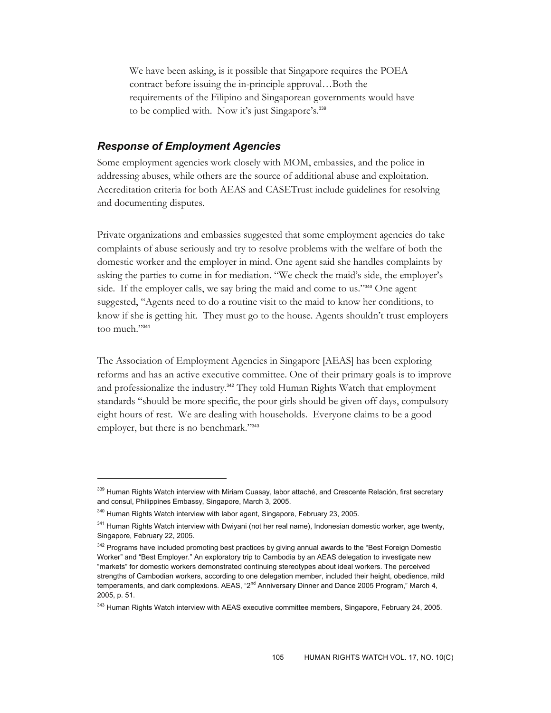We have been asking, is it possible that Singapore requires the POEA contract before issuing the in-principle approval…Both the requirements of the Filipino and Singaporean governments would have to be complied with. Now it's just Singapore's.<sup>339</sup>

# *Response of Employment Agencies*

Some employment agencies work closely with MOM, embassies, and the police in addressing abuses, while others are the source of additional abuse and exploitation. Accreditation criteria for both AEAS and CASETrust include guidelines for resolving and documenting disputes.

Private organizations and embassies suggested that some employment agencies do take complaints of abuse seriously and try to resolve problems with the welfare of both the domestic worker and the employer in mind. One agent said she handles complaints by asking the parties to come in for mediation. "We check the maid's side, the employer's side. If the employer calls, we say bring the maid and come to us."<sup>340</sup> One agent suggested, "Agents need to do a routine visit to the maid to know her conditions, to know if she is getting hit. They must go to the house. Agents shouldn't trust employers too much."341

The Association of Employment Agencies in Singapore [AEAS] has been exploring reforms and has an active executive committee. One of their primary goals is to improve and professionalize the industry.<sup>342</sup> They told Human Rights Watch that employment standards "should be more specific, the poor girls should be given off days, compulsory eight hours of rest. We are dealing with households. Everyone claims to be a good employer, but there is no benchmark."<sup>343</sup>

<sup>339</sup> Human Rights Watch interview with Miriam Cuasay, labor attaché, and Crescente Relación, first secretary and consul, Philippines Embassy, Singapore, March 3, 2005.

<sup>&</sup>lt;sup>340</sup> Human Rights Watch interview with labor agent, Singapore, February 23, 2005.

<sup>&</sup>lt;sup>341</sup> Human Rights Watch interview with Dwiyani (not her real name), Indonesian domestic worker, age twenty, Singapore, February 22, 2005.

<sup>&</sup>lt;sup>342</sup> Programs have included promoting best practices by giving annual awards to the "Best Foreign Domestic Worker" and "Best Employer." An exploratory trip to Cambodia by an AEAS delegation to investigate new "markets" for domestic workers demonstrated continuing stereotypes about ideal workers. The perceived strengths of Cambodian workers, according to one delegation member, included their height, obedience, mild temperaments, and dark complexions. AEAS, "2<sup>nd</sup> Anniversary Dinner and Dance 2005 Program," March 4, 2005, p. 51.

<sup>&</sup>lt;sup>343</sup> Human Rights Watch interview with AEAS executive committee members, Singapore, February 24, 2005.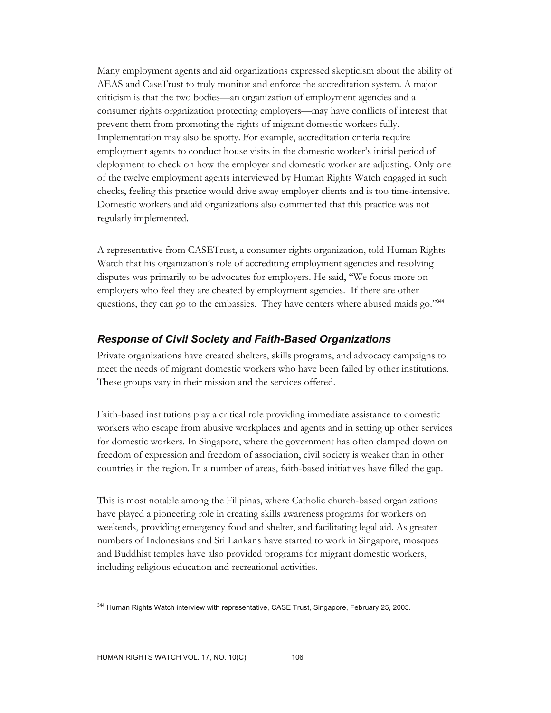Many employment agents and aid organizations expressed skepticism about the ability of AEAS and CaseTrust to truly monitor and enforce the accreditation system. A major criticism is that the two bodies—an organization of employment agencies and a consumer rights organization protecting employers—may have conflicts of interest that prevent them from promoting the rights of migrant domestic workers fully. Implementation may also be spotty. For example, accreditation criteria require employment agents to conduct house visits in the domestic worker's initial period of deployment to check on how the employer and domestic worker are adjusting. Only one of the twelve employment agents interviewed by Human Rights Watch engaged in such checks, feeling this practice would drive away employer clients and is too time-intensive. Domestic workers and aid organizations also commented that this practice was not regularly implemented.

A representative from CASETrust, a consumer rights organization, told Human Rights Watch that his organization's role of accrediting employment agencies and resolving disputes was primarily to be advocates for employers. He said, "We focus more on employers who feel they are cheated by employment agencies. If there are other questions, they can go to the embassies. They have centers where abused maids go."344

#### *Response of Civil Society and Faith-Based Organizations*

Private organizations have created shelters, skills programs, and advocacy campaigns to meet the needs of migrant domestic workers who have been failed by other institutions. These groups vary in their mission and the services offered.

Faith-based institutions play a critical role providing immediate assistance to domestic workers who escape from abusive workplaces and agents and in setting up other services for domestic workers. In Singapore, where the government has often clamped down on freedom of expression and freedom of association, civil society is weaker than in other countries in the region. In a number of areas, faith-based initiatives have filled the gap.

This is most notable among the Filipinas, where Catholic church-based organizations have played a pioneering role in creating skills awareness programs for workers on weekends, providing emergency food and shelter, and facilitating legal aid. As greater numbers of Indonesians and Sri Lankans have started to work in Singapore, mosques and Buddhist temples have also provided programs for migrant domestic workers, including religious education and recreational activities.

 $\overline{a}$ 

<sup>&</sup>lt;sup>344</sup> Human Rights Watch interview with representative, CASE Trust, Singapore, February 25, 2005.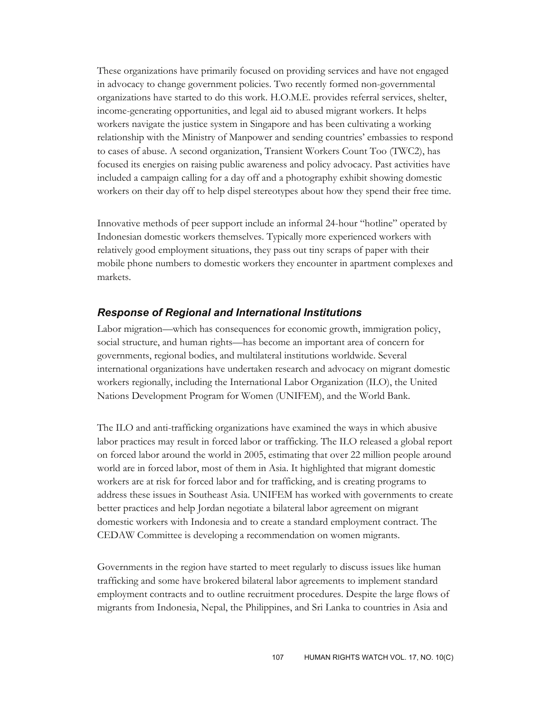These organizations have primarily focused on providing services and have not engaged in advocacy to change government policies. Two recently formed non-governmental organizations have started to do this work. H.O.M.E. provides referral services, shelter, income-generating opportunities, and legal aid to abused migrant workers. It helps workers navigate the justice system in Singapore and has been cultivating a working relationship with the Ministry of Manpower and sending countries' embassies to respond to cases of abuse. A second organization, Transient Workers Count Too (TWC2), has focused its energies on raising public awareness and policy advocacy. Past activities have included a campaign calling for a day off and a photography exhibit showing domestic workers on their day off to help dispel stereotypes about how they spend their free time.

Innovative methods of peer support include an informal 24-hour "hotline" operated by Indonesian domestic workers themselves. Typically more experienced workers with relatively good employment situations, they pass out tiny scraps of paper with their mobile phone numbers to domestic workers they encounter in apartment complexes and markets.

#### *Response of Regional and International Institutions*

Labor migration—which has consequences for economic growth, immigration policy, social structure, and human rights—has become an important area of concern for governments, regional bodies, and multilateral institutions worldwide. Several international organizations have undertaken research and advocacy on migrant domestic workers regionally, including the International Labor Organization (ILO), the United Nations Development Program for Women (UNIFEM), and the World Bank.

The ILO and anti-trafficking organizations have examined the ways in which abusive labor practices may result in forced labor or trafficking. The ILO released a global report on forced labor around the world in 2005, estimating that over 22 million people around world are in forced labor, most of them in Asia. It highlighted that migrant domestic workers are at risk for forced labor and for trafficking, and is creating programs to address these issues in Southeast Asia. UNIFEM has worked with governments to create better practices and help Jordan negotiate a bilateral labor agreement on migrant domestic workers with Indonesia and to create a standard employment contract. The CEDAW Committee is developing a recommendation on women migrants.

Governments in the region have started to meet regularly to discuss issues like human trafficking and some have brokered bilateral labor agreements to implement standard employment contracts and to outline recruitment procedures. Despite the large flows of migrants from Indonesia, Nepal, the Philippines, and Sri Lanka to countries in Asia and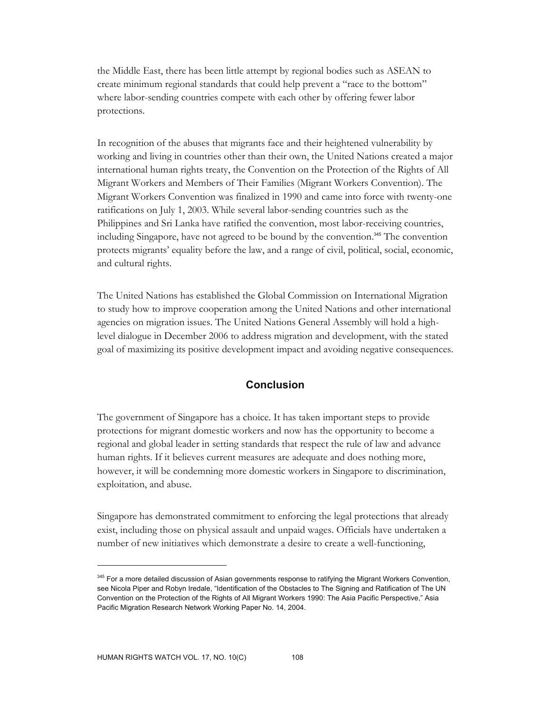the Middle East, there has been little attempt by regional bodies such as ASEAN to create minimum regional standards that could help prevent a "race to the bottom" where labor-sending countries compete with each other by offering fewer labor protections.

In recognition of the abuses that migrants face and their heightened vulnerability by working and living in countries other than their own, the United Nations created a major international human rights treaty, the Convention on the Protection of the Rights of All Migrant Workers and Members of Their Families (Migrant Workers Convention). The Migrant Workers Convention was finalized in 1990 and came into force with twenty-one ratifications on July 1, 2003. While several labor-sending countries such as the Philippines and Sri Lanka have ratified the convention, most labor-receiving countries, including Singapore, have not agreed to be bound by the convention.<sup>345</sup> The convention protects migrants' equality before the law, and a range of civil, political, social, economic, and cultural rights.

The United Nations has established the Global Commission on International Migration to study how to improve cooperation among the United Nations and other international agencies on migration issues. The United Nations General Assembly will hold a highlevel dialogue in December 2006 to address migration and development, with the stated goal of maximizing its positive development impact and avoiding negative consequences.

#### **Conclusion**

The government of Singapore has a choice. It has taken important steps to provide protections for migrant domestic workers and now has the opportunity to become a regional and global leader in setting standards that respect the rule of law and advance human rights. If it believes current measures are adequate and does nothing more, however, it will be condemning more domestic workers in Singapore to discrimination, exploitation, and abuse.

Singapore has demonstrated commitment to enforcing the legal protections that already exist, including those on physical assault and unpaid wages. Officials have undertaken a number of new initiatives which demonstrate a desire to create a well-functioning,

 $\overline{a}$ 

<sup>&</sup>lt;sup>345</sup> For a more detailed discussion of Asian governments response to ratifying the Migrant Workers Convention, see Nicola Piper and Robyn Iredale, "Identification of the Obstacles to The Signing and Ratification of The UN Convention on the Protection of the Rights of All Migrant Workers 1990: The Asia Pacific Perspective," Asia Pacific Migration Research Network Working Paper No. 14, 2004.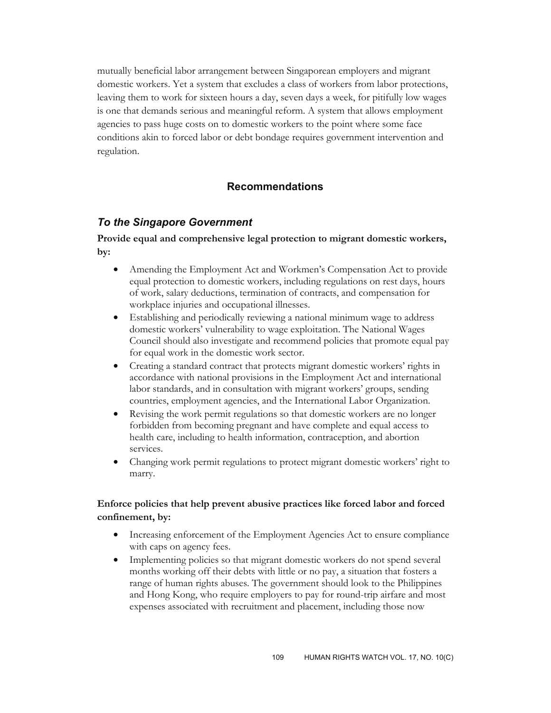mutually beneficial labor arrangement between Singaporean employers and migrant domestic workers. Yet a system that excludes a class of workers from labor protections, leaving them to work for sixteen hours a day, seven days a week, for pitifully low wages is one that demands serious and meaningful reform. A system that allows employment agencies to pass huge costs on to domestic workers to the point where some face conditions akin to forced labor or debt bondage requires government intervention and regulation.

## **Recommendations**

### *To the Singapore Government*

#### **Provide equal and comprehensive legal protection to migrant domestic workers, by:**

- Amending the Employment Act and Workmen's Compensation Act to provide equal protection to domestic workers, including regulations on rest days, hours of work, salary deductions, termination of contracts, and compensation for workplace injuries and occupational illnesses.
- Establishing and periodically reviewing a national minimum wage to address domestic workers' vulnerability to wage exploitation. The National Wages Council should also investigate and recommend policies that promote equal pay for equal work in the domestic work sector.
- Creating a standard contract that protects migrant domestic workers' rights in accordance with national provisions in the Employment Act and international labor standards, and in consultation with migrant workers' groups, sending countries, employment agencies, and the International Labor Organization.
- Revising the work permit regulations so that domestic workers are no longer forbidden from becoming pregnant and have complete and equal access to health care, including to health information, contraception, and abortion services.
- Changing work permit regulations to protect migrant domestic workers' right to marry.

#### **Enforce policies that help prevent abusive practices like forced labor and forced confinement, by:**

- Increasing enforcement of the Employment Agencies Act to ensure compliance with caps on agency fees.
- Implementing policies so that migrant domestic workers do not spend several months working off their debts with little or no pay, a situation that fosters a range of human rights abuses. The government should look to the Philippines and Hong Kong, who require employers to pay for round-trip airfare and most expenses associated with recruitment and placement, including those now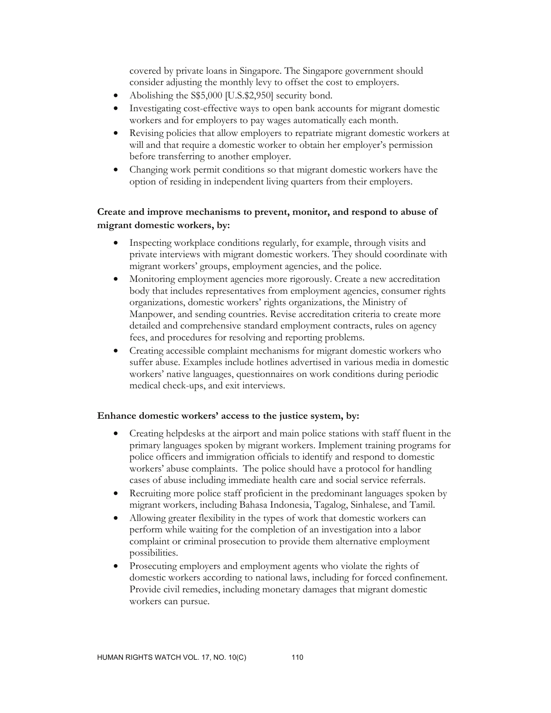covered by private loans in Singapore. The Singapore government should consider adjusting the monthly levy to offset the cost to employers.

- Abolishing the S\$5,000 [U.S.\$2,950] security bond.
- Investigating cost-effective ways to open bank accounts for migrant domestic workers and for employers to pay wages automatically each month.
- Revising policies that allow employers to repatriate migrant domestic workers at will and that require a domestic worker to obtain her employer's permission before transferring to another employer.
- Changing work permit conditions so that migrant domestic workers have the option of residing in independent living quarters from their employers.

#### **Create and improve mechanisms to prevent, monitor, and respond to abuse of migrant domestic workers, by:**

- Inspecting workplace conditions regularly, for example, through visits and private interviews with migrant domestic workers. They should coordinate with migrant workers' groups, employment agencies, and the police.
- Monitoring employment agencies more rigorously. Create a new accreditation body that includes representatives from employment agencies, consumer rights organizations, domestic workers' rights organizations, the Ministry of Manpower, and sending countries. Revise accreditation criteria to create more detailed and comprehensive standard employment contracts, rules on agency fees, and procedures for resolving and reporting problems.
- Creating accessible complaint mechanisms for migrant domestic workers who suffer abuse. Examples include hotlines advertised in various media in domestic workers' native languages, questionnaires on work conditions during periodic medical check-ups, and exit interviews.

#### **Enhance domestic workers' access to the justice system, by:**

- Creating helpdesks at the airport and main police stations with staff fluent in the primary languages spoken by migrant workers. Implement training programs for police officers and immigration officials to identify and respond to domestic workers' abuse complaints. The police should have a protocol for handling cases of abuse including immediate health care and social service referrals.
- Recruiting more police staff proficient in the predominant languages spoken by migrant workers, including Bahasa Indonesia, Tagalog, Sinhalese, and Tamil.
- Allowing greater flexibility in the types of work that domestic workers can perform while waiting for the completion of an investigation into a labor complaint or criminal prosecution to provide them alternative employment possibilities.
- Prosecuting employers and employment agents who violate the rights of domestic workers according to national laws, including for forced confinement. Provide civil remedies, including monetary damages that migrant domestic workers can pursue.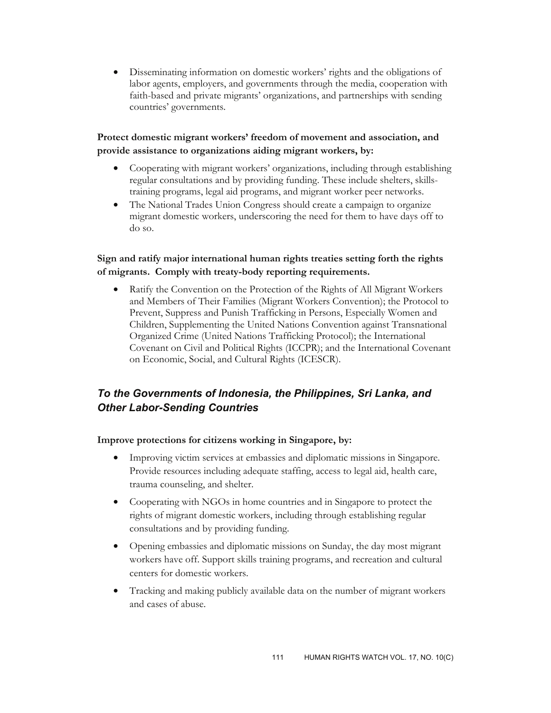• Disseminating information on domestic workers' rights and the obligations of labor agents, employers, and governments through the media, cooperation with faith-based and private migrants' organizations, and partnerships with sending countries' governments.

**Protect domestic migrant workers' freedom of movement and association, and provide assistance to organizations aiding migrant workers, by:** 

- Cooperating with migrant workers' organizations, including through establishing regular consultations and by providing funding. These include shelters, skillstraining programs, legal aid programs, and migrant worker peer networks.
- The National Trades Union Congress should create a campaign to organize migrant domestic workers, underscoring the need for them to have days off to do so.

#### **Sign and ratify major international human rights treaties setting forth the rights of migrants. Comply with treaty-body reporting requirements.**

• Ratify the Convention on the Protection of the Rights of All Migrant Workers and Members of Their Families (Migrant Workers Convention); the Protocol to Prevent, Suppress and Punish Trafficking in Persons, Especially Women and Children, Supplementing the United Nations Convention against Transnational Organized Crime (United Nations Trafficking Protocol); the International Covenant on Civil and Political Rights (ICCPR); and the International Covenant on Economic, Social, and Cultural Rights (ICESCR).

## *To the Governments of Indonesia, the Philippines, Sri Lanka, and Other Labor-Sending Countries*

#### **Improve protections for citizens working in Singapore, by:**

- Improving victim services at embassies and diplomatic missions in Singapore. Provide resources including adequate staffing, access to legal aid, health care, trauma counseling, and shelter.
- Cooperating with NGOs in home countries and in Singapore to protect the rights of migrant domestic workers, including through establishing regular consultations and by providing funding.
- Opening embassies and diplomatic missions on Sunday, the day most migrant workers have off. Support skills training programs, and recreation and cultural centers for domestic workers.
- Tracking and making publicly available data on the number of migrant workers and cases of abuse.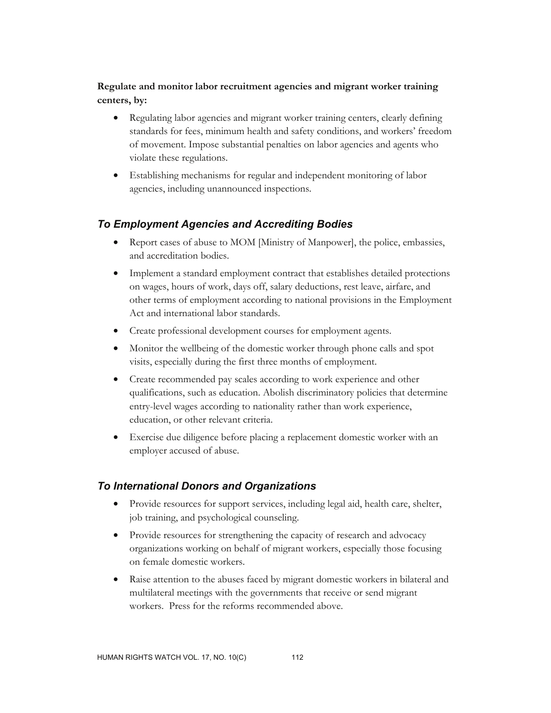### **Regulate and monitor labor recruitment agencies and migrant worker training centers, by:**

- Regulating labor agencies and migrant worker training centers, clearly defining standards for fees, minimum health and safety conditions, and workers' freedom of movement. Impose substantial penalties on labor agencies and agents who violate these regulations.
- Establishing mechanisms for regular and independent monitoring of labor agencies, including unannounced inspections.

## *To Employment Agencies and Accrediting Bodies*

- Report cases of abuse to MOM [Ministry of Manpower], the police, embassies, and accreditation bodies.
- Implement a standard employment contract that establishes detailed protections on wages, hours of work, days off, salary deductions, rest leave, airfare, and other terms of employment according to national provisions in the Employment Act and international labor standards.
- Create professional development courses for employment agents.
- Monitor the wellbeing of the domestic worker through phone calls and spot visits, especially during the first three months of employment.
- Create recommended pay scales according to work experience and other qualifications, such as education. Abolish discriminatory policies that determine entry-level wages according to nationality rather than work experience, education, or other relevant criteria.
- Exercise due diligence before placing a replacement domestic worker with an employer accused of abuse.

### *To International Donors and Organizations*

- Provide resources for support services, including legal aid, health care, shelter, job training, and psychological counseling.
- Provide resources for strengthening the capacity of research and advocacy organizations working on behalf of migrant workers, especially those focusing on female domestic workers.
- Raise attention to the abuses faced by migrant domestic workers in bilateral and multilateral meetings with the governments that receive or send migrant workers. Press for the reforms recommended above.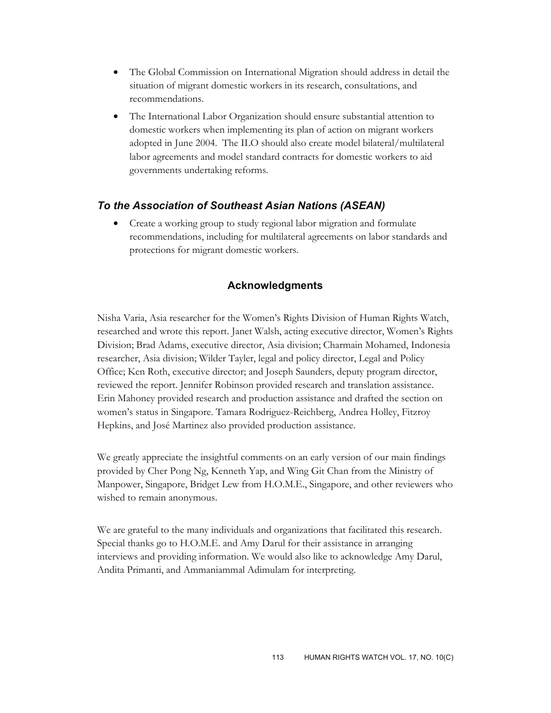- The Global Commission on International Migration should address in detail the situation of migrant domestic workers in its research, consultations, and recommendations.
- The International Labor Organization should ensure substantial attention to domestic workers when implementing its plan of action on migrant workers adopted in June 2004. The ILO should also create model bilateral/multilateral labor agreements and model standard contracts for domestic workers to aid governments undertaking reforms.

## *To the Association of Southeast Asian Nations (ASEAN)*

• Create a working group to study regional labor migration and formulate recommendations, including for multilateral agreements on labor standards and protections for migrant domestic workers.

### **Acknowledgments**

Nisha Varia, Asia researcher for the Women's Rights Division of Human Rights Watch, researched and wrote this report. Janet Walsh, acting executive director, Women's Rights Division; Brad Adams, executive director, Asia division; Charmain Mohamed, Indonesia researcher, Asia division; Wilder Tayler, legal and policy director, Legal and Policy Office; Ken Roth, executive director; and Joseph Saunders, deputy program director, reviewed the report. Jennifer Robinson provided research and translation assistance. Erin Mahoney provided research and production assistance and drafted the section on women's status in Singapore. Tamara Rodriguez-Reichberg, Andrea Holley, Fitzroy Hepkins, and José Martinez also provided production assistance.

We greatly appreciate the insightful comments on an early version of our main findings provided by Cher Pong Ng, Kenneth Yap, and Wing Git Chan from the Ministry of Manpower, Singapore, Bridget Lew from H.O.M.E., Singapore, and other reviewers who wished to remain anonymous.

We are grateful to the many individuals and organizations that facilitated this research. Special thanks go to H.O.M.E. and Amy Darul for their assistance in arranging interviews and providing information. We would also like to acknowledge Amy Darul, Andita Primanti, and Ammaniammal Adimulam for interpreting.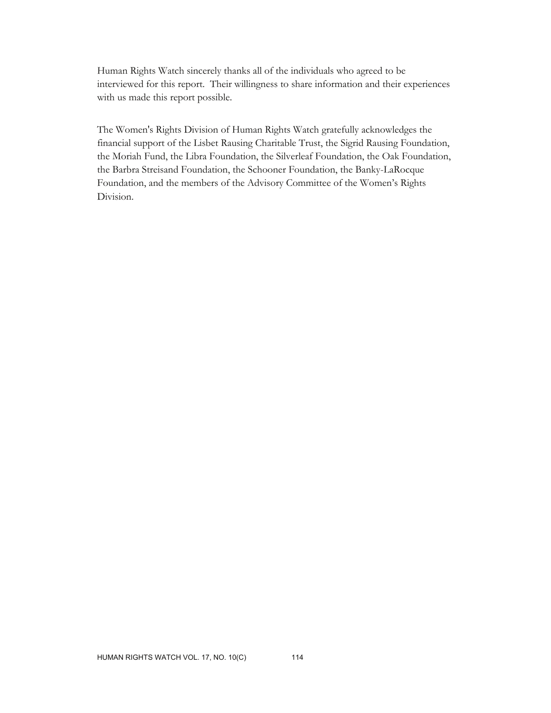Human Rights Watch sincerely thanks all of the individuals who agreed to be interviewed for this report. Their willingness to share information and their experiences with us made this report possible.

The Women's Rights Division of Human Rights Watch gratefully acknowledges the financial support of the Lisbet Rausing Charitable Trust, the Sigrid Rausing Foundation, the Moriah Fund, the Libra Foundation, the Silverleaf Foundation, the Oak Foundation, the Barbra Streisand Foundation, the Schooner Foundation, the Banky-LaRocque Foundation, and the members of the Advisory Committee of the Women's Rights Division.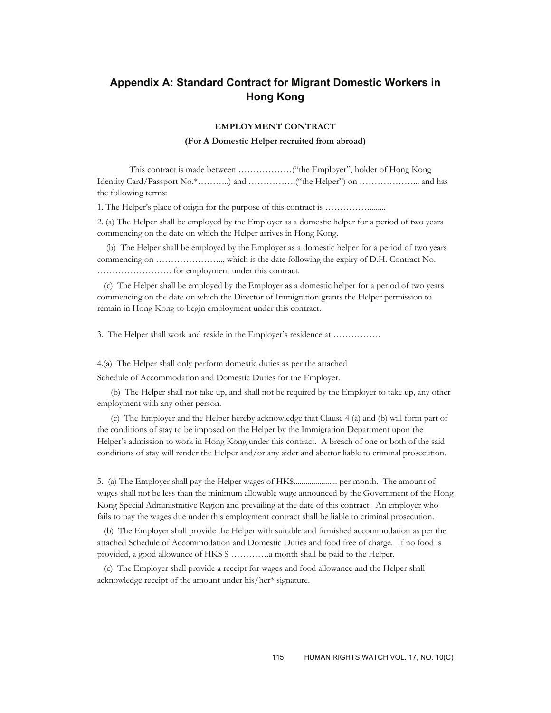## **Appendix A: Standard Contract for Migrant Domestic Workers in Hong Kong**

#### **EMPLOYMENT CONTRACT**

#### **(For A Domestic Helper recruited from abroad)**

 This contract is made between ………………("the Employer", holder of Hong Kong Identity Card/Passport No.\*………..) and …………….("the Helper") on ………………... and has the following terms:

1. The Helper's place of origin for the purpose of this contract is ……………........

2. (a) The Helper shall be employed by the Employer as a domestic helper for a period of two years commencing on the date on which the Helper arrives in Hong Kong.

 (b) The Helper shall be employed by the Employer as a domestic helper for a period of two years commencing on ………………….., which is the date following the expiry of D.H. Contract No. ……………………. for employment under this contract.

 (c) The Helper shall be employed by the Employer as a domestic helper for a period of two years commencing on the date on which the Director of Immigration grants the Helper permission to remain in Hong Kong to begin employment under this contract.

3. The Helper shall work and reside in the Employer's residence at …………….

4.(a) The Helper shall only perform domestic duties as per the attached

Schedule of Accommodation and Domestic Duties for the Employer.

 (b) The Helper shall not take up, and shall not be required by the Employer to take up, any other employment with any other person.

 (c) The Employer and the Helper hereby acknowledge that Clause 4 (a) and (b) will form part of the conditions of stay to be imposed on the Helper by the Immigration Department upon the Helper's admission to work in Hong Kong under this contract. A breach of one or both of the said conditions of stay will render the Helper and/or any aider and abettor liable to criminal prosecution.

5. (a) The Employer shall pay the Helper wages of HK\$...................... per month. The amount of wages shall not be less than the minimum allowable wage announced by the Government of the Hong Kong Special Administrative Region and prevailing at the date of this contract. An employer who fails to pay the wages due under this employment contract shall be liable to criminal prosecution.

 (b) The Employer shall provide the Helper with suitable and furnished accommodation as per the attached Schedule of Accommodation and Domestic Duties and food free of charge. If no food is provided, a good allowance of HKS  $$$  .............. a month shall be paid to the Helper.

 (c) The Employer shall provide a receipt for wages and food allowance and the Helper shall acknowledge receipt of the amount under his/her\* signature.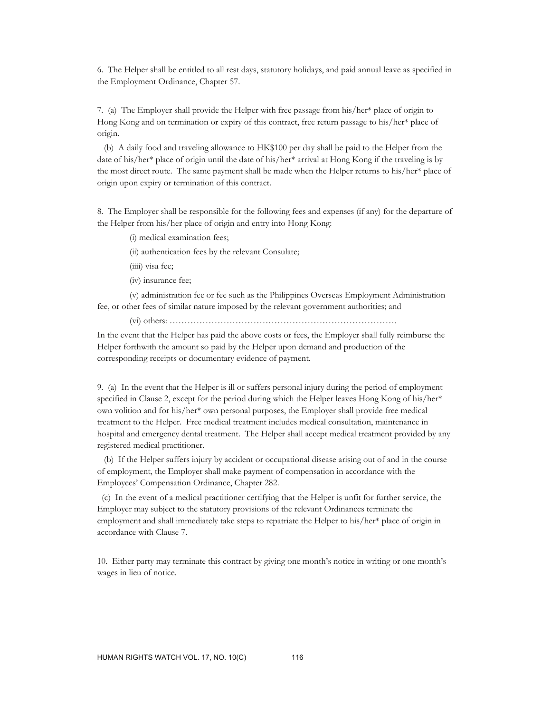6. The Helper shall be entitled to all rest days, statutory holidays, and paid annual leave as specified in the Employment Ordinance, Chapter 57.

7. (a) The Employer shall provide the Helper with free passage from his/her\* place of origin to Hong Kong and on termination or expiry of this contract, free return passage to his/her\* place of origin.

 (b) A daily food and traveling allowance to HK\$100 per day shall be paid to the Helper from the date of his/her\* place of origin until the date of his/her\* arrival at Hong Kong if the traveling is by the most direct route. The same payment shall be made when the Helper returns to his/her\* place of origin upon expiry or termination of this contract.

8. The Employer shall be responsible for the following fees and expenses (if any) for the departure of the Helper from his/her place of origin and entry into Hong Kong:

(i) medical examination fees;

(ii) authentication fees by the relevant Consulate;

(iiii) visa fee;

(iv) insurance fee;

 (v) administration fee or fee such as the Philippines Overseas Employment Administration fee, or other fees of similar nature imposed by the relevant government authorities; and

(vi) others: ………………………………………………………………….

In the event that the Helper has paid the above costs or fees, the Employer shall fully reimburse the Helper forthwith the amount so paid by the Helper upon demand and production of the corresponding receipts or documentary evidence of payment.

9. (a) In the event that the Helper is ill or suffers personal injury during the period of employment specified in Clause 2, except for the period during which the Helper leaves Hong Kong of his/her\* own volition and for his/her\* own personal purposes, the Employer shall provide free medical treatment to the Helper. Free medical treatment includes medical consultation, maintenance in hospital and emergency dental treatment. The Helper shall accept medical treatment provided by any registered medical practitioner.

 (b) If the Helper suffers injury by accident or occupational disease arising out of and in the course of employment, the Employer shall make payment of compensation in accordance with the Employees' Compensation Ordinance, Chapter 282.

 (c) In the event of a medical practitioner certifying that the Helper is unfit for further service, the Employer may subject to the statutory provisions of the relevant Ordinances terminate the employment and shall immediately take steps to repatriate the Helper to his/her\* place of origin in accordance with Clause 7.

10. Either party may terminate this contract by giving one month's notice in writing or one month's wages in lieu of notice.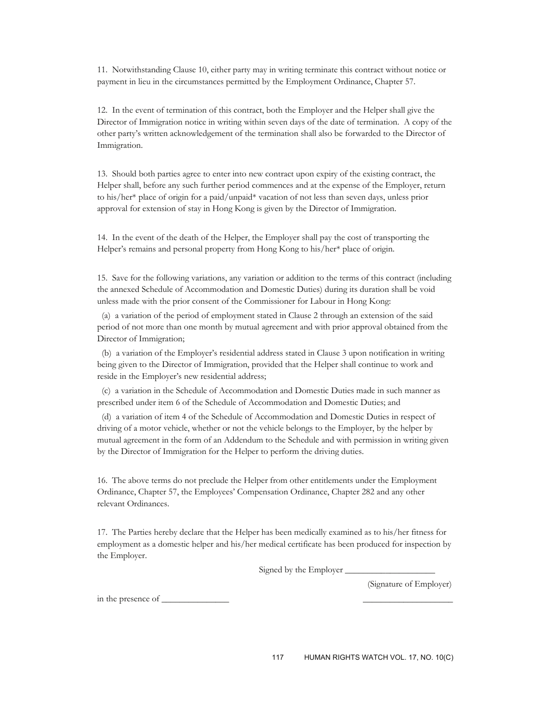11. Notwithstanding Clause 10, either party may in writing terminate this contract without notice or payment in lieu in the circumstances permitted by the Employment Ordinance, Chapter 57.

12. In the event of termination of this contract, both the Employer and the Helper shall give the Director of Immigration notice in writing within seven days of the date of termination. A copy of the other party's written acknowledgement of the termination shall also be forwarded to the Director of Immigration.

13. Should both parties agree to enter into new contract upon expiry of the existing contract, the Helper shall, before any such further period commences and at the expense of the Employer, return to his/her\* place of origin for a paid/unpaid\* vacation of not less than seven days, unless prior approval for extension of stay in Hong Kong is given by the Director of Immigration.

14. In the event of the death of the Helper, the Employer shall pay the cost of transporting the Helper's remains and personal property from Hong Kong to his/her\* place of origin.

15. Save for the following variations, any variation or addition to the terms of this contract (including the annexed Schedule of Accommodation and Domestic Duties) during its duration shall be void unless made with the prior consent of the Commissioner for Labour in Hong Kong:

 (a) a variation of the period of employment stated in Clause 2 through an extension of the said period of not more than one month by mutual agreement and with prior approval obtained from the Director of Immigration;

 (b) a variation of the Employer's residential address stated in Clause 3 upon notification in writing being given to the Director of Immigration, provided that the Helper shall continue to work and reside in the Employer's new residential address;

 (c) a variation in the Schedule of Accommodation and Domestic Duties made in such manner as prescribed under item 6 of the Schedule of Accommodation and Domestic Duties; and

 (d) a variation of item 4 of the Schedule of Accommodation and Domestic Duties in respect of driving of a motor vehicle, whether or not the vehicle belongs to the Employer, by the helper by mutual agreement in the form of an Addendum to the Schedule and with permission in writing given by the Director of Immigration for the Helper to perform the driving duties.

16. The above terms do not preclude the Helper from other entitlements under the Employment Ordinance, Chapter 57, the Employees' Compensation Ordinance, Chapter 282 and any other relevant Ordinances.

17. The Parties hereby declare that the Helper has been medically examined as to his/her fitness for employment as a domestic helper and his/her medical certificate has been produced for inspection by the Employer.

Signed by the Employer  $\_\_$ 

(Signature of Employer)

in the presence of \_\_\_\_\_\_\_\_\_\_\_\_\_\_\_ \_\_\_\_\_\_\_\_\_\_\_\_\_\_\_\_\_\_\_\_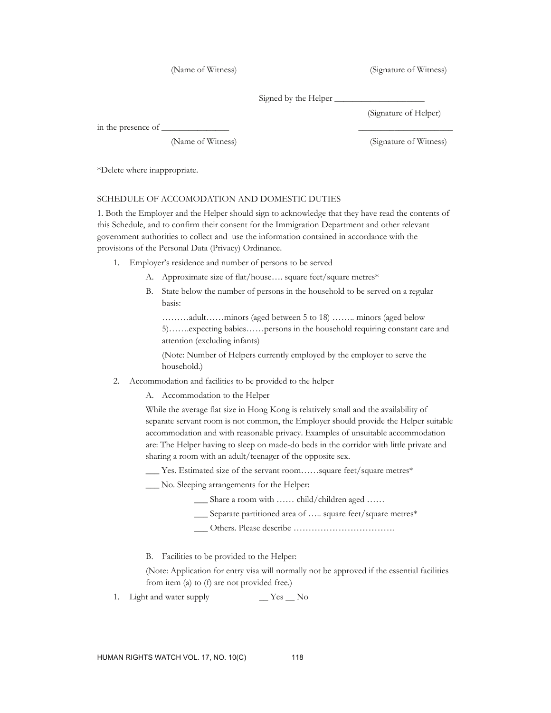(Name of Witness) (Signature of Witness)

Signed by the Helper

in the presence of \_\_\_\_\_\_\_\_\_\_\_\_\_

(Signature of Helper)

(Name of Witness) (Signature of Witness)

\*Delete where inappropriate.

#### SCHEDULE OF ACCOMODATION AND DOMESTIC DUTIES

1. Both the Employer and the Helper should sign to acknowledge that they have read the contents of this Schedule, and to confirm their consent for the Immigration Department and other relevant government authorities to collect and use the information contained in accordance with the provisions of the Personal Data (Privacy) Ordinance.

- 1. Employer's residence and number of persons to be served
	- A. Approximate size of flat/house.... square feet/square metres\*
	- B. State below the number of persons in the household to be served on a regular basis:

………adult……minors (aged between 5 to 18) …….. minors (aged below 5)…….expecting babies……persons in the household requiring constant care and attention (excluding infants)

(Note: Number of Helpers currently employed by the employer to serve the household.)

- 2. Accommodation and facilities to be provided to the helper
	- A. Accommodation to the Helper

While the average flat size in Hong Kong is relatively small and the availability of separate servant room is not common, the Employer should provide the Helper suitable accommodation and with reasonable privacy. Examples of unsuitable accommodation are: The Helper having to sleep on made-do beds in the corridor with little private and sharing a room with an adult/teenager of the opposite sex.

- \_\_\_ Yes. Estimated size of the servant room……square feet/square metres\*
- \_\_\_ No. Sleeping arrangements for the Helper:
	- \_\_\_ Share a room with …… child/children aged ……
	- \_\_\_ Separate partitioned area of ….. square feet/square metres\*
	- \_\_\_ Others. Please describe …………………………….
- B. Facilities to be provided to the Helper:

(Note: Application for entry visa will normally not be approved if the essential facilities from item (a) to (f) are not provided free.)

1. Light and water supply \_\_ Yes \_\_ No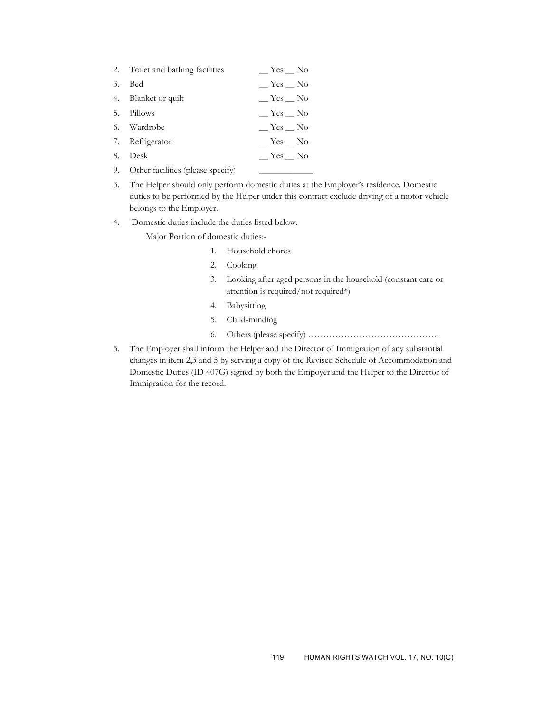|    | 2. Toilet and bathing facilities     | $Yes$ <sub>—</sub> No    |
|----|--------------------------------------|--------------------------|
| 3. | Bed                                  | $\equiv$ Yes $\equiv$ No |
|    | 4. Blanket or quilt                  | $\equiv$ Yes $\equiv$ No |
|    | 5. Pillows                           | $Y$ es $\_\ N$ o         |
|    | 6. Wardrobe                          | Yes No                   |
|    | 7. Refrigerator                      | $Y$ es $\_\ N$ o         |
|    | 8. Desk                              | $Y$ es $\_\ N$ o         |
|    | 9. Other facilities (please specify) |                          |

- 3. The Helper should only perform domestic duties at the Employer's residence. Domestic duties to be performed by the Helper under this contract exclude driving of a motor vehicle belongs to the Employer.
- 4. Domestic duties include the duties listed below.

Major Portion of domestic duties:-

- 1. Household chores
- 2. Cooking
- 3. Looking after aged persons in the household (constant care or attention is required/not required\*)
- 4. Babysitting
- 5. Child-minding
- 6. Others (please specify) ……………………………………..
- 5. The Employer shall inform the Helper and the Director of Immigration of any substantial changes in item 2,3 and 5 by serving a copy of the Revised Schedule of Accommodation and Domestic Duties (ID 407G) signed by both the Empoyer and the Helper to the Director of Immigration for the record.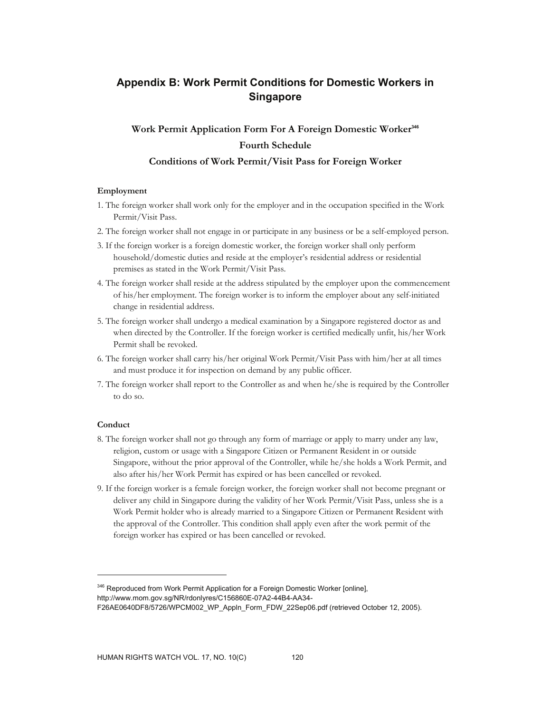## **Appendix B: Work Permit Conditions for Domestic Workers in Singapore**

## **Work Permit Application Form For A Foreign Domestic Worker<sup>346</sup> Fourth Schedule**

#### **Conditions of Work Permit/Visit Pass for Foreign Worker**

#### **Employment**

- 1. The foreign worker shall work only for the employer and in the occupation specified in the Work Permit/Visit Pass.
- 2. The foreign worker shall not engage in or participate in any business or be a self-employed person.
- 3. If the foreign worker is a foreign domestic worker, the foreign worker shall only perform household/domestic duties and reside at the employer's residential address or residential premises as stated in the Work Permit/Visit Pass.
- 4. The foreign worker shall reside at the address stipulated by the employer upon the commencement of his/her employment. The foreign worker is to inform the employer about any self-initiated change in residential address.
- 5. The foreign worker shall undergo a medical examination by a Singapore registered doctor as and when directed by the Controller. If the foreign worker is certified medically unfit, his/her Work Permit shall be revoked.
- 6. The foreign worker shall carry his/her original Work Permit/Visit Pass with him/her at all times and must produce it for inspection on demand by any public officer.
- 7. The foreign worker shall report to the Controller as and when he/she is required by the Controller to do so.

#### **Conduct**

 $\overline{a}$ 

- 8. The foreign worker shall not go through any form of marriage or apply to marry under any law, religion, custom or usage with a Singapore Citizen or Permanent Resident in or outside Singapore, without the prior approval of the Controller, while he/she holds a Work Permit, and also after his/her Work Permit has expired or has been cancelled or revoked.
- 9. If the foreign worker is a female foreign worker, the foreign worker shall not become pregnant or deliver any child in Singapore during the validity of her Work Permit/Visit Pass, unless she is a Work Permit holder who is already married to a Singapore Citizen or Permanent Resident with the approval of the Controller. This condition shall apply even after the work permit of the foreign worker has expired or has been cancelled or revoked.

<sup>&</sup>lt;sup>346</sup> Reproduced from Work Permit Application for a Foreign Domestic Worker [online],

http://www.mom.gov.sg/NR/rdonlyres/C156860E-07A2-44B4-AA34-

F26AE0640DF8/5726/WPCM002\_WP\_Appln\_Form\_FDW\_22Sep06.pdf (retrieved October 12, 2005).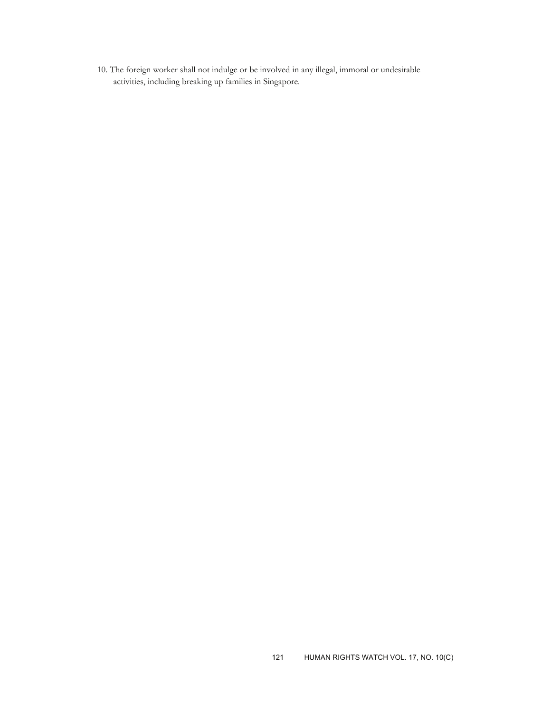10. The foreign worker shall not indulge or be involved in any illegal, immoral or undesirable activities, including breaking up families in Singapore.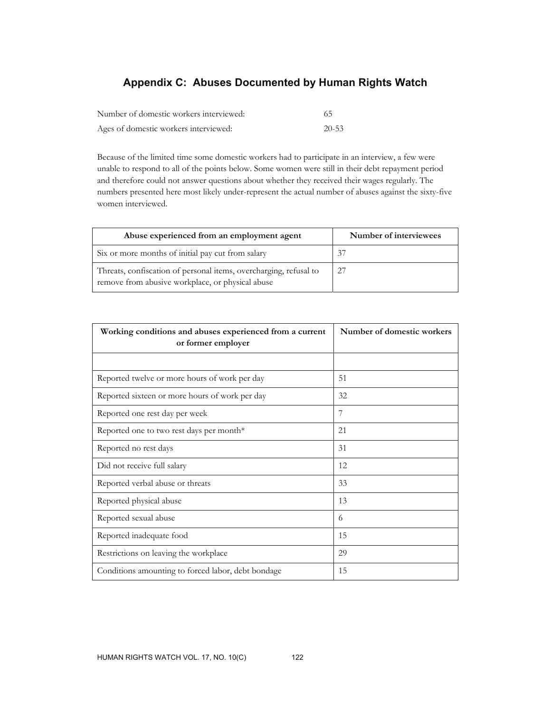## **Appendix C: Abuses Documented by Human Rights Watch**

| Number of domestic workers interviewed: | -65       |
|-----------------------------------------|-----------|
| Ages of domestic workers interviewed:   | $20 - 53$ |

Because of the limited time some domestic workers had to participate in an interview, a few were unable to respond to all of the points below. Some women were still in their debt repayment period and therefore could not answer questions about whether they received their wages regularly. The numbers presented here most likely under-represent the actual number of abuses against the sixty-five women interviewed.

| Abuse experienced from an employment agent                                                                            | Number of interviewees |
|-----------------------------------------------------------------------------------------------------------------------|------------------------|
| Six or more months of initial pay cut from salary                                                                     | 37                     |
| Threats, confiscation of personal items, overcharging, refusal to<br>remove from abusive workplace, or physical abuse | 27                     |

| Working conditions and abuses experienced from a current<br>or former employer | Number of domestic workers |  |  |
|--------------------------------------------------------------------------------|----------------------------|--|--|
|                                                                                |                            |  |  |
| Reported twelve or more hours of work per day                                  | 51                         |  |  |
| Reported sixteen or more hours of work per day                                 | 32                         |  |  |
| Reported one rest day per week                                                 | 7                          |  |  |
| Reported one to two rest days per month*                                       | 21                         |  |  |
| Reported no rest days                                                          | 31                         |  |  |
| Did not receive full salary                                                    | 12                         |  |  |
| Reported verbal abuse or threats                                               | 33                         |  |  |
| Reported physical abuse                                                        | 13                         |  |  |
| Reported sexual abuse                                                          | 6                          |  |  |
| Reported inadequate food                                                       | 15                         |  |  |
| Restrictions on leaving the workplace                                          | 29                         |  |  |
| Conditions amounting to forced labor, debt bondage                             | 15                         |  |  |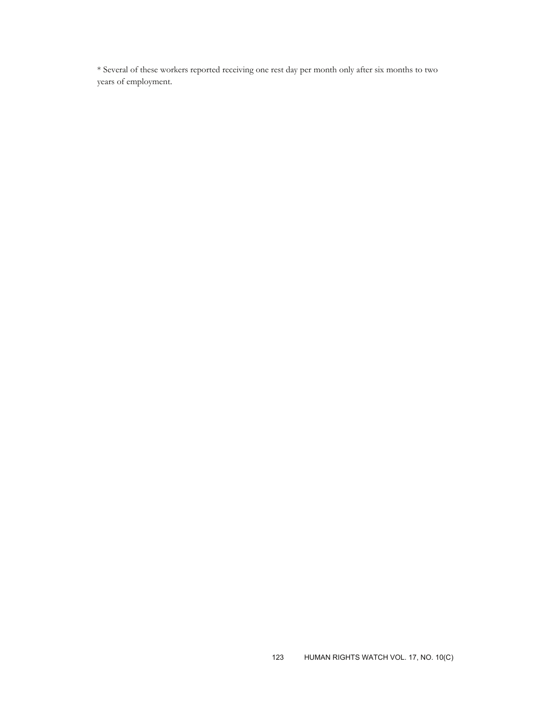\* Several of these workers reported receiving one rest day per month only after six months to two years of employment.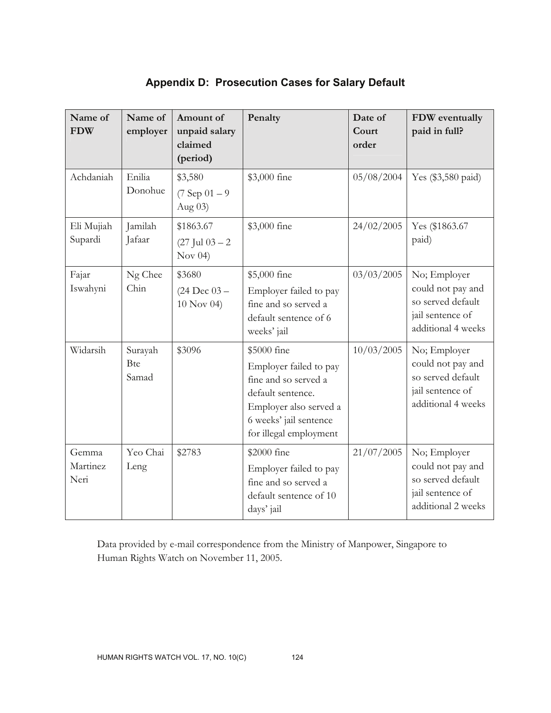| Name of<br><b>FDW</b>     | Name of<br>employer            | Amount of<br>unpaid salary<br>claimed<br>(period)   | Penalty                                                                                                                                                          | Date of<br>Court<br>order | FDW eventually<br>paid in full?                                                                  |
|---------------------------|--------------------------------|-----------------------------------------------------|------------------------------------------------------------------------------------------------------------------------------------------------------------------|---------------------------|--------------------------------------------------------------------------------------------------|
| Achdaniah                 | Enilia<br>Donohue              | \$3,580<br>$(7$ Sep $01 - 9$<br>Aug $03$ )          | \$3,000 fine                                                                                                                                                     | 05/08/2004                | Yes (\$3,580 paid)                                                                               |
| Eli Mujiah<br>Supardi     | Jamilah<br>Jafaar              | \$1863.67<br>$(27 \text{ Jul } 03 - 2)$<br>Nov $04$ | \$3,000 fine                                                                                                                                                     | 24/02/2005                | Yes (\$1863.67<br>paid)                                                                          |
| Fajar<br>Iswahyni         | Ng Chee<br>Chin                | \$3680<br>$(24 \text{ Dec } 03 -$<br>10 Nov 04)     | \$5,000 fine<br>Employer failed to pay<br>fine and so served a<br>default sentence of 6<br>weeks' jail                                                           | 03/03/2005                | No; Employer<br>could not pay and<br>so served default<br>jail sentence of<br>additional 4 weeks |
| Widarsih                  | Surayah<br><b>Bte</b><br>Samad | \$3096                                              | \$5000 fine<br>Employer failed to pay<br>fine and so served a<br>default sentence.<br>Employer also served a<br>6 weeks' jail sentence<br>for illegal employment | 10/03/2005                | No; Employer<br>could not pay and<br>so served default<br>jail sentence of<br>additional 4 weeks |
| Gemma<br>Martinez<br>Neri | Yeo Chai<br>Leng               | \$2783                                              | \$2000 fine<br>Employer failed to pay<br>fine and so served a<br>default sentence of 10<br>days' jail                                                            | 21/07/2005                | No; Employer<br>could not pay and<br>so served default<br>jail sentence of<br>additional 2 weeks |

## **Appendix D: Prosecution Cases for Salary Default**

Data provided by e-mail correspondence from the Ministry of Manpower, Singapore to Human Rights Watch on November 11, 2005.